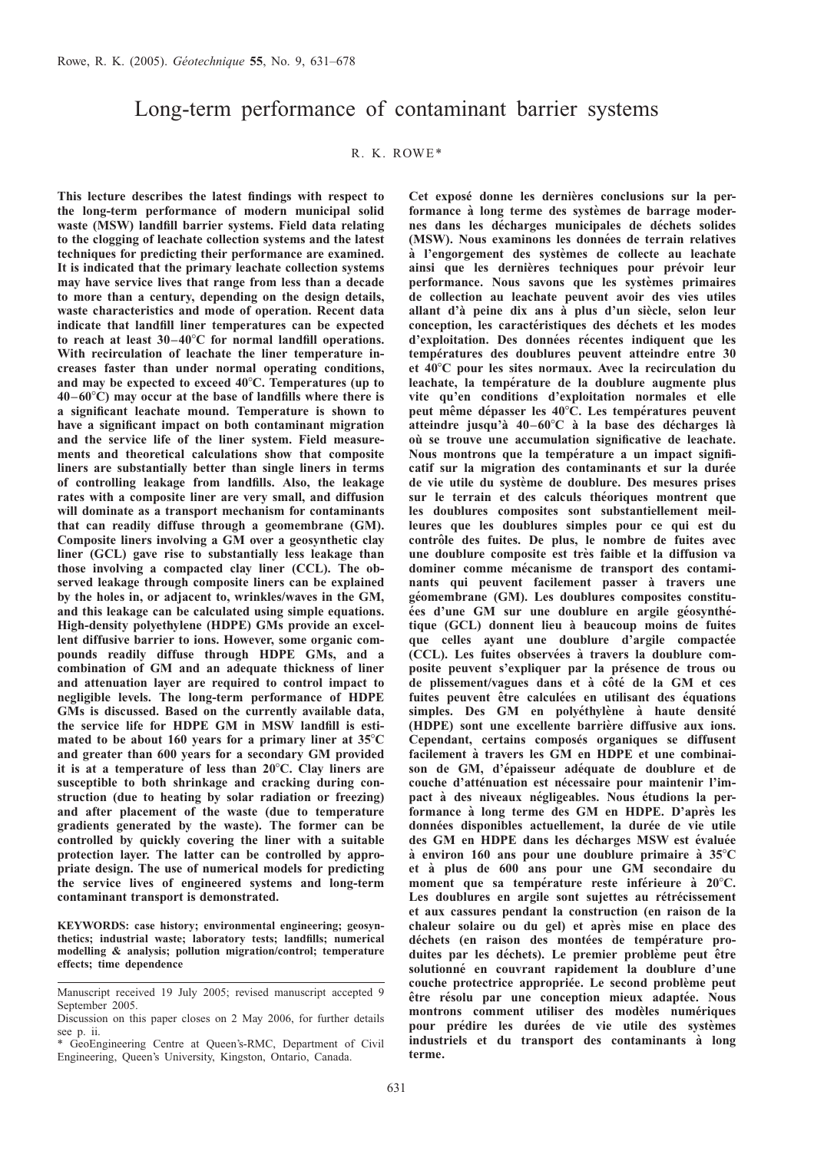# Long-term performance of contaminant barrier systems

## R. K. ROWE\*

This lecture describes the latest findings with respect to the long-term performance of modern municipal solid waste (MSW) landfill barrier systems. Field data relating to the clogging of leachate collection systems and the latest techniques for predicting their performance are examined. It is indicated that the primary leachate collection systems may have service lives that range from less than a decade to more than a century, depending on the design details, waste characteristics and mode of operation. Recent data indicate that landfill liner temperatures can be expected to reach at least  $30-40^{\circ}$ C for normal landfill operations. With recirculation of leachate the liner temperature increases faster than under normal operating conditions, and may be expected to exceed  $40^{\circ}$ C. Temperatures (up to  $40-60^{\circ}$ C) may occur at the base of landfills where there is a significant leachate mound. Temperature is shown to have a significant impact on both contaminant migration and the service life of the liner system. Field measurements and theoretical calculations show that composite liners are substantially better than single liners in terms of controlling leakage from landfills. Also, the leakage rates with a composite liner are very small, and diffusion will dominate as a transport mechanism for contaminants that can readily diffuse through a geomembrane (GM). Composite liners involving a GM over a geosynthetic clay liner (GCL) gave rise to substantially less leakage than those involving a compacted clay liner (CCL). The observed leakage through composite liners can be explained by the holes in, or adjacent to, wrinkles/waves in the GM, and this leakage can be calculated using simple equations. High-density polyethylene (HDPE) GMs provide an excellent diffusive barrier to ions. However, some organic compounds readily diffuse through HDPE GMs, and a combination of GM and an adequate thickness of liner and attenuation layer are required to control impact to negligible levels. The long-term performance of HDPE GMs is discussed. Based on the currently available data, the service life for HDPE GM in MSW landfill is estimated to be about 160 years for a primary liner at  $35^{\circ}$ C and greater than 600 years for a secondary GM provided it is at a temperature of less than  $20^{\circ}$ C. Clay liners are susceptible to both shrinkage and cracking during construction (due to heating by solar radiation or freezing) and after placement of the waste (due to temperature gradients generated by the waste). The former can be controlled by quickly covering the liner with a suitable protection layer. The latter can be controlled by appropriate design. The use of numerical models for predicting the service lives of engineered systems and long-term contaminant transport is demonstrated.

KEYWORDS: case history; environmental engineering; geosynthetics; industrial waste; laboratory tests; landfills; numerical modelling & analysis; pollution migration/control; temperature effects; time dependence

Cet exposé donne les dernières conclusions sur la performance à long terme des systèmes de barrage modernes dans les décharges municipales de déchets solides (MSW). Nous examinons les données de terrain relatives à l'engorgement des systèmes de collecte au leachate ainsi que les dernières techniques pour prévoir leur performance. Nous savons que les systèmes primaires de collection au leachate peuvent avoir des vies utiles allant d'à peine dix ans à plus d'un siècle, selon leur conception, les caractéristiques des déchets et les modes d'exploitation. Des données récentes indiquent que les températures des doublures peuvent atteindre entre 30 et  $40^{\circ}$ C pour les sites normaux. Avec la recirculation du leachate, la température de la doublure augmente plus vite qu'en conditions d'exploitation normales et elle peut même dépasser les 40°C. Les températures peuvent atteindre jusqu'à  $40-60^{\circ}\text{C}$  à la base des décharges là où se trouve une accumulation significative de leachate. Nous montrons que la température a un impact significatif sur la migration des contaminants et sur la durée de vie utile du système de doublure. Des mesures prises sur le terrain et des calculs théoriques montrent que les doublures composites sont substantiellement meilleures que les doublures simples pour ce qui est du contrôle des fuites. De plus, le nombre de fuites avec une doublure composite est très faible et la diffusion va dominer comme mécanisme de transport des contaminants qui peuvent facilement passer à travers une géomembrane (GM). Les doublures composites constituées d'une GM sur une doublure en argile géosynthétique (GCL) donnent lieu a` beaucoup moins de fuites que celles ayant une doublure d'argile compactée (CCL). Les fuites observées à travers la doublure composite peuvent s'expliquer par la présence de trous ou de plissement/vagues dans et à côté de la GM et ces fuites peuvent être calculées en utilisant des équations simples. Des GM en polyéthylène à haute densité (HDPE) sont une excellente barrière diffusive aux ions. Cependant, certains composés organiques se diffusent facilement à travers les GM en HDPE et une combinaison de GM, d'épaisseur adéquate de doublure et de couche d'atténuation est nécessaire pour maintenir l'impact à des niveaux négligeables. Nous étudions la performance à long terme des GM en HDPE. D'après les données disponibles actuellement, la durée de vie utile des GM en HDPE dans les décharges MSW est évaluée à environ 160 ans pour une doublure primaire à  $35^{\circ}$ C et a` plus de 600 ans pour une GM secondaire du moment que sa température reste inférieure à 20°C. Les doublures en argile sont sujettes au rétrécissement et aux cassures pendant la construction (en raison de la chaleur solaire ou du gel) et après mise en place des déchets (en raison des montées de température produites par les déchets). Le premier problème peut être solutionné en couvrant rapidement la doublure d'une couche protectrice appropriée. Le second problème peut être résolu par une conception mieux adaptée. Nous montrons comment utiliser des modèles numériques pour prédire les durées de vie utile des systèmes industriels et du transport des contaminants à long terme.

Manuscript received 19 July 2005; revised manuscript accepted 9 September 2005.

Discussion on this paper closes on 2 May 2006, for further details see p. ii.

<sup>\*</sup> GeoEngineering Centre at Queen's-RMC, Department of Civil Engineering, Queen's University, Kingston, Ontario, Canada.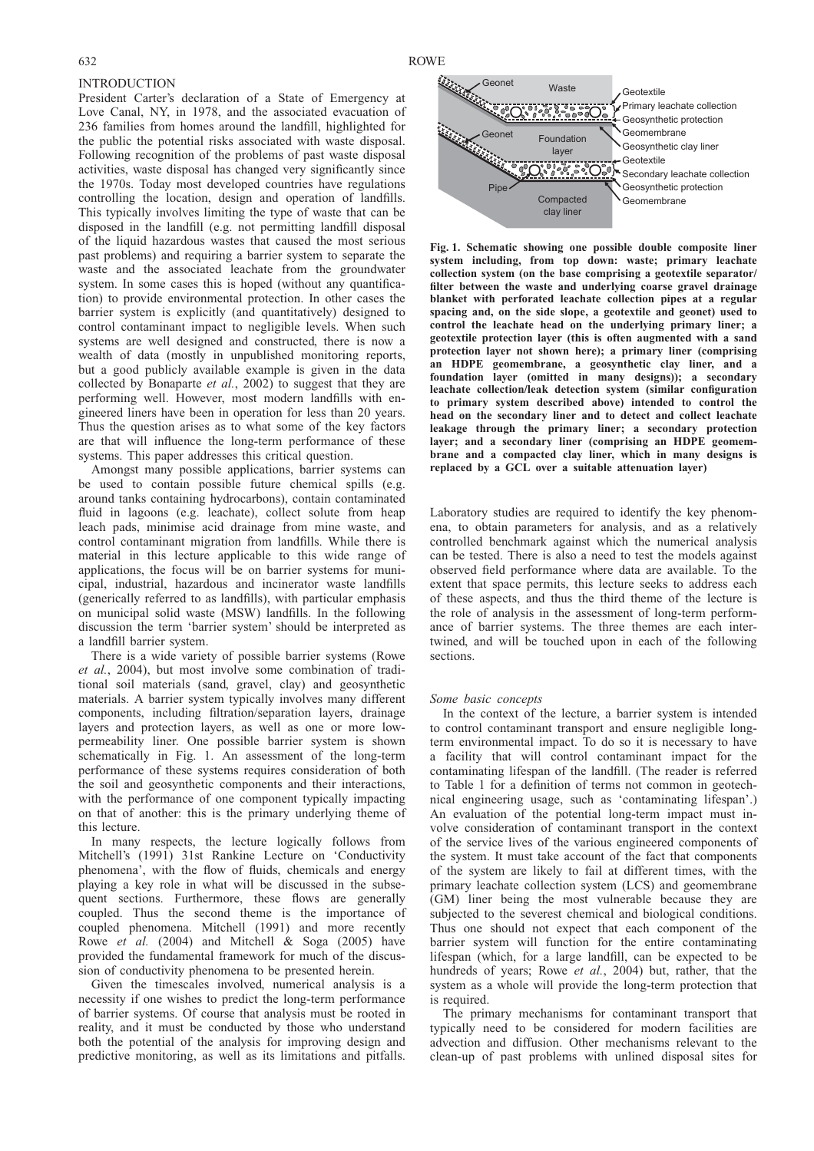#### **INTRODUCTION**

President Carter's declaration of a State of Emergency at Love Canal, NY, in 1978, and the associated evacuation of 236 families from homes around the landfill, highlighted for the public the potential risks associated with waste disposal. Following recognition of the problems of past waste disposal activities, waste disposal has changed very significantly since the 1970s. Today most developed countries have regulations controlling the location, design and operation of landfills. This typically involves limiting the type of waste that can be disposed in the landfill (e.g. not permitting landfill disposal of the liquid hazardous wastes that caused the most serious past problems) and requiring a barrier system to separate the waste and the associated leachate from the groundwater system. In some cases this is hoped (without any quantification) to provide environmental protection. In other cases the barrier system is explicitly (and quantitatively) designed to control contaminant impact to negligible levels. When such systems are well designed and constructed, there is now a wealth of data (mostly in unpublished monitoring reports, but a good publicly available example is given in the data collected by [Bonaparte](#page-43-0) et al., 2002) to suggest that they are performing well. However, most modern landfills with engineered liners have been in operation for less than 20 years. Thus the question arises as to what some of the key factors are that will influence the long-term performance of these systems. This paper addresses this critical question.

Amongst many possible applications, barrier systems can be used to contain possible future chemical spills (e.g. around tanks containing hydrocarbons), contain contaminated fluid in lagoons (e.g. leachate), collect solute from heap leach pads, minimise acid drainage from mine waste, and control contaminant migration from landfills. While there is material in this lecture applicable to this wide range of applications, the focus will be on barrier systems for municipal, industrial, hazardous and incinerator waste landfills (generically referred to as landfills), with particular emphasis on municipal solid waste (MSW) landfills. In the following discussion the term 'barrier system' should be interpreted as a landfill barrier system.

There is a wide variety of possible barrier systems [\(Rowe](#page-46-0) et al.[, 2004\)](#page-46-0), but most involve some combination of traditional soil materials (sand, gravel, clay) and geosynthetic materials. A barrier system typically involves many different components, including filtration/separation layers, drainage layers and protection layers, as well as one or more lowpermeability liner. One possible barrier system is shown schematically in Fig. 1. An assessment of the long-term performance of these systems requires consideration of both the soil and geosynthetic components and their interactions, with the performance of one component typically impacting on that of another: this is the primary underlying theme of this lecture.

In many respects, the lecture logically follows from [Mitchell's \(1991\)](#page-45-0) 31st Rankine Lecture on 'Conductivity phenomena', with the flow of fluids, chemicals and energy playing a key role in what will be discussed in the subsequent sections. Furthermore, these flows are generally coupled. Thus the second theme is the importance of coupled phenomena. [Mitchell \(1991\)](#page-45-0) and more recently Rowe et al. [\(2004\)](#page-46-0) and [Mitchell & Soga \(2005\)](#page-45-0) have provided the fundamental framework for much of the discussion of conductivity phenomena to be presented herein.

Given the timescales involved, numerical analysis is a necessity if one wishes to predict the long-term performance of barrier systems. Of course that analysis must be rooted in reality, and it must be conducted by those who understand both the potential of the analysis for improving design and predictive monitoring, as well as its limitations and pitfalls.

<span id="page-1-0"></span>632 ROWE



Fig. 1. Schematic showing one possible double composite liner system including, from top down: waste; primary leachate collection system (on the base comprising a geotextile separator/ filter between the waste and underlying coarse gravel drainage blanket with perforated leachate collection pipes at a regular spacing and, on the side slope, a geotextile and geonet) used to control the leachate head on the underlying primary liner; a geotextile protection layer (this is often augmented with a sand protection layer not shown here); a primary liner (comprising an HDPE geomembrane, a geosynthetic clay liner, and a foundation layer (omitted in many designs)); a secondary leachate collection/leak detection system (similar configuration to primary system described above) intended to control the head on the secondary liner and to detect and collect leachate leakage through the primary liner; a secondary protection layer; and a secondary liner (comprising an HDPE geomembrane and a compacted clay liner, which in many designs is replaced by a GCL over a suitable attenuation layer)

Laboratory studies are required to identify the key phenomena, to obtain parameters for analysis, and as a relatively controlled benchmark against which the numerical analysis can be tested. There is also a need to test the models against observed field performance where data are available. To the extent that space permits, this lecture seeks to address each of these aspects, and thus the third theme of the lecture is the role of analysis in the assessment of long-term performance of barrier systems. The three themes are each intertwined, and will be touched upon in each of the following sections.

## Some basic concepts

In the context of the lecture, a barrier system is intended to control contaminant transport and ensure negligible longterm environmental impact. To do so it is necessary to have a facility that will control contaminant impact for the contaminating lifespan of the landfill. (The reader is referred to Table [1](#page-2-0) for a definition of terms not common in geotechnical engineering usage, such as 'contaminating lifespan'.) An evaluation of the potential long-term impact must involve consideration of contaminant transport in the context of the service lives of the various engineered components of the system. It must take account of the fact that components of the system are likely to fail at different times, with the primary leachate collection system (LCS) and geomembrane (GM) liner being the most vulnerable because they are subjected to the severest chemical and biological conditions. Thus one should not expect that each component of the barrier system will function for the entire contaminating lifespan (which, for a large landfill, can be expected to be hundreds of years; Rowe et al.[, 2004\)](#page-46-0) but, rather, that the system as a whole will provide the long-term protection that is required.

The primary mechanisms for contaminant transport that typically need to be considered for modern facilities are advection and diffusion. Other mechanisms relevant to the clean-up of past problems with unlined disposal sites for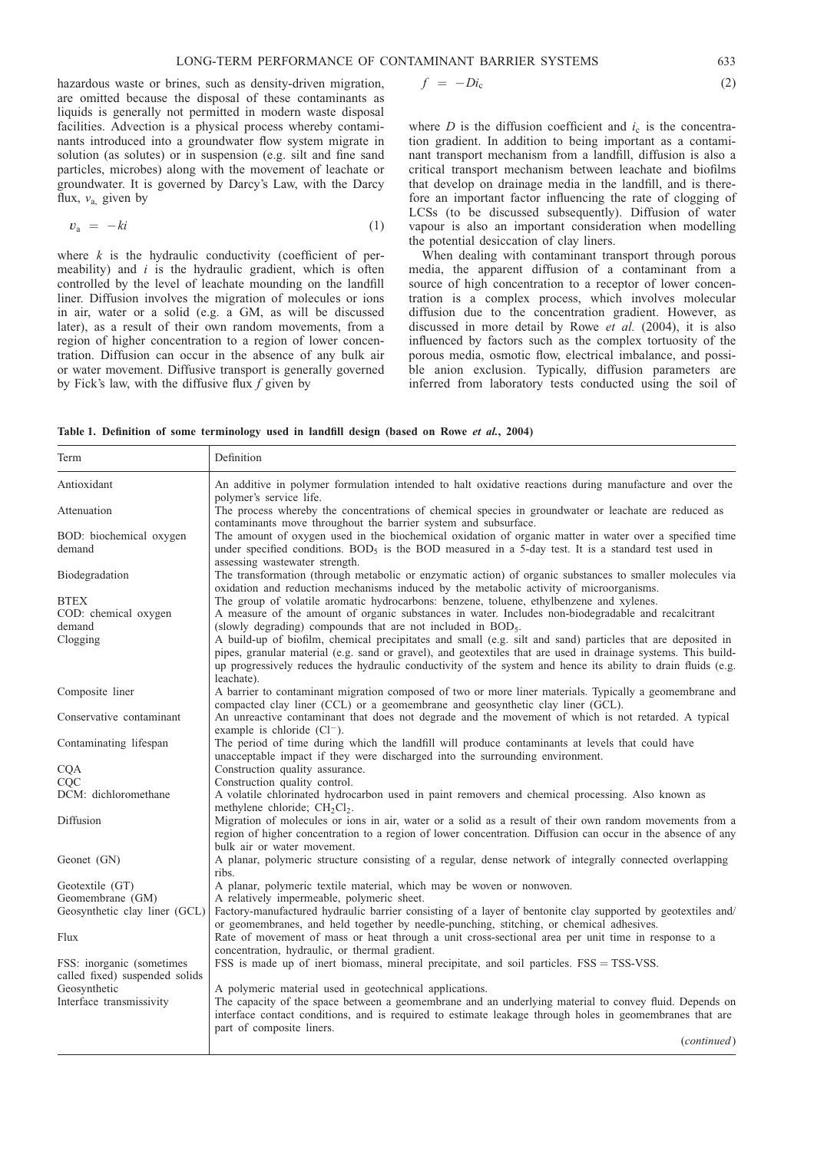<span id="page-2-0"></span>hazardous waste or brines, such as density-driven migration, are omitted because the disposal of these contaminants as liquids is generally not permitted in modern waste disposal facilities. Advection is a physical process whereby contaminants introduced into a groundwater flow system migrate in solution (as solutes) or in suspension (e.g. silt and fine sand particles, microbes) along with the movement of leachate or groundwater. It is governed by Darcy's Law, with the Darcy flux,  $v_a$  given by

$$
v_{\rm a} = -k i \tag{1}
$$

where  $k$  is the hydraulic conductivity (coefficient of permeability) and  $i$  is the hydraulic gradient, which is often controlled by the level of leachate mounding on the landfill liner. Diffusion involves the migration of molecules or ions in air, water or a solid (e.g. a GM, as will be discussed later), as a result of their own random movements, from a region of higher concentration to a region of lower concentration. Diffusion can occur in the absence of any bulk air or water movement. Diffusive transport is generally governed by Fick's law, with the diffusive flux  $f$  given by

$$
f = -Di_{c}
$$
 (2)

where  $D$  is the diffusion coefficient and  $i_c$  is the concentration gradient. In addition to being important as a contaminant transport mechanism from a landfill, diffusion is also a critical transport mechanism between leachate and biofilms that develop on drainage media in the landfill, and is therefore an important factor influencing the rate of clogging of LCSs (to be discussed subsequently). Diffusion of water vapour is also an important consideration when modelling the potential desiccation of clay liners.

When dealing with contaminant transport through porous media, the apparent diffusion of a contaminant from a source of high concentration to a receptor of lower concentration is a complex process, which involves molecular diffusion due to the concentration gradient. However, as discussed in more detail by Rowe et al. [\(2004\)](#page-46-0), it is also influenced by factors such as the complex tortuosity of the porous media, osmotic flow, electrical imbalance, and possible anion exclusion. Typically, diffusion parameters are inferred from laboratory tests conducted using the soil of

|  |  |  |  | Table 1. Definition of some terminology used in landfill design (based on Rowe et al., 2004) |  |  |  |  |  |  |  |  |  |  |  |
|--|--|--|--|----------------------------------------------------------------------------------------------|--|--|--|--|--|--|--|--|--|--|--|
|--|--|--|--|----------------------------------------------------------------------------------------------|--|--|--|--|--|--|--|--|--|--|--|

| Term                                                         | Definition                                                                                                                                                                                                                                                                                                                                                                                                                                                                                                                                                                                                                                  |
|--------------------------------------------------------------|---------------------------------------------------------------------------------------------------------------------------------------------------------------------------------------------------------------------------------------------------------------------------------------------------------------------------------------------------------------------------------------------------------------------------------------------------------------------------------------------------------------------------------------------------------------------------------------------------------------------------------------------|
| Antioxidant                                                  | An additive in polymer formulation intended to halt oxidative reactions during manufacture and over the<br>polymer's service life.                                                                                                                                                                                                                                                                                                                                                                                                                                                                                                          |
| Attenuation                                                  | The process whereby the concentrations of chemical species in groundwater or leachate are reduced as<br>contaminants move throughout the barrier system and subsurface.                                                                                                                                                                                                                                                                                                                                                                                                                                                                     |
| BOD: biochemical oxygen<br>demand                            | The amount of oxygen used in the biochemical oxidation of organic matter in water over a specified time<br>under specified conditions. BOD <sub>5</sub> is the BOD measured in a 5-day test. It is a standard test used in<br>assessing wastewater strength.                                                                                                                                                                                                                                                                                                                                                                                |
| Biodegradation                                               | The transformation (through metabolic or enzymatic action) of organic substances to smaller molecules via<br>oxidation and reduction mechanisms induced by the metabolic activity of microorganisms.                                                                                                                                                                                                                                                                                                                                                                                                                                        |
| <b>BTEX</b><br>COD: chemical oxygen<br>demand<br>Clogging    | The group of volatile aromatic hydrocarbons: benzene, toluene, ethylbenzene and xylenes.<br>A measure of the amount of organic substances in water. Includes non-biodegradable and recalcitrant<br>(slowly degrading) compounds that are not included in BOD <sub>5</sub> .<br>A build-up of biofilm, chemical precipitates and small (e.g. silt and sand) particles that are deposited in<br>pipes, granular material (e.g. sand or gravel), and geotextiles that are used in drainage systems. This build-<br>up progressively reduces the hydraulic conductivity of the system and hence its ability to drain fluids (e.g.<br>leachate). |
| Composite liner                                              | A barrier to contaminant migration composed of two or more liner materials. Typically a geomembrane and<br>compacted clay liner (CCL) or a geomembrane and geosynthetic clay liner (GCL).                                                                                                                                                                                                                                                                                                                                                                                                                                                   |
| Conservative contaminant                                     | An unreactive contaminant that does not degrade and the movement of which is not retarded. A typical<br>example is chloride $(Cl^-)$ .                                                                                                                                                                                                                                                                                                                                                                                                                                                                                                      |
| Contaminating lifespan                                       | The period of time during which the landfill will produce contaminants at levels that could have<br>unacceptable impact if they were discharged into the surrounding environment.                                                                                                                                                                                                                                                                                                                                                                                                                                                           |
| <b>CQA</b>                                                   | Construction quality assurance.                                                                                                                                                                                                                                                                                                                                                                                                                                                                                                                                                                                                             |
| CQC                                                          | Construction quality control.                                                                                                                                                                                                                                                                                                                                                                                                                                                                                                                                                                                                               |
| DCM: dichloromethane                                         | A volatile chlorinated hydrocarbon used in paint removers and chemical processing. Also known as<br>methylene chloride; $CH2Cl2$ .                                                                                                                                                                                                                                                                                                                                                                                                                                                                                                          |
| Diffusion                                                    | Migration of molecules or ions in air, water or a solid as a result of their own random movements from a<br>region of higher concentration to a region of lower concentration. Diffusion can occur in the absence of any<br>bulk air or water movement.                                                                                                                                                                                                                                                                                                                                                                                     |
| Geonet (GN)                                                  | A planar, polymeric structure consisting of a regular, dense network of integrally connected overlapping<br>ribs.                                                                                                                                                                                                                                                                                                                                                                                                                                                                                                                           |
| Geotextile (GT)                                              | A planar, polymeric textile material, which may be woven or nonwoven.                                                                                                                                                                                                                                                                                                                                                                                                                                                                                                                                                                       |
| Geomembrane (GM)                                             | A relatively impermeable, polymeric sheet.                                                                                                                                                                                                                                                                                                                                                                                                                                                                                                                                                                                                  |
| Geosynthetic clay liner (GCL)                                | Factory-manufactured hydraulic barrier consisting of a layer of bentonite clay supported by geotextiles and/<br>or geomembranes, and held together by needle-punching, stitching, or chemical adhesives.                                                                                                                                                                                                                                                                                                                                                                                                                                    |
| Flux                                                         | Rate of movement of mass or heat through a unit cross-sectional area per unit time in response to a<br>concentration, hydraulic, or thermal gradient.                                                                                                                                                                                                                                                                                                                                                                                                                                                                                       |
| FSS: inorganic (sometimes)<br>called fixed) suspended solids | FSS is made up of inert biomass, mineral precipitate, and soil particles. FSS = TSS-VSS.                                                                                                                                                                                                                                                                                                                                                                                                                                                                                                                                                    |
| Geosynthetic<br>Interface transmissivity                     | A polymeric material used in geotechnical applications.<br>The capacity of the space between a geomembrane and an underlying material to convey fluid. Depends on<br>interface contact conditions, and is required to estimate leakage through holes in geomembranes that are<br>part of composite liners.                                                                                                                                                                                                                                                                                                                                  |
|                                                              | (continued)                                                                                                                                                                                                                                                                                                                                                                                                                                                                                                                                                                                                                                 |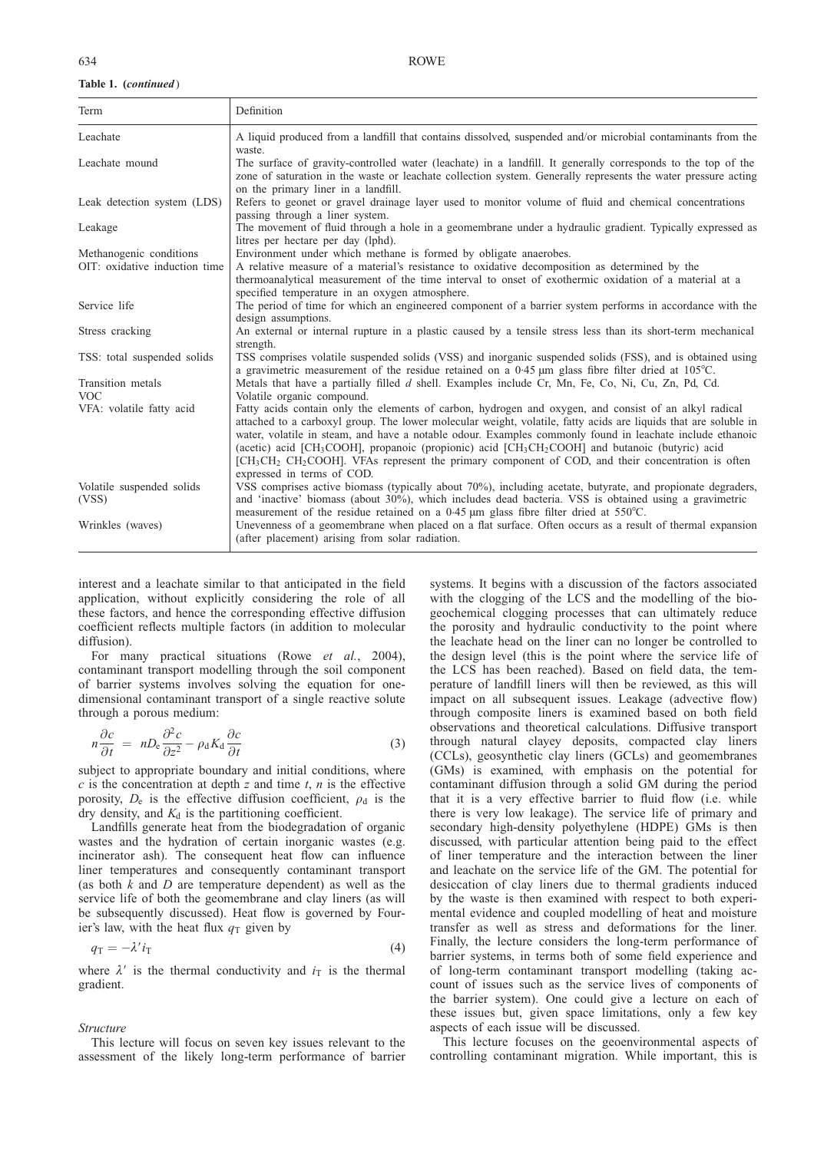#### Table 1. (continued)

| Term                            | Definition                                                                                                                                                                                                                                                                                                                                                                                                                                                                                                                                                                                                                                         |
|---------------------------------|----------------------------------------------------------------------------------------------------------------------------------------------------------------------------------------------------------------------------------------------------------------------------------------------------------------------------------------------------------------------------------------------------------------------------------------------------------------------------------------------------------------------------------------------------------------------------------------------------------------------------------------------------|
| Leachate                        | A liquid produced from a landfill that contains dissolved, suspended and/or microbial contaminants from the                                                                                                                                                                                                                                                                                                                                                                                                                                                                                                                                        |
| Leachate mound                  | waste.<br>The surface of gravity-controlled water (leachate) in a landfill. It generally corresponds to the top of the<br>zone of saturation in the waste or leachate collection system. Generally represents the water pressure acting<br>on the primary liner in a landfill.                                                                                                                                                                                                                                                                                                                                                                     |
| Leak detection system (LDS)     | Refers to geonet or gravel drainage layer used to monitor volume of fluid and chemical concentrations<br>passing through a liner system.                                                                                                                                                                                                                                                                                                                                                                                                                                                                                                           |
| Leakage                         | The movement of fluid through a hole in a geomembrane under a hydraulic gradient. Typically expressed as<br>litres per hectare per day (lphd).                                                                                                                                                                                                                                                                                                                                                                                                                                                                                                     |
| Methanogenic conditions         | Environment under which methane is formed by obligate anaerobes.                                                                                                                                                                                                                                                                                                                                                                                                                                                                                                                                                                                   |
| OIT: oxidative induction time   | A relative measure of a material's resistance to oxidative decomposition as determined by the<br>thermoanalytical measurement of the time interval to onset of exothermic oxidation of a material at a<br>specified temperature in an oxygen atmosphere.                                                                                                                                                                                                                                                                                                                                                                                           |
| Service life                    | The period of time for which an engineered component of a barrier system performs in accordance with the<br>design assumptions.                                                                                                                                                                                                                                                                                                                                                                                                                                                                                                                    |
| Stress cracking                 | An external or internal rupture in a plastic caused by a tensile stress less than its short-term mechanical<br>strength.                                                                                                                                                                                                                                                                                                                                                                                                                                                                                                                           |
| TSS: total suspended solids     | TSS comprises volatile suspended solids (VSS) and inorganic suspended solids (FSS), and is obtained using<br>a gravimetric measurement of the residue retained on a 0.45 $\mu$ m glass fibre filter dried at 105°C.                                                                                                                                                                                                                                                                                                                                                                                                                                |
| Transition metals<br><b>VOC</b> | Metals that have a partially filled $d$ shell. Examples include Cr, Mn, Fe, Co, Ni, Cu, Zn, Pd, Cd.<br>Volatile organic compound.                                                                                                                                                                                                                                                                                                                                                                                                                                                                                                                  |
| VFA: volatile fatty acid        | Fatty acids contain only the elements of carbon, hydrogen and oxygen, and consist of an alkyl radical<br>attached to a carboxyl group. The lower molecular weight, volatile, fatty acids are liquids that are soluble in<br>water, volatile in steam, and have a notable odour. Examples commonly found in leachate include ethanoic<br>(acetic) acid [CH <sub>3</sub> COOH], propanoic (propionic) acid [CH <sub>3</sub> CH <sub>2</sub> COOH] and butanoic (butyric) acid<br>[CH <sub>3</sub> CH <sub>2</sub> CH <sub>2</sub> COOH]. VFAs represent the primary component of COD, and their concentration is often<br>expressed in terms of COD. |
| Volatile suspended solids       | VSS comprises active biomass (typically about 70%), including acetate, butyrate, and propionate degraders,                                                                                                                                                                                                                                                                                                                                                                                                                                                                                                                                         |
| (VSS)                           | and 'inactive' biomass (about 30%), which includes dead bacteria. VSS is obtained using a gravimetric<br>measurement of the residue retained on a 0.45 $\mu$ m glass fibre filter dried at 550°C.                                                                                                                                                                                                                                                                                                                                                                                                                                                  |
| Wrinkles (waves)                | Unevenness of a geomembrane when placed on a flat surface. Often occurs as a result of thermal expansion<br>(after placement) arising from solar radiation.                                                                                                                                                                                                                                                                                                                                                                                                                                                                                        |

interest and a leachate similar to that anticipated in the field application, without explicitly considering the role of all these factors, and hence the corresponding effective diffusion coefficient reflects multiple factors (in addition to molecular diffusion).

For many practical situations (Rowe et al.[, 2004\)](#page-46-0), contaminant transport modelling through the soil component of barrier systems involves solving the equation for onedimensional contaminant transport of a single reactive solute through a porous medium:

$$
n\frac{\partial c}{\partial t} = nD_{\rm e}\frac{\partial^2 c}{\partial z^2} - \rho_{\rm d}K_{\rm d}\frac{\partial c}{\partial t} \tag{3}
$$

subject to appropriate boundary and initial conditions, where  $c$  is the concentration at depth  $z$  and time  $t$ ,  $n$  is the effective porosity,  $D_e$  is the effective diffusion coefficient,  $\rho_d$  is the  $\frac{d}{dx}$  dry density, and  $K_d$  is the partitioning coefficient.

Landfills generate heat from the biodegradation of organic wastes and the hydration of certain inorganic wastes (e.g. incinerator ash). The consequent heat flow can influence liner temperatures and consequently contaminant transport (as both  $k$  and  $D$  are temperature dependent) as well as the service life of both the geomembrane and clay liners (as will be subsequently discussed). Heat flow is governed by Fourier's law, with the heat flux  $q_T$  given by

$$
q_{\rm T} = -\lambda' i_{\rm T} \tag{4}
$$

where  $\lambda'$  is the thermal conductivity and  $i<sub>T</sub>$  is the thermal gradient.

#### Structure

This lecture will focus on seven key issues relevant to the assessment of the likely long-term performance of barrier

systems. It begins with a discussion of the factors associated with the clogging of the LCS and the modelling of the biogeochemical clogging processes that can ultimately reduce the porosity and hydraulic conductivity to the point where the leachate head on the liner can no longer be controlled to the design level (this is the point where the service life of the LCS has been reached). Based on field data, the temperature of landfill liners will then be reviewed, as this will impact on all subsequent issues. Leakage (advective flow) through composite liners is examined based on both field observations and theoretical calculations. Diffusive transport through natural clayey deposits, compacted clay liners (CCLs), geosynthetic clay liners (GCLs) and geomembranes (GMs) is examined, with emphasis on the potential for contaminant diffusion through a solid GM during the period that it is a very effective barrier to fluid flow (i.e. while there is very low leakage). The service life of primary and secondary high-density polyethylene (HDPE) GMs is then discussed, with particular attention being paid to the effect of liner temperature and the interaction between the liner and leachate on the service life of the GM. The potential for desiccation of clay liners due to thermal gradients induced by the waste is then examined with respect to both experimental evidence and coupled modelling of heat and moisture transfer as well as stress and deformations for the liner. Finally, the lecture considers the long-term performance of barrier systems, in terms both of some field experience and of long-term contaminant transport modelling (taking account of issues such as the service lives of components of the barrier system). One could give a lecture on each of these issues but, given space limitations, only a few key aspects of each issue will be discussed.

This lecture focuses on the geoenvironmental aspects of controlling contaminant migration. While important, this is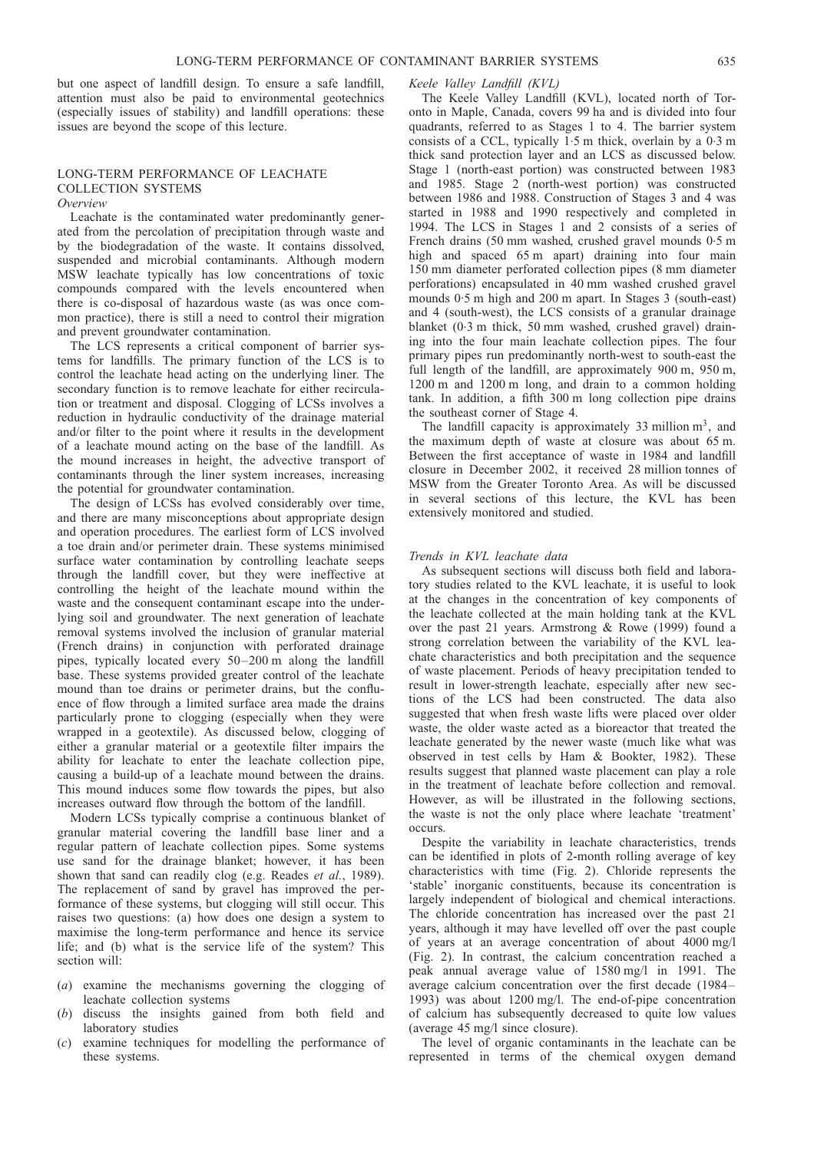but one aspect of landfill design. To ensure a safe landfill, attention must also be paid to environmental geotechnics (especially issues of stability) and landfill operations: these issues are beyond the scope of this lecture.

## LONG-TERM PERFORMANCE OF LEACHATE COLLECTION SYSTEMS

Overview

Leachate is the contaminated water predominantly generated from the percolation of precipitation through waste and by the biodegradation of the waste. It contains dissolved, suspended and microbial contaminants. Although modern MSW leachate typically has low concentrations of toxic compounds compared with the levels encountered when there is co-disposal of hazardous waste (as was once common practice), there is still a need to control their migration and prevent groundwater contamination.

The LCS represents a critical component of barrier systems for landfills. The primary function of the LCS is to control the leachate head acting on the underlying liner. The secondary function is to remove leachate for either recirculation or treatment and disposal. Clogging of LCSs involves a reduction in hydraulic conductivity of the drainage material and/or filter to the point where it results in the development of a leachate mound acting on the base of the landfill. As the mound increases in height, the advective transport of contaminants through the liner system increases, increasing the potential for groundwater contamination.

The design of LCSs has evolved considerably over time, and there are many misconceptions about appropriate design and operation procedures. The earliest form of LCS involved a toe drain and/or perimeter drain. These systems minimised surface water contamination by controlling leachate seeps through the landfill cover, but they were ineffective at controlling the height of the leachate mound within the waste and the consequent contaminant escape into the underlying soil and groundwater. The next generation of leachate removal systems involved the inclusion of granular material (French drains) in conjunction with perforated drainage pipes, typically located every 50–200 m along the landfill base. These systems provided greater control of the leachate mound than toe drains or perimeter drains, but the confluence of flow through a limited surface area made the drains particularly prone to clogging (especially when they were wrapped in a geotextile). As discussed below, clogging of either a granular material or a geotextile filter impairs the ability for leachate to enter the leachate collection pipe, causing a build-up of a leachate mound between the drains. This mound induces some flow towards the pipes, but also increases outward flow through the bottom of the landfill.

Modern LCSs typically comprise a continuous blanket of granular material covering the landfill base liner and a regular pattern of leachate collection pipes. Some systems use sand for the drainage blanket; however, it has been shown that sand can readily clog (e.g. [Reades](#page-45-0) et al., 1989). The replacement of sand by gravel has improved the performance of these systems, but clogging will still occur. This raises two questions: (a) how does one design a system to maximise the long-term performance and hence its service life; and (b) what is the service life of the system? This section will:

- (a) examine the mechanisms governing the clogging of leachate collection systems
- (b) discuss the insights gained from both field and laboratory studies
- (c) examine techniques for modelling the performance of these systems.

#### Keele Valley Landfill (KVL)

The Keele Valley Landfill (KVL), located north of Toronto in Maple, Canada, covers 99 ha and is divided into four quadrants, referred to as Stages 1 to 4. The barrier system consists of a CCL, typically 1.5 m thick, overlain by a 0.3 m thick sand protection layer and an LCS as discussed below. Stage 1 (north-east portion) was constructed between 1983 and 1985. Stage 2 (north-west portion) was constructed between 1986 and 1988. Construction of Stages 3 and 4 was started in 1988 and 1990 respectively and completed in 1994. The LCS in Stages 1 and 2 consists of a series of French drains (50 mm washed, crushed gravel mounds 0.5 m high and spaced 65 m apart) draining into four main 150 mm diameter perforated collection pipes (8 mm diameter perforations) encapsulated in 40 mm washed crushed gravel mounds 0. 5 m high and 200 m apart. In Stages 3 (south-east) and 4 (south-west), the LCS consists of a granular drainage blanket (0.3 m thick, 50 mm washed, crushed gravel) draining into the four main leachate collection pipes. The four primary pipes run predominantly north-west to south-east the full length of the landfill, are approximately 900 m, 950 m, 1200 m and 1200 m long, and drain to a common holding tank. In addition, a fifth 300 m long collection pipe drains the southeast corner of Stage 4.

The landfill capacity is approximately 33 million  $m<sup>3</sup>$ , and the maximum depth of waste at closure was about 65 m. Between the first acceptance of waste in 1984 and landfill closure in December 2002, it received 28 million tonnes of MSW from the Greater Toronto Area. As will be discussed in several sections of this lecture, the KVL has been extensively monitored and studied.

#### Trends in KVL leachate data

As subsequent sections will discuss both field and laboratory studies related to the KVL leachate, it is useful to look at the changes in the concentration of key components of the leachate collected at the main holding tank at the KVL over the past 21 years. [Armstrong & Rowe \(1999\)](#page-43-0) found a strong correlation between the variability of the KVL leachate characteristics and both precipitation and the sequence of waste placement. Periods of heavy precipitation tended to result in lower-strength leachate, especially after new sections of the LCS had been constructed. The data also suggested that when fresh waste lifts were placed over older waste, the older waste acted as a bioreactor that treated the leachate generated by the newer waste (much like what was observed in test cells by [Ham & Bookter, 1982\)](#page-44-0). These results suggest that planned waste placement can play a role in the treatment of leachate before collection and removal. However, as will be illustrated in the following sections, the waste is not the only place where leachate 'treatment' occurs.

Despite the variability in leachate characteristics, trends can be identified in plots of 2-month rolling average of key characteristics with time (Fig. [2\)](#page-5-0). Chloride represents the 'stable' inorganic constituents, because its concentration is largely independent of biological and chemical interactions. The chloride concentration has increased over the past 21 years, although it may have levelled off over the past couple of years at an average concentration of about 4000 mg/l (Fig. [2\)](#page-5-0). In contrast, the calcium concentration reached a peak annual average value of 1580 mg/l in 1991. The average calcium concentration over the first decade (1984– 1993) was about 1200 mg/l. The end-of-pipe concentration of calcium has subsequently decreased to quite low values (average 45 mg/l since closure).

The level of organic contaminants in the leachate can be represented in terms of the chemical oxygen demand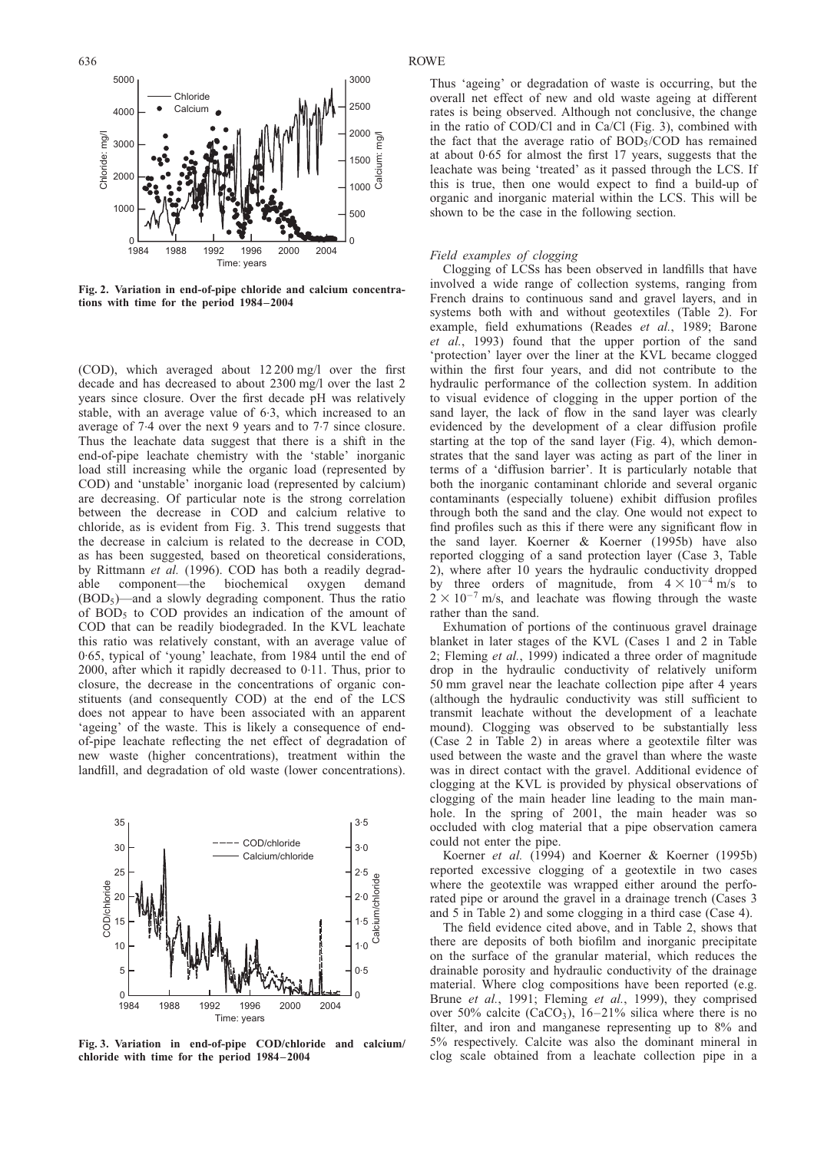<span id="page-5-0"></span>

Fig. 2. Variation in end-of-pipe chloride and calcium concentrations with time for the period 1984–2004

(COD), which averaged about 12 200 mg/l over the first decade and has decreased to about 2300 mg/l over the last 2 years since closure. Over the first decade pH was relatively stable, with an average value of 6.3, which increased to an average of 7.4 over the next 9 years and to 7.7 since closure. Thus the leachate data suggest that there is a shift in the end-of-pipe leachate chemistry with the 'stable' inorganic load still increasing while the organic load (represented by COD) and 'unstable' inorganic load (represented by calcium) are decreasing. Of particular note is the strong correlation between the decrease in COD and calcium relative to chloride, as is evident from Fig. 3. This trend suggests that the decrease in calcium is related to the decrease in COD, as has been suggested, based on theoretical considerations, by [Rittmann](#page-45-0) et al. (1996). COD has both a readily degradable component—the biochemical oxygen demand  $(BOD<sub>5</sub>)$ —and a slowly degrading component. Thus the ratio of  $BOD<sub>5</sub>$  to  $COD$  provides an indication of the amount of COD that can be readily biodegraded. In the KVL leachate this ratio was relatively constant, with an average value of 0. 65, typical of 'young' leachate, from 1984 until the end of 2000, after which it rapidly decreased to 0. 11. Thus, prior to closure, the decrease in the concentrations of organic constituents (and consequently COD) at the end of the LCS does not appear to have been associated with an apparent 'ageing' of the waste. This is likely a consequence of endof-pipe leachate reflecting the net effect of degradation of new waste (higher concentrations), treatment within the landfill, and degradation of old waste (lower concentrations).



Fig. 3. Variation in end-of-pipe COD/chloride and calcium/ chloride with time for the period 1984–2004

 $3000$ 

Thus 'ageing' or degradation of waste is occurring, but the overall net effect of new and old waste ageing at different rates is being observed. Although not conclusive, the change in the ratio of COD/Cl and in Ca/Cl (Fig. 3), combined with the fact that the average ratio of BOD5/COD has remained at about 0.65 for almost the first 17 years, suggests that the leachate was being 'treated' as it passed through the LCS. If this is true, then one would expect to find a build-up of organic and inorganic material within the LCS. This will be shown to be the case in the following section.

#### Field examples of clogging

Clogging of LCSs has been observed in landfills that have involved a wide range of collection systems, ranging from French drains to continuous sand and gravel layers, and in systems both with and without geotextiles (Table [2\).](#page-6-0) For example, field exhumations [\(Reades](#page-45-0) et al., 1989; [Barone](#page-43-0) et al.[, 1993\)](#page-43-0) found that the upper portion of the sand 'protection' layer over the liner at the KVL became clogged within the first four years, and did not contribute to the hydraulic performance of the collection system. In addition to visual evidence of clogging in the upper portion of the sand layer, the lack of flow in the sand layer was clearly evidenced by the development of a clear diffusion profile starting at the top of the sand layer (Fig. [4\)](#page-8-0), which demonstrates that the sand layer was acting as part of the liner in terms of a 'diffusion barrier'. It is particularly notable that both the inorganic contaminant chloride and several organic contaminants (especially toluene) exhibit diffusion profiles through both the sand and the clay. One would not expect to find profiles such as this if there were any significant flow in the sand layer. [Koerner & Koerner \(1995b\)](#page-44-0) have also reported clogging of a sand protection layer (Case 3, Table [2\)](#page-6-0), where after 10 years the hydraulic conductivity dropped by three orders of magnitude, from  $4 \times 10^{-4}$  m/s to  $2 \times 10^{-7}$  m/s, and leachate was flowing through the waste rather than the sand.

Exhumation of portions of the continuous gravel drainage blanket in later stages of the KVL (Cases 1 and 2 in Table 2; [Fleming](#page-44-0) et al., 1999) indicated a three order of magnitude drop in the hydraulic conductivity of relatively uniform 50 mm gravel near the leachate collection pipe after 4 years (although the hydraulic conductivity was still sufficient to transmit leachate without the development of a leachate mound). Clogging was observed to be substantially less (Case 2 in Table [2\)](#page-6-0) in areas where a geotextile filter was used between the waste and the gravel than where the waste was in direct contact with the gravel. Additional evidence of clogging at the KVL is provided by physical observations of clogging of the main header line leading to the main manhole. In the spring of 2001, the main header was so occluded with clog material that a pipe observation camera could not enter the pipe.

[Koerner](#page-44-0) et al. (1994) and [Koerner & Koerner \(1995b\)](#page-44-0) reported excessive clogging of a geotextile in two cases where the geotextile was wrapped either around the perforated pipe or around the gravel in a drainage trench (Cases 3 and 5 in Table [2\)](#page-6-0) and some clogging in a third case (Case 4).

The field evidence cited above, and in Table [2,](#page-6-0) shows that there are deposits of both biofilm and inorganic precipitate on the surface of the granular material, which reduces the drainable porosity and hydraulic conductivity of the drainage material. Where clog compositions have been reported (e.g. Brune et al.[, 1991;](#page-43-0) [Fleming](#page-44-0) et al., 1999), they comprised over 50% calcite (CaCO<sub>3</sub>), 16–21% silica where there is no filter, and iron and manganese representing up to 8% and 5% respectively. Calcite was also the dominant mineral in clog scale obtained from a leachate collection pipe in a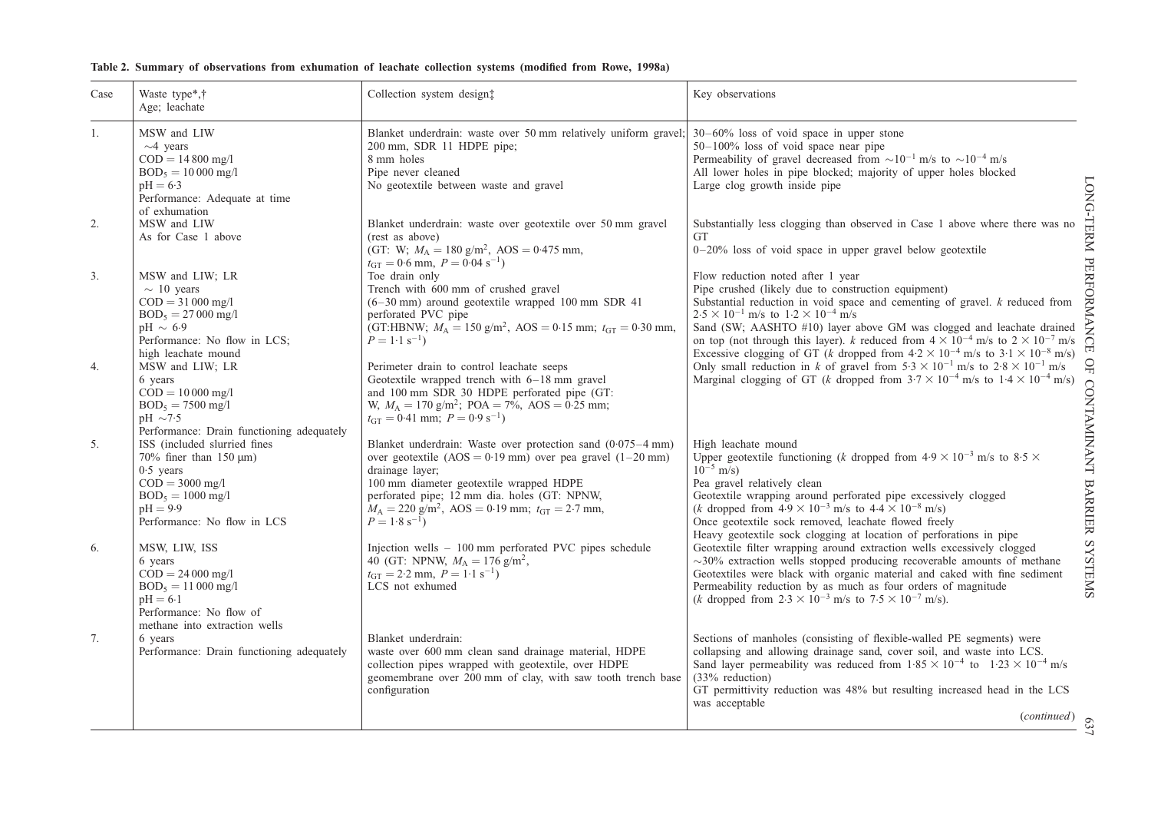<span id="page-6-0"></span>

| Table 2. Summary of observations from exhumation of leachate collection systems (modified from Rowe, 1998a) |  |  |  |  |  |  |  |  |  |  |  |  |  |
|-------------------------------------------------------------------------------------------------------------|--|--|--|--|--|--|--|--|--|--|--|--|--|
|-------------------------------------------------------------------------------------------------------------|--|--|--|--|--|--|--|--|--|--|--|--|--|

| Case | Waste type*,†<br>Age; leachate                                                                                                                                      | Collection system design‡                                                                                                                                                                                                                                                                                                                                    | Key observations                                                                                                                                                                                                                                                                                                                                                                                                                                                                                                 |
|------|---------------------------------------------------------------------------------------------------------------------------------------------------------------------|--------------------------------------------------------------------------------------------------------------------------------------------------------------------------------------------------------------------------------------------------------------------------------------------------------------------------------------------------------------|------------------------------------------------------------------------------------------------------------------------------------------------------------------------------------------------------------------------------------------------------------------------------------------------------------------------------------------------------------------------------------------------------------------------------------------------------------------------------------------------------------------|
| 1.   | MSW and LIW<br>$\sim$ 4 years<br>$COD = 14800$ mg/l<br>$BOD_5 = 10000$ mg/l<br>$pH = 6.3$<br>Performance: Adequate at time<br>of exhumation                         | Blanket underdrain: waste over 50 mm relatively uniform gravel; $30-60\%$ loss of void space in upper stone<br>200 mm, SDR 11 HDPE pipe;<br>8 mm holes<br>Pipe never cleaned<br>No geotextile between waste and gravel                                                                                                                                       | $50-100\%$ loss of void space near pipe<br>Permeability of gravel decreased from $\sim 10^{-1}$ m/s to $\sim 10^{-4}$ m/s<br>All lower holes in pipe blocked; majority of upper holes blocked<br>Large clog growth inside pipe                                                                                                                                                                                                                                                                                   |
| 2.   | MSW and LIW<br>As for Case 1 above                                                                                                                                  | Blanket underdrain: waste over geotextile over 50 mm gravel<br>(rest as above)<br>(GT: W; $M_A = 180$ g/m <sup>2</sup> , AOS = 0.475 mm,<br>$t_{\text{GT}} = 0.6$ mm, $P = 0.04$ s <sup>-1</sup> )                                                                                                                                                           | Substantially less clogging than observed in Case 1 above where there was no<br><b>GT</b><br>$0-20\%$ loss of void space in upper gravel below geotextile                                                                                                                                                                                                                                                                                                                                                        |
| 3.   | MSW and LIW; LR<br>$\sim$ 10 years<br>$COD = 31000$ mg/l<br>$BOD_5 = 27000$ mg/l<br>$pH \sim 6.9$<br>Performance: No flow in LCS;<br>high leachate mound            | Toe drain only<br>Trench with 600 mm of crushed gravel<br>$(6-30 \text{ mm})$ around geotextile wrapped 100 mm SDR 41<br>perforated PVC pipe<br>(GT:HBNW; $M_A = 150$ g/m <sup>2</sup> , AOS = 0.15 mm; $t_{GT} = 0.30$ mm,<br>$P = 1.1$ s <sup>-1</sup> )                                                                                                   | Flow reduction noted after 1 year<br>Pipe crushed (likely due to construction equipment)<br>Substantial reduction in void space and cementing of gravel. $k$ reduced from<br>$2.5 \times 10^{-1}$ m/s to $1.2 \times 10^{-4}$ m/s<br>Sand (SW; AASHTO #10) layer above GM was clogged and leachate drained<br>on top (not through this layer). k reduced from $4 \times 10^{-4}$ m/s to $2 \times 10^{-7}$ m/s<br>Excessive clogging of GT (k dropped from $4.2 \times 10^{-4}$ m/s to $3.1 \times 10^{-8}$ m/s) |
| 4.   | MSW and LIW; LR<br>6 years<br>$COD = 10000$ mg/l<br>$BOD_5 = 7500$ mg/l<br>$pH \sim 7.5$<br>Performance: Drain functioning adequately                               | Perimeter drain to control leachate seeps<br>Geotextile wrapped trench with 6-18 mm gravel<br>and 100 mm SDR 30 HDPE perforated pipe (GT:<br>W, $M_A = 170$ g/m <sup>2</sup> ; POA = 7%, AOS = 0.25 mm;<br>$t_{\text{GT}} = 0.41$ mm; $P = 0.9$ s <sup>-1</sup> )                                                                                            | Only small reduction in k of gravel from $5.3 \times 10^{-1}$ m/s to $2.8 \times 10^{-1}$ m/s<br>Marginal clogging of GT (k dropped from $3.7 \times 10^{-4}$ m/s to $1.4 \times 10^{-4}$ m/s)                                                                                                                                                                                                                                                                                                                   |
| 5.   | ISS (included slurried fines<br>70% finer than 150 $\mu$ m)<br>$0.5$ years<br>$COD = 3000$ mg/l<br>$BOD_5 = 1000$ mg/l<br>$pH = 9.9$<br>Performance: No flow in LCS | Blanket underdrain: Waste over protection sand $(0.075-4 \text{ mm})$<br>over geotextile $(AOS = 0.19 \text{ mm})$ over pea gravel $(1-20 \text{ mm})$<br>drainage layer;<br>100 mm diameter geotextile wrapped HDPE<br>perforated pipe; 12 mm dia. holes (GT: NPNW,<br>$M_A = 220$ g/m <sup>2</sup> , AOS = 0.19 mm; $t_{GT} = 2.7$ mm,<br>$P = 1.8 s^{-1}$ | High leachate mound<br>Upper geotextile functioning (k dropped from $4.9 \times 10^{-3}$ m/s to $8.5 \times$<br>$10^{-5}$ m/s)<br>Pea gravel relatively clean<br>Geotextile wrapping around perforated pipe excessively clogged<br>( <i>k</i> dropped from $4.9 \times 10^{-3}$ m/s to $4.4 \times 10^{-8}$ m/s)<br>Once geotextile sock removed, leachate flowed freely<br>Heavy geotextile sock clogging at location of perforations in pipe                                                                   |
| 6.   | MSW, LIW, ISS<br>6 years<br>$COD = 24000$ mg/l<br>$BOD_5 = 11000$ mg/l<br>$pH = 6.1$<br>Performance: No flow of<br>methane into extraction wells                    | Injection wells - 100 mm perforated PVC pipes schedule<br>40 (GT: NPNW, $M_A = 176$ g/m <sup>2</sup> ,<br>$t_{GT} = 2.2$ mm, $P = 1.1$ s <sup>-1</sup> )<br>LCS not exhumed                                                                                                                                                                                  | Geotextile filter wrapping around extraction wells excessively clogged<br>$\sim$ 30% extraction wells stopped producing recoverable amounts of methane<br>Geotextiles were black with organic material and caked with fine sediment<br>Permeability reduction by as much as four orders of magnitude ( <i>k</i> dropped from $2.3 \times 10^{-3}$ m/s to $7.5 \times 10^{-7}$ m/s).                                                                                                                              |
| 7.   | 6 years<br>Performance: Drain functioning adequately                                                                                                                | Blanket underdrain:<br>waste over 600 mm clean sand drainage material, HDPE<br>collection pipes wrapped with geotextile, over HDPE<br>geomembrane over 200 mm of clay, with saw tooth trench base<br>configuration                                                                                                                                           | Sections of manholes (consisting of flexible-walled PE segments) were<br>collapsing and allowing drainage sand, cover soil, and waste into LCS.<br>Sand layer permeability was reduced from $1.85 \times 10^{-4}$ to $1.23 \times 10^{-4}$ m/s<br>$(33%$ reduction)<br>GT permittivity reduction was 48% but resulting increased head in the LCS<br>was acceptable<br>(continued)                                                                                                                                |

LONG-TERM PERFORMANCE OF CONTAMINANT BARRIER SYSTEMS LONG-TERM PERFORMANCE OF CONTAMINANT BARRIER SYSTEMS

637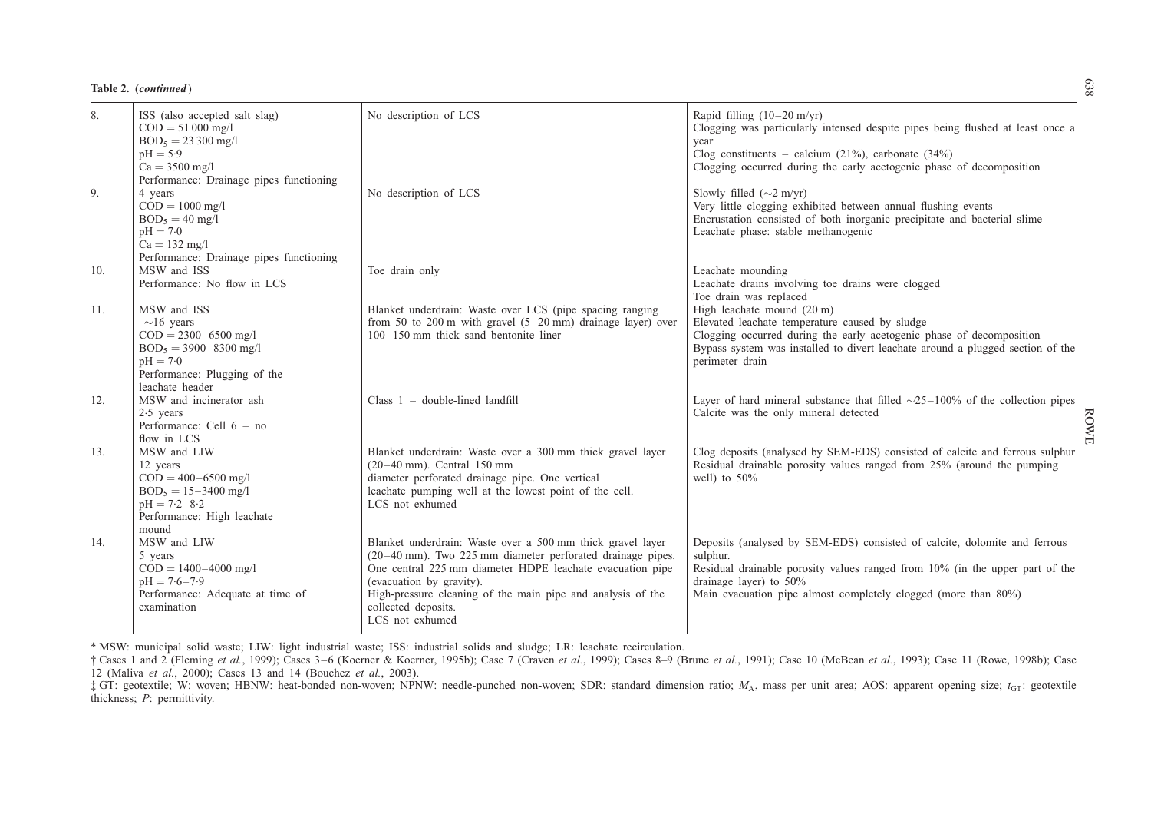|  | Table 2. (continued) |
|--|----------------------|
|--|----------------------|

| 8.  | ISS (also accepted salt slag)<br>$COD = 51000$ mg/l<br>$BOD_5 = 23300$ mg/l<br>$pH = 5.9$<br>$Ca = 3500$ mg/l                                                                         | No description of LCS                                                                                                                                                                                                                                                                                                      | Rapid filling $(10-20 \text{ m/yr})$<br>Clogging was particularly intensed despite pipes being flushed at least once a<br>vear<br>Clog constituents – calcium $(21\%)$ , carbonate $(34\%)$<br>Clogging occurred during the early acetogenic phase of decomposition  |
|-----|---------------------------------------------------------------------------------------------------------------------------------------------------------------------------------------|----------------------------------------------------------------------------------------------------------------------------------------------------------------------------------------------------------------------------------------------------------------------------------------------------------------------------|----------------------------------------------------------------------------------------------------------------------------------------------------------------------------------------------------------------------------------------------------------------------|
| 9.  | Performance: Drainage pipes functioning<br>4 years<br>$\dot{COD} = 1000$ mg/l<br>$BOD5 = 40$ mg/l<br>$pH = 7.0$<br>$Ca = 132 \text{ mg}/1$<br>Performance: Drainage pipes functioning | No description of LCS                                                                                                                                                                                                                                                                                                      | Slowly filled $(\sim 2 \text{ m/yr})$<br>Very little clogging exhibited between annual flushing events<br>Encrustation consisted of both inorganic precipitate and bacterial slime<br>Leachate phase: stable methanogenic                                            |
| 10. | MSW and ISS<br>Performance: No flow in LCS                                                                                                                                            | Toe drain only                                                                                                                                                                                                                                                                                                             | Leachate mounding<br>Leachate drains involving toe drains were clogged<br>Toe drain was replaced                                                                                                                                                                     |
| 11. | MSW and ISS<br>$\sim$ 16 years<br>$COD = 2300 - 6500$ mg/l<br>$BOD_5 = 3900 - 8300$ mg/l<br>$pH = 7.0$<br>Performance: Plugging of the<br>leachate header                             | Blanket underdrain: Waste over LCS (pipe spacing ranging<br>from 50 to 200 m with gravel $(5-20 \text{ mm})$ drainage layer) over<br>100-150 mm thick sand bentonite liner                                                                                                                                                 | High leachate mound (20 m)<br>Elevated leachate temperature caused by sludge<br>Clogging occurred during the early acetogenic phase of decomposition<br>Bypass system was installed to divert leachate around a plugged section of the<br>perimeter drain            |
| 12. | MSW and incinerator ash<br>$2.5$ years<br>Performance: Cell $6 - no$<br>flow in LCS                                                                                                   | Class $1 -$ double-lined landfill                                                                                                                                                                                                                                                                                          | Layer of hard mineral substance that filled $\sim$ 25–100% of the collection pipes<br>Calcite was the only mineral detected<br><b>ROWE</b>                                                                                                                           |
| 13. | MSW and LIW<br>12 years<br>$COD = 400 - 6500$ mg/l<br>$BOD_5 = 15 - 3400$ mg/l<br>$pH = 7.2 - 8.2$<br>Performance: High leachate<br>mound                                             | Blanket underdrain: Waste over a 300 mm thick gravel layer<br>$(20-40$ mm). Central 150 mm<br>diameter perforated drainage pipe. One vertical<br>leachate pumping well at the lowest point of the cell.<br>LCS not exhumed                                                                                                 | Clog deposits (analysed by SEM-EDS) consisted of calcite and ferrous sulphur<br>Residual drainable porosity values ranged from 25% (around the pumping<br>well) to $50\%$                                                                                            |
| 14. | MSW and LIW<br>5 years<br>$COD = 1400 - 4000$ mg/l<br>$pH = 7.6 - 7.9$<br>Performance: Adequate at time of<br>examination                                                             | Blanket underdrain: Waste over a 500 mm thick gravel layer<br>(20-40 mm). Two 225 mm diameter perforated drainage pipes.<br>One central 225 mm diameter HDPE leachate evacuation pipe<br>(evacuation by gravity).<br>High-pressure cleaning of the main pipe and analysis of the<br>collected deposits.<br>LCS not exhumed | Deposits (analysed by SEM-EDS) consisted of calcite, dolomite and ferrous<br>sulphur.<br>Residual drainable porosity values ranged from 10% (in the upper part of the<br>drainage layer) to $50\%$<br>Main evacuation pipe almost completely clogged (more than 80%) |

\* MSW: municipal solid waste; LIW: light industrial waste; ISS: industrial solids and sludge; LR: leachate recirculation.

† Cases 1 and 2 [\(Fleming](#page-44-0) et al., 1999); Cases 3–6 [\(Koerner](#page-44-0) & Koerner, 1995b); Case 7 [\(Craven](#page-43-0) et al., 1999); Cases 8–9 [\(Brune](#page-43-0) et al., 1991); Case 10 [\(McBean](#page-44-0) et al., 1993); Case 11 (Rowe, [1998b\)](#page-45-0); Case 12 [\(Maliva](#page-44-0) et al., 2000); Cases 13 and 14 [\(Bouchez](#page-43-0) et al., 2003).

 $\ddagger$  GT: geotextile; W: woven; HBNW: heat-bonded non-woven; NPNW: needle-punched non-woven; SDR: standard dimension ratio;  $M_A$ , mass per unit area; AOS: apparent opening size;  $t_{GT}$ : geotextile thickness; P: permittivity.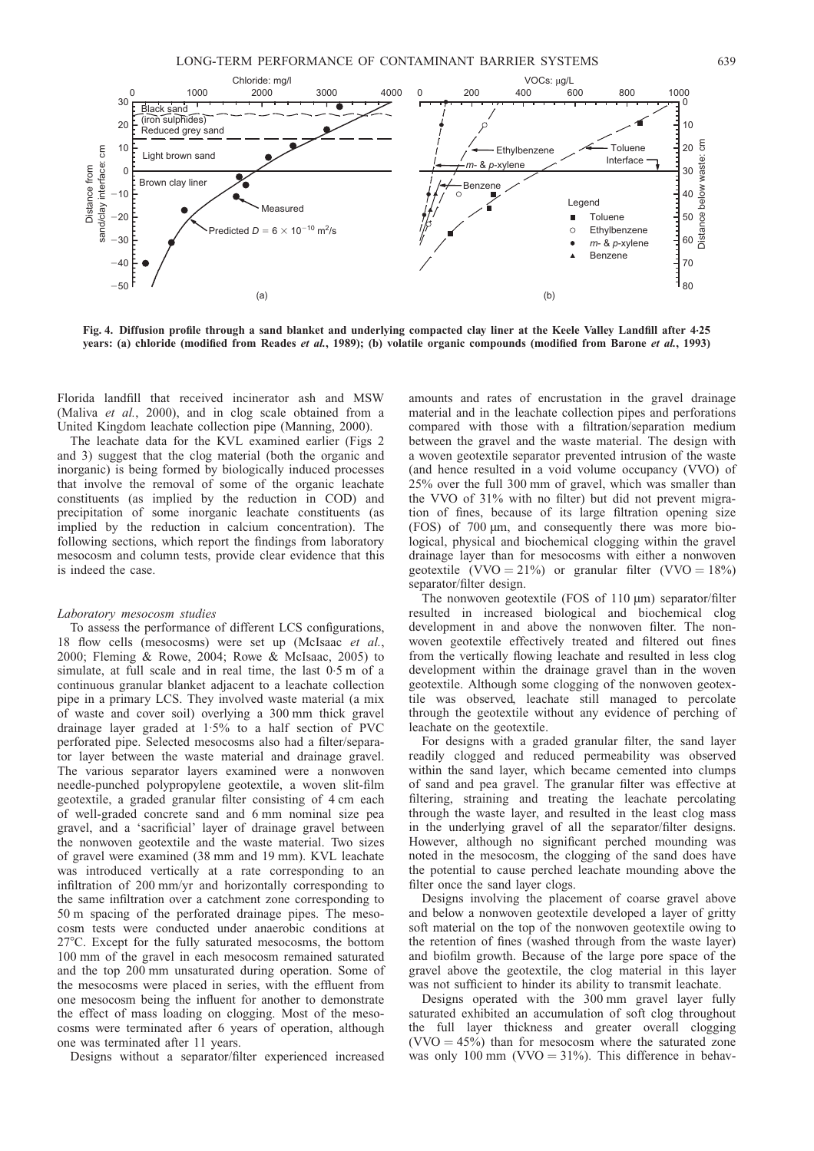<span id="page-8-0"></span>

Fig. 4. Diffusion profile through a sand blanket and underlying compacted clay liner at the Keele Valley Landfill after 4.25 years: (a) chloride (modified from [Reades](#page-45-0) et al., 1989); (b) volatile organic compounds (modified from [Barone](#page-43-0) et al., 1993)

Florida landfill that received incinerator ash and MSW (Maliva et al.[, 2000\),](#page-44-0) and in clog scale obtained from a United Kingdom leachate collection pipe [\(Manning, 2000\)](#page-44-0).

The leachate data for the KVL examined earlier (Figs [2](#page-5-0) and [3\)](#page-5-0) suggest that the clog material (both the organic and inorganic) is being formed by biologically induced processes that involve the removal of some of the organic leachate constituents (as implied by the reduction in COD) and precipitation of some inorganic leachate constituents (as implied by the reduction in calcium concentration). The following sections, which report the findings from laboratory mesocosm and column tests, provide clear evidence that this is indeed the case.

#### Laboratory mesocosm studies

To assess the performance of different LCS configurations, 18 flow cells (mesocosms) were set up [\(McIsaac](#page-45-0) et al., [2000;](#page-45-0) [Fleming & Rowe, 2004;](#page-44-0) [Rowe & McIsaac, 2005\)](#page-45-0) to simulate, at full scale and in real time, the last 0.5 m of a continuous granular blanket adjacent to a leachate collection pipe in a primary LCS. They involved waste material (a mix of waste and cover soil) overlying a 300 mm thick gravel drainage layer graded at 1.5% to a half section of PVC perforated pipe. Selected mesocosms also had a filter/separator layer between the waste material and drainage gravel. The various separator layers examined were a nonwoven needle-punched polypropylene geotextile, a woven slit-film geotextile, a graded granular filter consisting of 4 cm each of well-graded concrete sand and 6 mm nominal size pea gravel, and a 'sacrificial' layer of drainage gravel between the nonwoven geotextile and the waste material. Two sizes of gravel were examined (38 mm and 19 mm). KVL leachate was introduced vertically at a rate corresponding to an infiltration of 200 mm/yr and horizontally corresponding to the same infiltration over a catchment zone corresponding to 50 m spacing of the perforated drainage pipes. The mesocosm tests were conducted under anaerobic conditions at 27°C. Except for the fully saturated mesocosms, the bottom 100 mm of the gravel in each mesocosm remained saturated and the top 200 mm unsaturated during operation. Some of the mesocosms were placed in series, with the effluent from one mesocosm being the influent for another to demonstrate the effect of mass loading on clogging. Most of the mesocosms were terminated after 6 years of operation, although one was terminated after 11 years.

Designs without a separator/filter experienced increased

amounts and rates of encrustation in the gravel drainage material and in the leachate collection pipes and perforations compared with those with a filtration/separation medium between the gravel and the waste material. The design with a woven geotextile separator prevented intrusion of the waste (and hence resulted in a void volume occupancy (VVO) of 25% over the full 300 mm of gravel, which was smaller than the VVO of 31% with no filter) but did not prevent migration of fines, because of its large filtration opening size (FOS) of 700 m, and consequently there was more biological, physical and biochemical clogging within the gravel drainage layer than for mesocosms with either a nonwoven geotextile (VVO = 21%) or granular filter (VVO = 18%) separator/filter design.

The nonwoven geotextile  $(FOS of 110 \mu m)$  separator/filter resulted in increased biological and biochemical clog development in and above the nonwoven filter. The nonwoven geotextile effectively treated and filtered out fines from the vertically flowing leachate and resulted in less clog development within the drainage gravel than in the woven geotextile. Although some clogging of the nonwoven geotextile was observed, leachate still managed to percolate through the geotextile without any evidence of perching of leachate on the geotextile.

For designs with a graded granular filter, the sand layer readily clogged and reduced permeability was observed within the sand layer, which became cemented into clumps of sand and pea gravel. The granular filter was effective at filtering, straining and treating the leachate percolating through the waste layer, and resulted in the least clog mass in the underlying gravel of all the separator/filter designs. However, although no significant perched mounding was noted in the mesocosm, the clogging of the sand does have the potential to cause perched leachate mounding above the filter once the sand layer clogs.

Designs involving the placement of coarse gravel above and below a nonwoven geotextile developed a layer of gritty soft material on the top of the nonwoven geotextile owing to the retention of fines (washed through from the waste layer) and biofilm growth. Because of the large pore space of the gravel above the geotextile, the clog material in this layer was not sufficient to hinder its ability to transmit leachate.

Designs operated with the 300 mm gravel layer fully saturated exhibited an accumulation of soft clog throughout the full layer thickness and greater overall clogging  $(VVO = 45%)$  than for mesocosm where the saturated zone was only 100 mm (VVO  $=$  31%). This difference in behav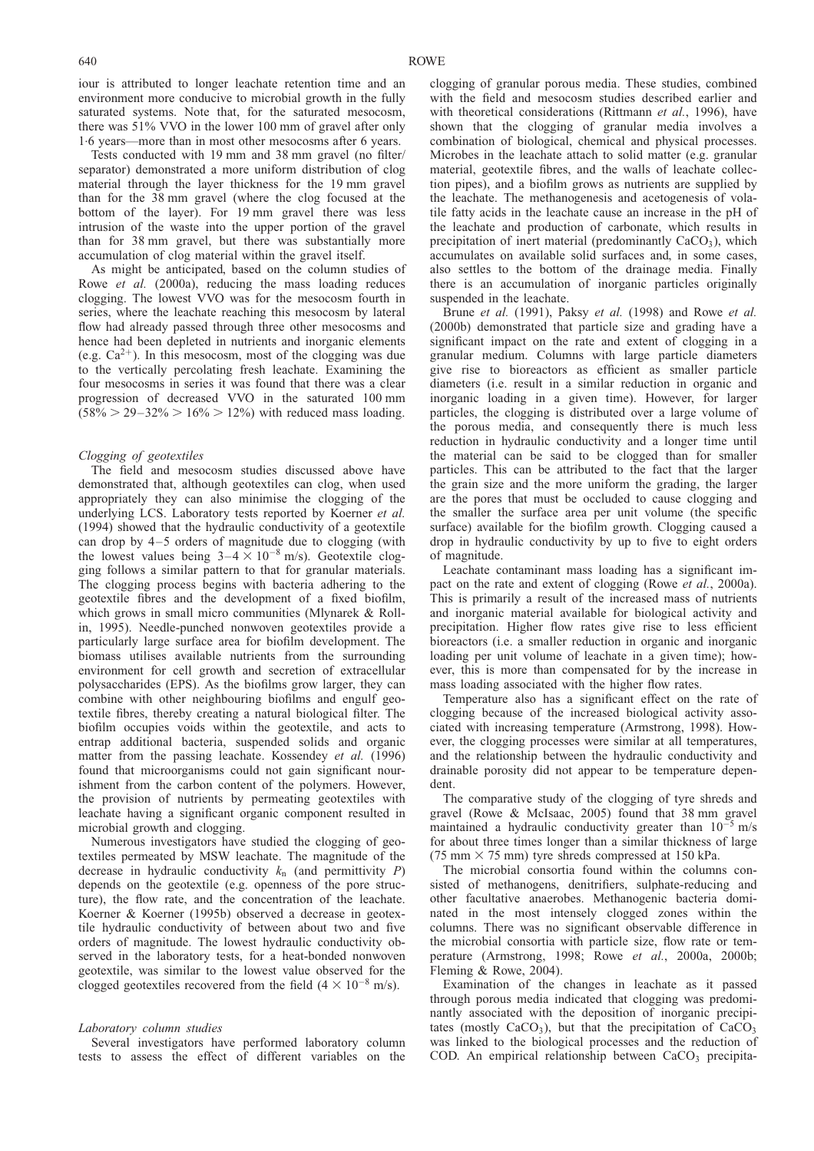iour is attributed to longer leachate retention time and an environment more conducive to microbial growth in the fully saturated systems. Note that, for the saturated mesocosm, there was 51% VVO in the lower 100 mm of gravel after only 1. 6 years—more than in most other mesocosms after 6 years.

Tests conducted with 19 mm and 38 mm gravel (no filter/ separator) demonstrated a more uniform distribution of clog material through the layer thickness for the 19 mm gravel than for the 38 mm gravel (where the clog focused at the bottom of the layer). For 19 mm gravel there was less intrusion of the waste into the upper portion of the gravel than for 38 mm gravel, but there was substantially more accumulation of clog material within the gravel itself.

As might be anticipated, based on the column studies of Rowe et al. [\(2000a\),](#page-45-0) reducing the mass loading reduces clogging. The lowest VVO was for the mesocosm fourth in series, where the leachate reaching this mesocosm by lateral flow had already passed through three other mesocosms and hence had been depleted in nutrients and inorganic elements (e.g.  $Ca^{2+}$ ). In this mesocosm, most of the clogging was due to the vertically percolating fresh leachate. Examining the four mesocosms in series it was found that there was a clear progression of decreased VVO in the saturated 100 mm  $(58\% > 29 - 32\% > 16\% > 12\%)$  with reduced mass loading.

## Clogging of geotextiles

The field and mesocosm studies discussed above have demonstrated that, although geotextiles can clog, when used appropriately they can also minimise the clogging of the underlying LCS. Laboratory tests reported by [Koerner](#page-44-0) et al. [\(1994\)](#page-44-0) showed that the hydraulic conductivity of a geotextile can drop by 4–5 orders of magnitude due to clogging (with the lowest values being  $3-4 \times 10^{-8}$  m/s). Geotextile clogging follows a similar pattern to that for granular materials. The clogging process begins with bacteria adhering to the geotextile fibres and the development of a fixed biofilm, which grows in small micro communities [\(Mlynarek & Roll](#page-45-0)[in, 1995\)](#page-45-0). Needle-punched nonwoven geotextiles provide a particularly large surface area for biofilm development. The biomass utilises available nutrients from the surrounding environment for cell growth and secretion of extracellular polysaccharides (EPS). As the biofilms grow larger, they can combine with other neighbouring biofilms and engulf geotextile fibres, thereby creating a natural biological filter. The biofilm occupies voids within the geotextile, and acts to entrap additional bacteria, suspended solids and organic matter from the passing leachate. [Kossendey](#page-44-0) *et al.* (1996) found that microorganisms could not gain significant nourishment from the carbon content of the polymers. However, the provision of nutrients by permeating geotextiles with leachate having a significant organic component resulted in microbial growth and clogging.

Numerous investigators have studied the clogging of geotextiles permeated by MSW leachate. The magnitude of the decrease in hydraulic conductivity  $k_n$  (and permittivity P) depends on the geotextile (e.g. openness of the pore structure), the flow rate, and the concentration of the leachate. [Koerner & Koerner \(1995b\)](#page-44-0) observed a decrease in geotextile hydraulic conductivity of between about two and five orders of magnitude. The lowest hydraulic conductivity observed in the laboratory tests, for a heat-bonded nonwoven geotextile, was similar to the lowest value observed for the clogged geotextiles recovered from the field  $(4 \times 10^{-8} \text{ m/s})$ .

#### Laboratory column studies

Several investigators have performed laboratory column tests to assess the effect of different variables on the

clogging of granular porous media. These studies, combined with the field and mesocosm studies described earlier and with theoretical considerations [\(Rittmann](#page-45-0) et al., 1996), have shown that the clogging of granular media involves a combination of biological, chemical and physical processes. Microbes in the leachate attach to solid matter (e.g. granular material, geotextile fibres, and the walls of leachate collection pipes), and a biofilm grows as nutrients are supplied by the leachate. The methanogenesis and acetogenesis of volatile fatty acids in the leachate cause an increase in the pH of the leachate and production of carbonate, which results in precipitation of inert material (predominantly  $CaCO<sub>3</sub>$ ), which accumulates on available solid surfaces and, in some cases, also settles to the bottom of the drainage media. Finally there is an accumulation of inorganic particles originally suspended in the leachate.

Brune et al. [\(1991\)](#page-43-0), [Paksy](#page-45-0) et al. (1998) and [Rowe](#page-45-0) et al. [\(2000b\)](#page-45-0) demonstrated that particle size and grading have a significant impact on the rate and extent of clogging in a granular medium. Columns with large particle diameters give rise to bioreactors as efficient as smaller particle diameters (i.e. result in a similar reduction in organic and inorganic loading in a given time). However, for larger particles, the clogging is distributed over a large volume of the porous media, and consequently there is much less reduction in hydraulic conductivity and a longer time until the material can be said to be clogged than for smaller particles. This can be attributed to the fact that the larger the grain size and the more uniform the grading, the larger are the pores that must be occluded to cause clogging and the smaller the surface area per unit volume (the specific surface) available for the biofilm growth. Clogging caused a drop in hydraulic conductivity by up to five to eight orders of magnitude.

Leachate contaminant mass loading has a significant im-pact on the rate and extent of clogging (Rowe et al.[, 2000a\)](#page-45-0). This is primarily a result of the increased mass of nutrients and inorganic material available for biological activity and precipitation. Higher flow rates give rise to less efficient bioreactors (i.e. a smaller reduction in organic and inorganic loading per unit volume of leachate in a given time); however, this is more than compensated for by the increase in mass loading associated with the higher flow rates.

Temperature also has a significant effect on the rate of clogging because of the increased biological activity associated with increasing temperature [\(Armstrong, 1998\)](#page-43-0). However, the clogging processes were similar at all temperatures, and the relationship between the hydraulic conductivity and drainable porosity did not appear to be temperature dependent.

The comparative study of the clogging of tyre shreds and gravel [\(Rowe & McIsaac, 2005\)](#page-45-0) found that 38 mm gravel maintained a hydraulic conductivity greater than  $10^{-5}$  m/s for about three times longer than a similar thickness of large (75 mm  $\times$  75 mm) tyre shreds compressed at 150 kPa.

The microbial consortia found within the columns consisted of methanogens, denitrifiers, sulphate-reducing and other facultative anaerobes. Methanogenic bacteria dominated in the most intensely clogged zones within the columns. There was no significant observable difference in the microbial consortia with particle size, flow rate or temperature [\(Armstrong, 1998;](#page-43-0) Rowe et al.[, 2000a, 2000b;](#page-45-0) [Fleming & Rowe, 2004\)](#page-44-0).

Examination of the changes in leachate as it passed through porous media indicated that clogging was predominantly associated with the deposition of inorganic precipitates (mostly  $CaCO<sub>3</sub>$ ), but that the precipitation of  $CaCO<sub>3</sub>$ was linked to the biological processes and the reduction of COD. An empirical relationship between  $CaCO<sub>3</sub>$  precipita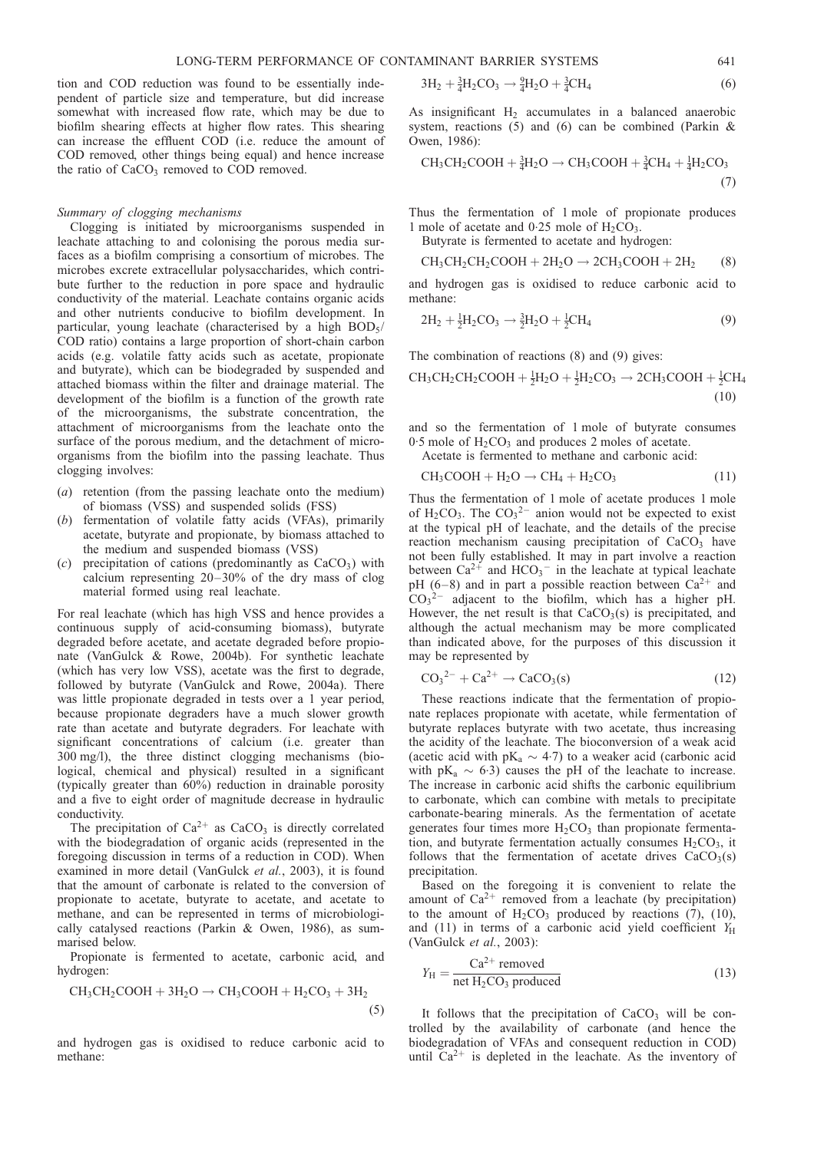<span id="page-10-0"></span>tion and COD reduction was found to be essentially independent of particle size and temperature, but did increase somewhat with increased flow rate, which may be due to biofilm shearing effects at higher flow rates. This shearing can increase the effluent COD (i.e. reduce the amount of COD removed, other things being equal) and hence increase the ratio of  $CaCO<sub>3</sub>$  removed to COD removed.

#### Summary of clogging mechanisms

Clogging is initiated by microorganisms suspended in leachate attaching to and colonising the porous media surfaces as a biofilm comprising a consortium of microbes. The microbes excrete extracellular polysaccharides, which contribute further to the reduction in pore space and hydraulic conductivity of the material. Leachate contains organic acids and other nutrients conducive to biofilm development. In particular, young leachate (characterised by a high  $BOD<sub>5</sub>/$ COD ratio) contains a large proportion of short-chain carbon acids (e.g. volatile fatty acids such as acetate, propionate and butyrate), which can be biodegraded by suspended and attached biomass within the filter and drainage material. The development of the biofilm is a function of the growth rate of the microorganisms, the substrate concentration, the attachment of microorganisms from the leachate onto the surface of the porous medium, and the detachment of microorganisms from the biofilm into the passing leachate. Thus clogging involves:

- (a) retention (from the passing leachate onto the medium) of biomass (VSS) and suspended solids (FSS)
- (b) fermentation of volatile fatty acids (VFAs), primarily acetate, butyrate and propionate, by biomass attached to the medium and suspended biomass (VSS)
- (c) precipitation of cations (predominantly as  $CaCO<sub>3</sub>$ ) with calcium representing 20–30% of the dry mass of clog material formed using real leachate.

For real leachate (which has high VSS and hence provides a continuous supply of acid-consuming biomass), butyrate degraded before acetate, and acetate degraded before propionate [\(VanGulck & Rowe, 2004b\)](#page-46-0). For synthetic leachate (which has very low VSS), acetate was the first to degrade, followed by butyrate [\(VanGulck and Rowe, 2004a\)](#page-46-0). There was little propionate degraded in tests over a 1 year period, because propionate degraders have a much slower growth rate than acetate and butyrate degraders. For leachate with significant concentrations of calcium (i.e. greater than 300 mg/l), the three distinct clogging mechanisms (biological, chemical and physical) resulted in a significant (typically greater than 60%) reduction in drainable porosity and a five to eight order of magnitude decrease in hydraulic conductivity.

The precipitation of  $Ca^{2+}$  as  $CaCO<sub>3</sub>$  is directly correlated with the biodegradation of organic acids (represented in the foregoing discussion in terms of a reduction in COD). When examined in more detail [\(VanGulck](#page-46-0) et al., 2003), it is found that the amount of carbonate is related to the conversion of propionate to acetate, butyrate to acetate, and acetate to methane, and can be represented in terms of microbiologically catalysed reactions [\(Parkin & Owen, 1986\)](#page-45-0), as summarised below.

Propionate is fermented to acetate, carbonic acid, and hydrogen:

$$
CH_3CH_2COOH + 3H_2O \to CH_3COOH + H_2CO_3 + 3H_2
$$
\n(5)

and hydrogen gas is oxidised to reduce carbonic acid to methane:

$$
3H_2 + \frac{3}{4}H_2CO_3 \rightarrow \frac{9}{4}H_2O + \frac{3}{4}CH_4
$$
 (6)

As insignificant  $H_2$  accumulates in a balanced anaerobic system, reactions (5) and (6) can be combined (Parkin  $\&$ [Owen, 1986\):](#page-45-0)

$$
CH_3CH_2COOH + \frac{3}{4}H_2O \rightarrow CH_3COOH + \frac{3}{4}CH_4 + \frac{1}{4}H_2CO_3
$$
\n
$$
(7)
$$

Thus the fermentation of 1 mole of propionate produces 1 mole of acetate and  $0.25$  mole of  $H_2CO_3$ .

Butyrate is fermented to acetate and hydrogen:

$$
CH3CH2CH2COOH + 2H2O \rightarrow 2CH3COOH + 2H2 (8)
$$

and hydrogen gas is oxidised to reduce carbonic acid to methane:

$$
2H_2 + \frac{1}{2}H_2CO_3 \rightarrow \frac{3}{2}H_2O + \frac{1}{2}CH_4
$$
 (9)

The combination of reactions (8) and (9) gives:

$$
CH_3CH_2CH_2COOH + \frac{1}{2}H_2O + \frac{1}{2}H_2CO_3 \rightarrow 2CH_3COOH + \frac{1}{2}CH_4
$$
\n(10)

and so the fermentation of 1 mole of butyrate consumes  $0.5$  mole of  $H_2CO_3$  and produces 2 moles of acetate. Acetate is fermented to methane and carbonic acid:

$$
CH3COOH + H2O \rightarrow CH4 + H2CO3
$$
 (11)

Thus the fermentation of 1 mole of acetate produces 1 mole of  $H_2CO_3$ . The  $CO_3^2$  anion would not be expected to exist at the typical pH of leachate, and the details of the precise reaction mechanism causing precipitation of CaCO<sub>3</sub> have not been fully established. It may in part involve a reaction between  $Ca^{2+}$  and  $HCO_3^-$  in the leachate at typical leachate pH (6–8) and in part a possible reaction between  $Ca^{2+}$  and  $CO_3^2$  adjacent to the biofilm, which has a higher pH. However, the net result is that  $CaCO<sub>3</sub>(s)$  is precipitated, and although the actual mechanism may be more complicated than indicated above, for the purposes of this discussion it may be represented by

$$
CO32- + Ca2+ \rightarrow CaCO3(s)
$$
 (12)

These reactions indicate that the fermentation of propionate replaces propionate with acetate, while fermentation of butyrate replaces butyrate with two acetate, thus increasing the acidity of the leachate. The bioconversion of a weak acid (acetic acid with  $pK_a \sim 4.7$ ) to a weaker acid (carbonic acid with  $pK_a \sim 6.3$  causes the pH of the leachate to increase. The increase in carbonic acid shifts the carbonic equilibrium to carbonate, which can combine with metals to precipitate carbonate-bearing minerals. As the fermentation of acetate generates four times more  $H_2CO_3$  than propionate fermentation, and butyrate fermentation actually consumes  $H_2CO_3$ , it follows that the fermentation of acetate drives  $CaCO<sub>3</sub>(s)$ precipitation.

Based on the foregoing it is convenient to relate the amount of  $Ca^{2+}$  removed from a leachate (by precipitation) to the amount of  $H_2CO_3$  produced by reactions (7), (10), and (11) in terms of a carbonic acid yield coefficient  $Y_H$ [\(VanGulck](#page-46-0) et al., 2003):

$$
Y_{\rm H} = \frac{\text{Ca}^{2+} \text{ removed}}{\text{net H}_2 \text{CO}_3 \text{ produced}}
$$
 (13)

It follows that the precipitation of  $CaCO<sub>3</sub>$  will be controlled by the availability of carbonate (and hence the biodegradation of VFAs and consequent reduction in COD) until  $Ca^{2+}$  is depleted in the leachate. As the inventory of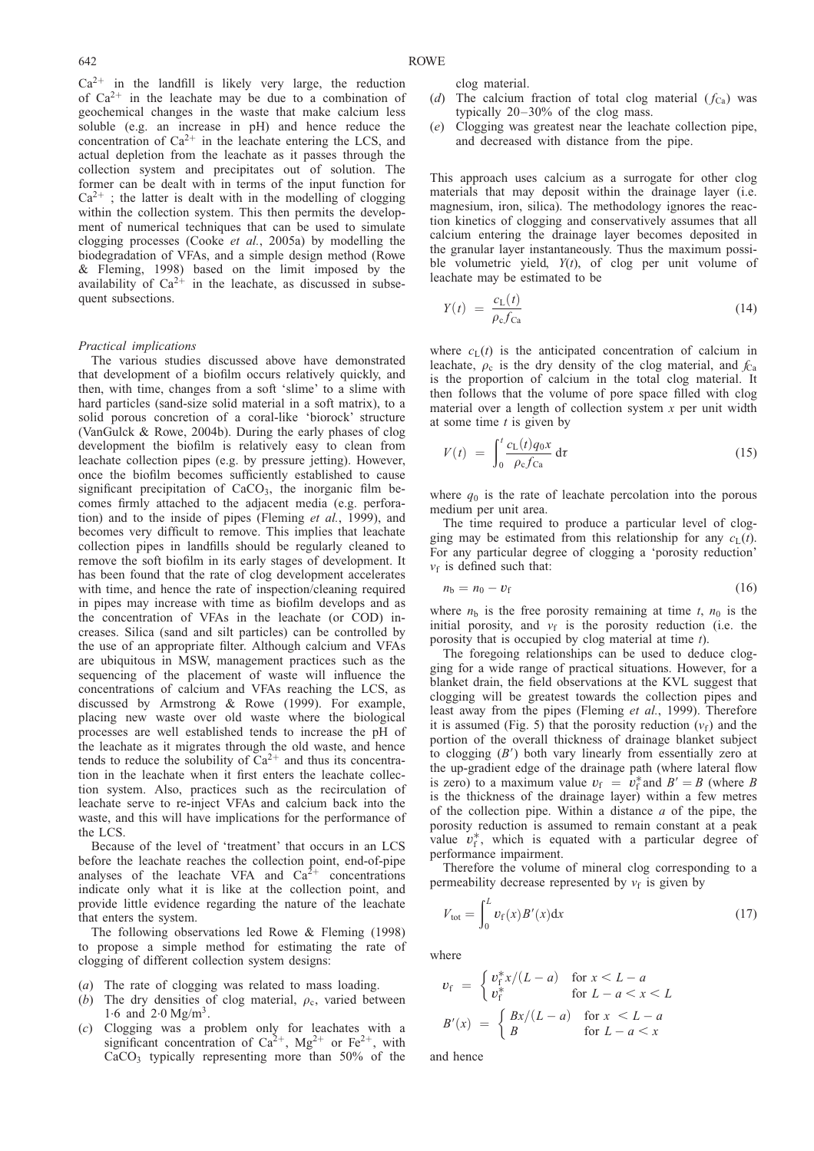<span id="page-11-0"></span> $Ca<sup>2+</sup>$  in the landfill is likely very large, the reduction of  $Ca^{2+}$  in the leachate may be due to a combination of geochemical changes in the waste that make calcium less soluble (e.g. an increase in pH) and hence reduce the concentration of  $Ca^{2+}$  in the leachate entering the LCS, and actual depletion from the leachate as it passes through the collection system and precipitates out of solution. The former can be dealt with in terms of the input function for  $Ca^{2+}$ ; the latter is dealt with in the modelling of clogging within the collection system. This then permits the development of numerical techniques that can be used to simulate clogging processes (Cooke et al.[, 2005a\)](#page-43-0) by modelling the biodegradation of VFAs, and a simple design method [\(Rowe](#page-45-0) [& Fleming, 1998\)](#page-45-0) based on the limit imposed by the availability of  $Ca^{2+}$  in the leachate, as discussed in subsequent subsections.

#### Practical implications

The various studies discussed above have demonstrated that development of a biofilm occurs relatively quickly, and then, with time, changes from a soft 'slime' to a slime with hard particles (sand-size solid material in a soft matrix), to a solid porous concretion of a coral-like 'biorock' structure [\(VanGulck & Rowe, 2004b\).](#page-46-0) During the early phases of clog development the biofilm is relatively easy to clean from leachate collection pipes (e.g. by pressure jetting). However, once the biofilm becomes sufficiently established to cause significant precipitation of  $CaCO<sub>3</sub>$ , the inorganic film becomes firmly attached to the adjacent media (e.g. perfora-tion) and to the inside of pipes [\(Fleming](#page-44-0) *et al.*, 1999), and becomes very difficult to remove. This implies that leachate collection pipes in landfills should be regularly cleaned to remove the soft biofilm in its early stages of development. It has been found that the rate of clog development accelerates with time, and hence the rate of inspection/cleaning required in pipes may increase with time as biofilm develops and as the concentration of VFAs in the leachate (or COD) increases. Silica (sand and silt particles) can be controlled by the use of an appropriate filter. Although calcium and VFAs are ubiquitous in MSW, management practices such as the sequencing of the placement of waste will influence the concentrations of calcium and VFAs reaching the LCS, as discussed by [Armstrong & Rowe \(1999\).](#page-43-0) For example, placing new waste over old waste where the biological processes are well established tends to increase the pH of the leachate as it migrates through the old waste, and hence tends to reduce the solubility of  $Ca^{2+}$  and thus its concentration in the leachate when it first enters the leachate collection system. Also, practices such as the recirculation of leachate serve to re-inject VFAs and calcium back into the waste, and this will have implications for the performance of the LCS.

Because of the level of 'treatment' that occurs in an LCS before the leachate reaches the collection point, end-of-pipe analyses of the leachate VFA and  $Ca<sup>2+</sup>$  concentrations indicate only what it is like at the collection point, and provide little evidence regarding the nature of the leachate that enters the system.

The following observations led [Rowe & Fleming \(1998\)](#page-45-0) to propose a simple method for estimating the rate of clogging of different collection system designs:

- (a) The rate of clogging was related to mass loading.
- (b) The dry densities of clog material,  $\rho_c$ , varied between 1.6 and  $2.0 \text{Mg/m}^3$ .
- (c) Clogging was a problem only for leachates with a significant concentration of  $Ca^{2+}$ ,  $Mg^{2+}$  or  $Fe^{2+}$ , with  $CaCO<sub>3</sub>$  typically representing more than 50% of the

clog material.

- (d) The calcium fraction of total clog material  $(f_{Ca})$  was typically 20–30% of the clog mass.
- (e) Clogging was greatest near the leachate collection pipe, and decreased with distance from the pipe.

This approach uses calcium as a surrogate for other clog materials that may deposit within the drainage layer (i.e. magnesium, iron, silica). The methodology ignores the reaction kinetics of clogging and conservatively assumes that all calcium entering the drainage layer becomes deposited in the granular layer instantaneously. Thus the maximum possible volumetric yield,  $Y(t)$ , of clog per unit volume of leachate may be estimated to be

$$
Y(t) = \frac{c_{\rm L}(t)}{\rho_{\rm c} f_{\rm Ca}}\tag{14}
$$

where  $c<sub>L</sub>(t)$  is the anticipated concentration of calcium in leachate,  $\rho_c$  is the dry density of the clog material, and  $f_{Ca}$ is the proportion of calcium in the total clog material. It then follows that the volume of pore space filled with clog material over a length of collection system  $x$  per unit width at some time  $t$  is given by

$$
V(t) = \int_0^t \frac{c_L(t)q_0x}{\rho_c f_{Ca}} d\tau
$$
 (15)

where  $q_0$  is the rate of leachate percolation into the porous medium per unit area.

The time required to produce a particular level of clogging may be estimated from this relationship for any  $c<sub>L</sub>(t)$ . For any particular degree of clogging a 'porosity reduction'  $v_f$  is defined such that:

$$
n_{\rm b}=n_0-v_{\rm f} \tag{16}
$$

where  $n<sub>b</sub>$  is the free porosity remaining at time t,  $n<sub>0</sub>$  is the initial porosity, and  $v_f$  is the porosity reduction (i.e. the porosity that is occupied by clog material at time t).

The foregoing relationships can be used to deduce clogging for a wide range of practical situations. However, for a blanket drain, the field observations at the KVL suggest that clogging will be greatest towards the collection pipes and least away from the pipes [\(Fleming](#page-44-0) et al., 1999). Therefore it is assumed (Fig. [5\)](#page-12-0) that the porosity reduction  $(v_f)$  and the portion of the overall thickness of drainage blanket subject to clogging  $(B')$  both vary linearly from essentially zero at the up-gradient edge of the drainage path (where lateral flow is zero) to a maximum value  $v_f = v_f^*$  and  $B' = B$  (where B is the thickness of the drainage layer) within a few metres of the collection pipe. Within a distance  $a$  of the pipe, the porosity reduction is assumed to remain constant at a peak value  $v_f^*$ , which is equated with a particular degree of performance impairment.

Therefore the volume of mineral clog corresponding to a permeability decrease represented by  $v_f$  is given by

$$
V_{\text{tot}} = \int_0^L v_f(x) B'(x) dx \tag{17}
$$

where

$$
v_{\rm f} = \begin{cases} v_{\rm f}^* x/(L-a) & \text{for } x < L-a\\ v_{\rm f}^* & \text{for } L-a < x < L \end{cases}
$$
\n
$$
B'(x) = \begin{cases} Bx/(L-a) & \text{for } x < L-a\\ B & \text{for } L-a < x \end{cases}
$$

and hence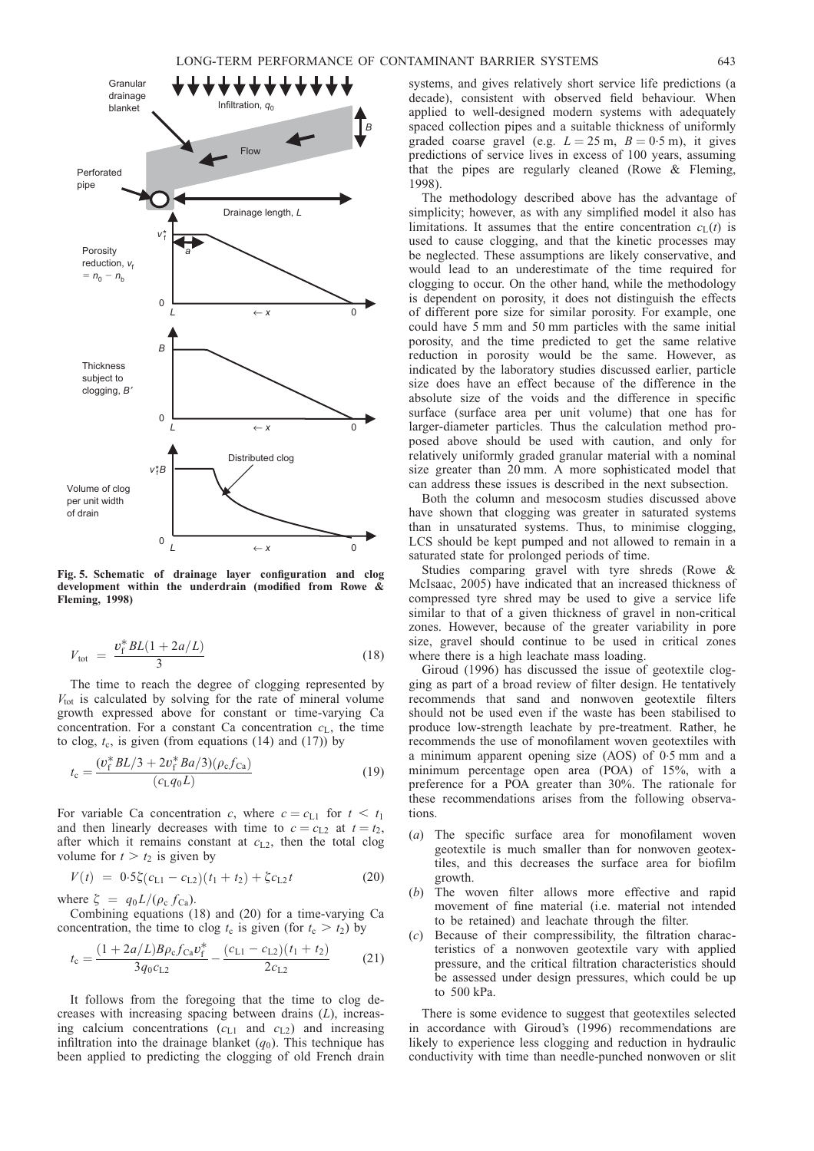<span id="page-12-0"></span>

Fig. 5. Schematic of drainage layer configuration and clog development within the underdrain (modified from [Rowe &](#page-45-0) [Fleming, 1998\)](#page-45-0)

$$
V_{\text{tot}} = \frac{v_{\text{f}}^* BL(1 + 2a/L)}{3} \tag{18}
$$

The time to reach the degree of clogging represented by  $V_{\text{tot}}$  is calculated by solving for the rate of mineral volume growth expressed above for constant or time-varying Ca concentration. For a constant Ca concentration  $c<sub>L</sub>$ , the time to clog,  $t_c$ , is given (from equations [\(14](#page-11-0)) and [\(17](#page-11-0))) by

$$
t_{\rm c} = \frac{(v_{\rm f}^* B L/3 + 2v_{\rm f}^* B a/3)(\rho_{\rm c} f_{\rm Ca})}{(c_{\rm L} q_0 L)}
$$
(19)

For variable Ca concentration c, where  $c = c_{L1}$  for  $t < t_1$ and then linearly decreases with time to  $c = c_{L2}$  at  $t = t_2$ , after which it remains constant at  $c_{L2}$ , then the total clog volume for  $t > t_2$  is given by

$$
V(t) = 0.5\xi(c_{L1} - c_{L2})(t_1 + t_2) + \xi c_{L2}t
$$
 (20)

where  $\zeta = q_0 L / (\rho_c f_{Ca})$ .

Combining equations (18) and (20) for a time-varying Ca concentration, the time to clog  $t_c$  is given (for  $t_c > t_2$ ) by

$$
t_{\rm c} = \frac{(1 + 2a/L)B\rho_{\rm c}f_{\rm Ca}v_{\rm f}^*}{3q_0c_{\rm L2}} - \frac{(c_{\rm L1} - c_{\rm L2})(t_1 + t_2)}{2c_{\rm L2}}\tag{21}
$$

It follows from the foregoing that the time to clog decreases with increasing spacing between drains  $(L)$ , increasing calcium concentrations  $(c_{L1}$  and  $c_{L2}$ ) and increasing infiltration into the drainage blanket  $(q_0)$ . This technique has been applied to predicting the clogging of old French drain

systems, and gives relatively short service life predictions (a decade), consistent with observed field behaviour. When applied to well-designed modern systems with adequately spaced collection pipes and a suitable thickness of uniformly graded coarse gravel (e.g.  $L = 25$  m,  $B = 0.5$  m), it gives predictions of service lives in excess of 100 years, assuming that the pipes are regularly cleaned [\(Rowe & Fleming,](#page-45-0) [1998\).](#page-45-0)

The methodology described above has the advantage of simplicity; however, as with any simplified model it also has limitations. It assumes that the entire concentration  $c<sub>I</sub>(t)$  is used to cause clogging, and that the kinetic processes may be neglected. These assumptions are likely conservative, and would lead to an underestimate of the time required for clogging to occur. On the other hand, while the methodology is dependent on porosity, it does not distinguish the effects of different pore size for similar porosity. For example, one could have 5 mm and 50 mm particles with the same initial porosity, and the time predicted to get the same relative reduction in porosity would be the same. However, as indicated by the laboratory studies discussed earlier, particle size does have an effect because of the difference in the absolute size of the voids and the difference in specific surface (surface area per unit volume) that one has for larger-diameter particles. Thus the calculation method proposed above should be used with caution, and only for relatively uniformly graded granular material with a nominal size greater than 20 mm. A more sophisticated model that can address these issues is described in the next subsection.

Both the column and mesocosm studies discussed above have shown that clogging was greater in saturated systems than in unsaturated systems. Thus, to minimise clogging, LCS should be kept pumped and not allowed to remain in a saturated state for prolonged periods of time.

Studies comparing gravel with tyre shreds [\(Rowe &](#page-45-0) [McIsaac, 2005\)](#page-45-0) have indicated that an increased thickness of compressed tyre shred may be used to give a service life similar to that of a given thickness of gravel in non-critical zones. However, because of the greater variability in pore size, gravel should continue to be used in critical zones where there is a high leachate mass loading.

[Giroud \(1996\)](#page-44-0) has discussed the issue of geotextile clogging as part of a broad review of filter design. He tentatively recommends that sand and nonwoven geotextile filters should not be used even if the waste has been stabilised to produce low-strength leachate by pre-treatment. Rather, he recommends the use of monofilament woven geotextiles with a minimum apparent opening size (AOS) of 0.5 mm and a minimum percentage open area (POA) of 15%, with a preference for a POA greater than 30%. The rationale for these recommendations arises from the following observations.

- (a) The specific surface area for monofilament woven geotextile is much smaller than for nonwoven geotextiles, and this decreases the surface area for biofilm growth.
- (b) The woven filter allows more effective and rapid movement of fine material (i.e. material not intended to be retained) and leachate through the filter.
- (c) Because of their compressibility, the filtration characteristics of a nonwoven geotextile vary with applied pressure, and the critical filtration characteristics should be assessed under design pressures, which could be up to 500 kPa.

There is some evidence to suggest that geotextiles selected in accordance with [Giroud's \(1996\)](#page-44-0) recommendations are likely to experience less clogging and reduction in hydraulic conductivity with time than needle-punched nonwoven or slit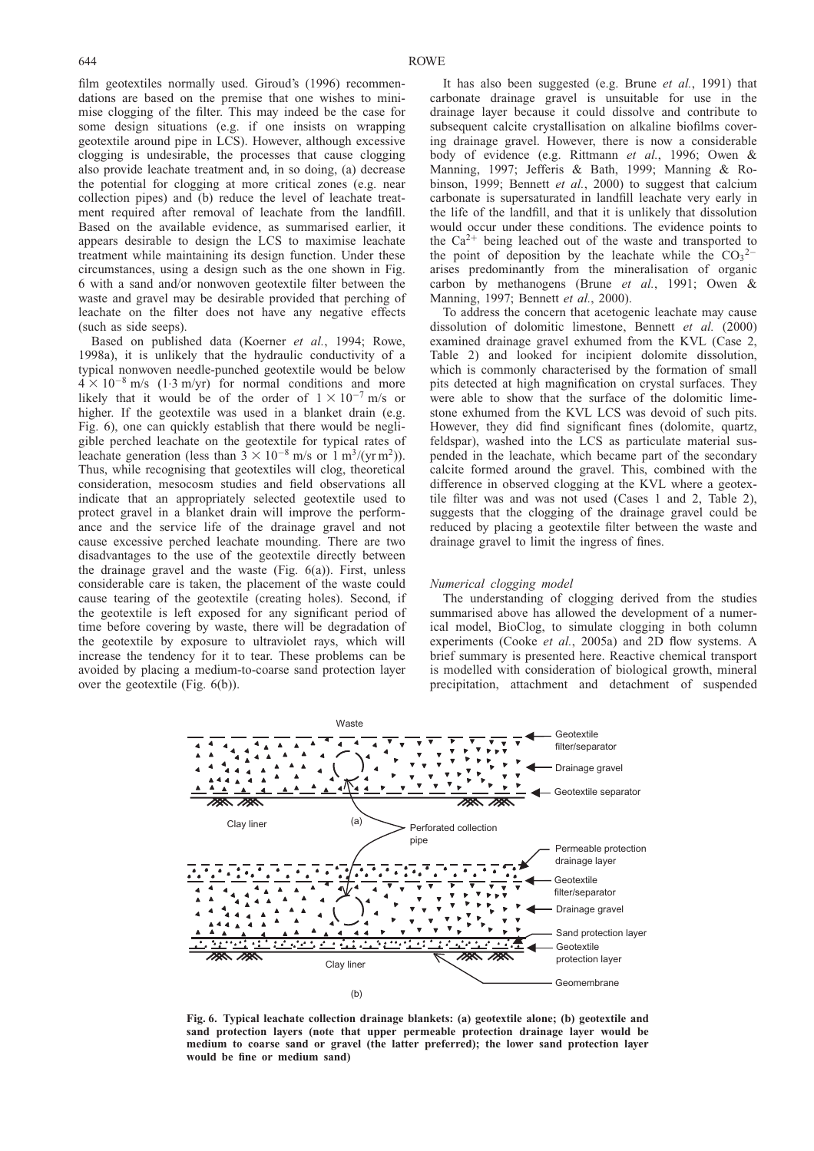<span id="page-13-0"></span>film geotextiles normally used. [Giroud's \(1996\)](#page-44-0) recommendations are based on the premise that one wishes to minimise clogging of the filter. This may indeed be the case for some design situations (e.g. if one insists on wrapping geotextile around pipe in LCS). However, although excessive clogging is undesirable, the processes that cause clogging also provide leachate treatment and, in so doing, (a) decrease the potential for clogging at more critical zones (e.g. near collection pipes) and (b) reduce the level of leachate treatment required after removal of leachate from the landfill. Based on the available evidence, as summarised earlier, it appears desirable to design the LCS to maximise leachate treatment while maintaining its design function. Under these circumstances, using a design such as the one shown in Fig. 6 with a sand and/or nonwoven geotextile filter between the waste and gravel may be desirable provided that perching of leachate on the filter does not have any negative effects (such as side seeps).

Based on published data [\(Koerner](#page-44-0) et al., 1994; [Rowe,](#page-45-0) [1998a\)](#page-45-0), it is unlikely that the hydraulic conductivity of a typical nonwoven needle-punched geotextile would be below  $4 \times 10^{-8}$  m/s (1.3 m/yr) for normal conditions and more likely that it would be of the order of  $1 \times 10^{-7}$  m/s or higher. If the geotextile was used in a blanket drain (e.g. Fig. 6), one can quickly establish that there would be negligible perched leachate on the geotextile for typical rates of leachate generation (less than  $3 \times 10^{-8}$  m/s or 1 m<sup>3</sup>/(yr m<sup>2</sup>)). Thus, while recognising that geotextiles will clog, theoretical consideration, mesocosm studies and field observations all indicate that an appropriately selected geotextile used to protect gravel in a blanket drain will improve the performance and the service life of the drainage gravel and not cause excessive perched leachate mounding. There are two disadvantages to the use of the geotextile directly between the drainage gravel and the waste (Fig. 6(a)). First, unless considerable care is taken, the placement of the waste could cause tearing of the geotextile (creating holes). Second, if the geotextile is left exposed for any significant period of time before covering by waste, there will be degradation of the geotextile by exposure to ultraviolet rays, which will increase the tendency for it to tear. These problems can be avoided by placing a medium-to-coarse sand protection layer over the geotextile (Fig. 6(b)).

It has also been suggested (e.g. Brune et al.[, 1991\)](#page-43-0) that carbonate drainage gravel is unsuitable for use in the drainage layer because it could dissolve and contribute to subsequent calcite crystallisation on alkaline biofilms covering drainage gravel. However, there is now a considerable body of evidence (e.g. [Rittmann](#page-45-0) et al., 1996; [Owen &](#page-45-0) [Manning, 1997;](#page-45-0) [Jefferis & Bath, 1999](#page-44-0); [Manning & Ro](#page-44-0)bi[nson, 1999;](#page-44-0) Bennett et al.[, 2000\)](#page-43-0) to suggest that calcium carbonate is supersaturated in landfill leachate very early in the life of the landfill, and that it is unlikely that dissolution would occur under these conditions. The evidence points to the  $Ca^{2+}$  being leached out of the waste and transported to the point of deposition by the leachate while the  $CO_3^2$ arises predominantly from the mineralisation of organic carbon by methanogens (Brune et al.[, 1991;](#page-43-0) [Owen &](#page-45-0) [Manning, 1997;](#page-45-0) [Bennett](#page-43-0) et al., 2000).

To address the concern that acetogenic leachate may cause dissolution of dolomitic limestone, [Bennett](#page-43-0) et al. (2000) examined drainage gravel exhumed from the KVL (Case 2, Table [2\)](#page-6-0) and looked for incipient dolomite dissolution, which is commonly characterised by the formation of small pits detected at high magnification on crystal surfaces. They were able to show that the surface of the dolomitic limestone exhumed from the KVL LCS was devoid of such pits. However, they did find significant fines (dolomite, quartz, feldspar), washed into the LCS as particulate material suspended in the leachate, which became part of the secondary calcite formed around the gravel. This, combined with the difference in observed clogging at the KVL where a geotextile filter was and was not used (Cases 1 and 2, Table [2\)](#page-6-0), suggests that the clogging of the drainage gravel could be reduced by placing a geotextile filter between the waste and drainage gravel to limit the ingress of fines.

#### Numerical clogging model

The understanding of clogging derived from the studies summarised above has allowed the development of a numerical model, BioClog, to simulate clogging in both column experiments (Cooke et al.[, 2005a\)](#page-43-0) and 2D flow systems. A brief summary is presented here. Reactive chemical transport is modelled with consideration of biological growth, mineral precipitation, attachment and detachment of suspended



Fig. 6. Typical leachate collection drainage blankets: (a) geotextile alone; (b) geotextile and sand protection layers (note that upper permeable protection drainage layer would be medium to coarse sand or gravel (the latter preferred); the lower sand protection layer would be fine or medium sand)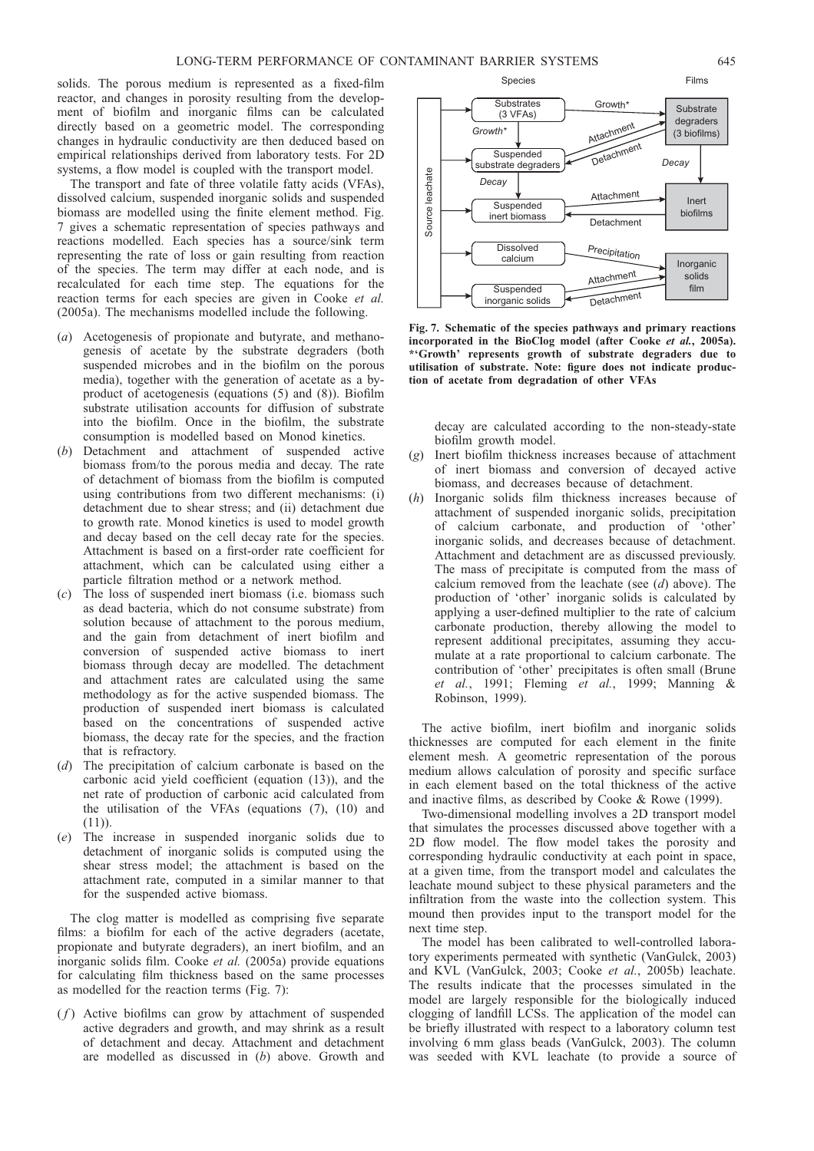solids. The porous medium is represented as a fixed-film reactor, and changes in porosity resulting from the development of biofilm and inorganic films can be calculated directly based on a geometric model. The corresponding changes in hydraulic conductivity are then deduced based on empirical relationships derived from laboratory tests. For 2D systems, a flow model is coupled with the transport model.

The transport and fate of three volatile fatty acids (VFAs), dissolved calcium, suspended inorganic solids and suspended biomass are modelled using the finite element method. Fig. 7 gives a schematic representation of species pathways and reactions modelled. Each species has a source/sink term representing the rate of loss or gain resulting from reaction of the species. The term may differ at each node, and is recalculated for each time step. The equations for the reaction terms for each species are given in [Cooke](#page-43-0) et al. [\(2005a\)](#page-43-0). The mechanisms modelled include the following.

- (a) Acetogenesis of propionate and butyrate, and methanogenesis of acetate by the substrate degraders (both suspended microbes and in the biofilm on the porous media), together with the generation of acetate as a byproduct of acetogenesis (equations [\(5\)](#page-10-0) and [\(8\)](#page-10-0)). Biofilm substrate utilisation accounts for diffusion of substrate into the biofilm. Once in the biofilm, the substrate consumption is modelled based on Monod kinetics.
- (b) Detachment and attachment of suspended active biomass from/to the porous media and decay. The rate of detachment of biomass from the biofilm is computed using contributions from two different mechanisms: (i) detachment due to shear stress; and (ii) detachment due to growth rate. Monod kinetics is used to model growth and decay based on the cell decay rate for the species. Attachment is based on a first-order rate coefficient for attachment, which can be calculated using either a particle filtration method or a network method.
- (c) The loss of suspended inert biomass (i.e. biomass such as dead bacteria, which do not consume substrate) from solution because of attachment to the porous medium, and the gain from detachment of inert biofilm and conversion of suspended active biomass to inert biomass through decay are modelled. The detachment and attachment rates are calculated using the same methodology as for the active suspended biomass. The production of suspended inert biomass is calculated based on the concentrations of suspended active biomass, the decay rate for the species, and the fraction that is refractory.
- (d) The precipitation of calcium carbonate is based on the carbonic acid yield coefficient (equation [\(13](#page-10-0))), and the net rate of production of carbonic acid calculated from the utilisation of the VFAs (equations [\(7\)](#page-10-0), [\(10](#page-10-0)) and  $(11)$  $(11)$ ).
- (e) The increase in suspended inorganic solids due to detachment of inorganic solids is computed using the shear stress model; the attachment is based on the attachment rate, computed in a similar manner to that for the suspended active biomass.

The clog matter is modelled as comprising five separate films: a biofilm for each of the active degraders (acetate, propionate and butyrate degraders), an inert biofilm, and an inorganic solids film. Cooke et al. [\(2005a\)](#page-43-0) provide equations for calculating film thickness based on the same processes as modelled for the reaction terms (Fig. 7):

 $(f)$  Active biofilms can grow by attachment of suspended active degraders and growth, and may shrink as a result of detachment and decay. Attachment and detachment are modelled as discussed in (b) above. Growth and



Species Films

Fig. 7. Schematic of the species pathways and primary reactions incorporated in the BioClog model (after Cooke et al.[, 2005a\).](#page-43-0) \*'Growth' represents growth of substrate degraders due to utilisation of substrate. Note: figure does not indicate production of acetate from degradation of other VFAs

decay are calculated according to the non-steady-state biofilm growth model.

- (g) Inert biofilm thickness increases because of attachment of inert biomass and conversion of decayed active biomass, and decreases because of detachment.
- Inorganic solids film thickness increases because of attachment of suspended inorganic solids, precipitation of calcium carbonate, and production of 'other' inorganic solids, and decreases because of detachment. Attachment and detachment are as discussed previously. The mass of precipitate is computed from the mass of calcium removed from the leachate (see  $(d)$  above). The production of 'other' inorganic solids is calculated by applying a user-defined multiplier to the rate of calcium carbonate production, thereby allowing the model to represent additional precipitates, assuming they accumulate at a rate proportional to calcium carbonate. The contribution of 'other' precipitates is often small [\(Brune](#page-43-0) et al.[, 1991;](#page-43-0) [Fleming](#page-44-0) et al., 1999; Manning  $\&$ [Robinson, 1999\).](#page-44-0)

The active biofilm, inert biofilm and inorganic solids thicknesses are computed for each element in the finite element mesh. A geometric representation of the porous medium allows calculation of porosity and specific surface in each element based on the total thickness of the active and inactive films, as described by [Cooke & Rowe \(1999\).](#page-43-0)

Two-dimensional modelling involves a 2D transport model that simulates the processes discussed above together with a 2D flow model. The flow model takes the porosity and corresponding hydraulic conductivity at each point in space, at a given time, from the transport model and calculates the leachate mound subject to these physical parameters and the infiltration from the waste into the collection system. This mound then provides input to the transport model for the next time step.

The model has been calibrated to well-controlled laboratory experiments permeated with synthetic [\(VanGulck, 2003\)](#page-46-0) and KVL [\(VanGulck, 2003;](#page-46-0) Cooke et al.[, 2005b\)](#page-43-0) leachate. The results indicate that the processes simulated in the model are largely responsible for the biologically induced clogging of landfill LCSs. The application of the model can be briefly illustrated with respect to a laboratory column test involving 6 mm glass beads [\(VanGulck, 2003\).](#page-46-0) The column was seeded with KVL leachate (to provide a source of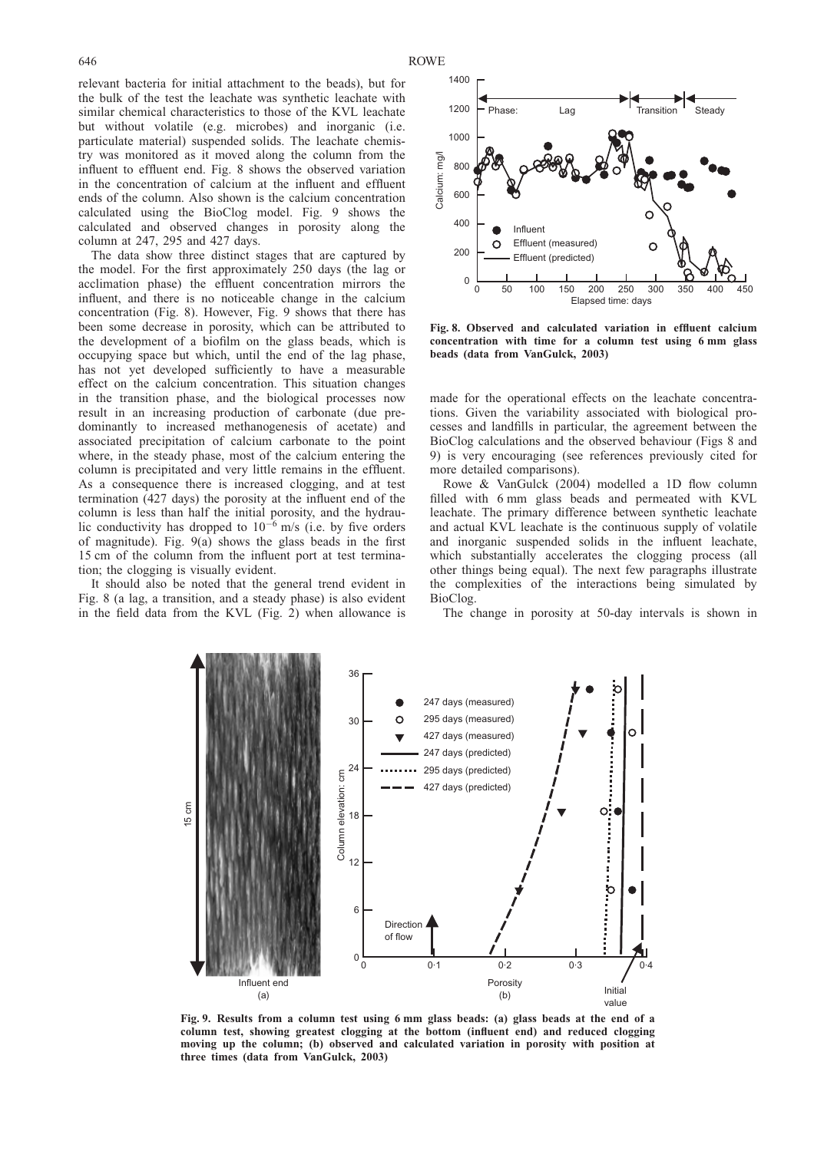<span id="page-15-0"></span>relevant bacteria for initial attachment to the beads), but for the bulk of the test the leachate was synthetic leachate with similar chemical characteristics to those of the KVL leachate but without volatile (e.g. microbes) and inorganic (i.e. particulate material) suspended solids. The leachate chemistry was monitored as it moved along the column from the influent to effluent end. Fig. 8 shows the observed variation in the concentration of calcium at the influent and effluent ends of the column. Also shown is the calcium concentration calculated using the BioClog model. Fig. 9 shows the calculated and observed changes in porosity along the column at 247, 295 and 427 days.

The data show three distinct stages that are captured by the model. For the first approximately 250 days (the lag or acclimation phase) the effluent concentration mirrors the influent, and there is no noticeable change in the calcium concentration (Fig. 8). However, Fig. 9 shows that there has been some decrease in porosity, which can be attributed to the development of a biofilm on the glass beads, which is occupying space but which, until the end of the lag phase, has not yet developed sufficiently to have a measurable effect on the calcium concentration. This situation changes in the transition phase, and the biological processes now result in an increasing production of carbonate (due predominantly to increased methanogenesis of acetate) and associated precipitation of calcium carbonate to the point where, in the steady phase, most of the calcium entering the column is precipitated and very little remains in the effluent. As a consequence there is increased clogging, and at test termination (427 days) the porosity at the influent end of the column is less than half the initial porosity, and the hydraulic conductivity has dropped to  $10^{-6}$  m/s (i.e. by five orders of magnitude). Fig. 9(a) shows the glass beads in the first 15 cm of the column from the influent port at test termination; the clogging is visually evident.

It should also be noted that the general trend evident in Fig. 8 (a lag, a transition, and a steady phase) is also evident in the field data from the KVL (Fig. [2\)](#page-5-0) when allowance is



Fig. 8. Observed and calculated variation in effluent calcium concentration with time for a column test using 6 mm glass beads (data from [VanGulck, 2003\)](#page-46-0)

made for the operational effects on the leachate concentrations. Given the variability associated with biological processes and landfills in particular, the agreement between the BioClog calculations and the observed behaviour (Figs 8 and 9) is very encouraging (see references previously cited for more detailed comparisons).

[Rowe & VanGulck \(2004\)](#page-45-0) modelled a 1D flow column filled with 6 mm glass beads and permeated with KVL leachate. The primary difference between synthetic leachate and actual KVL leachate is the continuous supply of volatile and inorganic suspended solids in the influent leachate, which substantially accelerates the clogging process (all other things being equal). The next few paragraphs illustrate the complexities of the interactions being simulated by BioClog.

The change in porosity at 50-day intervals is shown in



Fig. 9. Results from a column test using 6 mm glass beads: (a) glass beads at the end of a column test, showing greatest clogging at the bottom (influent end) and reduced clogging moving up the column; (b) observed and calculated variation in porosity with position at three times (data from [VanGulck, 2003\)](#page-46-0)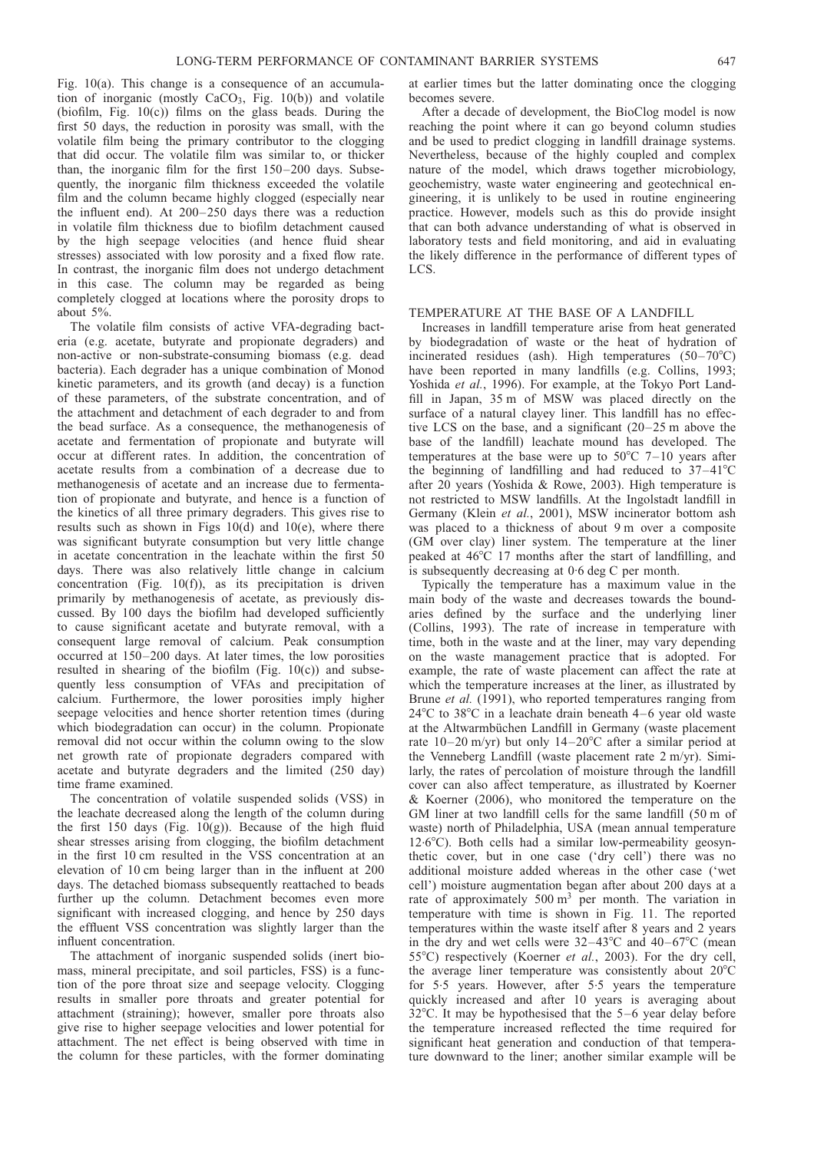Fig. [10\(](#page-17-0)a). This change is a consequence of an accumulation of inorganic (mostly  $CaCO<sub>3</sub>$ , Fig. [10\(b](#page-17-0))) and volatile (biofilm, Fig. [10\(c](#page-17-0))) films on the glass beads. During the first 50 days, the reduction in porosity was small, with the volatile film being the primary contributor to the clogging that did occur. The volatile film was similar to, or thicker than, the inorganic film for the first 150–200 days. Subsequently, the inorganic film thickness exceeded the volatile film and the column became highly clogged (especially near the influent end). At 200–250 days there was a reduction in volatile film thickness due to biofilm detachment caused by the high seepage velocities (and hence fluid shear stresses) associated with low porosity and a fixed flow rate. In contrast, the inorganic film does not undergo detachment in this case. The column may be regarded as being completely clogged at locations where the porosity drops to about 5%.

The volatile film consists of active VFA-degrading bacteria (e.g. acetate, butyrate and propionate degraders) and non-active or non-substrate-consuming biomass (e.g. dead bacteria). Each degrader has a unique combination of Monod kinetic parameters, and its growth (and decay) is a function of these parameters, of the substrate concentration, and of the attachment and detachment of each degrader to and from the bead surface. As a consequence, the methanogenesis of acetate and fermentation of propionate and butyrate will occur at different rates. In addition, the concentration of acetate results from a combination of a decrease due to methanogenesis of acetate and an increase due to fermentation of propionate and butyrate, and hence is a function of the kinetics of all three primary degraders. This gives rise to results such as shown in Figs  $10(d)$  and  $10(e)$ , where there was significant butyrate consumption but very little change in acetate concentration in the leachate within the first 50 days. There was also relatively little change in calcium concentration (Fig. [10\(f](#page-17-0))), as its precipitation is driven primarily by methanogenesis of acetate, as previously discussed. By 100 days the biofilm had developed sufficiently to cause significant acetate and butyrate removal, with a consequent large removal of calcium. Peak consumption occurred at 150–200 days. At later times, the low porosities resulted in shearing of the biofilm (Fig.  $10(c)$ ) and subsequently less consumption of VFAs and precipitation of calcium. Furthermore, the lower porosities imply higher seepage velocities and hence shorter retention times (during which biodegradation can occur) in the column. Propionate removal did not occur within the column owing to the slow net growth rate of propionate degraders compared with acetate and butyrate degraders and the limited (250 day) time frame examined.

The concentration of volatile suspended solids (VSS) in the leachate decreased along the length of the column during the first 150 days (Fig.  $10(g)$ ). Because of the high fluid shear stresses arising from clogging, the biofilm detachment in the first 10 cm resulted in the VSS concentration at an elevation of 10 cm being larger than in the influent at 200 days. The detached biomass subsequently reattached to beads further up the column. Detachment becomes even more significant with increased clogging, and hence by 250 days the effluent VSS concentration was slightly larger than the influent concentration.

The attachment of inorganic suspended solids (inert biomass, mineral precipitate, and soil particles, FSS) is a function of the pore throat size and seepage velocity. Clogging results in smaller pore throats and greater potential for attachment (straining); however, smaller pore throats also give rise to higher seepage velocities and lower potential for attachment. The net effect is being observed with time in the column for these particles, with the former dominating

at earlier times but the latter dominating once the clogging becomes severe.

After a decade of development, the BioClog model is now reaching the point where it can go beyond column studies and be used to predict clogging in landfill drainage systems. Nevertheless, because of the highly coupled and complex nature of the model, which draws together microbiology, geochemistry, waste water engineering and geotechnical engineering, it is unlikely to be used in routine engineering practice. However, models such as this do provide insight that can both advance understanding of what is observed in laboratory tests and field monitoring, and aid in evaluating the likely difference in the performance of different types of LCS.

## TEMPERATURE AT THE BASE OF A LANDFILL

Increases in landfill temperature arise from heat generated by biodegradation of waste or the heat of hydration of incinerated residues (ash). High temperatures  $(50-70^{\circ}C)$ have been reported in many landfills (e.g. [Collins, 1993;](#page-43-0) [Yoshida](#page-46-0) et al., 1996). For example, at the Tokyo Port Landfill in Japan, 35 m of MSW was placed directly on the surface of a natural clayey liner. This landfill has no effective LCS on the base, and a significant (20–25 m above the base of the landfill) leachate mound has developed. The temperatures at the base were up to  $50^{\circ}$ C 7–10 years after the beginning of landfilling and had reduced to  $37-41^{\circ}$ C after 20 years [\(Yoshida & Rowe, 2003\)](#page-46-0). High temperature is not restricted to MSW landfills. At the Ingolstadt landfill in Germany (Klein et al.[, 2001\)](#page-44-0), MSW incinerator bottom ash was placed to a thickness of about 9 m over a composite (GM over clay) liner system. The temperature at the liner peaked at  $46^{\circ}$ C 17 months after the start of landfilling, and is subsequently decreasing at 0.6 deg C per month.

Typically the temperature has a maximum value in the main body of the waste and decreases towards the boundaries defined by the surface and the underlying liner [\(Collins, 1993\)](#page-43-0). The rate of increase in temperature with time, both in the waste and at the liner, may vary depending on the waste management practice that is adopted. For example, the rate of waste placement can affect the rate at which the temperature increases at the liner, as illustrated by Brune *et al.* [\(1991\)](#page-43-0), who reported temperatures ranging from  $24^{\circ}$ C to  $38^{\circ}$ C in a leachate drain beneath  $4-6$  year old waste at the Altwarmbüchen Landfill in Germany (waste placement rate  $10-20$  m/yr) but only  $14-20$ °C after a similar period at the Venneberg Landfill (waste placement rate 2 m/yr). Similarly, the rates of percolation of moisture through the landfill cover can also affect temperature, as illustrated by [Koerner](#page-44-0) [& Koerner \(2006\)](#page-44-0), who monitored the temperature on the GM liner at two landfill cells for the same landfill (50 m of waste) north of Philadelphia, USA (mean annual temperature 12.6°C). Both cells had a similar low-permeability geosynthetic cover, but in one case ('dry cell') there was no additional moisture added whereas in the other case ('wet cell') moisture augmentation began after about 200 days at a rate of approximately  $500 \text{ m}^3$  per month. The variation in temperature with time is shown in Fig. [11.](#page-18-0) The reported temperatures within the waste itself after 8 years and 2 years in the dry and wet cells were  $32-43^{\circ}$ C and  $40-67^{\circ}$ C (mean 55°C) respectively [\(Koerner](#page-44-0) et al., 2003). For the dry cell, the average liner temperature was consistently about  $20^{\circ}$ C for 5.5 years. However, after 5. 5 years the temperature quickly increased and after 10 years is averaging about  $32^{\circ}$ C. It may be hypothesised that the 5–6 year delay before the temperature increased reflected the time required for significant heat generation and conduction of that temperature downward to the liner; another similar example will be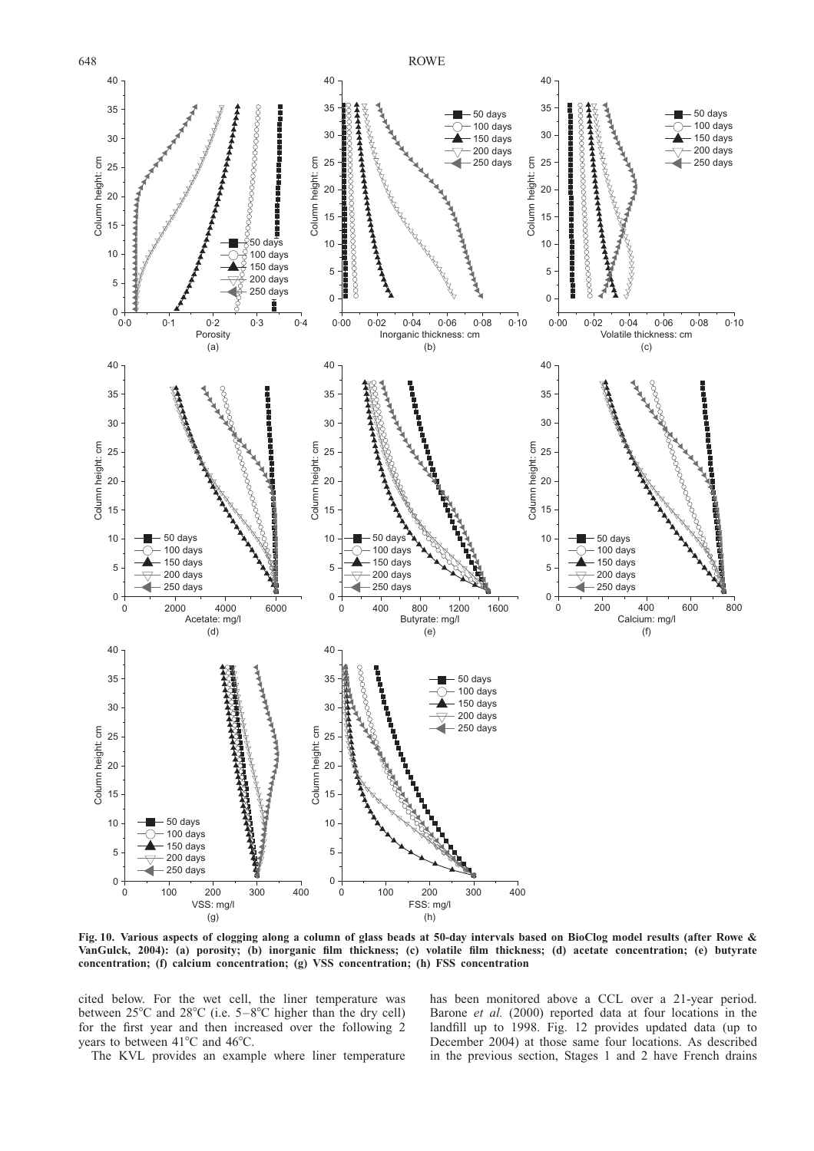<span id="page-17-0"></span>

Fig. 10. Various aspects of clogging along a column of glass beads at 50-day intervals based on BioClog model results (after [Rowe &](#page-45-0) [VanGulck, 2004\):](#page-45-0) (a) porosity; (b) inorganic film thickness; (c) volatile film thickness; (d) acetate concentration; (e) butyrate concentration; (f) calcium concentration; (g) VSS concentration; (h) FSS concentration

cited below. For the wet cell, the liner temperature was between  $25^{\circ}$ C and  $28^{\circ}$ C (i.e.  $5-8^{\circ}$ C higher than the dry cell) for the first year and then increased over the following 2 years to between  $41^{\circ}$ C and  $46^{\circ}$ C.

The KVL provides an example where liner temperature

has been monitored above a CCL over a 21-year period. [Barone](#page-43-0) et al. (2000) reported data at four locations in the landfill up to 1998. Fig. [12](#page-18-0) provides updated data (up to December 2004) at those same four locations. As described in the previous section, Stages 1 and 2 have French drains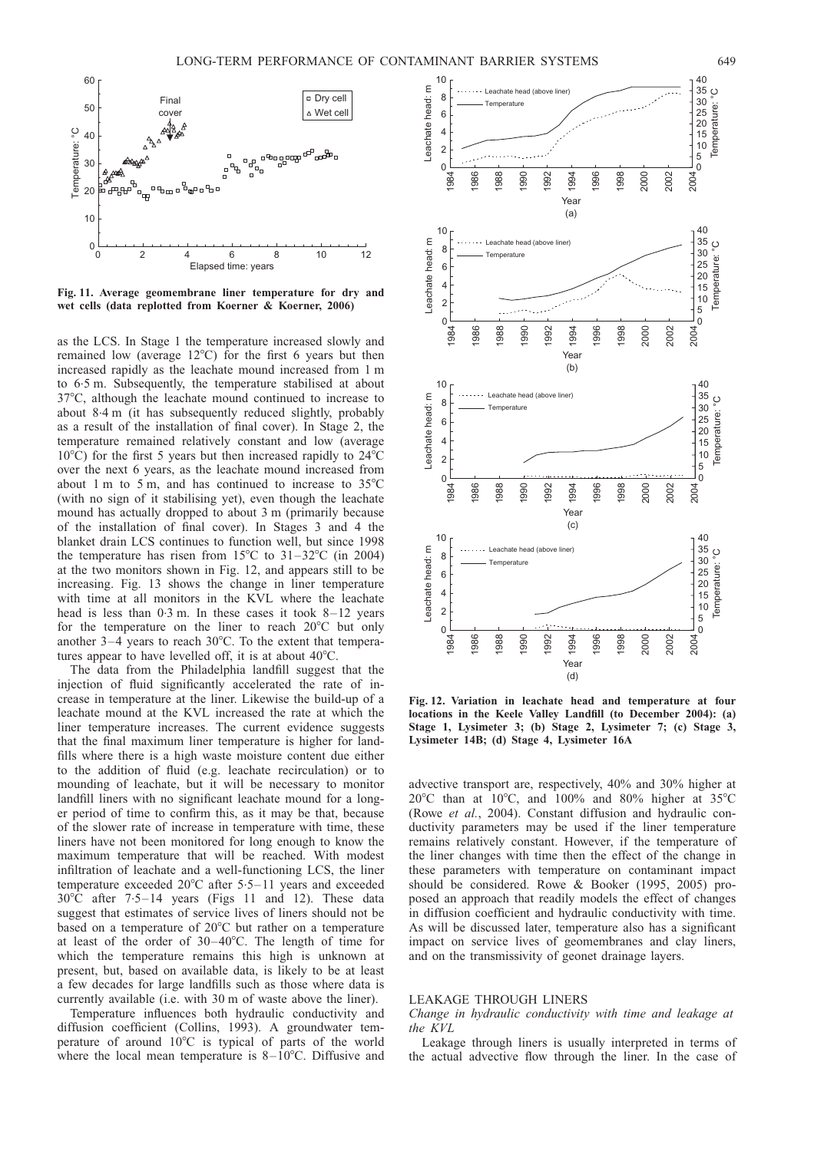<span id="page-18-0"></span>

Fig. 11. Average geomembrane liner temperature for dry and wet cells (data replotted from [Koerner & Koerner, 2006\)](#page-44-0)

as the LCS. In Stage 1 the temperature increased slowly and remained low (average  $12^{\circ}$ C) for the first 6 years but then increased rapidly as the leachate mound increased from 1 m to 6.5 m. Subsequently, the temperature stabilised at about 37°C, although the leachate mound continued to increase to about 8.4 m (it has subsequently reduced slightly, probably as a result of the installation of final cover). In Stage 2, the temperature remained relatively constant and low (average 10 $^{\circ}$ C) for the first 5 years but then increased rapidly to 24 $^{\circ}$ C over the next 6 years, as the leachate mound increased from about 1 m to 5 m, and has continued to increase to  $35^{\circ}$ C (with no sign of it stabilising yet), even though the leachate mound has actually dropped to about 3 m (primarily because of the installation of final cover). In Stages 3 and 4 the blanket drain LCS continues to function well, but since 1998 the temperature has risen from  $15^{\circ}$ C to  $31-32^{\circ}$ C (in 2004) at the two monitors shown in Fig. 12, and appears still to be increasing. Fig. [13](#page-19-0) shows the change in liner temperature with time at all monitors in the KVL where the leachate head is less than 0.3 m. In these cases it took 8-12 years for the temperature on the liner to reach  $20^{\circ}$ C but only another  $3-4$  years to reach  $30^{\circ}$ C. To the extent that temperatures appear to have levelled off, it is at about  $40^{\circ}$ C.

The data from the Philadelphia landfill suggest that the injection of fluid significantly accelerated the rate of increase in temperature at the liner. Likewise the build-up of a leachate mound at the KVL increased the rate at which the liner temperature increases. The current evidence suggests that the final maximum liner temperature is higher for landfills where there is a high waste moisture content due either to the addition of fluid (e.g. leachate recirculation) or to mounding of leachate, but it will be necessary to monitor landfill liners with no significant leachate mound for a longer period of time to confirm this, as it may be that, because of the slower rate of increase in temperature with time, these liners have not been monitored for long enough to know the maximum temperature that will be reached. With modest infiltration of leachate and a well-functioning LCS, the liner temperature exceeded  $20^{\circ}$ C after 5.5–11 years and exceeded  $30^{\circ}$ C after 7.5–14 years (Figs 11 and 12). These data suggest that estimates of service lives of liners should not be based on a temperature of  $20^{\circ}$ C but rather on a temperature at least of the order of  $30-40^{\circ}$ C. The length of time for which the temperature remains this high is unknown at present, but, based on available data, is likely to be at least a few decades for large landfills such as those where data is currently available (i.e. with 30 m of waste above the liner).

Temperature influences both hydraulic conductivity and diffusion coefficient [\(Collins, 1993\)](#page-43-0). A groundwater temperature of around  $10^{\circ}$ C is typical of parts of the world where the local mean temperature is  $8-10^{\circ}$ C. Diffusive and



Fig. 12. Variation in leachate head and temperature at four locations in the Keele Valley Landfill (to December 2004): (a) Stage 1, Lysimeter 3; (b) Stage 2, Lysimeter 7; (c) Stage 3, Lysimeter 14B; (d) Stage 4, Lysimeter 16A

advective transport are, respectively, 40% and 30% higher at 20°C than at 10°C, and 100% and 80% higher at 35°C (Rowe et al.[, 2004\)](#page-46-0). Constant diffusion and hydraulic conductivity parameters may be used if the liner temperature remains relatively constant. However, if the temperature of the liner changes with time then the effect of the change in these parameters with temperature on contaminant impact should be considered. [Rowe & Booker \(1995, 2005\)](#page-45-0) proposed an approach that readily models the effect of changes in diffusion coefficient and hydraulic conductivity with time. As will be discussed later, temperature also has a significant impact on service lives of geomembranes and clay liners, and on the transmissivity of geonet drainage layers.

## LEAKAGE THROUGH LINERS

Change in hydraulic conductivity with time and leakage at the KVL

Leakage through liners is usually interpreted in terms of the actual advective flow through the liner. In the case of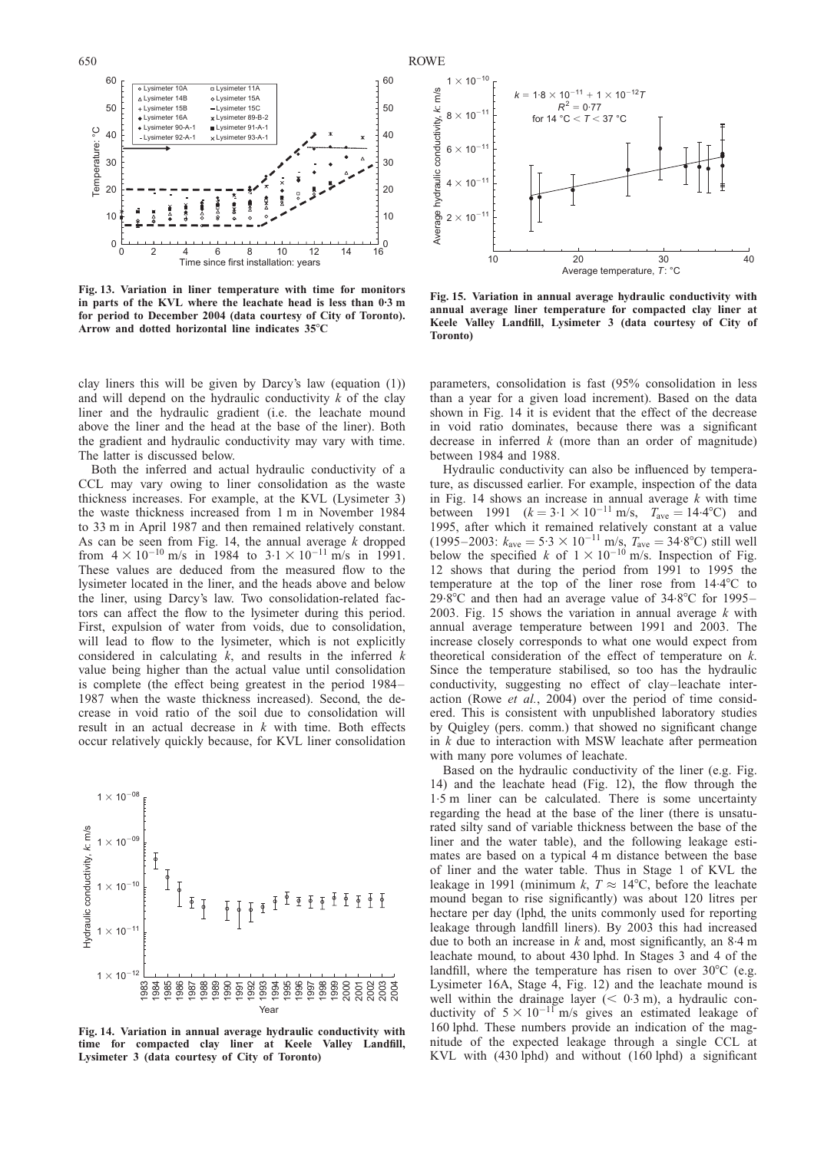<span id="page-19-0"></span>

Fig. 13. Variation in liner temperature with time for monitors in parts of the KVL where the leachate head is less than 0.3 m for period to December 2004 (data courtesy of City of Toronto). Arrow and dotted horizontal line indicates  $35^{\circ}$ C

clay liners this will be given by Darcy's law (equation [\(1\)](#page-2-0)) and will depend on the hydraulic conductivity  $k$  of the clay liner and the hydraulic gradient (i.e. the leachate mound above the liner and the head at the base of the liner). Both the gradient and hydraulic conductivity may vary with time. The latter is discussed below.

Both the inferred and actual hydraulic conductivity of a CCL may vary owing to liner consolidation as the waste thickness increases. For example, at the KVL (Lysimeter 3) the waste thickness increased from 1 m in November 1984 to 33 m in April 1987 and then remained relatively constant. As can be seen from Fig. 14, the annual average  $k$  dropped from  $4 \times 10^{-10}$  m/s in 1984 to  $3.1 \times 10^{-11}$  m/s in 1991. These values are deduced from the measured flow to the lysimeter located in the liner, and the heads above and below the liner, using Darcy's law. Two consolidation-related factors can affect the flow to the lysimeter during this period. First, expulsion of water from voids, due to consolidation, will lead to flow to the lysimeter, which is not explicitly considered in calculating  $k$ , and results in the inferred  $k$ value being higher than the actual value until consolidation is complete (the effect being greatest in the period 1984– 1987 when the waste thickness increased). Second, the decrease in void ratio of the soil due to consolidation will result in an actual decrease in k with time. Both effects occur relatively quickly because, for KVL liner consolidation



Fig. 14. Variation in annual average hydraulic conductivity with time for compacted clay liner at Keele Valley Landfill, Lysimeter 3 (data courtesy of City of Toronto)



Fig. 15. Variation in annual average hydraulic conductivity with annual average liner temperature for compacted clay liner at Keele Valley Landfill, Lysimeter 3 (data courtesy of City of Toronto)

parameters, consolidation is fast (95% consolidation in less than a year for a given load increment). Based on the data shown in Fig. 14 it is evident that the effect of the decrease in void ratio dominates, because there was a significant decrease in inferred  $k$  (more than an order of magnitude) between 1984 and 1988.

Hydraulic conductivity can also be influenced by temperature, as discussed earlier. For example, inspection of the data in Fig. 14 shows an increase in annual average  $k$  with time between 1991  $(k = 3.1 \times 10^{-11} \text{ m/s}, T_{\text{ave}} = 14.4^{\circ}\text{C}$  and 1995, after which it remained relatively constant at a value (1995–2003:  $k_{\text{ave}} = 5.3 \times 10^{-11} \text{ m/s}, T_{\text{ave}} = 34.8^{\circ}\text{C}$ ) still well below the specified k of  $1 \times 10^{-10}$  m/s. Inspection of Fig. [12](#page-18-0) shows that during the period from 1991 to 1995 the temperature at the top of the liner rose from  $14.4^{\circ}$ C to 29.8 $\degree$ C and then had an average value of 34.8 $\degree$ C for 1995– 2003. Fig. 15 shows the variation in annual average  $k$  with annual average temperature between 1991 and 2003. The increase closely corresponds to what one would expect from theoretical consideration of the effect of temperature on  $k$ . Since the temperature stabilised, so too has the hydraulic conductivity, suggesting no effect of clay–leachate interaction (Rowe et al.[, 2004\)](#page-45-0) over the period of time considered. This is consistent with unpublished laboratory studies by Quigley (pers. comm.) that showed no significant change in  $k$  due to interaction with MSW leachate after permeation with many pore volumes of leachate.

Based on the hydraulic conductivity of the liner (e.g. Fig. 14) and the leachate head (Fig. [12\),](#page-18-0) the flow through the 1. 5 m liner can be calculated. There is some uncertainty regarding the head at the base of the liner (there is unsaturated silty sand of variable thickness between the base of the liner and the water table), and the following leakage estimates are based on a typical 4 m distance between the base of liner and the water table. Thus in Stage 1 of KVL the leakage in 1991 (minimum k,  $T \approx 14^{\circ}$ C, before the leachate mound began to rise significantly) was about 120 litres per hectare per day (lphd, the units commonly used for reporting leakage through landfill liners). By 2003 this had increased due to both an increase in  $k$  and, most significantly, an  $8.4 \text{ m}$ leachate mound, to about 430 lphd. In Stages 3 and 4 of the landfill, where the temperature has risen to over  $30^{\circ}$ C (e.g. Lysimeter 16A, Stage 4, Fig. [12\)](#page-18-0) and the leachate mound is well within the drainage layer ( $< 0.3$  m), a hydraulic conductivity of  $5 \times 10^{-11}$  m/s gives an estimated leakage of 160 lphd. These numbers provide an indication of the magnitude of the expected leakage through a single CCL at KVL with (430 lphd) and without (160 lphd) a significant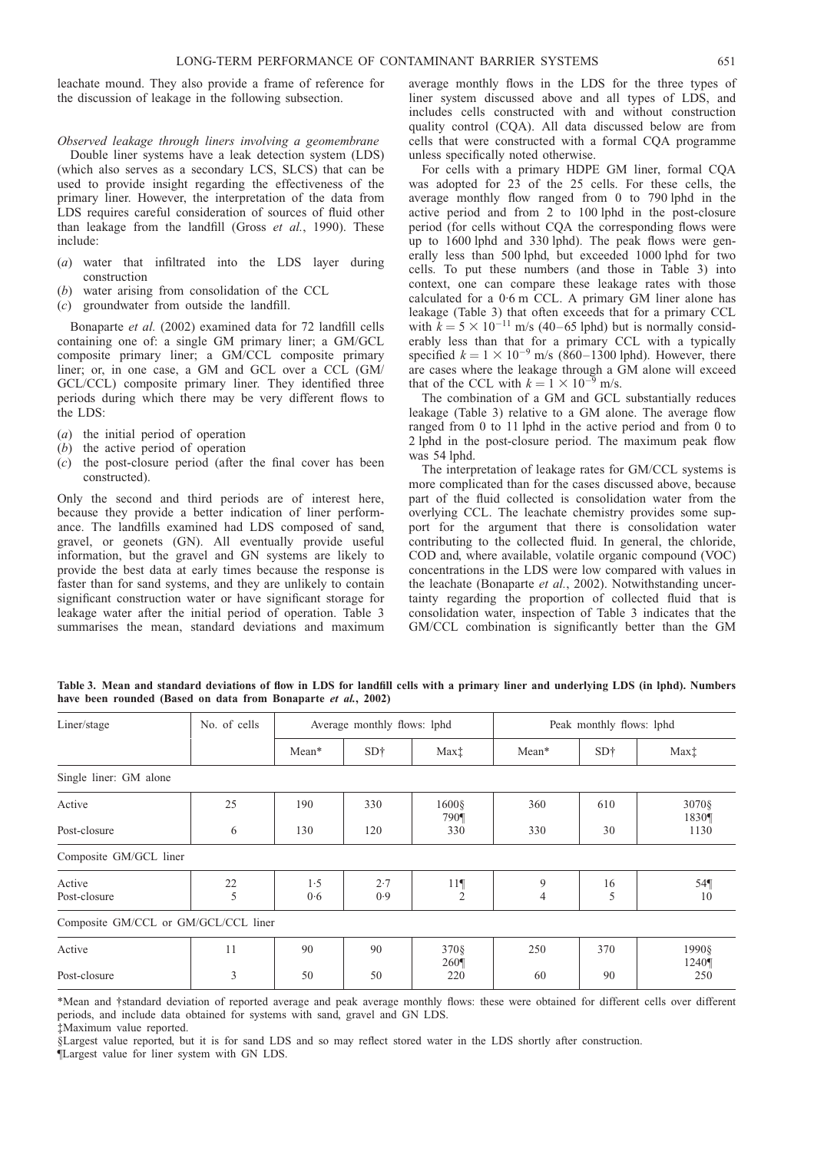<span id="page-20-0"></span>leachate mound. They also provide a frame of reference for the discussion of leakage in the following subsection.

## Observed leakage through liners involving a geomembrane

Double liner systems have a leak detection system (LDS) (which also serves as a secondary LCS, SLCS) that can be used to provide insight regarding the effectiveness of the primary liner. However, the interpretation of the data from LDS requires careful consideration of sources of fluid other than leakage from the landfill (Gross *et al.*[, 1990\).](#page-44-0) These include:

- (a) water that infiltrated into the LDS layer during construction
- (b) water arising from consolidation of the CCL
- (c) groundwater from outside the landfill.

[Bonaparte](#page-43-0) et al. (2002) examined data for 72 landfill cells containing one of: a single GM primary liner; a GM/GCL composite primary liner; a GM/CCL composite primary liner; or, in one case, a GM and GCL over a CCL (GM/ GCL/CCL) composite primary liner. They identified three periods during which there may be very different flows to the LDS:

- (a) the initial period of operation
- (b) the active period of operation
- (c) the post-closure period (after the final cover has been constructed).

Only the second and third periods are of interest here, because they provide a better indication of liner performance. The landfills examined had LDS composed of sand, gravel, or geonets (GN). All eventually provide useful information, but the gravel and GN systems are likely to provide the best data at early times because the response is faster than for sand systems, and they are unlikely to contain significant construction water or have significant storage for leakage water after the initial period of operation. Table 3 summarises the mean, standard deviations and maximum

average monthly flows in the LDS for the three types of liner system discussed above and all types of LDS, and includes cells constructed with and without construction quality control (CQA). All data discussed below are from cells that were constructed with a formal CQA programme unless specifically noted otherwise.

For cells with a primary HDPE GM liner, formal CQA was adopted for 23 of the 25 cells. For these cells, the average monthly flow ranged from 0 to 790 lphd in the active period and from 2 to 100 lphd in the post-closure period (for cells without CQA the corresponding flows were up to 1600 lphd and 330 lphd). The peak flows were generally less than 500 lphd, but exceeded 1000 lphd for two cells. To put these numbers (and those in Table 3) into context, one can compare these leakage rates with those calculated for a 0. 6 m CCL. A primary GM liner alone has leakage (Table 3) that often exceeds that for a primary CCL with  $k = 5 \times 10^{-11}$  m/s (40–65 lphd) but is normally considerably less than that for a primary CCL with a typically specified  $k = 1 \times 10^{-9}$  m/s (860–1300 lphd). However, there are cases where the leakage through a GM alone will exceed that of the CCL with  $k = 1 \times 10^{-9}$  m/s.

The combination of a GM and GCL substantially reduces leakage (Table 3) relative to a GM alone. The average flow ranged from 0 to 11 lphd in the active period and from 0 to 2 lphd in the post-closure period. The maximum peak flow was 54 lphd.

The interpretation of leakage rates for GM/CCL systems is more complicated than for the cases discussed above, because part of the fluid collected is consolidation water from the overlying CCL. The leachate chemistry provides some support for the argument that there is consolidation water contributing to the collected fluid. In general, the chloride, COD and, where available, volatile organic compound (VOC) concentrations in the LDS were low compared with values in the leachate [\(Bonaparte](#page-43-0) et al., 2002). Notwithstanding uncertainty regarding the proportion of collected fluid that is consolidation water, inspection of Table 3 indicates that the GM/CCL combination is significantly better than the GM

Table 3. Mean and standard deviations of flow in LDS for landfill cells with a primary liner and underlying LDS (in lphd). Numbers have been rounded (Based on data from [Bonaparte](#page-43-0) et al., 2002)

| Liner/stage                          | No. of cells |            | Average monthly flows: lphd |                                   | Peak monthly flows: lphd |                 |                  |  |
|--------------------------------------|--------------|------------|-----------------------------|-----------------------------------|--------------------------|-----------------|------------------|--|
|                                      |              | Mean*      | SD <sub>†</sub>             | Max <sup>†</sup>                  | Mean*                    | SD <sub>†</sub> | Max <sup>†</sup> |  |
| Single liner: GM alone               |              |            |                             |                                   |                          |                 |                  |  |
| Active                               | 25           | 190        | 330                         | $1600$ §<br>790¶                  | 360                      | 610             | 3070§<br>1830¶   |  |
| Post-closure                         | 6            | 130        | 120                         | 330                               | 330                      | 30              | 1130             |  |
| Composite GM/GCL liner               |              |            |                             |                                   |                          |                 |                  |  |
| Active<br>Post-closure               | 22<br>5      | 1.5<br>0.6 | 2.7<br>0.9                  | 11 <sup>q</sup><br>$\overline{2}$ | 9<br>4                   | 16<br>5         | $54$ ¶<br>10     |  |
| Composite GM/CCL or GM/GCL/CCL liner |              |            |                             |                                   |                          |                 |                  |  |
| Active                               | 11           | 90         | 90                          | 370 §<br>260                      | 250                      | 370             | 1990§<br>1240¶   |  |
| Post-closure                         | 3            | 50         | 50                          | 220                               | 60                       | 90              | 250              |  |

\*Mean and †standard deviation of reported average and peak average monthly flows: these were obtained for different cells over different periods, and include data obtained for systems with sand, gravel and GN LDS. ‡Maximum value reported.

§Largest value reported, but it is for sand LDS and so may reflect stored water in the LDS shortly after construction.

¶Largest value for liner system with GN LDS.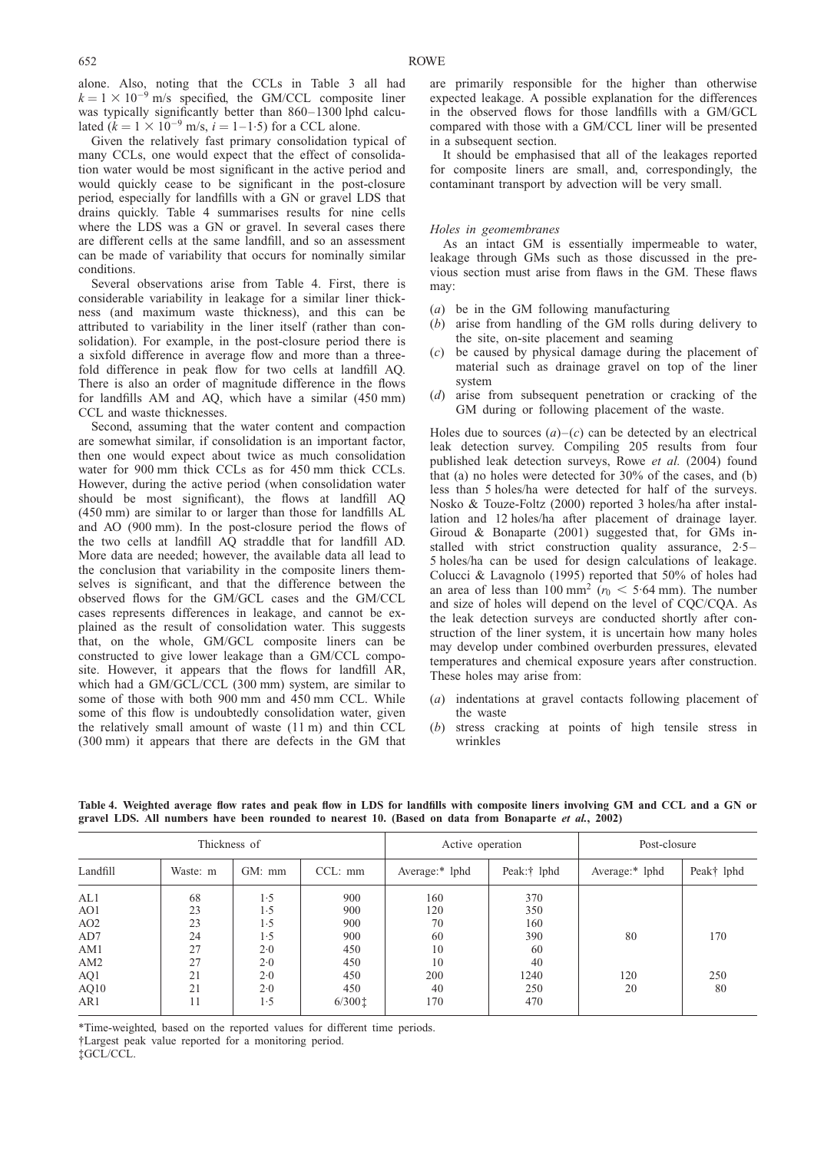alone. Also, noting that the CCLs in Table [3](#page-20-0) all had  $k = 1 \times 10^{-9}$  m/s specified, the GM/CCL composite liner was typically significantly better than 860-1300 lphd calculated  $(k = 1 \times 10^{-9} \text{ m/s}, i = 1 - 1.5)$  for a CCL alone.

Given the relatively fast primary consolidation typical of many CCLs, one would expect that the effect of consolidation water would be most significant in the active period and would quickly cease to be significant in the post-closure period, especially for landfills with a GN or gravel LDS that drains quickly. Table 4 summarises results for nine cells where the LDS was a GN or gravel. In several cases there are different cells at the same landfill, and so an assessment can be made of variability that occurs for nominally similar conditions.

Several observations arise from Table 4. First, there is considerable variability in leakage for a similar liner thickness (and maximum waste thickness), and this can be attributed to variability in the liner itself (rather than consolidation). For example, in the post-closure period there is a sixfold difference in average flow and more than a threefold difference in peak flow for two cells at landfill AQ. There is also an order of magnitude difference in the flows for landfills AM and AQ, which have a similar (450 mm) CCL and waste thicknesses.

Second, assuming that the water content and compaction are somewhat similar, if consolidation is an important factor, then one would expect about twice as much consolidation water for 900 mm thick CCLs as for 450 mm thick CCLs. However, during the active period (when consolidation water should be most significant), the flows at landfill AQ (450 mm) are similar to or larger than those for landfills AL and AO (900 mm). In the post-closure period the flows of the two cells at landfill AQ straddle that for landfill AD. More data are needed; however, the available data all lead to the conclusion that variability in the composite liners themselves is significant, and that the difference between the observed flows for the GM/GCL cases and the GM/CCL cases represents differences in leakage, and cannot be explained as the result of consolidation water. This suggests that, on the whole, GM/GCL composite liners can be constructed to give lower leakage than a GM/CCL composite. However, it appears that the flows for landfill AR, which had a GM/GCL/CCL (300 mm) system, are similar to some of those with both 900 mm and 450 mm CCL. While some of this flow is undoubtedly consolidation water, given the relatively small amount of waste (11 m) and thin CCL (300 mm) it appears that there are defects in the GM that

are primarily responsible for the higher than otherwise expected leakage. A possible explanation for the differences in the observed flows for those landfills with a GM/GCL compared with those with a GM/CCL liner will be presented in a subsequent section.

It should be emphasised that all of the leakages reported for composite liners are small, and, correspondingly, the contaminant transport by advection will be very small.

## Holes in geomembranes

As an intact GM is essentially impermeable to water, leakage through GMs such as those discussed in the previous section must arise from flaws in the GM. These flaws may:

- (a) be in the GM following manufacturing
- (b) arise from handling of the GM rolls during delivery to the site, on-site placement and seaming
- (c) be caused by physical damage during the placement of material such as drainage gravel on top of the liner system
- (d) arise from subsequent penetration or cracking of the GM during or following placement of the waste.

Holes due to sources  $(a)-(c)$  can be detected by an electrical leak detection survey. Compiling 205 results from four published leak detection surveys, Rowe et al. [\(2004\)](#page-45-0) found that (a) no holes were detected for 30% of the cases, and (b) less than 5 holes/ha were detected for half of the surveys. [Nosko & Touze-Foltz \(2000\)](#page-45-0) reported 3 holes/ha after installation and 12 holes/ha after placement of drainage layer. [Giroud & Bonaparte \(2001\)](#page-44-0) suggested that, for GMs installed with strict construction quality assurance, 2.5– 5 holes/ha can be used for design calculations of leakage. [Colucci & Lavagnolo \(1995\)](#page-43-0) reported that 50% of holes had an area of less than 100 mm<sup>2</sup> ( $r_0$  < 5.64 mm). The number and size of holes will depend on the level of CQC/CQA. As the leak detection surveys are conducted shortly after construction of the liner system, it is uncertain how many holes may develop under combined overburden pressures, elevated temperatures and chemical exposure years after construction. These holes may arise from:

- (a) indentations at gravel contacts following placement of the waste
- (b) stress cracking at points of high tensile stress in wrinkles

|                 |          | Thickness of |              | Active operation |             | Post-closure   |            |  |
|-----------------|----------|--------------|--------------|------------------|-------------|----------------|------------|--|
| Landfill        | Waste: m | GM: mm       | $CCL: \, mm$ | Average:* lphd   | Peak:† lphd | Average:* lphd | Peak† lphd |  |
| AL1             | 68       | 1.5          | 900          | 160              | 370         |                |            |  |
| AO1             | 23       | 1.5          | 900          | 120              | 350         |                |            |  |
| AO <sub>2</sub> | 23       | 1.5          | 900          | 70               | 160         |                |            |  |
| AD7             | 24       | 1.5          | 900          | 60               | 390         | 80             | 170        |  |
| AM1             | 27       | 2.0          | 450          | 10               | 60          |                |            |  |
| AM2             | 27       | 2.0          | 450          | 10               | 40          |                |            |  |
| AQ1             | 21       | 2.0          | 450          | 200              | 1240        | 120            | 250        |  |
| AQ10            | 21       | 2.0          | 450          | 40               | 250         | 20             | 80         |  |
| AR1             | 11       | 1.5          | 6/3001       | 170              | 470         |                |            |  |

Table 4. Weighted average flow rates and peak flow in LDS for landfills with composite liners involving GM and CCL and a GN or gravel LDS. All numbers have been rounded to nearest 10. (Based on data from [Bonaparte](#page-43-0) et al., 2002)

\*Time-weighted, based on the reported values for different time periods.

<sup>†</sup>Largest peak value reported for a monitoring period.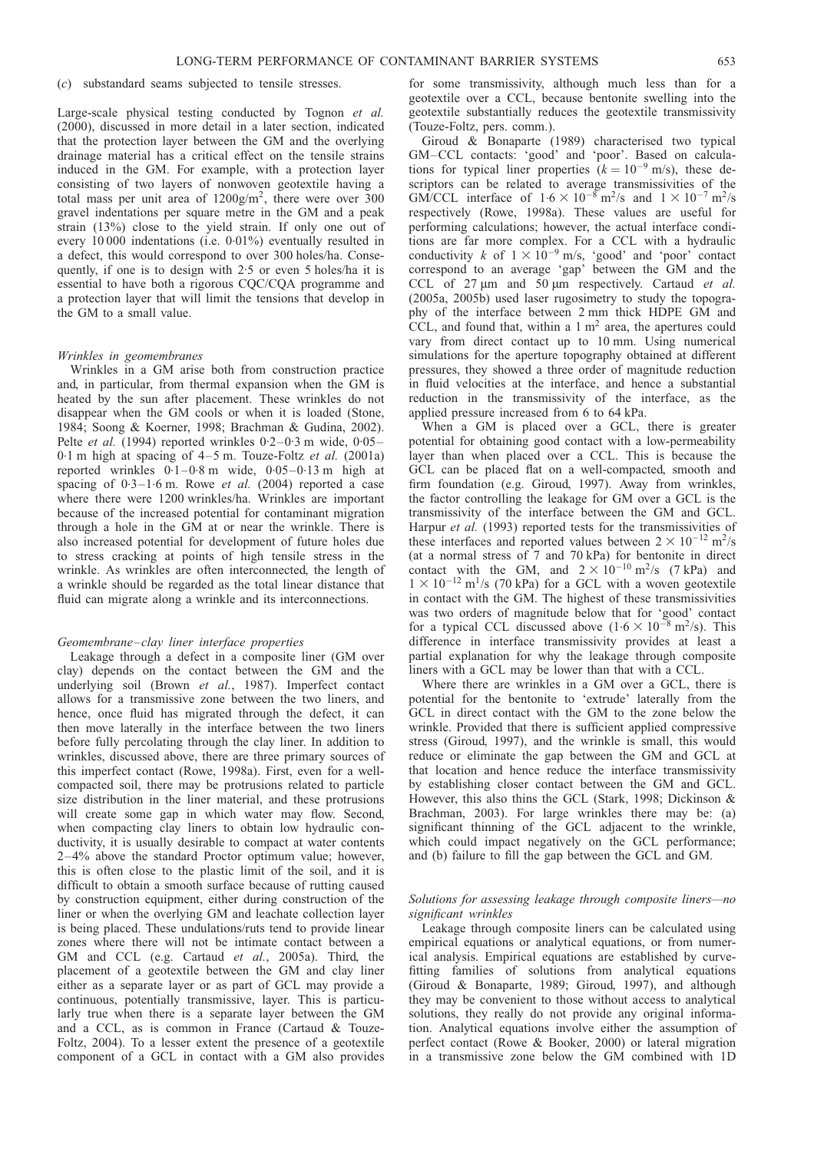## (c) substandard seams subjected to tensile stresses.

Large-scale physical testing conducted by [Tognon](#page-46-0) et al. [\(2000\)](#page-46-0), discussed in more detail in a later section, indicated that the protection layer between the GM and the overlying drainage material has a critical effect on the tensile strains induced in the GM. For example, with a protection layer consisting of two layers of nonwoven geotextile having a total mass per unit area of  $1200g/m^2$ , there were over 300 gravel indentations per square metre in the GM and a peak strain (13%) close to the yield strain. If only one out of every 10 000 indentations (i.e. 0.01%) eventually resulted in a defect, this would correspond to over 300 holes/ha. Consequently, if one is to design with 2.5 or even 5 holes/ha it is essential to have both a rigorous CQC/CQA programme and a protection layer that will limit the tensions that develop in the GM to a small value.

#### Wrinkles in geomembranes

Wrinkles in a GM arise both from construction practice and, in particular, from thermal expansion when the GM is heated by the sun after placement. These wrinkles do not disappear when the GM cools or when it is loaded [\(Stone,](#page-46-0) [1984; Soong & Koerner, 1998;](#page-46-0) [Brachman & Gudina, 2002\)](#page-43-0). Pelte et al. [\(1994\)](#page-45-0) reported wrinkles 0.2–0.3 m wide, 0.05– 0.1 m high at spacing of  $4-5$  m. [Touze-Foltz](#page-46-0) et al. (2001a) reported wrinkles 0.1–0.8 m wide, 0.05–0.13 m high at spacing of  $0.3-1.6$  m. Rowe et al. [\(2004\)](#page-45-0) reported a case where there were 1200 wrinkles/ha. Wrinkles are important because of the increased potential for contaminant migration through a hole in the GM at or near the wrinkle. There is also increased potential for development of future holes due to stress cracking at points of high tensile stress in the wrinkle. As wrinkles are often interconnected, the length of a wrinkle should be regarded as the total linear distance that fluid can migrate along a wrinkle and its interconnections.

#### Geomembrane–clay liner interface properties

Leakage through a defect in a composite liner (GM over clay) depends on the contact between the GM and the underlying soil (Brown et al.[, 1987\)](#page-43-0). Imperfect contact allows for a transmissive zone between the two liners, and hence, once fluid has migrated through the defect, it can then move laterally in the interface between the two liners before fully percolating through the clay liner. In addition to wrinkles, discussed above, there are three primary sources of this imperfect contact [\(Rowe, 1998a\)](#page-45-0). First, even for a wellcompacted soil, there may be protrusions related to particle size distribution in the liner material, and these protrusions will create some gap in which water may flow. Second, when compacting clay liners to obtain low hydraulic conductivity, it is usually desirable to compact at water contents 2–4% above the standard Proctor optimum value; however, this is often close to the plastic limit of the soil, and it is difficult to obtain a smooth surface because of rutting caused by construction equipment, either during construction of the liner or when the overlying GM and leachate collection layer is being placed. These undulations/ruts tend to provide linear zones where there will not be intimate contact between a GM and CCL (e.g. Cartaud et al.[, 2005a\)](#page-43-0). Third, the placement of a geotextile between the GM and clay liner either as a separate layer or as part of GCL may provide a continuous, potentially transmissive, layer. This is particularly true when there is a separate layer between the GM and a CCL, as is common in France [\(Cartaud & Touze-](#page-43-0)[Foltz, 2004\)](#page-43-0). To a lesser extent the presence of a geotextile component of a GCL in contact with a GM also provides

for some transmissivity, although much less than for a geotextile over a CCL, because bentonite swelling into the geotextile substantially reduces the geotextile transmissivity (Touze-Foltz, pers. comm.).

[Giroud & Bonaparte \(1989\)](#page-44-0) characterised two typical GM–CCL contacts: 'good' and 'poor'. Based on calculations for typical liner properties  $(k = 10^{-9} \text{ m/s})$ , these descriptors can be related to average transmissivities of the GM/CCL interface of  $1.6 \times 10^{-8}$  m<sup>2</sup>/s and  $1 \times 10^{-7}$  m<sup>2</sup>/s respectively [\(Rowe, 1998a\)](#page-45-0). These values are useful for performing calculations; however, the actual interface conditions are far more complex. For a CCL with a hydraulic conductivity k of  $1 \times 10^{-9}$  m/s, 'good' and 'poor' contact correspond to an average 'gap' between the GM and the CCL of  $27 \mu m$  and  $50 \mu m$  respectively. [Cartaud](#page-43-0) *et al.* [\(2005a,](#page-43-0) 2005b) used laser rugosimetry to study the topography of the interface between 2 mm thick HDPE GM and CCL, and found that, within a  $1 \text{ m}^2$  area, the apertures could vary from direct contact up to 10 mm. Using numerical simulations for the aperture topography obtained at different pressures, they showed a three order of magnitude reduction in fluid velocities at the interface, and hence a substantial reduction in the transmissivity of the interface, as the applied pressure increased from 6 to 64 kPa.

When a GM is placed over a GCL, there is greater potential for obtaining good contact with a low-permeability layer than when placed over a CCL. This is because the GCL can be placed flat on a well-compacted, smooth and firm foundation (e.g. [Giroud, 1997\).](#page-44-0) Away from wrinkles, the factor controlling the leakage for GM over a GCL is the transmissivity of the interface between the GM and GCL. [Harpur](#page-44-0) et al. (1993) reported tests for the transmissivities of these interfaces and reported values between  $2 \times 10^{-12}$  m<sup>2</sup>/s (at a normal stress of 7 and 70 kPa) for bentonite in direct contact with the GM, and  $2 \times 10^{-10}$  m<sup>2</sup>/s (7 kPa) and  $1 \times 10^{-12}$  m<sup>1</sup>/s (70 kPa) for a GCL with a woven geotextile in contact with the GM. The highest of these transmissivities was two orders of magnitude below that for 'good' contact for a typical CCL discussed above  $(1.6 \times 10^{-8} \text{ m}^2/\text{s})$ . This difference in interface transmissivity provides at least a partial explanation for why the leakage through composite liners with a GCL may be lower than that with a CCL.

Where there are wrinkles in a GM over a GCL, there is potential for the bentonite to 'extrude' laterally from the GCL in direct contact with the GM to the zone below the wrinkle. Provided that there is sufficient applied compressive stress [\(Giroud, 1997\),](#page-44-0) and the wrinkle is small, this would reduce or eliminate the gap between the GM and GCL at that location and hence reduce the interface transmissivity by establishing closer contact between the GM and GCL. However, this also thins the GCL [\(Stark, 1998;](#page-46-0) [Dickinson &](#page-44-0) [Brachman, 2003\).](#page-44-0) For large wrinkles there may be: (a) significant thinning of the GCL adjacent to the wrinkle, which could impact negatively on the GCL performance; and (b) failure to fill the gap between the GCL and GM.

## Solutions for assessing leakage through composite liners—no significant wrinkles

Leakage through composite liners can be calculated using empirical equations or analytical equations, or from numerical analysis. Empirical equations are established by curvefitting families of solutions from analytical equations [\(Giroud & Bonaparte, 1989; Giroud, 1997\)](#page-44-0), and although they may be convenient to those without access to analytical solutions, they really do not provide any original information. Analytical equations involve either the assumption of perfect contact [\(Rowe & Booker, 2000\)](#page-45-0) or lateral migration in a transmissive zone below the GM combined with 1D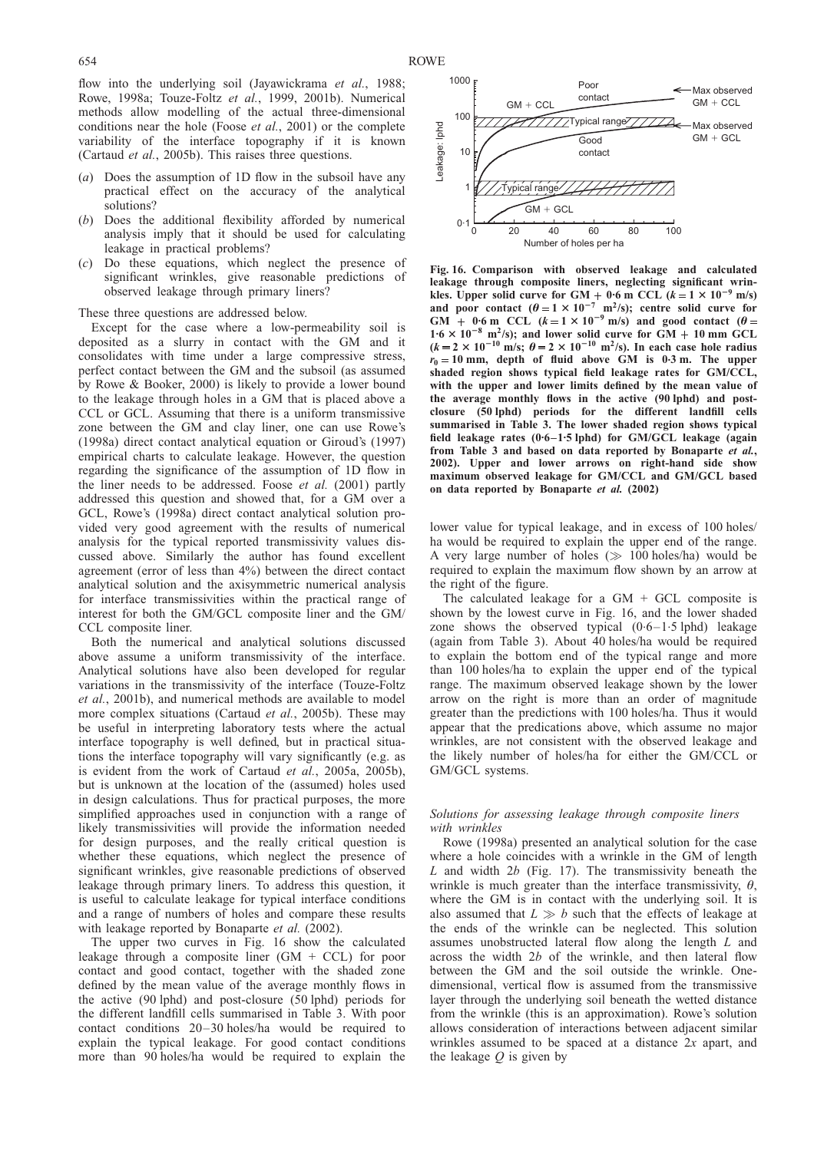<span id="page-23-0"></span>flow into the underlying soil [\(Jayawickrama](#page-44-0) et al., 1988; [Rowe, 1998a; Touze-Foltz](#page-46-0) et al., 1999, 2001b). Numerical methods allow modelling of the actual three-dimensional conditions near the hole (Foose et al.[, 2001\)](#page-44-0) or the complete variability of the interface topography if it is known [\(Cartaud](#page-43-0) et al., 2005b). This raises three questions.

- (a) Does the assumption of 1D flow in the subsoil have any practical effect on the accuracy of the analytical solutions?
- (b) Does the additional flexibility afforded by numerical analysis imply that it should be used for calculating leakage in practical problems?
- (c) Do these equations, which neglect the presence of significant wrinkles, give reasonable predictions of observed leakage through primary liners?

#### These three questions are addressed below.

Except for the case where a low-permeability soil is deposited as a slurry in contact with the GM and it consolidates with time under a large compressive stress, perfect contact between the GM and the subsoil (as assumed by [Rowe & Booker, 2000\)](#page-45-0) is likely to provide a lower bound to the leakage through holes in a GM that is placed above a CCL or GCL. Assuming that there is a uniform transmissive zone between the GM and clay liner, one can use [Rowe's](#page-45-0) [\(1998a\)](#page-45-0) direct contact analytical equation or [Giroud's \(1997\)](#page-44-0) empirical charts to calculate leakage. However, the question regarding the significance of the assumption of 1D flow in the liner needs to be addressed. [Foose](#page-44-0) et al. (2001) partly addressed this question and showed that, for a GM over a GCL, [Rowe's \(1998a\)](#page-45-0) direct contact analytical solution provided very good agreement with the results of numerical analysis for the typical reported transmissivity values discussed above. Similarly the author has found excellent agreement (error of less than 4%) between the direct contact analytical solution and the axisymmetric numerical analysis for interface transmissivities within the practical range of interest for both the GM/GCL composite liner and the GM/ CCL composite liner.

Both the numerical and analytical solutions discussed above assume a uniform transmissivity of the interface. Analytical solutions have also been developed for regular variations in the transmissivity of the interface [\(Touze-Foltz](#page-46-0) et al.[, 2001b\),](#page-46-0) and numerical methods are available to model more complex situations [\(Cartaud](#page-43-0) *et al.*, 2005b). These may be useful in interpreting laboratory tests where the actual interface topography is well defined, but in practical situations the interface topography will vary significantly (e.g. as is evident from the work of [Cartaud](#page-43-0) et al., 2005a, [2005b\),](#page-43-0) but is unknown at the location of the (assumed) holes used in design calculations. Thus for practical purposes, the more simplified approaches used in conjunction with a range of likely transmissivities will provide the information needed for design purposes, and the really critical question is whether these equations, which neglect the presence of significant wrinkles, give reasonable predictions of observed leakage through primary liners. To address this question, it is useful to calculate leakage for typical interface conditions and a range of numbers of holes and compare these results with leakage reported by [Bonaparte](#page-43-0) et al. (2002).

The upper two curves in Fig. 16 show the calculated leakage through a composite liner  $(GM + CCL)$  for poor contact and good contact, together with the shaded zone defined by the mean value of the average monthly flows in the active (90 lphd) and post-closure (50 lphd) periods for the different landfill cells summarised in Table [3.](#page-20-0) With poor contact conditions 20–30 holes/ha would be required to explain the typical leakage. For good contact conditions more than 90 holes/ha would be required to explain the



Fig. 16. Comparison with observed leakage and calculated leakage through composite liners, neglecting significant wrinkles. Upper solid curve for  $GM + 0.6$  m CCL  $(k = 1 \times 10^{-9}$  m/s) and poor contact  $(\theta = 1 \times 10^{-7} \text{ m}^2/\text{s})$ ; centre solid curve for GM + 0.6 m CCL  $(k=1 \times 10^{-9} \text{ m/s})$  and good contact  $(\theta$  $1.6 \times 10^{-8}$  m<sup>2</sup>/s); and lower solid curve for GM + 10 mm GCL  $(k = 2 \times 10^{-10} \text{ m/s}; \theta = 2 \times 10^{-10} \text{ m}^2/\text{s})$ . In each case hole radius  $r_0 = 10$  mm, depth of fluid above GM is 0.3 m. The upper shaded region shows typical field leakage rates for GM/CCL, with the upper and lower limits defined by the mean value of the average monthly flows in the active (90 lphd) and postclosure (50 lphd) periods for the different landfill cells summarised in Table [3.](#page-20-0) The lower shaded region shows typical field leakage rates (0.6–1.5 lphd) for GM/GCL leakage (again from Table [3 a](#page-20-0)nd based on data reported by [Bonaparte](#page-43-0) et al., [2002\)](#page-43-0). Upper and lower arrows on right-hand side show maximum observed leakage for GM/CCL and GM/GCL based on data reported by [Bonaparte](#page-43-0) et al. (2002)

lower value for typical leakage, and in excess of 100 holes/ ha would be required to explain the upper end of the range. A very large number of holes  $(\gg 100 \text{ holes/ha})$  would be required to explain the maximum flow shown by an arrow at the right of the figure.

The calculated leakage for a  $GM + GCL$  composite is shown by the lowest curve in Fig. 16, and the lower shaded zone shows the observed typical  $(0.6-1.5 \text{ lphd})$  leakage (again from Table [3\)](#page-20-0). About 40 holes/ha would be required to explain the bottom end of the typical range and more than 100 holes/ha to explain the upper end of the typical range. The maximum observed leakage shown by the lower arrow on the right is more than an order of magnitude greater than the predictions with 100 holes/ha. Thus it would appear that the predications above, which assume no major wrinkles, are not consistent with the observed leakage and the likely number of holes/ha for either the GM/CCL or GM/GCL systems.

## Solutions for assessing leakage through composite liners with wrinkles

[Rowe \(1998a\)](#page-45-0) presented an analytical solution for the case where a hole coincides with a wrinkle in the GM of length  $L$  and width  $2b$  (Fig. [17\)](#page-24-0). The transmissivity beneath the wrinkle is much greater than the interface transmissivity,  $\theta$ , where the GM is in contact with the underlying soil. It is also assumed that  $L \gg b$  such that the effects of leakage at the ends of the wrinkle can be neglected. This solution assumes unobstructed lateral flow along the length L and across the width 2b of the wrinkle, and then lateral flow between the GM and the soil outside the wrinkle. Onedimensional, vertical flow is assumed from the transmissive layer through the underlying soil beneath the wetted distance from the wrinkle (this is an approximation). Rowe's solution allows consideration of interactions between adjacent similar wrinkles assumed to be spaced at a distance 2x apart, and the leakage  $Q$  is given by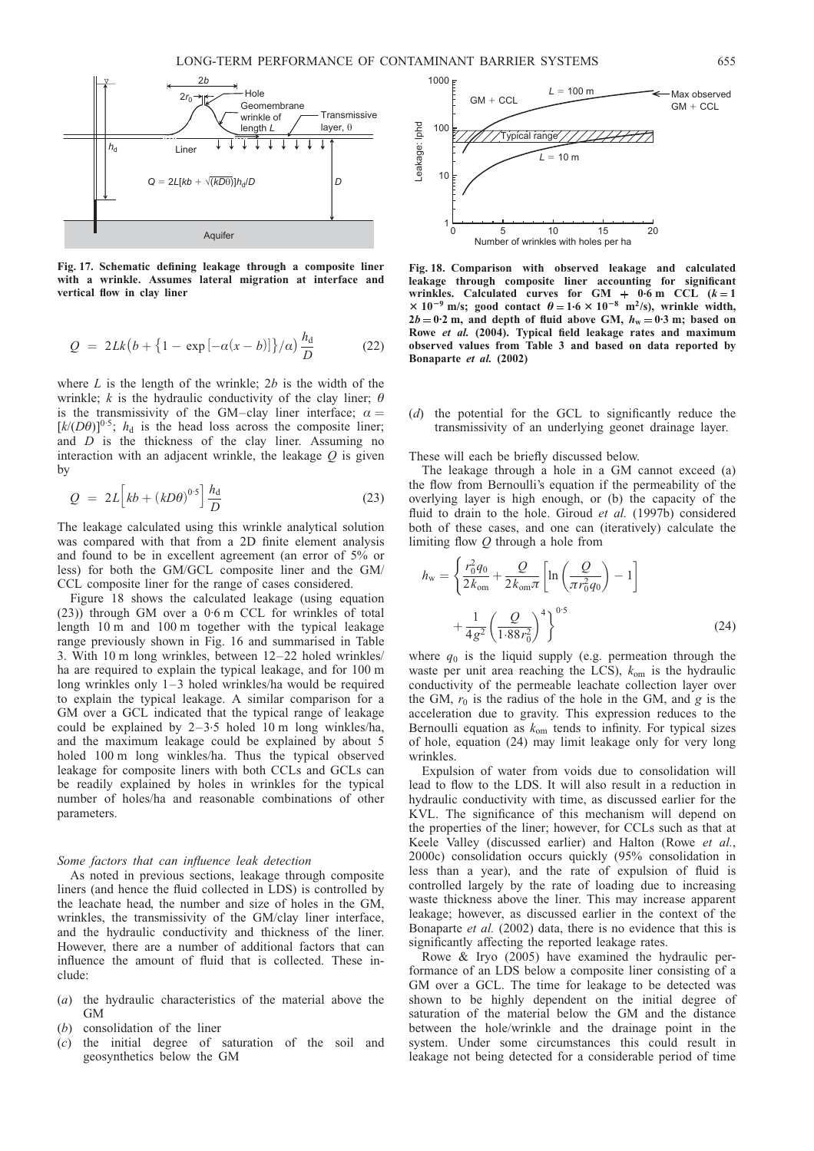<span id="page-24-0"></span>

Fig. 17. Schematic defining leakage through a composite liner with a wrinkle. Assumes lateral migration at interface and vertical flow in clay liner

$$
Q = 2Lk(b + \{1 - \exp[-\alpha(x - b)]\}/a)\frac{h_d}{D}
$$
 (22)

where  $L$  is the length of the wrinkle;  $2b$  is the width of the wrinkle; k is the hydraulic conductivity of the clay liner;  $\theta$ is the transmissivity of the GM–clay liner interface;  $\alpha =$  $[k/(D\theta)]^{0.5}$ ;  $h_d$  is the head loss across the composite liner; and  $D$  is the thickness of the clay liner. Assuming no interaction with an adjacent wrinkle, the leakage  $Q$  is given by

$$
Q = 2L \left[ kb + (kD\theta)^{0.5} \right] \frac{h_d}{D}
$$
 (23)

The leakage calculated using this wrinkle analytical solution was compared with that from a 2D finite element analysis and found to be in excellent agreement (an error of 5% or less) for both the GM/GCL composite liner and the GM/ CCL composite liner for the range of cases considered.

Figure 18 shows the calculated leakage (using equation (23)) through GM over a 0. 6 m CCL for wrinkles of total length 10 m and 100 m together with the typical leakage range previously shown in Fig. [16](#page-23-0) and summarised in Table [3.](#page-20-0) With 10 m long wrinkles, between 12–22 holed wrinkles/ ha are required to explain the typical leakage, and for 100 m long wrinkles only 1–3 holed wrinkles/ha would be required to explain the typical leakage. A similar comparison for a GM over a GCL indicated that the typical range of leakage could be explained by 2–3.5 holed 10 m long winkles/ha, and the maximum leakage could be explained by about 5 holed 100 m long winkles/ha. Thus the typical observed leakage for composite liners with both CCLs and GCLs can be readily explained by holes in wrinkles for the typical number of holes/ha and reasonable combinations of other parameters.

## Some factors that can influence leak detection

As noted in previous sections, leakage through composite liners (and hence the fluid collected in LDS) is controlled by the leachate head, the number and size of holes in the GM, wrinkles, the transmissivity of the GM/clay liner interface, and the hydraulic conductivity and thickness of the liner. However, there are a number of additional factors that can influence the amount of fluid that is collected. These include:

- (a) the hydraulic characteristics of the material above the GM
- (b) consolidation of the liner
- (c) the initial degree of saturation of the soil and geosynthetics below the GM



Fig. 18. Comparison with observed leakage and calculated leakage through composite liner accounting for significant wrinkles. Calculated curves for  $GM + 0.6$  m CCL  $(k = 1)$  $\times$  10<sup>-9</sup> m/s; good contact  $\theta = 1.6 \times 10^{-8}$  m<sup>2</sup>/s), wrinkle width,  $2b = 0.2$  m, and depth of fluid above GM,  $h_w = 0.3$  m; based on Rowe et al. [\(2004\)](#page-45-0). Typical field leakage rates and maximum observed values from Table [3](#page-20-0) and based on data reported by [Bonaparte](#page-43-0) et al. (2002)

(d) the potential for the GCL to significantly reduce the transmissivity of an underlying geonet drainage layer.

These will each be briefly discussed below.

The leakage through a hole in a GM cannot exceed (a) the flow from Bernoulli's equation if the permeability of the overlying layer is high enough, or (b) the capacity of the fluid to drain to the hole. Giroud et al. [\(1997b\)](#page-44-0) considered both of these cases, and one can (iteratively) calculate the limiting flow Q through a hole from

$$
h_{\rm w} = \left\{ \frac{r_0^2 q_0}{2k_{\rm om}} + \frac{Q}{2k_{\rm om}\pi} \left[ \ln \left( \frac{Q}{\pi r_0^2 q_0} \right) - 1 \right] + \frac{1}{4g^2} \left( \frac{Q}{1.88r_0^2} \right)^4 \right\}^{0.5}
$$
(24)

where  $q_0$  is the liquid supply (e.g. permeation through the waste per unit area reaching the LCS),  $k_{\text{om}}$  is the hydraulic conductivity of the permeable leachate collection layer over the GM,  $r_0$  is the radius of the hole in the GM, and g is the acceleration due to gravity. This expression reduces to the Bernoulli equation as  $k_{\text{om}}$  tends to infinity. For typical sizes of hole, equation (24) may limit leakage only for very long wrinkles.

Expulsion of water from voids due to consolidation will lead to flow to the LDS. It will also result in a reduction in hydraulic conductivity with time, as discussed earlier for the KVL. The significance of this mechanism will depend on the properties of the liner; however, for CCLs such as that at Keele Valley (discussed earlier) and Halton [\(Rowe](#page-45-0) et al., [2000c\)](#page-45-0) consolidation occurs quickly (95% consolidation in less than a year), and the rate of expulsion of fluid is controlled largely by the rate of loading due to increasing waste thickness above the liner. This may increase apparent leakage; however, as discussed earlier in the context of the [Bonaparte](#page-43-0) et al. (2002) data, there is no evidence that this is significantly affecting the reported leakage rates.

[Rowe & Iryo \(2005\)](#page-45-0) have examined the hydraulic performance of an LDS below a composite liner consisting of a GM over a GCL. The time for leakage to be detected was shown to be highly dependent on the initial degree of saturation of the material below the GM and the distance between the hole/wrinkle and the drainage point in the system. Under some circumstances this could result in leakage not being detected for a considerable period of time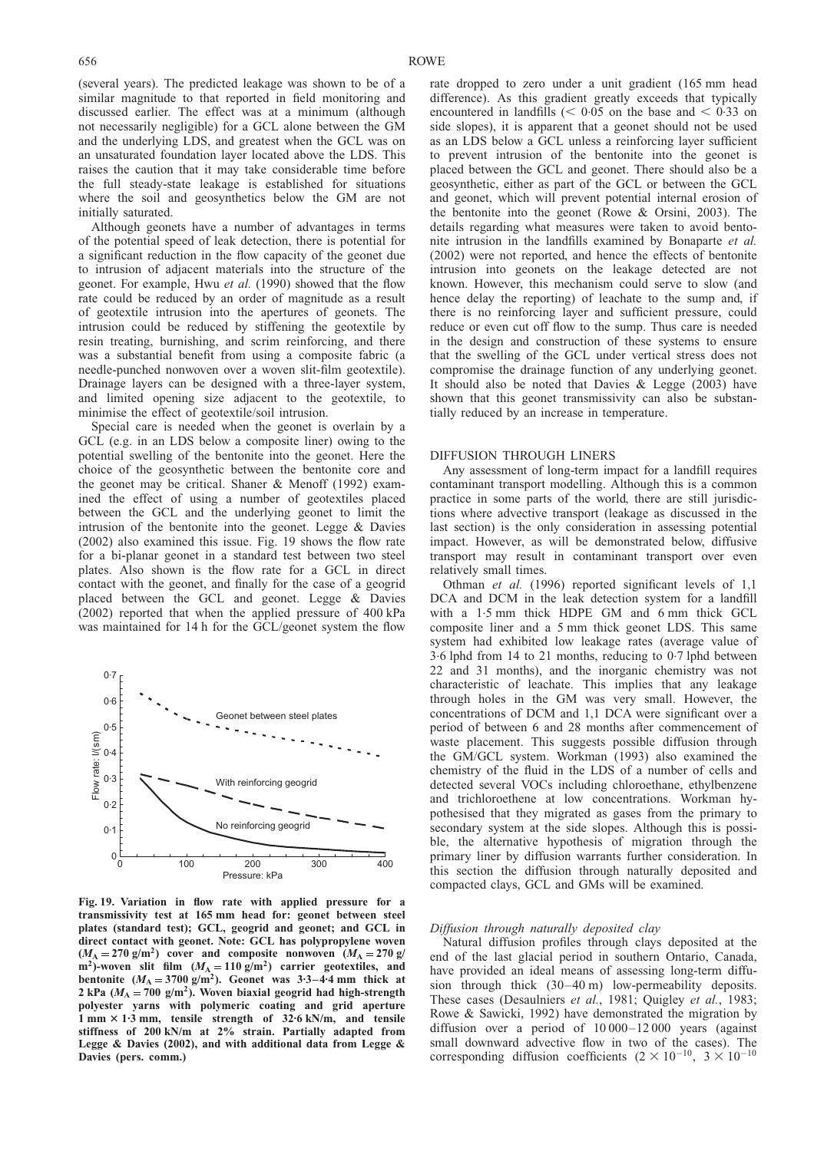(several years). The predicted leakage was shown to be of a similar magnitude to that reported in field monitoring and discussed earlier. The effect was at a minimum (although not necessarily negligible) for a GCL alone between the GM and the underlying LDS, and greatest when the GCL was on an unsaturated foundation layer located above the LDS. This raises the caution that it may take considerable time before the full steady-state leakage is established for situations where the soil and geosynthetics below the GM are not initially saturated.

Although geonets have a number of advantages in terms of the potential speed of leak detection, there is potential for a significant reduction in the flow capacity of the geonet due to intrusion of adjacent materials into the structure of the geonet. For example, Hwu et al. [\(1990\)](#page-44-0) showed that the flow rate could be reduced by an order of magnitude as a result of geotextile intrusion into the apertures of geonets. The intrusion could be reduced by stiffening the geotextile by resin treating, burnishing, and scrim reinforcing, and there was a substantial benefit from using a composite fabric (a needle-punched nonwoven over a woven slit-film geotextile). Drainage layers can be designed with a three-layer system, and limited opening size adjacent to the geotextile, to minimise the effect of geotextile/soil intrusion.

Special care is needed when the geonet is overlain by a GCL (e.g. in an LDS below a composite liner) owing to the potential swelling of the bentonite into the geonet. Here the choice of the geosynthetic between the bentonite core and the geonet may be critical. [Shaner & Menoff \(1992\)](#page-46-0) examined the effect of using a number of geotextiles placed between the GCL and the underlying geonet to limit the intrusion of the bentonite into the geonet. [Legge & Davies](#page-44-0) [\(2002\)](#page-44-0) also examined this issue. Fig. 19 shows the flow rate for a bi-planar geonet in a standard test between two steel plates. Also shown is the flow rate for a GCL in direct contact with the geonet, and finally for the case of a geogrid placed between the GCL and geonet. [Legge & Davies](#page-44-0) [\(2002\)](#page-44-0) reported that when the applied pressure of 400 kPa was maintained for 14 h for the GCL/geonet system the flow



Fig. 19. Variation in flow rate with applied pressure for a transmissivity test at 165 mm head for: geonet between steel plates (standard test); GCL, geogrid and geonet; and GCL in direct contact with geonet. Note: GCL has polypropylene woven  $(M_A = 270 \text{ g/m}^2)$  cover and composite nonwoven  $(M_A = 270 \text{ g/m}^2)$ m<sup>2</sup>)-woven slit film  $(M_A = 110 \text{ g/m}^2)$  carrier geotextiles, and bentonite  $(M_A = 3700 \text{ g/m}^2)$ . Geonet was 3.3-4.4 mm thick at 2 kPa ( $M_A = 700$  g/m<sup>2</sup>). Woven biaxial geogrid had high-strength polyester yarns with polymeric coating and grid aperture 1 mm 3 1. 3 mm, tensile strength of 32. 6 kN/m, and tensile stiffness of 200 kN/m at 2% strain. Partially adapted from [Legge & Davies \(2002\)](#page-44-0), and with additional data from Legge & Davies (pers. comm.)

rate dropped to zero under a unit gradient (165 mm head difference). As this gradient greatly exceeds that typically encountered in landfills ( $< 0.05$  on the base and  $< 0.33$  on side slopes), it is apparent that a geonet should not be used as an LDS below a GCL unless a reinforcing layer sufficient to prevent intrusion of the bentonite into the geonet is placed between the GCL and geonet. There should also be a geosynthetic, either as part of the GCL or between the GCL and geonet, which will prevent potential internal erosion of the bentonite into the geonet [\(Rowe & Orsini, 2003\)](#page-45-0). The details regarding what measures were taken to avoid bentonite intrusion in the landfills examined by [Bonaparte](#page-43-0) et al. [\(2002\)](#page-43-0) were not reported, and hence the effects of bentonite intrusion into geonets on the leakage detected are not known. However, this mechanism could serve to slow (and hence delay the reporting) of leachate to the sump and, if there is no reinforcing layer and sufficient pressure, could reduce or even cut off flow to the sump. Thus care is needed in the design and construction of these systems to ensure that the swelling of the GCL under vertical stress does not compromise the drainage function of any underlying geonet. It should also be noted that [Davies & Legge \(2003\)](#page-44-0) have shown that this geonet transmissivity can also be substantially reduced by an increase in temperature.

#### DIFFUSION THROUGH LINERS

Any assessment of long-term impact for a landfill requires contaminant transport modelling. Although this is a common practice in some parts of the world, there are still jurisdictions where advective transport (leakage as discussed in the last section) is the only consideration in assessing potential impact. However, as will be demonstrated below, diffusive transport may result in contaminant transport over even relatively small times.

[Othman](#page-45-0) et al. (1996) reported significant levels of 1,1 DCA and DCM in the leak detection system for a landfill with a 1.5 mm thick HDPE GM and 6 mm thick GCL composite liner and a 5 mm thick geonet LDS. This same system had exhibited low leakage rates (average value of 3.6 lphd from 14 to 21 months, reducing to 0.7 lphd between 22 and 31 months), and the inorganic chemistry was not characteristic of leachate. This implies that any leakage through holes in the GM was very small. However, the concentrations of DCM and 1,1 DCA were significant over a period of between 6 and 28 months after commencement of waste placement. This suggests possible diffusion through the GM/GCL system. [Workman \(1993\)](#page-46-0) also examined the chemistry of the fluid in the LDS of a number of cells and detected several VOCs including chloroethane, ethylbenzene and trichloroethene at low concentrations. Workman hypothesised that they migrated as gases from the primary to secondary system at the side slopes. Although this is possible, the alternative hypothesis of migration through the primary liner by diffusion warrants further consideration. In this section the diffusion through naturally deposited and compacted clays, GCL and GMs will be examined.

#### Diffusion through naturally deposited clay

Natural diffusion profiles through clays deposited at the end of the last glacial period in southern Ontario, Canada, have provided an ideal means of assessing long-term diffusion through thick (30–40 m) low-permeability deposits. These cases [\(Desaulniers](#page-44-0) *et al.*, 1981; [Quigley](#page-45-0) *et al.*, 1983; [Rowe & Sawicki, 1992\)](#page-45-0) have demonstrated the migration by diffusion over a period of  $10\,000 - 12\,000$  years (against small downward advective flow in two of the cases). The corresponding diffusion coefficients ( $2 \times 10^{-10}$ ,  $3 \times 10^{-10}$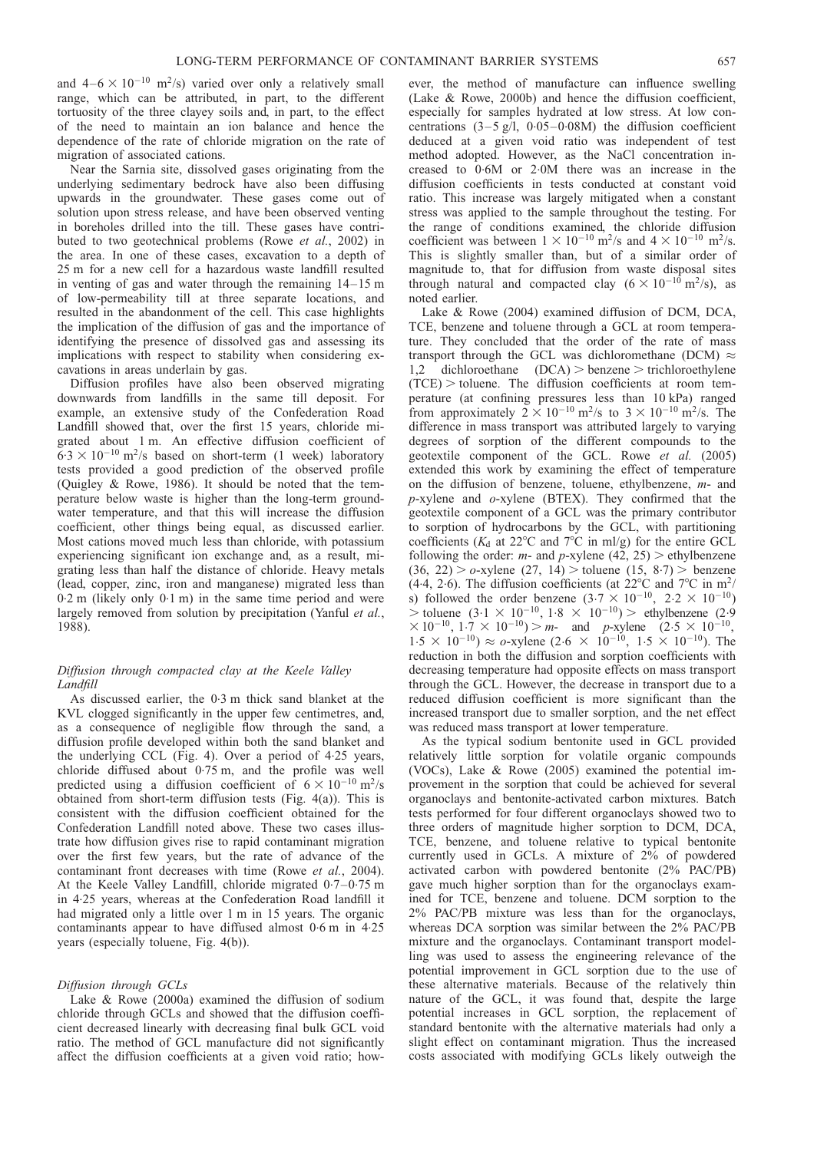and  $4-6 \times 10^{-10}$  m<sup>2</sup>/s) varied over only a relatively small range, which can be attributed, in part, to the different tortuosity of the three clayey soils and, in part, to the effect of the need to maintain an ion balance and hence the dependence of the rate of chloride migration on the rate of migration of associated cations.

Near the Sarnia site, dissolved gases originating from the underlying sedimentary bedrock have also been diffusing upwards in the groundwater. These gases come out of solution upon stress release, and have been observed venting in boreholes drilled into the till. These gases have contributed to two geotechnical problems (Rowe et al.[, 2002\)](#page-45-0) in the area. In one of these cases, excavation to a depth of 25 m for a new cell for a hazardous waste landfill resulted in venting of gas and water through the remaining 14–15 m of low-permeability till at three separate locations, and resulted in the abandonment of the cell. This case highlights the implication of the diffusion of gas and the importance of identifying the presence of dissolved gas and assessing its implications with respect to stability when considering excavations in areas underlain by gas.

Diffusion profiles have also been observed migrating downwards from landfills in the same till deposit. For example, an extensive study of the Confederation Road Landfill showed that, over the first 15 years, chloride migrated about 1 m. An effective diffusion coefficient of  $6.3 \times 10^{-10}$  m<sup>2</sup>/s based on short-term (1 week) laboratory tests provided a good prediction of the observed profile [\(Quigley & Rowe, 1986\)](#page-45-0). It should be noted that the temperature below waste is higher than the long-term groundwater temperature, and that this will increase the diffusion coefficient, other things being equal, as discussed earlier. Most cations moved much less than chloride, with potassium experiencing significant ion exchange and, as a result, migrating less than half the distance of chloride. Heavy metals (lead, copper, zinc, iron and manganese) migrated less than 0.2 m (likely only 0. 1 m) in the same time period and were largely removed from solution by precipitation [\(Yanful](#page-46-0) et al., [1988\).](#page-46-0)

## Diffusion through compacted clay at the Keele Valley Landfill

As discussed earlier, the 0.3 m thick sand blanket at the KVL clogged significantly in the upper few centimetres, and, as a consequence of negligible flow through the sand, a diffusion profile developed within both the sand blanket and the underlying CCL (Fig. [4\)](#page-8-0). Over a period of 4.25 years, chloride diffused about 0. 75 m, and the profile was well predicted using a diffusion coefficient of  $6 \times 10^{-10}$  m<sup>2</sup>/s obtained from short-term diffusion tests (Fig. [4\(](#page-8-0)a)). This is consistent with the diffusion coefficient obtained for the Confederation Landfill noted above. These two cases illustrate how diffusion gives rise to rapid contaminant migration over the first few years, but the rate of advance of the contaminant front decreases with time (Rowe et al.[, 2004\)](#page-46-0). At the Keele Valley Landfill, chloride migrated 0.7–0.75 m in 4.25 years, whereas at the Confederation Road landfill it had migrated only a little over 1 m in 15 years. The organic contaminants appear to have diffused almost 0.6 m in 4.25 years (especially toluene, Fig. [4\(](#page-8-0)b)).

## Diffusion through GCLs

[Lake & Rowe \(2000a\)](#page-44-0) examined the diffusion of sodium chloride through GCLs and showed that the diffusion coefficient decreased linearly with decreasing final bulk GCL void ratio. The method of GCL manufacture did not significantly affect the diffusion coefficients at a given void ratio; however, the method of manufacture can influence swelling [\(Lake & Rowe, 2000b\)](#page-44-0) and hence the diffusion coefficient, especially for samples hydrated at low stress. At low concentrations  $(3-5 \text{ g/l}, 0.05-0.08 \text{M})$  the diffusion coefficient deduced at a given void ratio was independent of test method adopted. However, as the NaCl concentration increased to  $0.6M$  or  $2.0M$  there was an increase in the diffusion coefficients in tests conducted at constant void ratio. This increase was largely mitigated when a constant stress was applied to the sample throughout the testing. For the range of conditions examined, the chloride diffusion coefficient was between  $1 \times 10^{-10}$  m<sup>2</sup>/s and  $4 \times 10^{-10}$  m<sup>2</sup>/s. This is slightly smaller than, but of a similar order of magnitude to, that for diffusion from waste disposal sites through natural and compacted clay  $(6 \times 10^{-10} \text{ m}^2/\text{s})$ , as noted earlier.

[Lake & Rowe \(2004\)](#page-44-0) examined diffusion of DCM, DCA, TCE, benzene and toluene through a GCL at room temperature. They concluded that the order of the rate of mass transport through the GCL was dichloromethane (DCM)  $\approx$ 1,2 dichloroethane  $(DCA)$  > benzene > trichloroethylene  $(TCE)$  > toluene. The diffusion coefficients at room temperature (at confining pressures less than 10 kPa) ranged from approximately  $2 \times 10^{-10}$  m<sup>2</sup>/s to  $3 \times 10^{-10}$  m<sup>2</sup>/s. The difference in mass transport was attributed largely to varying degrees of sorption of the different compounds to the geotextile component of the GCL. Rowe et al. [\(2005\)](#page-46-0) extended this work by examining the effect of temperature on the diffusion of benzene, toluene, ethylbenzene, m- and p-xylene and o-xylene (BTEX). They confirmed that the geotextile component of a GCL was the primary contributor to sorption of hydrocarbons by the GCL, with partitioning coefficients ( $K_d$  at 22°C and 7°C in ml/g) for the entire GCL following the order: *m*- and *p*-xylene (42, 25) > ethylbenzene  $(36, 22) > 0$ -xylene  $(27, 14) > 0$ toluene  $(15, 8.7) > 0$ enzene (4.4, 2.6). The diffusion coefficients (at  $22^{\circ}$ C and  $7^{\circ}$ C in m<sup>2</sup>/ s) followed the order benzene  $(3.7 \times 10^{-10}, 2.2 \times 10^{-10})$  $>$  toluene (3.1  $\times$  10<sup>-10</sup>, 1.8  $\times$  10<sup>-10</sup>) > ethylbenzene (2.9)  $\times 10^{-10}$ ,  $1.7 \times 10^{-10}$ ) > m- and p-xylene (2.5  $\times 10^{-10}$ ),  $1.5 \times 10^{-10}$ )  $\approx \text{o-xylene } (2.6 \times 10^{-10}, 1.5 \times 10^{-10})$ . The reduction in both the diffusion and sorption coefficients with decreasing temperature had opposite effects on mass transport through the GCL. However, the decrease in transport due to a reduced diffusion coefficient is more significant than the increased transport due to smaller sorption, and the net effect was reduced mass transport at lower temperature.

As the typical sodium bentonite used in GCL provided relatively little sorption for volatile organic compounds (VOCs), [Lake & Rowe \(2005\)](#page-44-0) examined the potential improvement in the sorption that could be achieved for several organoclays and bentonite-activated carbon mixtures. Batch tests performed for four different organoclays showed two to three orders of magnitude higher sorption to DCM, DCA, TCE, benzene, and toluene relative to typical bentonite currently used in GCLs. A mixture of 2% of powdered activated carbon with powdered bentonite (2% PAC/PB) gave much higher sorption than for the organoclays examined for TCE, benzene and toluene. DCM sorption to the 2% PAC/PB mixture was less than for the organoclays, whereas DCA sorption was similar between the 2% PAC/PB mixture and the organoclays. Contaminant transport modelling was used to assess the engineering relevance of the potential improvement in GCL sorption due to the use of these alternative materials. Because of the relatively thin nature of the GCL, it was found that, despite the large potential increases in GCL sorption, the replacement of standard bentonite with the alternative materials had only a slight effect on contaminant migration. Thus the increased costs associated with modifying GCLs likely outweigh the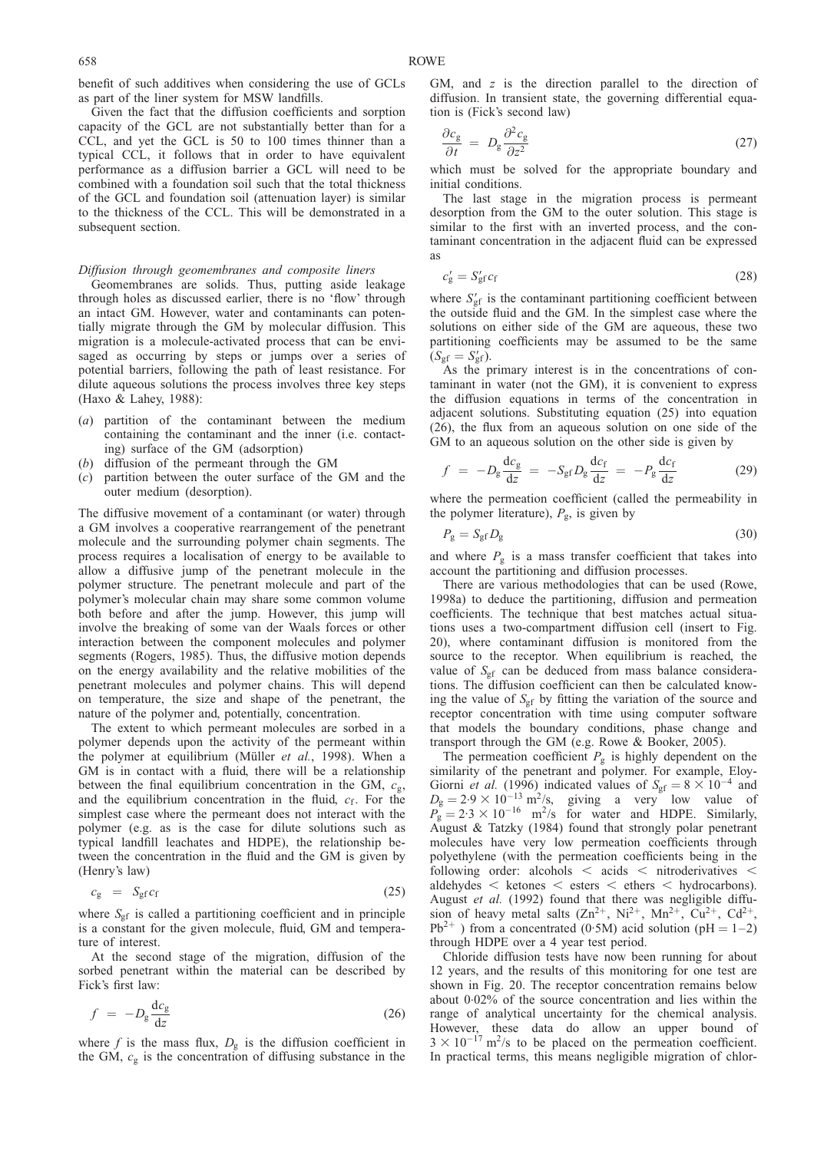benefit of such additives when considering the use of GCLs as part of the liner system for MSW landfills.

Given the fact that the diffusion coefficients and sorption capacity of the GCL are not substantially better than for a CCL, and yet the GCL is 50 to 100 times thinner than a typical CCL, it follows that in order to have equivalent performance as a diffusion barrier a GCL will need to be combined with a foundation soil such that the total thickness of the GCL and foundation soil (attenuation layer) is similar to the thickness of the CCL. This will be demonstrated in a subsequent section.

#### Diffusion through geomembranes and composite liners

Geomembranes are solids. Thus, putting aside leakage through holes as discussed earlier, there is no 'flow' through an intact GM. However, water and contaminants can potentially migrate through the GM by molecular diffusion. This migration is a molecule-activated process that can be envisaged as occurring by steps or jumps over a series of potential barriers, following the path of least resistance. For dilute aqueous solutions the process involves three key steps [\(Haxo & Lahey, 1988\)](#page-44-0):

- (a) partition of the contaminant between the medium containing the contaminant and the inner (i.e. contacting) surface of the GM (adsorption)
- (b) diffusion of the permeant through the GM
- (c) partition between the outer surface of the GM and the outer medium (desorption).

The diffusive movement of a contaminant (or water) through a GM involves a cooperative rearrangement of the penetrant molecule and the surrounding polymer chain segments. The process requires a localisation of energy to be available to allow a diffusive jump of the penetrant molecule in the polymer structure. The penetrant molecule and part of the polymer's molecular chain may share some common volume both before and after the jump. However, this jump will involve the breaking of some van der Waals forces or other interaction between the component molecules and polymer segments [\(Rogers, 1985\)](#page-45-0). Thus, the diffusive motion depends on the energy availability and the relative mobilities of the penetrant molecules and polymer chains. This will depend on temperature, the size and shape of the penetrant, the nature of the polymer and, potentially, concentration.

The extent to which permeant molecules are sorbed in a polymer depends upon the activity of the permeant within the polymer at equilibrium (Müller *et al.*[, 1998\).](#page-45-0) When a GM is in contact with a fluid, there will be a relationship between the final equilibrium concentration in the GM,  $c_{\rm g}$ , and the equilibrium concentration in the fluid,  $c_f$ . For the simplest case where the permeant does not interact with the polymer (e.g. as is the case for dilute solutions such as typical landfill leachates and HDPE), the relationship between the concentration in the fluid and the GM is given by (Henry's law)

$$
c_{g} = S_{gf} c_{f} \tag{25}
$$

where  $S_{\text{gf}}$  is called a partitioning coefficient and in principle is a constant for the given molecule, fluid, GM and temperature of interest.

At the second stage of the migration, diffusion of the sorbed penetrant within the material can be described by Fick's first law:

$$
f = -D_g \frac{dc_g}{dz} \tag{26}
$$

where f is the mass flux,  $D_{g}$  is the diffusion coefficient in the GM,  $c_{\rm g}$  is the concentration of diffusing substance in the

GM, and  $z$  is the direction parallel to the direction of diffusion. In transient state, the governing differential equation is (Fick's second law)

$$
\frac{\partial c_{\rm g}}{\partial t} = D_{\rm g} \frac{\partial^2 c_{\rm g}}{\partial z^2} \tag{27}
$$

which must be solved for the appropriate boundary and initial conditions.

The last stage in the migration process is permeant desorption from the GM to the outer solution. This stage is similar to the first with an inverted process, and the contaminant concentration in the adjacent fluid can be expressed as

$$
c'_{\rm g} = S'_{\rm gf} c_{\rm f} \tag{28}
$$

where  $S_{\text{gf}}'$  is the contaminant partitioning coefficient between the outside fluid and the GM. In the simplest case where the solutions on either side of the GM are aqueous, these two partitioning coefficients may be assumed to be the same  $(S_{\text{gf}} = S_{\text{gf}}^{\prime}).$ 

As the primary interest is in the concentrations of contaminant in water (not the GM), it is convenient to express the diffusion equations in terms of the concentration in adjacent solutions. Substituting equation (25) into equation (26), the flux from an aqueous solution on one side of the GM to an aqueous solution on the other side is given by

$$
f = -D_g \frac{dc_g}{dz} = -S_{gf} D_g \frac{dc_f}{dz} = -P_g \frac{dc_f}{dz}
$$
 (29)

where the permeation coefficient (called the permeability in the polymer literature),  $P_{\rm g}$ , is given by

$$
P_{\rm g} = S_{\rm gf} D_{\rm g} \tag{30}
$$

and where  $P_g$  is a mass transfer coefficient that takes into account the partitioning and diffusion processes.

There are various methodologies that can be used [\(Rowe,](#page-45-0) [1998a\)](#page-45-0) to deduce the partitioning, diffusion and permeation coefficients. The technique that best matches actual situations uses a two-compartment diffusion cell (insert to Fig. [20\),](#page-28-0) where contaminant diffusion is monitored from the source to the receptor. When equilibrium is reached, the value of  $S_{\text{gf}}$  can be deduced from mass balance considerations. The diffusion coefficient can then be calculated knowing the value of  $S_{\text{gf}}$  by fitting the variation of the source and receptor concentration with time using computer software that models the boundary conditions, phase change and transport through the GM (e.g. [Rowe & Booker, 2005\)](#page-45-0).

The permeation coefficient  $P_g$  is highly dependent on the similarity of the penetrant and polymer. For example, [Eloy-](#page-44-0)[Giorni](#page-44-0) *et al.* (1996) indicated values of  $S_{\text{gf}} = 8 \times 10^{-4}$  and  $D_g = 2.9 \times 10^{-13}$  m<sup>2</sup>/s, giving a very low value of  $P_{\rm g}^{\rm s} = 2.3 \times 10^{-16}$  m<sup>2</sup>/s for water and HDPE. Similarly, [August & Tatzky \(1984\)](#page-43-0) found that strongly polar penetrant molecules have very low permeation coefficients through polyethylene (with the permeation coefficients being in the following order: alcohols  $\lt$  acids  $\lt$  nitroderivatives  $\lt$ aldehydes  $\lt$  ketones  $\lt$  esters  $\lt$  ethers  $\lt$  hydrocarbons). [August](#page-43-0) et al. (1992) found that there was negligible diffusion of heavy metal salts  $(Zn^{2+}, Ni^{2+}, Mn^{2+}, Cu^{2+}, Cd^{2+},$  $Pb^{2+}$ ) from a concentrated (0.5M) acid solution (pH = 1–2) through HDPE over a 4 year test period.

Chloride diffusion tests have now been running for about 12 years, and the results of this monitoring for one test are shown in Fig. [20.](#page-28-0) The receptor concentration remains below about 0.02% of the source concentration and lies within the range of analytical uncertainty for the chemical analysis. However, these data do allow an upper bound of  $3 \times 10^{-17}$  m<sup>2</sup>/s to be placed on the permeation coefficient. In practical terms, this means negligible migration of chlor-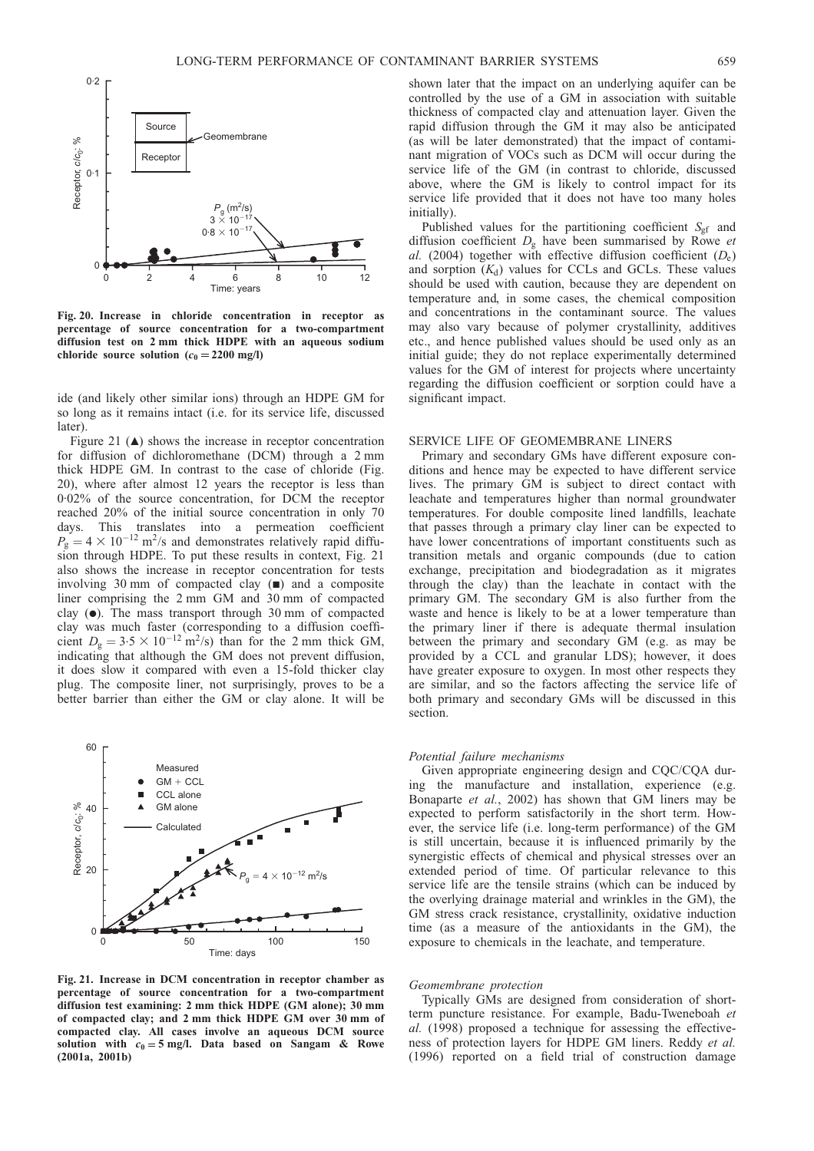<span id="page-28-0"></span>

Fig. 20. Increase in chloride concentration in receptor as percentage of source concentration for a two-compartment diffusion test on 2 mm thick HDPE with an aqueous sodium chloride source solution  $(c_0 = 2200 \text{ mg/l})$ 

ide (and likely other similar ions) through an HDPE GM for so long as it remains intact (i.e. for its service life, discussed later).

Figure 21  $(\triangle)$  shows the increase in receptor concentration for diffusion of dichloromethane (DCM) through a 2 mm thick HDPE GM. In contrast to the case of chloride (Fig. 20), where after almost 12 years the receptor is less than 0.02% of the source concentration, for DCM the receptor reached 20% of the initial source concentration in only 70 days. This translates into a permeation coefficient  $P_g = 4 \times 10^{-12}$  m<sup>2</sup>/s and demonstrates relatively rapid diffusion through HDPE. To put these results in context, Fig. 21 also shows the increase in receptor concentration for tests involving 30 mm of compacted clay  $(\blacksquare)$  and a composite liner comprising the 2 mm GM and 30 mm of compacted clay  $(\bullet)$ . The mass transport through 30 mm of compacted clay was much faster (corresponding to a diffusion coefficient  $D_g = 3.5 \times 10^{-12}$  m<sup>2</sup>/s) than for the 2 mm thick GM, indicating that although the GM does not prevent diffusion, it does slow it compared with even a 15-fold thicker clay plug. The composite liner, not surprisingly, proves to be a better barrier than either the GM or clay alone. It will be



Fig. 21. Increase in DCM concentration in receptor chamber as percentage of source concentration for a two-compartment diffusion test examining: 2 mm thick HDPE (GM alone); 30 mm of compacted clay; and 2 mm thick HDPE GM over 30 mm of compacted clay. All cases involve an aqueous DCM source solution with  $c_0 = 5$  mg/l. Data based on [Sangam & Rowe](#page-46-0) [\(2001a, 2001b\)](#page-46-0)

shown later that the impact on an underlying aquifer can be controlled by the use of a GM in association with suitable thickness of compacted clay and attenuation layer. Given the rapid diffusion through the GM it may also be anticipated (as will be later demonstrated) that the impact of contaminant migration of VOCs such as DCM will occur during the service life of the GM (in contrast to chloride, discussed above, where the GM is likely to control impact for its service life provided that it does not have too many holes initially).

Published values for the partitioning coefficient  $S_{\text{gf}}$  and diffusion coefficient  $D_{\varphi}$  have been summarised by [Rowe](#page-46-0) et al. [\(2004\)](#page-46-0) together with effective diffusion coefficient  $(D_e)$ and sorption  $(K_d)$  values for CCLs and GCLs. These values should be used with caution, because they are dependent on temperature and, in some cases, the chemical composition and concentrations in the contaminant source. The values may also vary because of polymer crystallinity, additives etc., and hence published values should be used only as an initial guide; they do not replace experimentally determined values for the GM of interest for projects where uncertainty regarding the diffusion coefficient or sorption could have a significant impact.

## SERVICE LIFE OF GEOMEMBRANE LINERS

Primary and secondary GMs have different exposure conditions and hence may be expected to have different service lives. The primary GM is subject to direct contact with leachate and temperatures higher than normal groundwater temperatures. For double composite lined landfills, leachate that passes through a primary clay liner can be expected to have lower concentrations of important constituents such as transition metals and organic compounds (due to cation exchange, precipitation and biodegradation as it migrates through the clay) than the leachate in contact with the primary GM. The secondary GM is also further from the waste and hence is likely to be at a lower temperature than the primary liner if there is adequate thermal insulation between the primary and secondary GM (e.g. as may be provided by a CCL and granular LDS); however, it does have greater exposure to oxygen. In most other respects they are similar, and so the factors affecting the service life of both primary and secondary GMs will be discussed in this section.

## Potential failure mechanisms

Given appropriate engineering design and CQC/CQA during the manufacture and installation, experience (e.g. [Bonaparte](#page-43-0) et al., 2002) has shown that GM liners may be expected to perform satisfactorily in the short term. However, the service life (i.e. long-term performance) of the GM is still uncertain, because it is influenced primarily by the synergistic effects of chemical and physical stresses over an extended period of time. Of particular relevance to this service life are the tensile strains (which can be induced by the overlying drainage material and wrinkles in the GM), the GM stress crack resistance, crystallinity, oxidative induction time (as a measure of the antioxidants in the GM), the exposure to chemicals in the leachate, and temperature.

#### Geomembrane protection

Typically GMs are designed from consideration of shortterm puncture resistance. For example, [Badu-Tweneboah](#page-43-0) et al.  $(1998)$  proposed a technique for assessing the effectiveness of protection layers for HDPE GM liners. [Reddy](#page-45-0) et al. [\(1996\)](#page-45-0) reported on a field trial of construction damage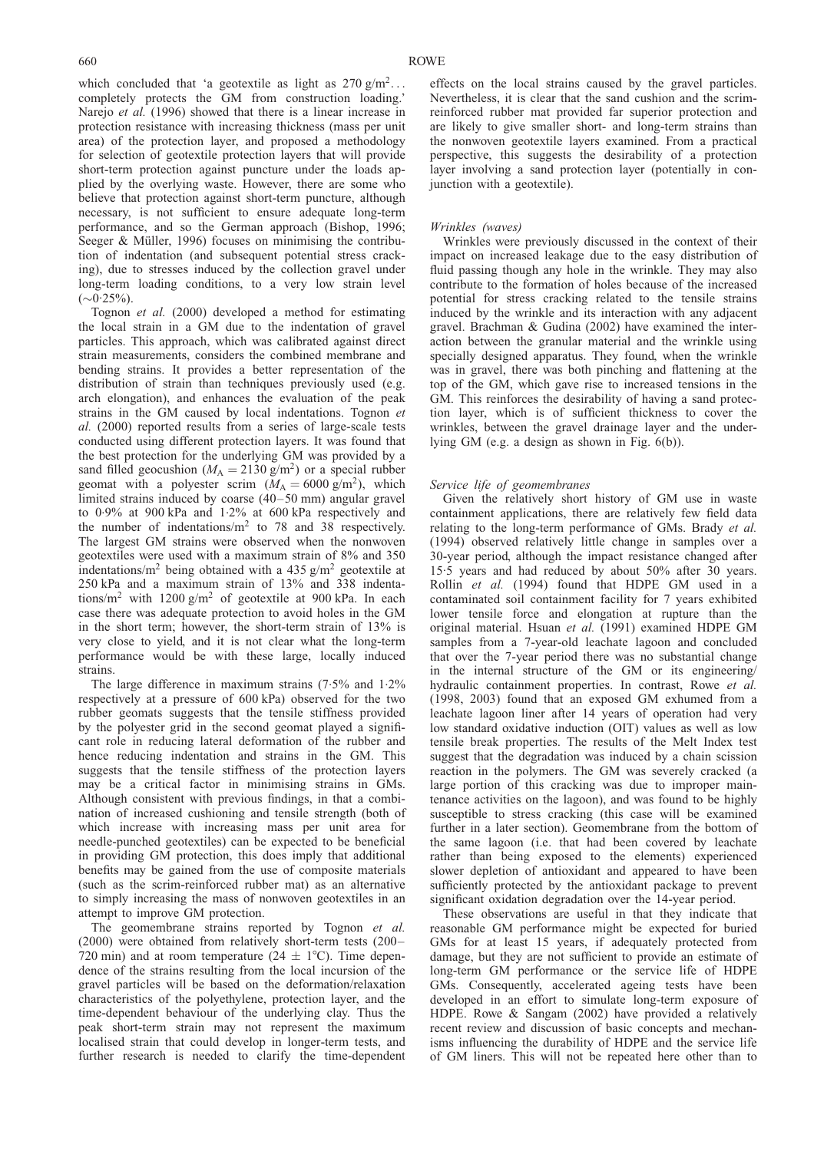which concluded that 'a geotextile as light as  $270 \text{ g/m}^2$ ... completely protects the GM from construction loading.' [Narejo](#page-45-0) *et al.* (1996) showed that there is a linear increase in protection resistance with increasing thickness (mass per unit area) of the protection layer, and proposed a methodology for selection of geotextile protection layers that will provide short-term protection against puncture under the loads applied by the overlying waste. However, there are some who believe that protection against short-term puncture, although necessary, is not sufficient to ensure adequate long-term performance, and so the German approach [\(Bishop, 1996;](#page-43-0) Seeger & Müller, 1996) focuses on minimising the contribution of indentation (and subsequent potential stress cracking), due to stresses induced by the collection gravel under long-term loading conditions, to a very low strain level  $(\sim 0.25\%)$ .

[Tognon](#page-46-0) et al. (2000) developed a method for estimating the local strain in a GM due to the indentation of gravel particles. This approach, which was calibrated against direct strain measurements, considers the combined membrane and bending strains. It provides a better representation of the distribution of strain than techniques previously used (e.g. arch elongation), and enhances the evaluation of the peak strains in the GM caused by local indentations. [Tognon](#page-46-0) et al. [\(2000\)](#page-46-0) reported results from a series of large-scale tests conducted using different protection layers. It was found that the best protection for the underlying GM was provided by a sand filled geocushion ( $M_A = 2130 \text{ g/m}^2$ ) or a special rubber geomat with a polyester scrim  $(M_A = 6000 \text{ g/m}^2)$ , which limited strains induced by coarse (40–50 mm) angular gravel to 0. 9% at 900 kPa and 1.2% at 600 kPa respectively and the number of indentations/ $m^2$  to 78 and 38 respectively. The largest GM strains were observed when the nonwoven geotextiles were used with a maximum strain of 8% and 350 indentations/ $m^2$  being obtained with a 435 g/m<sup>2</sup> geotextile at 250 kPa and a maximum strain of 13% and 338 indentations/m<sup>2</sup> with 1200 g/m<sup>2</sup> of geotextile at 900 kPa. In each case there was adequate protection to avoid holes in the GM in the short term; however, the short-term strain of 13% is very close to yield, and it is not clear what the long-term performance would be with these large, locally induced strains.

The large difference in maximum strains  $(7.5\%$  and  $1.2\%$ respectively at a pressure of 600 kPa) observed for the two rubber geomats suggests that the tensile stiffness provided by the polyester grid in the second geomat played a significant role in reducing lateral deformation of the rubber and hence reducing indentation and strains in the GM. This suggests that the tensile stiffness of the protection layers may be a critical factor in minimising strains in GMs. Although consistent with previous findings, in that a combination of increased cushioning and tensile strength (both of which increase with increasing mass per unit area for needle-punched geotextiles) can be expected to be beneficial in providing GM protection, this does imply that additional benefits may be gained from the use of composite materials (such as the scrim-reinforced rubber mat) as an alternative to simply increasing the mass of nonwoven geotextiles in an attempt to improve GM protection.

The geomembrane strains reported by [Tognon](#page-46-0) et al. [\(2000\)](#page-46-0) were obtained from relatively short-term tests (200– 720 min) and at room temperature (24  $\pm$  1°C). Time dependence of the strains resulting from the local incursion of the gravel particles will be based on the deformation/relaxation characteristics of the polyethylene, protection layer, and the time-dependent behaviour of the underlying clay. Thus the peak short-term strain may not represent the maximum localised strain that could develop in longer-term tests, and further research is needed to clarify the time-dependent

effects on the local strains caused by the gravel particles. Nevertheless, it is clear that the sand cushion and the scrimreinforced rubber mat provided far superior protection and are likely to give smaller short- and long-term strains than the nonwoven geotextile layers examined. From a practical perspective, this suggests the desirability of a protection layer involving a sand protection layer (potentially in conjunction with a geotextile).

#### Wrinkles (waves)

Wrinkles were previously discussed in the context of their impact on increased leakage due to the easy distribution of fluid passing though any hole in the wrinkle. They may also contribute to the formation of holes because of the increased potential for stress cracking related to the tensile strains induced by the wrinkle and its interaction with any adjacent gravel. [Brachman & Gudina \(2002\)](#page-43-0) have examined the interaction between the granular material and the wrinkle using specially designed apparatus. They found, when the wrinkle was in gravel, there was both pinching and flattening at the top of the GM, which gave rise to increased tensions in the GM. This reinforces the desirability of having a sand protection layer, which is of sufficient thickness to cover the wrinkles, between the gravel drainage layer and the underlying GM (e.g. a design as shown in Fig. [6\(b](#page-13-0))).

## Service life of geomembranes

Given the relatively short history of GM use in waste containment applications, there are relatively few field data relating to the long-term performance of GMs. [Brady](#page-43-0) et al. [\(1994\)](#page-43-0) observed relatively little change in samples over a 30-year period, although the impact resistance changed after 15.5 years and had reduced by about 50% after 30 years. Rollin et al. [\(1994\)](#page-45-0) found that HDPE GM used in a contaminated soil containment facility for 7 years exhibited lower tensile force and elongation at rupture than the original material. [Hsuan](#page-44-0) et al. (1991) examined HDPE GM samples from a 7-year-old leachate lagoon and concluded that over the 7-year period there was no substantial change in the internal structure of the GM or its engineering/ hydraulic containment properties. In contrast, [Rowe](#page-45-0) et al. [\(1998,](#page-45-0) 2003) found that an exposed GM exhumed from a leachate lagoon liner after 14 years of operation had very low standard oxidative induction (OIT) values as well as low tensile break properties. The results of the Melt Index test suggest that the degradation was induced by a chain scission reaction in the polymers. The GM was severely cracked (a large portion of this cracking was due to improper maintenance activities on the lagoon), and was found to be highly susceptible to stress cracking (this case will be examined further in a later section). Geomembrane from the bottom of the same lagoon (i.e. that had been covered by leachate rather than being exposed to the elements) experienced slower depletion of antioxidant and appeared to have been sufficiently protected by the antioxidant package to prevent significant oxidation degradation over the 14-year period.

These observations are useful in that they indicate that reasonable GM performance might be expected for buried GMs for at least 15 years, if adequately protected from damage, but they are not sufficient to provide an estimate of long-term GM performance or the service life of HDPE GMs. Consequently, accelerated ageing tests have been developed in an effort to simulate long-term exposure of HDPE. [Rowe & Sangam \(2002\)](#page-45-0) have provided a relatively recent review and discussion of basic concepts and mechanisms influencing the durability of HDPE and the service life of GM liners. This will not be repeated here other than to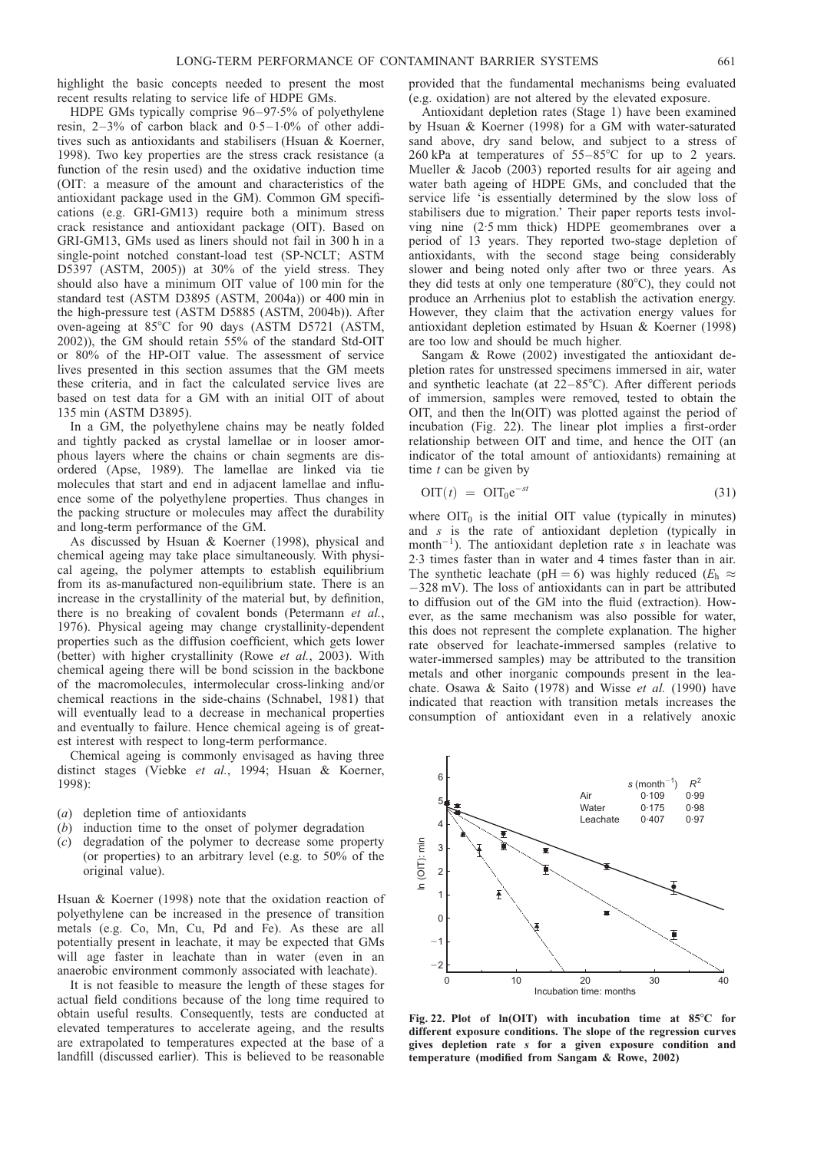<span id="page-30-0"></span>highlight the basic concepts needed to present the most recent results relating to service life of HDPE GMs.

HDPE GMs typically comprise 96–97.5% of polyethylene resin, 2–3% of carbon black and 0.5–1.0% of other additives such as antioxidants and stabilisers [\(Hsuan & Koerner,](#page-44-0) [1998\).](#page-44-0) Two key properties are the stress crack resistance (a function of the resin used) and the oxidative induction time (OIT: a measure of the amount and characteristics of the antioxidant package used in the GM). Common GM specifications (e.g. GRI-GM13) require both a minimum stress crack resistance and antioxidant package (OIT). Based on GRI-GM13, GMs used as liners should not fail in 300 h in a single-point notched constant-load test (SP-NCLT; ASTM D5397 [\(ASTM, 2005\)](#page-43-0)) at 30% of the yield stress. They should also have a minimum OIT value of 100 min for the standard test (ASTM D3895 [\(ASTM, 2004a\)](#page-43-0)) or 400 min in the high-pressure test (ASTM D5885 [\(ASTM, 2004b\)](#page-43-0)). After oven-ageing at  $85^{\circ}$ C for 90 days (ASTM D5721 [\(ASTM,](#page-43-0) [2002\)\)](#page-43-0), the GM should retain 55% of the standard Std-OIT or 80% of the HP-OIT value. The assessment of service lives presented in this section assumes that the GM meets these criteria, and in fact the calculated service lives are based on test data for a GM with an initial OIT of about 135 min (ASTM D3895).

In a GM, the polyethylene chains may be neatly folded and tightly packed as crystal lamellae or in looser amorphous layers where the chains or chain segments are disordered [\(Apse, 1989\)](#page-43-0). The lamellae are linked via tie molecules that start and end in adjacent lamellae and influence some of the polyethylene properties. Thus changes in the packing structure or molecules may affect the durability and long-term performance of the GM.

As discussed by [Hsuan & Koerner \(1998\),](#page-44-0) physical and chemical ageing may take place simultaneously. With physical ageing, the polymer attempts to establish equilibrium from its as-manufactured non-equilibrium state. There is an increase in the crystallinity of the material but, by definition, there is no breaking of covalent bonds [\(Petermann](#page-45-0) et al., [1976\).](#page-45-0) Physical ageing may change crystallinity-dependent properties such as the diffusion coefficient, which gets lower (better) with higher crystallinity (Rowe et al.[, 2003\)](#page-45-0). With chemical ageing there will be bond scission in the backbone of the macromolecules, intermolecular cross-linking and/or chemical reactions in the side-chains [\(Schnabel, 1981\)](#page-46-0) that will eventually lead to a decrease in mechanical properties and eventually to failure. Hence chemical ageing is of greatest interest with respect to long-term performance.

Chemical ageing is commonly envisaged as having three distinct stages (Viebke et al.[, 1994;](#page-46-0) [Hsuan & Koerner,](#page-44-0) [1998\):](#page-44-0)

- (a) depletion time of antioxidants
- (b) induction time to the onset of polymer degradation
- (c) degradation of the polymer to decrease some property (or properties) to an arbitrary level (e.g. to 50% of the original value).

[Hsuan & Koerner \(1998\)](#page-44-0) note that the oxidation reaction of polyethylene can be increased in the presence of transition metals (e.g. Co, Mn, Cu, Pd and Fe). As these are all potentially present in leachate, it may be expected that GMs will age faster in leachate than in water (even in an anaerobic environment commonly associated with leachate).

It is not feasible to measure the length of these stages for actual field conditions because of the long time required to obtain useful results. Consequently, tests are conducted at elevated temperatures to accelerate ageing, and the results are extrapolated to temperatures expected at the base of a landfill (discussed earlier). This is believed to be reasonable

provided that the fundamental mechanisms being evaluated (e.g. oxidation) are not altered by the elevated exposure.

Antioxidant depletion rates (Stage 1) have been examined by [Hsuan & Koerner \(1998\)](#page-44-0) for a GM with water-saturated sand above, dry sand below, and subject to a stress of 260 kPa at temperatures of  $55-85^{\circ}$ C for up to 2 years. [Mueller & Jacob \(2003\)](#page-45-0) reported results for air ageing and water bath ageing of HDPE GMs, and concluded that the service life 'is essentially determined by the slow loss of stabilisers due to migration.' Their paper reports tests involving nine (2.5 mm thick) HDPE geomembranes over a period of 13 years. They reported two-stage depletion of antioxidants, with the second stage being considerably slower and being noted only after two or three years. As they did tests at only one temperature  $(80^{\circ}C)$ , they could not produce an Arrhenius plot to establish the activation energy. However, they claim that the activation energy values for antioxidant depletion estimated by [Hsuan & Koerner \(1998\)](#page-44-0) are too low and should be much higher.

[Sangam & Rowe \(2002\)](#page-46-0) investigated the antioxidant depletion rates for unstressed specimens immersed in air, water and synthetic leachate (at  $22-85^{\circ}$ C). After different periods of immersion, samples were removed, tested to obtain the OIT, and then the ln(OIT) was plotted against the period of incubation (Fig. 22). The linear plot implies a first-order relationship between OIT and time, and hence the OIT (an indicator of the total amount of antioxidants) remaining at time  $t$  can be given by

$$
\text{OIT}(t) = \text{OIT}_0 e^{-st} \tag{31}
$$

where  $\text{OIT}_0$  is the initial OIT value (typically in minutes) and s is the rate of antioxidant depletion (typically in month<sup>-1</sup>). The antioxidant depletion rate s in leachate was 2.3 times faster than in water and 4 times faster than in air. The synthetic leachate (pH = 6) was highly reduced ( $E_h \approx$ 328 mV). The loss of antioxidants can in part be attributed to diffusion out of the GM into the fluid (extraction). However, as the same mechanism was also possible for water, this does not represent the complete explanation. The higher rate observed for leachate-immersed samples (relative to water-immersed samples) may be attributed to the transition metals and other inorganic compounds present in the lea-chate. [Osawa & Saito \(1978\)](#page-45-0) and [Wisse](#page-46-0) *et al.* (1990) have indicated that reaction with transition metals increases the consumption of antioxidant even in a relatively anoxic



Fig. 22. Plot of  $ln(OIT)$  with incubation time at 85°C for different exposure conditions. The slope of the regression curves gives depletion rate s for a given exposure condition and temperature (modified from [Sangam & Rowe, 2002\)](#page-46-0)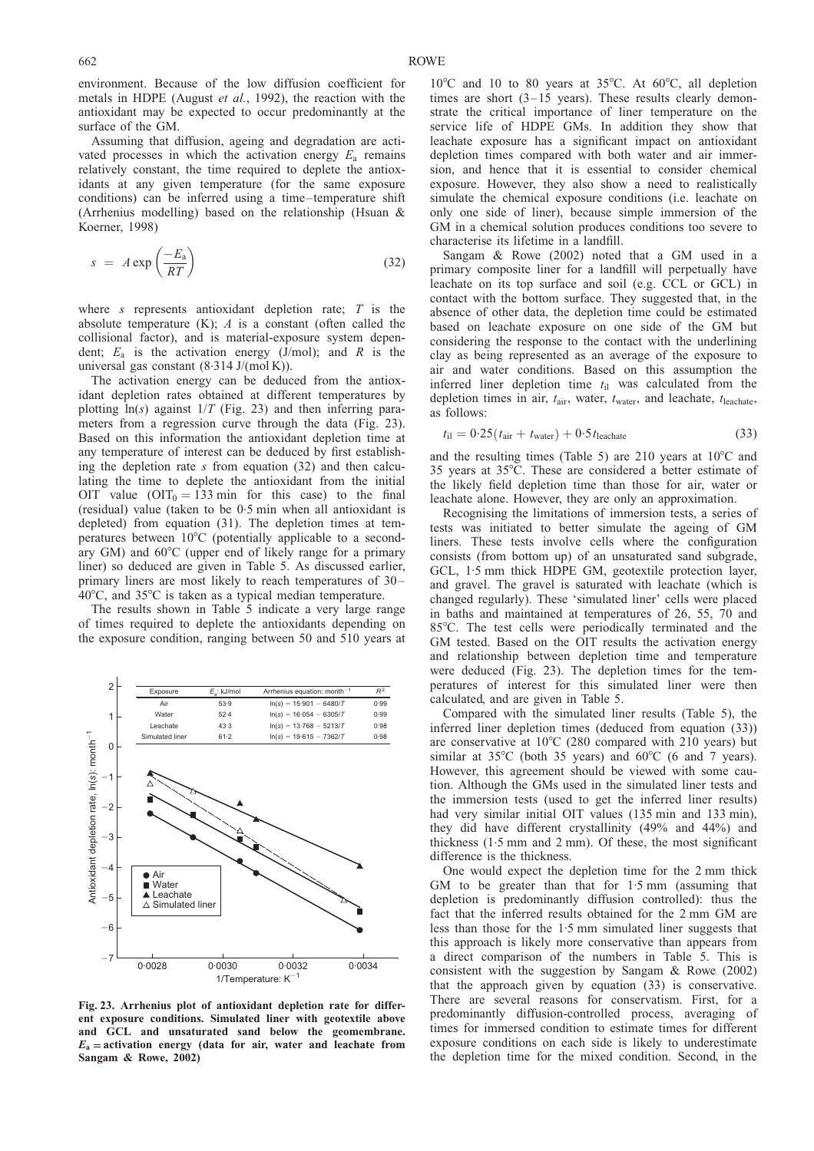<span id="page-31-0"></span>environment. Because of the low diffusion coefficient for metals in HDPE [\(August](#page-43-0) et al., 1992), the reaction with the antioxidant may be expected to occur predominantly at the surface of the GM.

Assuming that diffusion, ageing and degradation are activated processes in which the activation energy  $E_a$  remains relatively constant, the time required to deplete the antioxidants at any given temperature (for the same exposure conditions) can be inferred using a time–temperature shift (Arrhenius modelling) based on the relationship [\(Hsuan &](#page-44-0) [Koerner, 1998\)](#page-44-0)

$$
s = A \exp\left(\frac{-E_a}{RT}\right) \tag{32}
$$

where s represents antioxidant depletion rate;  $T$  is the absolute temperature  $(K)$ ; A is a constant (often called the collisional factor), and is material-exposure system dependent;  $E_a$  is the activation energy (J/mol); and R is the universal gas constant (8. 314 J/(mol K)).

The activation energy can be deduced from the antioxidant depletion rates obtained at different temperatures by plotting  $ln(s)$  against  $1/T$  (Fig. 23) and then inferring parameters from a regression curve through the data (Fig. 23). Based on this information the antioxidant depletion time at any temperature of interest can be deduced by first establishing the depletion rate  $s$  from equation (32) and then calculating the time to deplete the antioxidant from the initial OIT value  $(OIT_0 = 133 \text{ min}$  for this case) to the final (residual) value (taken to be 0.5 min when all antioxidant is depleted) from equation [\(31](#page-30-0)). The depletion times at temperatures between  $10^{\circ}$ C (potentially applicable to a secondary GM) and  $60^{\circ}$ C (upper end of likely range for a primary liner) so deduced are given in Table [5.](#page-32-0) As discussed earlier, primary liners are most likely to reach temperatures of 30–  $40^{\circ}$ C, and  $35^{\circ}$ C is taken as a typical median temperature.

The results shown in Table [5](#page-32-0) indicate a very large range of times required to deplete the antioxidants depending on the exposure condition, ranging between 50 and 510 years at



Fig. 23. Arrhenius plot of antioxidant depletion rate for different exposure conditions. Simulated liner with geotextile above and GCL and unsaturated sand below the geomembrane.  $E_a$  = activation energy (data for air, water and leachate from [Sangam & Rowe, 2002\)](#page-46-0)

 $10^{\circ}$ C and 10 to 80 years at 35 $^{\circ}$ C. At 60 $^{\circ}$ C, all depletion times are short (3–15 years). These results clearly demonstrate the critical importance of liner temperature on the service life of HDPE GMs. In addition they show that leachate exposure has a significant impact on antioxidant depletion times compared with both water and air immersion, and hence that it is essential to consider chemical exposure. However, they also show a need to realistically simulate the chemical exposure conditions (i.e. leachate on only one side of liner), because simple immersion of the GM in a chemical solution produces conditions too severe to characterise its lifetime in a landfill.

[Sangam & Rowe \(2002\)](#page-46-0) noted that a GM used in a primary composite liner for a landfill will perpetually have leachate on its top surface and soil (e.g. CCL or GCL) in contact with the bottom surface. They suggested that, in the absence of other data, the depletion time could be estimated based on leachate exposure on one side of the GM but considering the response to the contact with the underlining clay as being represented as an average of the exposure to air and water conditions. Based on this assumption the inferred liner depletion time  $t_{il}$  was calculated from the depletion times in air,  $t_{\text{air}}$ , water,  $t_{\text{water}}$ , and leachate,  $t_{\text{leachate}}$ , as follows:

$$
t_{\rm il} = 0.25(t_{\rm air} + t_{\rm water}) + 0.5t_{\rm leachate}
$$
\n(33)

and the resulting times (Table [5\)](#page-32-0) are 210 years at  $10^{\circ}$ C and 35 years at  $35^{\circ}$ C. These are considered a better estimate of the likely field depletion time than those for air, water or leachate alone. However, they are only an approximation.

Recognising the limitations of immersion tests, a series of tests was initiated to better simulate the ageing of GM liners. These tests involve cells where the configuration consists (from bottom up) of an unsaturated sand subgrade, GCL, 1.5 mm thick HDPE GM, geotextile protection layer, and gravel. The gravel is saturated with leachate (which is changed regularly). These 'simulated liner' cells were placed in baths and maintained at temperatures of 26, 55, 70 and 85°C. The test cells were periodically terminated and the GM tested. Based on the OIT results the activation energy and relationship between depletion time and temperature were deduced (Fig. 23). The depletion times for the temperatures of interest for this simulated liner were then calculated, and are given in Table [5.](#page-32-0)

Compared with the simulated liner results (Table [5\),](#page-32-0) the inferred liner depletion times (deduced from equation (33)) are conservative at  $10^{\circ}$ C (280 compared with 210 years) but similar at  $35^{\circ}$ C (both  $35$  years) and  $60^{\circ}$ C (6 and 7 years). However, this agreement should be viewed with some caution. Although the GMs used in the simulated liner tests and the immersion tests (used to get the inferred liner results) had very similar initial OIT values (135 min and 133 min), they did have different crystallinity (49% and 44%) and thickness (1.5 mm and 2 mm). Of these, the most significant difference is the thickness.

One would expect the depletion time for the 2 mm thick GM to be greater than that for 1. 5 mm (assuming that depletion is predominantly diffusion controlled): thus the fact that the inferred results obtained for the 2 mm GM are less than those for the 1.5 mm simulated liner suggests that this approach is likely more conservative than appears from a direct comparison of the numbers in Table [5.](#page-32-0) This is consistent with the suggestion by [Sangam & Rowe \(2002\)](#page-46-0) that the approach given by equation (33) is conservative. There are several reasons for conservatism. First, for a predominantly diffusion-controlled process, averaging of times for immersed condition to estimate times for different exposure conditions on each side is likely to underestimate the depletion time for the mixed condition. Second, in the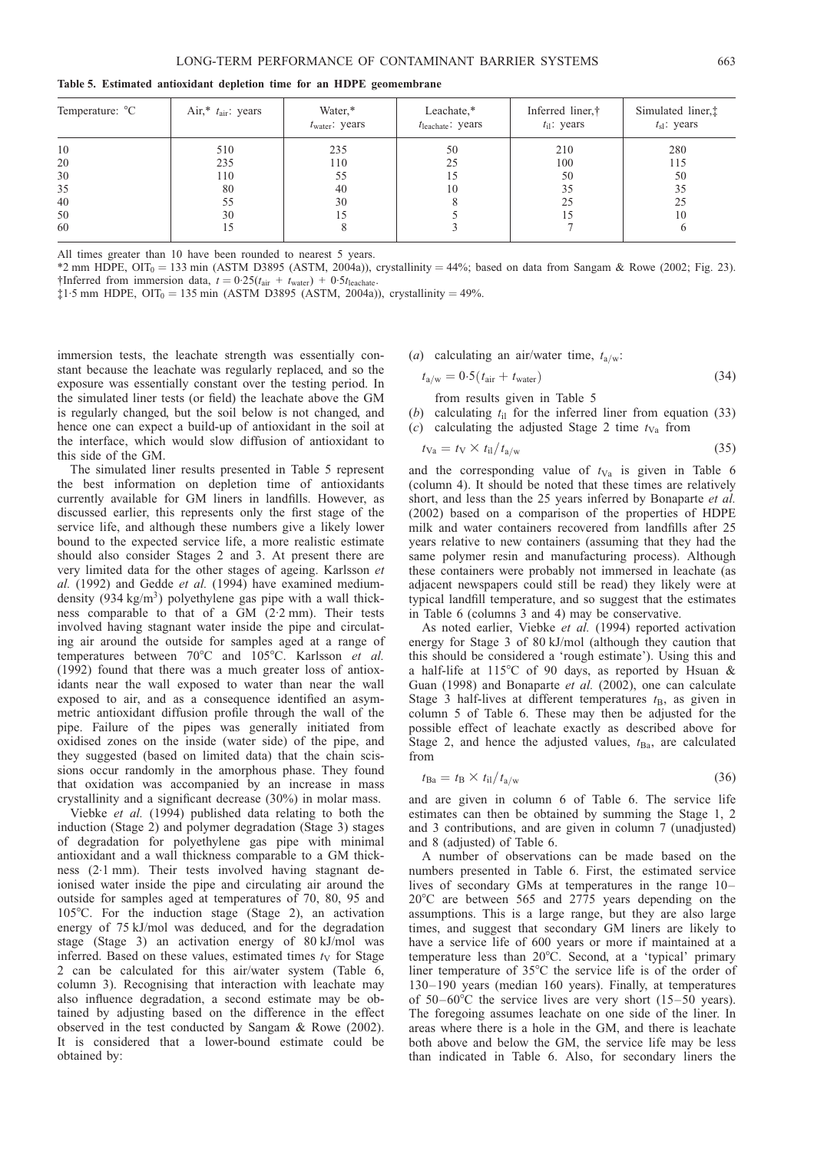<span id="page-32-0"></span>Table 5. Estimated antioxidant depletion time for an HDPE geomembrane

| Temperature: °C | Air,* $t_{\text{air}}$ : years | Water,*<br>$t_{\text{water}}$ : years | Leachate,*<br>$t_{\text{leachate}}$ : years | Inferred liner,†<br>$t_{\rm il}$ : years | Simulated liner, <sup>†</sup><br>$t_{sl}$ : years |
|-----------------|--------------------------------|---------------------------------------|---------------------------------------------|------------------------------------------|---------------------------------------------------|
| 10              | 510                            | 235                                   | 50                                          | 210                                      | 280                                               |
| 20              | 235                            | 110                                   | 25                                          | 100                                      | 115                                               |
| 30              | 110                            | 55                                    |                                             | 50                                       | 50                                                |
| 35              | 80                             | 40                                    | 10                                          | 35                                       | 35                                                |
| 40              | 55                             | 30                                    |                                             | 25                                       | 25                                                |
| 50              | 30                             |                                       |                                             |                                          | 10                                                |
| 60              | l5                             |                                       |                                             |                                          |                                                   |

All times greater than 10 have been rounded to nearest 5 years.

\*2 mm HDPE,  $OIT_0 = 133$  min (ASTM D3895 [\(ASTM, 2004a\)\)](#page-43-0), crystallinity = 44%; based on data from [Sangam & Rowe \(2002;](#page-46-0) Fig. [23\).](#page-31-0) †Inferred from immersion data,  $t = 0.25(t_{\text{air}} + t_{\text{water}}) + 0.5t_{\text{leachate}}$ .

 $\ddagger$ 1.5 mm HDPE, OIT<sub>0</sub> = 135 min (ASTM D3895 [\(ASTM, 2004a\)](#page-43-0)), crystallinity = 49%.

immersion tests, the leachate strength was essentially constant because the leachate was regularly replaced, and so the exposure was essentially constant over the testing period. In the simulated liner tests (or field) the leachate above the GM is regularly changed, but the soil below is not changed, and hence one can expect a build-up of antioxidant in the soil at the interface, which would slow diffusion of antioxidant to this side of the GM.

The simulated liner results presented in Table 5 represent the best information on depletion time of antioxidants currently available for GM liners in landfills. However, as discussed earlier, this represents only the first stage of the service life, and although these numbers give a likely lower bound to the expected service life, a more realistic estimate should also consider Stages 2 and 3. At present there are very limited data for the other stages of ageing. [Karlsson](#page-44-0) et al. [\(1992\)](#page-44-0) and [Gedde](#page-44-0) et al. (1994) have examined mediumdensity  $(934 \text{ kg/m}^3)$  polyethylene gas pipe with a wall thickness comparable to that of a GM (2.2 mm). Their tests involved having stagnant water inside the pipe and circulating air around the outside for samples aged at a range of temperatures between  $70^{\circ}$ C and  $105^{\circ}$ C. [Karlsson](#page-44-0) et al. [\(1992\)](#page-44-0) found that there was a much greater loss of antioxidants near the wall exposed to water than near the wall exposed to air, and as a consequence identified an asymmetric antioxidant diffusion profile through the wall of the pipe. Failure of the pipes was generally initiated from oxidised zones on the inside (water side) of the pipe, and they suggested (based on limited data) that the chain scissions occur randomly in the amorphous phase. They found that oxidation was accompanied by an increase in mass crystallinity and a significant decrease (30%) in molar mass.

[Viebke](#page-46-0) et al. (1994) published data relating to both the induction (Stage 2) and polymer degradation (Stage 3) stages of degradation for polyethylene gas pipe with minimal antioxidant and a wall thickness comparable to a GM thickness (2.1 mm). Their tests involved having stagnant deionised water inside the pipe and circulating air around the outside for samples aged at temperatures of 70, 80, 95 and 105°C. For the induction stage (Stage 2), an activation energy of 75 kJ/mol was deduced, and for the degradation stage (Stage 3) an activation energy of 80 kJ/mol was inferred. Based on these values, estimated times  $t<sub>V</sub>$  for Stage 2 can be calculated for this air/water system (Table [6,](#page-33-0) column 3). Recognising that interaction with leachate may also influence degradation, a second estimate may be obtained by adjusting based on the difference in the effect observed in the test conducted by [Sangam & Rowe \(2002\)](#page-46-0). It is considered that a lower-bound estimate could be obtained by:

(a) calculating an air/water time,  $t_{a/w}$ :

$$
t_{\rm a/w} = 0.5(t_{\rm air} + t_{\rm water})\tag{34}
$$

from results given in Table 5

- (b) calculating  $t_{il}$  for the inferred liner from equation [\(33](#page-31-0))
- (c) calculating the adjusted Stage 2 time  $t_{Va}$  from

$$
t_{\text{Va}} = t_{\text{V}} \times t_{\text{il}} / t_{\text{a/w}} \tag{35}
$$

and the corresponding value of  $t_{Va}$  is given in Table [6](#page-33-0) (column 4). It should be noted that these times are relatively short, and less than the 25 years inferred by [Bonaparte](#page-43-0) et al. [\(2002\)](#page-43-0) based on a comparison of the properties of HDPE milk and water containers recovered from landfills after 25 years relative to new containers (assuming that they had the same polymer resin and manufacturing process). Although these containers were probably not immersed in leachate (as adjacent newspapers could still be read) they likely were at typical landfill temperature, and so suggest that the estimates in Table [6 \(](#page-33-0)columns 3 and 4) may be conservative.

As noted earlier, [Viebke](#page-46-0) et al. (1994) reported activation energy for Stage 3 of 80 kJ/mol (although they caution that this should be considered a 'rough estimate'). Using this and a half-life at  $115^{\circ}$ C of 90 days, as reported by [Hsuan &](#page-44-0) [Guan \(1998\)](#page-44-0) and [Bonaparte](#page-43-0) et al. (2002), one can calculate Stage 3 half-lives at different temperatures  $t_B$ , as given in column 5 of Table [6.](#page-33-0) These may then be adjusted for the possible effect of leachate exactly as described above for Stage 2, and hence the adjusted values,  $t_{Ba}$ , are calculated from

$$
t_{\text{Ba}} = t_{\text{B}} \times t_{\text{il}} / t_{\text{a/w}} \tag{36}
$$

and are given in column 6 of Table [6.](#page-33-0) The service life estimates can then be obtained by summing the Stage 1, 2 and 3 contributions, and are given in column 7 (unadjusted) and 8 (adjusted) of Table [6.](#page-33-0)

A number of observations can be made based on the numbers presented in Table [6.](#page-33-0) First, the estimated service lives of secondary GMs at temperatures in the range 10–  $20^{\circ}$ C are between 565 and 2775 years depending on the assumptions. This is a large range, but they are also large times, and suggest that secondary GM liners are likely to have a service life of 600 years or more if maintained at a temperature less than 20°C. Second, at a 'typical' primary liner temperature of  $35^{\circ}$ C the service life is of the order of 130–190 years (median 160 years). Finally, at temperatures of  $50-60^{\circ}$ C the service lives are very short  $(15-50 \text{ years})$ . The foregoing assumes leachate on one side of the liner. In areas where there is a hole in the GM, and there is leachate both above and below the GM, the service life may be less than indicated in Table [6.](#page-33-0) Also, for secondary liners the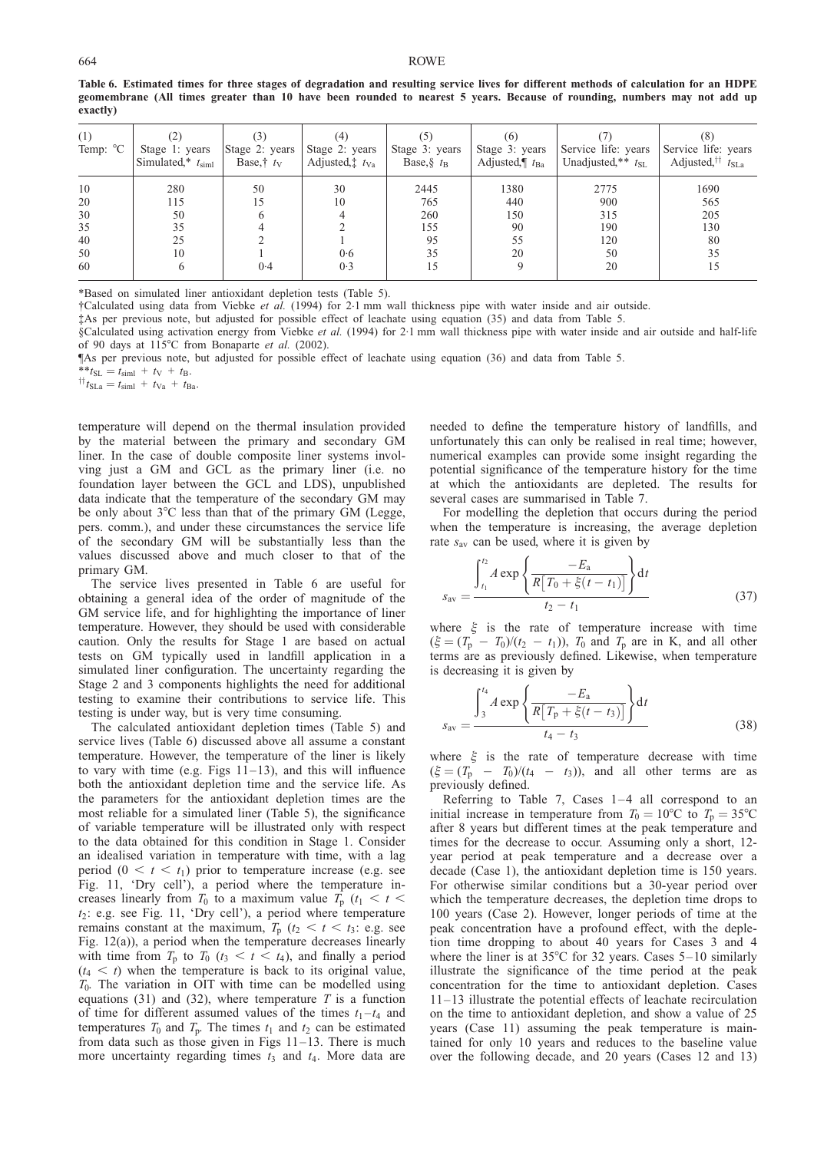#### <span id="page-33-0"></span>664 ROWE

| (1)<br>Temp: $^{\circ}$ C | Stage 1: years<br>Simulated,* $t_{siml}$ | Stage 2: years<br>Base, $\dagger t_V$ | (4)<br>Stage 2: years<br>Adjusted, $t_{Va}$ | Stage 3: years<br>Base, $\frac{1}{8}$ t <sub>B</sub> | (6)<br>Stage 3: years<br>Adjusted, $\parallel$ t <sub>Ba</sub> | Service life: years<br>Unadjusted, $*$ $t_{\text{SL}}$ | Service life: years<br>Adjusted, <sup>††</sup> $t_{\text{SLa}}$ |
|---------------------------|------------------------------------------|---------------------------------------|---------------------------------------------|------------------------------------------------------|----------------------------------------------------------------|--------------------------------------------------------|-----------------------------------------------------------------|
| 10                        | 280                                      | 50                                    | 30                                          | 2445                                                 | 1380                                                           | 2775                                                   | 1690                                                            |
| 20                        | 115                                      |                                       | 10                                          | 765                                                  | 440                                                            | 900                                                    | 565                                                             |
| 30                        | 50                                       |                                       |                                             | 260                                                  | 150                                                            | 315                                                    | 205                                                             |
| 35                        | 35                                       |                                       |                                             | 155                                                  | 90                                                             | 190                                                    | 130                                                             |
| 40                        | 25                                       |                                       |                                             | 95                                                   | 55                                                             | 120                                                    | 80                                                              |
| 50                        | 10                                       |                                       | 0.6                                         | 35                                                   | 20                                                             | 50                                                     | 35                                                              |
| 60                        |                                          | 0.4                                   | 0.3                                         |                                                      |                                                                | 20                                                     | 15                                                              |

Table 6. Estimated times for three stages of degradation and resulting service lives for different methods of calculation for an HDPE geomembrane (All times greater than 10 have been rounded to nearest 5 years. Because of rounding, numbers may not add up exactly)

\*Based on simulated liner antioxidant depletion tests (Table [5\).](#page-32-0)

 $\dagger$ Calculated using data from [Viebke](#page-46-0) *et al.* (1994) for 2.1 mm wall thickness pipe with water inside and air outside.

‡As per previous note, but adjusted for possible effect of leachate using equation [\(35](#page-32-0)) and data from Table [5.](#page-32-0)

§Calculated using activation energy from [Viebke](#page-46-0) et al. (1994) for 2.1 mm wall thickness pipe with water inside and air outside and half-life of 90 days at 115°C from [Bonaparte](#page-43-0) et al. (2002).

¶As per previous note, but adjusted for possible effect of leachate using equation [\(36](#page-32-0)) and data from Table [5.](#page-32-0)

\*\* $t_{\text{SL}} = t_{\text{siml}} + t_{\text{V}} + t_{\text{B}}.$ <br>  $\uparrow \uparrow_{\text{SLa}} = t_{\text{siml}} + t_{\text{Va}} + t_{\text{Ba}}.$ 

temperature will depend on the thermal insulation provided by the material between the primary and secondary GM liner. In the case of double composite liner systems involving just a GM and GCL as the primary liner (i.e. no foundation layer between the GCL and LDS), unpublished data indicate that the temperature of the secondary GM may be only about  $3^{\circ}$ C less than that of the primary GM (Legge, pers. comm.), and under these circumstances the service life of the secondary GM will be substantially less than the values discussed above and much closer to that of the primary GM.

The service lives presented in Table 6 are useful for obtaining a general idea of the order of magnitude of the GM service life, and for highlighting the importance of liner temperature. However, they should be used with considerable caution. Only the results for Stage 1 are based on actual tests on GM typically used in landfill application in a simulated liner configuration. The uncertainty regarding the Stage 2 and 3 components highlights the need for additional testing to examine their contributions to service life. This testing is under way, but is very time consuming.

The calculated antioxidant depletion times (Table [5\)](#page-32-0) and service lives (Table 6) discussed above all assume a constant temperature. However, the temperature of the liner is likely to vary with time (e.g. Figs  $11-13$ ), and this will influence both the antioxidant depletion time and the service life. As the parameters for the antioxidant depletion times are the most reliable for a simulated liner (Table [5\)](#page-32-0), the significance of variable temperature will be illustrated only with respect to the data obtained for this condition in Stage 1. Consider an idealised variation in temperature with time, with a lag period  $(0 < t < t_1)$  prior to temperature increase (e.g. see Fig. [11,](#page-18-0) 'Dry cell'), a period where the temperature increases linearly from  $T_0$  to a maximum value  $T_p$  ( $t_1 < t <$  $t_2$ : e.g. see Fig. [11,](#page-18-0) 'Dry cell'), a period where temperature remains constant at the maximum,  $T_p$  ( $t_2 < t < t_3$ : e.g. see Fig. [12\(](#page-18-0)a)), a period when the temperature decreases linearly with time from  $T_p$  to  $T_0$  ( $t_3 < t < t_4$ ), and finally a period  $(t_4 < t)$  when the temperature is back to its original value,  $T_0$ . The variation in OIT with time can be modelled using equations [\(31](#page-30-0)) and [\(32](#page-31-0)), where temperature  $T$  is a function of time for different assumed values of the times  $t_1 - t_4$  and temperatures  $T_0$  and  $T_p$ . The times  $t_1$  and  $t_2$  can be estimated from data such as those given in Figs [11–](#page-18-0)[13.](#page-19-0) There is much more uncertainty regarding times  $t_3$  and  $t_4$ . More data are

needed to define the temperature history of landfills, and unfortunately this can only be realised in real time; however, numerical examples can provide some insight regarding the potential significance of the temperature history for the time at which the antioxidants are depleted. The results for several cases are summarised in Table [7.](#page-34-0)

For modelling the depletion that occurs during the period when the temperature is increasing, the average depletion rate  $s_{av}$  can be used, where it is given by

$$
s_{\rm av} = \frac{\int_{t_1}^{t_2} A \exp\left\{\frac{-E_{\rm a}}{R\left[T_0 + \xi(t - t_1)\right]}\right\} \mathrm{d}t}{t_2 - t_1} \tag{37}
$$

where  $\xi$  is the rate of temperature increase with time  $(\xi = (T_p - T_0)/(t_2 - t_1))$ ,  $T_0$  and  $T_p$  are in K, and all other terms are as previously defined. Likewise, when temperature is decreasing it is given by

$$
s_{\rm av} = \frac{\int_3^{t_4} A \exp\left\{\frac{-E_{\rm a}}{R[T_{\rm p} + \xi(t - t_3)]}\right\} \mathrm{d}t}{t_4 - t_3} \tag{38}
$$

where  $\xi$  is the rate of temperature decrease with time  $(\xi = (T_p - T_0)/(t_4 - t_3))$ , and all other terms are as previously defined.

Referring to Table [7,](#page-34-0) Cases 1–4 all correspond to an initial increase in temperature from  $T_0 = 10^{\circ}\text{C}$  to  $T_p = 35^{\circ}\text{C}$ after 8 years but different times at the peak temperature and times for the decrease to occur. Assuming only a short, 12 year period at peak temperature and a decrease over a decade (Case 1), the antioxidant depletion time is 150 years. For otherwise similar conditions but a 30-year period over which the temperature decreases, the depletion time drops to 100 years (Case 2). However, longer periods of time at the peak concentration have a profound effect, with the depletion time dropping to about 40 years for Cases 3 and 4 where the liner is at  $35^{\circ}$ C for 32 years. Cases  $5-10$  similarly illustrate the significance of the time period at the peak concentration for the time to antioxidant depletion. Cases 11–13 illustrate the potential effects of leachate recirculation on the time to antioxidant depletion, and show a value of 25 years (Case 11) assuming the peak temperature is maintained for only 10 years and reduces to the baseline value over the following decade, and 20 years (Cases 12 and 13)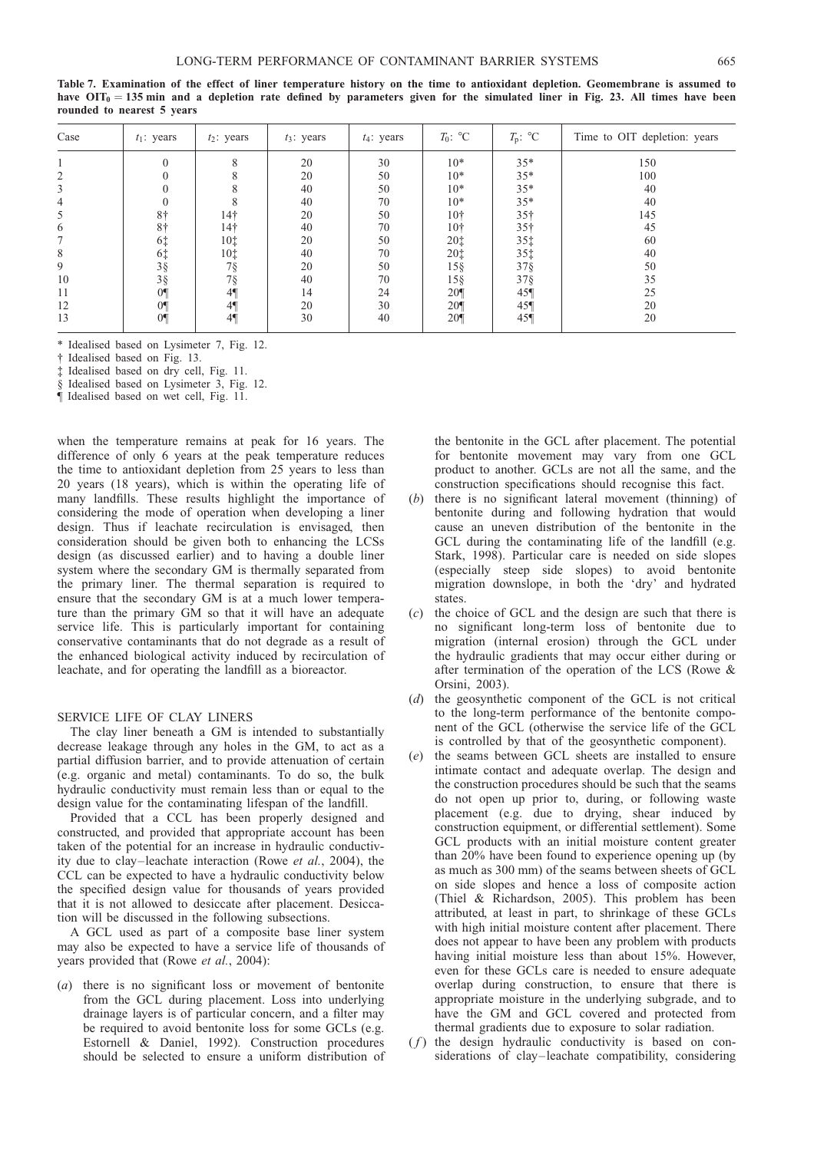| Case | $t_1$ : years  | $t_2$ : years   | $t_3$ : years | $t_4$ : years | $T_0$ : °C      | $T_{\rm p}$ : °C | Time to OIT depletion: years |
|------|----------------|-----------------|---------------|---------------|-----------------|------------------|------------------------------|
|      |                | 8               | 20            | 30            | $10*$           | $35*$            | 150                          |
|      |                |                 | 20            | 50            | $10*$           | $35*$            | 100                          |
| 3    |                |                 | 40            | 50            | $10*$           | $35*$            | 40                           |
| 4    |                |                 | 40            | 70            | $10*$           | $35*$            | 40                           |
| 5    | 8 <sup>†</sup> | 14 <sup>†</sup> | 20            | 50            | 10 <sup>†</sup> | 35 <sup>†</sup>  | 145                          |
| 6    | 8 <sup>†</sup> | 14 <sup>†</sup> | 40            | 70            | 10 <sup>†</sup> | 35 <sup>†</sup>  | 45                           |
|      | 6‡             | 10 <sup>†</sup> | 20            | 50            | 20‡             | 35‡              | 60                           |
| 8    | 6‡             | 10 <sup>†</sup> | 40            | 70            | 20‡             | 35‡              | 40                           |
| 9    | $3\frac{8}{3}$ | 7§              | 20            | 50            | $15\$           | $37\S$           | 50                           |
| 10   | $3\hat{g}$     | $7\S$           | 40            | 70            | 15§             | $37\S$           | 35                           |
| 11   | 0 <sup>q</sup> | $4\P$           | 14            | 24            | 20 <sup>q</sup> | 45               | 25                           |
| 12   | 0 <sup>q</sup> | $4\P$           | 20            | 30            | 20 <sup>q</sup> | 45               | 20                           |
| 13   | 0 <sup>1</sup> | $4\P$           | 30            | 40            | 20 <sup>q</sup> | 45               | 20                           |

<span id="page-34-0"></span>Table 7. Examination of the effect of liner temperature history on the time to antioxidant depletion. Geomembrane is assumed to have  $OIT_0 = 135$  min and a depletion rate defined by parameters given for the simulated liner in Fig. [23.](#page-31-0) All times have been rounded to nearest 5 years

\* Idealised based on Lysimeter 7, Fig. [12.](#page-18-0)

† Idealised based on Fig. [13.](#page-19-0)

‡ Idealised based on dry cell, Fig. [11.](#page-18-0)

§ Idealised based on Lysimeter 3, Fig. [12.](#page-18-0)

¶ Idealised based on wet cell, Fig. [11.](#page-18-0)

when the temperature remains at peak for 16 years. The difference of only 6 years at the peak temperature reduces the time to antioxidant depletion from 25 years to less than 20 years (18 years), which is within the operating life of many landfills. These results highlight the importance of considering the mode of operation when developing a liner design. Thus if leachate recirculation is envisaged, then consideration should be given both to enhancing the LCSs design (as discussed earlier) and to having a double liner system where the secondary GM is thermally separated from the primary liner. The thermal separation is required to ensure that the secondary GM is at a much lower temperature than the primary GM so that it will have an adequate service life. This is particularly important for containing conservative contaminants that do not degrade as a result of the enhanced biological activity induced by recirculation of leachate, and for operating the landfill as a bioreactor.

## SERVICE LIFE OF CLAY LINERS

The clay liner beneath a GM is intended to substantially decrease leakage through any holes in the GM, to act as a partial diffusion barrier, and to provide attenuation of certain (e.g. organic and metal) contaminants. To do so, the bulk hydraulic conductivity must remain less than or equal to the design value for the contaminating lifespan of the landfill.

Provided that a CCL has been properly designed and constructed, and provided that appropriate account has been taken of the potential for an increase in hydraulic conductivity due to clay–leachate interaction (Rowe et al.[, 2004\)](#page-46-0), the CCL can be expected to have a hydraulic conductivity below the specified design value for thousands of years provided that it is not allowed to desiccate after placement. Desiccation will be discussed in the following subsections.

A GCL used as part of a composite base liner system may also be expected to have a service life of thousands of years provided that (Rowe et al.[, 2004\):](#page-46-0)

(a) there is no significant loss or movement of bentonite from the GCL during placement. Loss into underlying drainage layers is of particular concern, and a filter may be required to avoid bentonite loss for some GCLs (e.g. [Estornell & Daniel, 1992\)](#page-44-0). Construction procedures should be selected to ensure a uniform distribution of the bentonite in the GCL after placement. The potential for bentonite movement may vary from one GCL product to another. GCLs are not all the same, and the construction specifications should recognise this fact.

- there is no significant lateral movement (thinning) of bentonite during and following hydration that would cause an uneven distribution of the bentonite in the GCL during the contaminating life of the landfill (e.g. [Stark, 1998\)](#page-46-0). Particular care is needed on side slopes (especially steep side slopes) to avoid bentonite migration downslope, in both the 'dry' and hydrated states.
- (c) the choice of GCL and the design are such that there is no significant long-term loss of bentonite due to migration (internal erosion) through the GCL under the hydraulic gradients that may occur either during or after termination of the operation of the LCS [\(Rowe &](#page-45-0) [Orsini, 2003\)](#page-45-0).
- (d) the geosynthetic component of the GCL is not critical to the long-term performance of the bentonite component of the GCL (otherwise the service life of the GCL is controlled by that of the geosynthetic component).
- (e) the seams between GCL sheets are installed to ensure intimate contact and adequate overlap. The design and the construction procedures should be such that the seams do not open up prior to, during, or following waste placement (e.g. due to drying, shear induced by construction equipment, or differential settlement). Some GCL products with an initial moisture content greater than 20% have been found to experience opening up (by as much as 300 mm) of the seams between sheets of GCL on side slopes and hence a loss of composite action [\(Thiel & Richardson, 2005\)](#page-46-0). This problem has been attributed, at least in part, to shrinkage of these GCLs with high initial moisture content after placement. There does not appear to have been any problem with products having initial moisture less than about 15%. However, even for these GCLs care is needed to ensure adequate overlap during construction, to ensure that there is appropriate moisture in the underlying subgrade, and to have the GM and GCL covered and protected from thermal gradients due to exposure to solar radiation.
- $(f)$  the design hydraulic conductivity is based on considerations of clay–leachate compatibility, considering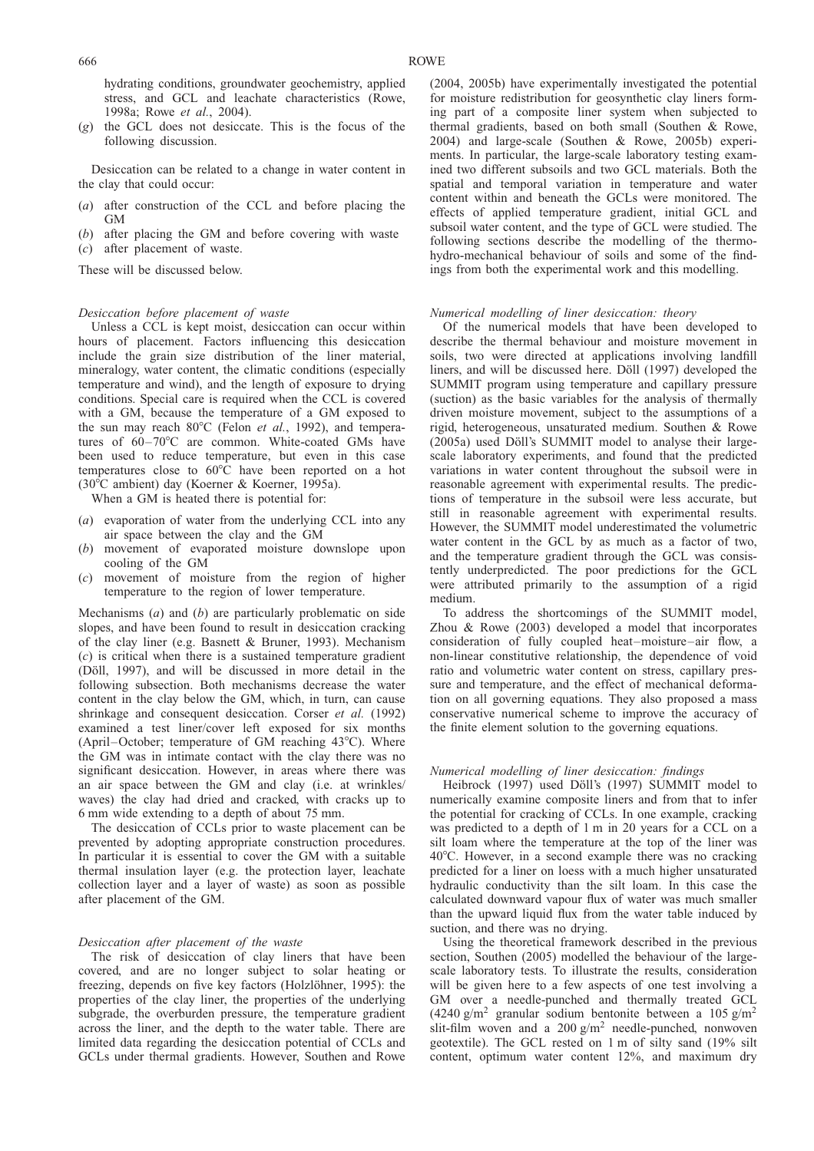hydrating conditions, groundwater geochemistry, applied stress, and GCL and leachate characteristics [\(Rowe,](#page-45-0) [1998a;](#page-45-0) Rowe et al.[, 2004\)](#page-46-0).

(g) the GCL does not desiccate. This is the focus of the following discussion.

Desiccation can be related to a change in water content in the clay that could occur:

- (a) after construction of the CCL and before placing the GM
- (b) after placing the GM and before covering with waste
- (c) after placement of waste.

These will be discussed below.

#### Desiccation before placement of waste

Unless a CCL is kept moist, desiccation can occur within hours of placement. Factors influencing this desiccation include the grain size distribution of the liner material, mineralogy, water content, the climatic conditions (especially temperature and wind), and the length of exposure to drying conditions. Special care is required when the CCL is covered with a GM, because the temperature of a GM exposed to the sun may reach  $80^{\circ}$ C (Felon *et al.*[, 1992\),](#page-44-0) and temperatures of  $60-70$ °C are common. White-coated GMs have been used to reduce temperature, but even in this case temperatures close to  $60^{\circ}$ C have been reported on a hot (30°C ambient) day [\(Koerner & Koerner, 1995a\).](#page-44-0)

When a GM is heated there is potential for:

- (a) evaporation of water from the underlying CCL into any air space between the clay and the GM
- (b) movement of evaporated moisture downslope upon cooling of the GM
- (c) movement of moisture from the region of higher temperature to the region of lower temperature.

Mechanisms  $(a)$  and  $(b)$  are particularly problematic on side slopes, and have been found to result in desiccation cracking of the clay liner (e.g. [Basnett & Bruner, 1993\)](#page-43-0). Mechanism (c) is critical when there is a sustained temperature gradient (Döll, 1997), and will be discussed in more detail in the following subsection. Both mechanisms decrease the water content in the clay below the GM, which, in turn, can cause shrinkage and consequent desiccation. [Corser](#page-43-0) et al. (1992) examined a test liner/cover left exposed for six months (April–October; temperature of GM reaching  $43^{\circ}$ C). Where the GM was in intimate contact with the clay there was no significant desiccation. However, in areas where there was an air space between the GM and clay (i.e. at wrinkles/ waves) the clay had dried and cracked, with cracks up to 6 mm wide extending to a depth of about 75 mm.

The desiccation of CCLs prior to waste placement can be prevented by adopting appropriate construction procedures. In particular it is essential to cover the GM with a suitable thermal insulation layer (e.g. the protection layer, leachate collection layer and a layer of waste) as soon as possible after placement of the GM.

#### Desiccation after placement of the waste

The risk of desiccation of clay liners that have been covered, and are no longer subject to solar heating or freezing, depends on five key factors (Holzlöhner, 1995): the properties of the clay liner, the properties of the underlying subgrade, the overburden pressure, the temperature gradient across the liner, and the depth to the water table. There are limited data regarding the desiccation potential of CCLs and GCLs under thermal gradients. However, [Southen and Rowe](#page-46-0)

[\(2004,](#page-46-0) 2005b) have experimentally investigated the potential for moisture redistribution for geosynthetic clay liners forming part of a composite liner system when subjected to thermal gradients, based on both small [\(Southen & Rowe,](#page-46-0) [2004\)](#page-46-0) and large-scale [\(Southen & Rowe, 2005b\)](#page-46-0) experiments. In particular, the large-scale laboratory testing examined two different subsoils and two GCL materials. Both the spatial and temporal variation in temperature and water content within and beneath the GCLs were monitored. The effects of applied temperature gradient, initial GCL and subsoil water content, and the type of GCL were studied. The following sections describe the modelling of the thermohydro-mechanical behaviour of soils and some of the findings from both the experimental work and this modelling.

## Numerical modelling of liner desiccation: theory

Of the numerical models that have been developed to describe the thermal behaviour and moisture movement in soils, two were directed at applications involving landfill liners, and will be discussed here. Döll (1997) developed the SUMMIT program using temperature and capillary pressure (suction) as the basic variables for the analysis of thermally driven moisture movement, subject to the assumptions of a rigid, heterogeneous, unsaturated medium. [Southen & Rowe](#page-46-0)  $(2005a)$  used Döll's SUMMIT model to analyse their largescale laboratory experiments, and found that the predicted variations in water content throughout the subsoil were in reasonable agreement with experimental results. The predictions of temperature in the subsoil were less accurate, but still in reasonable agreement with experimental results. However, the SUMMIT model underestimated the volumetric water content in the GCL by as much as a factor of two, and the temperature gradient through the GCL was consistently underpredicted. The poor predictions for the GCL were attributed primarily to the assumption of a rigid medium.

To address the shortcomings of the SUMMIT model, [Zhou & Rowe \(2003\)](#page-46-0) developed a model that incorporates consideration of fully coupled heat–moisture–air flow, a non-linear constitutive relationship, the dependence of void ratio and volumetric water content on stress, capillary pressure and temperature, and the effect of mechanical deformation on all governing equations. They also proposed a mass conservative numerical scheme to improve the accuracy of the finite element solution to the governing equations.

## Numerical modelling of liner desiccation: findings

[Heibrock \(1997\)](#page-44-0) used Döll's (1997) SUMMIT model to numerically examine composite liners and from that to infer the potential for cracking of CCLs. In one example, cracking was predicted to a depth of 1 m in 20 years for a CCL on a silt loam where the temperature at the top of the liner was  $40^{\circ}$ C. However, in a second example there was no cracking predicted for a liner on loess with a much higher unsaturated hydraulic conductivity than the silt loam. In this case the calculated downward vapour flux of water was much smaller than the upward liquid flux from the water table induced by suction, and there was no drying.

Using the theoretical framework described in the previous section, [Southen \(2005\)](#page-46-0) modelled the behaviour of the largescale laboratory tests. To illustrate the results, consideration will be given here to a few aspects of one test involving a GM over a needle-punched and thermally treated GCL (4240 g/m<sup>2</sup> granular sodium bentonite between a 105 g/m<sup>2</sup> slit-film woven and a  $200 \text{ g/m}^2$  needle-punched, nonwoven geotextile). The GCL rested on 1 m of silty sand (19% silt content, optimum water content 12%, and maximum dry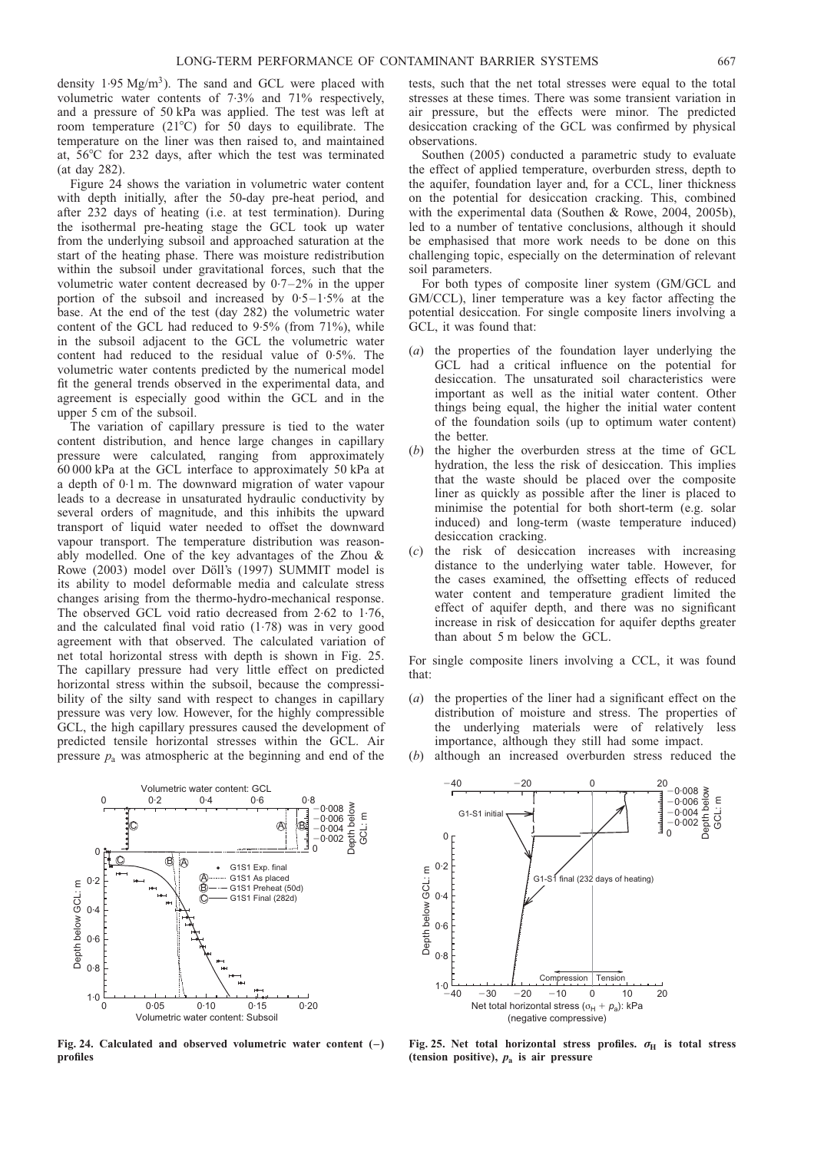<span id="page-36-0"></span>density  $1.95 \text{ Mg/m}^3$ ). The sand and GCL were placed with volumetric water contents of 7.3% and 71% respectively, and a pressure of 50 kPa was applied. The test was left at room temperature (21 $^{\circ}$ C) for 50 days to equilibrate. The temperature on the liner was then raised to, and maintained at,  $56^{\circ}$ C for 232 days, after which the test was terminated (at day 282).

Figure 24 shows the variation in volumetric water content with depth initially, after the 50-day pre-heat period, and after 232 days of heating (i.e. at test termination). During the isothermal pre-heating stage the GCL took up water from the underlying subsoil and approached saturation at the start of the heating phase. There was moisture redistribution within the subsoil under gravitational forces, such that the volumetric water content decreased by 0. 7–2% in the upper portion of the subsoil and increased by  $0.5-1.5%$  at the base. At the end of the test (day 282) the volumetric water content of the GCL had reduced to 9. 5% (from 71%), while in the subsoil adjacent to the GCL the volumetric water content had reduced to the residual value of 0.5%. The volumetric water contents predicted by the numerical model fit the general trends observed in the experimental data, and agreement is especially good within the GCL and in the upper 5 cm of the subsoil.

The variation of capillary pressure is tied to the water content distribution, and hence large changes in capillary pressure were calculated, ranging from approximately 60 000 kPa at the GCL interface to approximately 50 kPa at a depth of 0.1 m. The downward migration of water vapour leads to a decrease in unsaturated hydraulic conductivity by several orders of magnitude, and this inhibits the upward transport of liquid water needed to offset the downward vapour transport. The temperature distribution was reasonably modelled. One of the key advantages of the [Zhou &](#page-46-0) [Rowe \(2003\)](#page-46-0) model over Döll's (1997) SUMMIT model is its ability to model deformable media and calculate stress changes arising from the thermo-hydro-mechanical response. The observed GCL void ratio decreased from 2.62 to 1.76, and the calculated final void ratio  $(1.78)$  was in very good agreement with that observed. The calculated variation of net total horizontal stress with depth is shown in Fig. 25. The capillary pressure had very little effect on predicted horizontal stress within the subsoil, because the compressibility of the silty sand with respect to changes in capillary pressure was very low. However, for the highly compressible GCL, the high capillary pressures caused the development of predicted tensile horizontal stresses within the GCL. Air pressure  $p_a$  was atmospheric at the beginning and end of the



Fig. 24. Calculated and observed volumetric water content (–) profiles

tests, such that the net total stresses were equal to the total stresses at these times. There was some transient variation in air pressure, but the effects were minor. The predicted desiccation cracking of the GCL was confirmed by physical observations.

[Southen \(2005\)](#page-46-0) conducted a parametric study to evaluate the effect of applied temperature, overburden stress, depth to the aquifer, foundation layer and, for a CCL, liner thickness on the potential for desiccation cracking. This, combined with the experimental data [\(Southen & Rowe, 2004, 2005b\),](#page-46-0) led to a number of tentative conclusions, although it should be emphasised that more work needs to be done on this challenging topic, especially on the determination of relevant soil parameters.

For both types of composite liner system (GM/GCL and GM/CCL), liner temperature was a key factor affecting the potential desiccation. For single composite liners involving a GCL, it was found that:

- (a) the properties of the foundation layer underlying the GCL had a critical influence on the potential for desiccation. The unsaturated soil characteristics were important as well as the initial water content. Other things being equal, the higher the initial water content of the foundation soils (up to optimum water content) the better.
- (b) the higher the overburden stress at the time of GCL hydration, the less the risk of desiccation. This implies that the waste should be placed over the composite liner as quickly as possible after the liner is placed to minimise the potential for both short-term (e.g. solar induced) and long-term (waste temperature induced) desiccation cracking.
- the risk of desiccation increases with increasing distance to the underlying water table. However, for the cases examined, the offsetting effects of reduced water content and temperature gradient limited the effect of aquifer depth, and there was no significant increase in risk of desiccation for aquifer depths greater than about 5 m below the GCL.

For single composite liners involving a CCL, it was found that:

(a) the properties of the liner had a significant effect on the distribution of moisture and stress. The properties of the underlying materials were of relatively less importance, although they still had some impact.

although an increased overburden stress reduced the



Fig. 25. Net total horizontal stress profiles.  $\sigma_{\text{H}}$  is total stress (tension positive),  $p_a$  is air pressure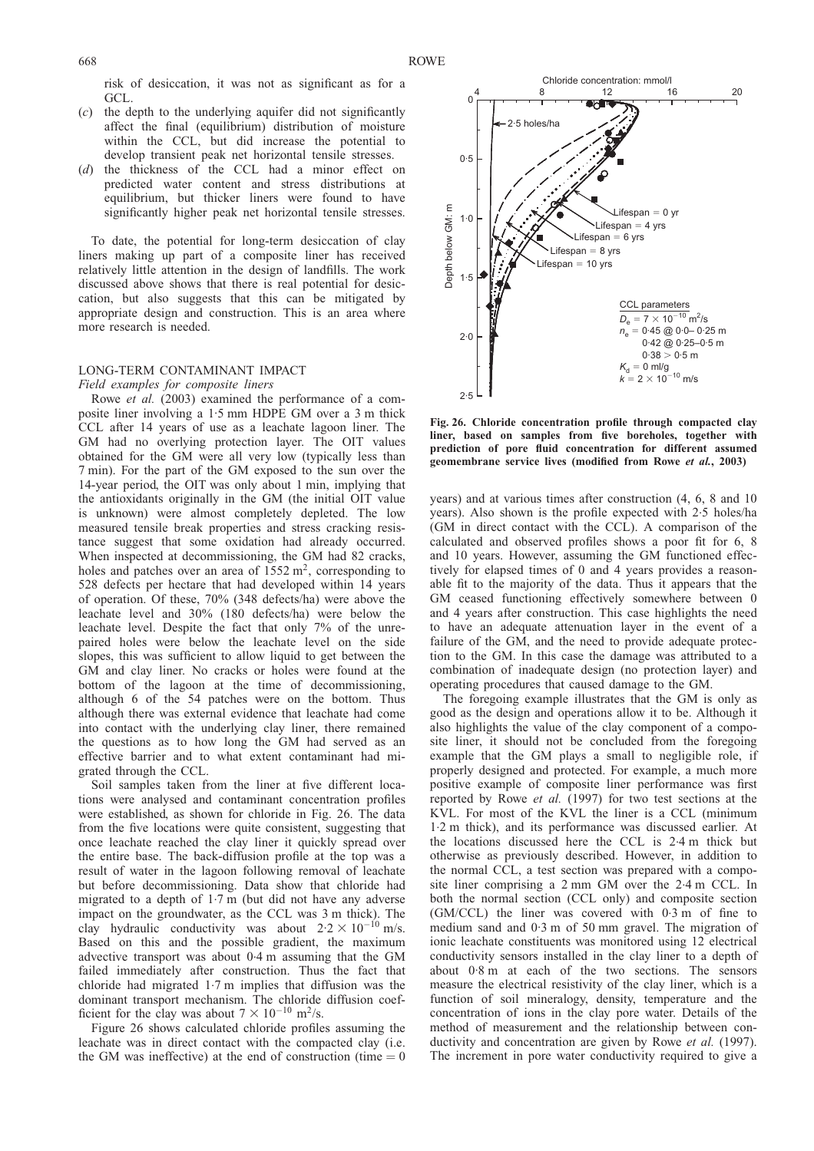<span id="page-37-0"></span>risk of desiccation, it was not as significant as for a GCL.

- (c) the depth to the underlying aquifer did not significantly affect the final (equilibrium) distribution of moisture within the CCL, but did increase the potential to develop transient peak net horizontal tensile stresses.
- (d) the thickness of the CCL had a minor effect on predicted water content and stress distributions at equilibrium, but thicker liners were found to have significantly higher peak net horizontal tensile stresses.

To date, the potential for long-term desiccation of clay liners making up part of a composite liner has received relatively little attention in the design of landfills. The work discussed above shows that there is real potential for desiccation, but also suggests that this can be mitigated by appropriate design and construction. This is an area where more research is needed.

## LONG-TERM CONTAMINANT IMPACT

Field examples for composite liners Rowe et al. [\(2003\)](#page-46-0) examined the performance of a composite liner involving a 1. 5 mm HDPE GM over a 3 m thick CCL after 14 years of use as a leachate lagoon liner. The GM had no overlying protection layer. The OIT values obtained for the GM were all very low (typically less than 7 min). For the part of the GM exposed to the sun over the 14-year period, the OIT was only about 1 min, implying that the antioxidants originally in the GM (the initial OIT value is unknown) were almost completely depleted. The low measured tensile break properties and stress cracking resistance suggest that some oxidation had already occurred. When inspected at decommissioning, the GM had 82 cracks, holes and patches over an area of  $1552 \text{ m}^2$ , corresponding to 528 defects per hectare that had developed within 14 years of operation. Of these, 70% (348 defects/ha) were above the leachate level and 30% (180 defects/ha) were below the leachate level. Despite the fact that only 7% of the unrepaired holes were below the leachate level on the side slopes, this was sufficient to allow liquid to get between the GM and clay liner. No cracks or holes were found at the bottom of the lagoon at the time of decommissioning, although 6 of the 54 patches were on the bottom. Thus although there was external evidence that leachate had come into contact with the underlying clay liner, there remained the questions as to how long the GM had served as an effective barrier and to what extent contaminant had migrated through the CCL.

Soil samples taken from the liner at five different locations were analysed and contaminant concentration profiles were established, as shown for chloride in Fig. 26. The data from the five locations were quite consistent, suggesting that once leachate reached the clay liner it quickly spread over the entire base. The back-diffusion profile at the top was a result of water in the lagoon following removal of leachate but before decommissioning. Data show that chloride had migrated to a depth of 1. 7 m (but did not have any adverse impact on the groundwater, as the CCL was 3 m thick). The clay hydraulic conductivity was about  $2.2 \times 10^{-10}$  m/s. Based on this and the possible gradient, the maximum advective transport was about 0. 4 m assuming that the GM failed immediately after construction. Thus the fact that chloride had migrated 1. 7 m implies that diffusion was the dominant transport mechanism. The chloride diffusion coefficient for the clay was about  $7 \times 10^{-10}$  m<sup>2</sup>/s.

Figure 26 shows calculated chloride profiles assuming the leachate was in direct contact with the compacted clay (i.e. the GM was ineffective) at the end of construction (time  $= 0$ 



Fig. 26. Chloride concentration profile through compacted clay liner, based on samples from five boreholes, together with prediction of pore fluid concentration for different assumed geomembrane service lives (modified from Rowe et al.[, 2003\)](#page-45-0)

years) and at various times after construction (4, 6, 8 and 10 years). Also shown is the profile expected with 2. 5 holes/ha (GM in direct contact with the CCL). A comparison of the calculated and observed profiles shows a poor fit for 6, 8 and 10 years. However, assuming the GM functioned effectively for elapsed times of 0 and 4 years provides a reasonable fit to the majority of the data. Thus it appears that the GM ceased functioning effectively somewhere between 0 and 4 years after construction. This case highlights the need to have an adequate attenuation layer in the event of a failure of the GM, and the need to provide adequate protection to the GM. In this case the damage was attributed to a combination of inadequate design (no protection layer) and operating procedures that caused damage to the GM.

The foregoing example illustrates that the GM is only as good as the design and operations allow it to be. Although it also highlights the value of the clay component of a composite liner, it should not be concluded from the foregoing example that the GM plays a small to negligible role, if properly designed and protected. For example, a much more positive example of composite liner performance was first reported by Rowe et al. [\(1997\)](#page-45-0) for two test sections at the KVL. For most of the KVL the liner is a CCL (minimum 1.2 m thick), and its performance was discussed earlier. At the locations discussed here the CCL is 2. 4 m thick but otherwise as previously described. However, in addition to the normal CCL, a test section was prepared with a composite liner comprising a 2 mm GM over the 2.4 m CCL. In both the normal section (CCL only) and composite section (GM/CCL) the liner was covered with 0. 3 m of fine to medium sand and 0.3 m of 50 mm gravel. The migration of ionic leachate constituents was monitored using 12 electrical conductivity sensors installed in the clay liner to a depth of about 0. 8 m at each of the two sections. The sensors measure the electrical resistivity of the clay liner, which is a function of soil mineralogy, density, temperature and the concentration of ions in the clay pore water. Details of the method of measurement and the relationship between con-ductivity and concentration are given by Rowe et al. [\(1997\)](#page-45-0). The increment in pore water conductivity required to give a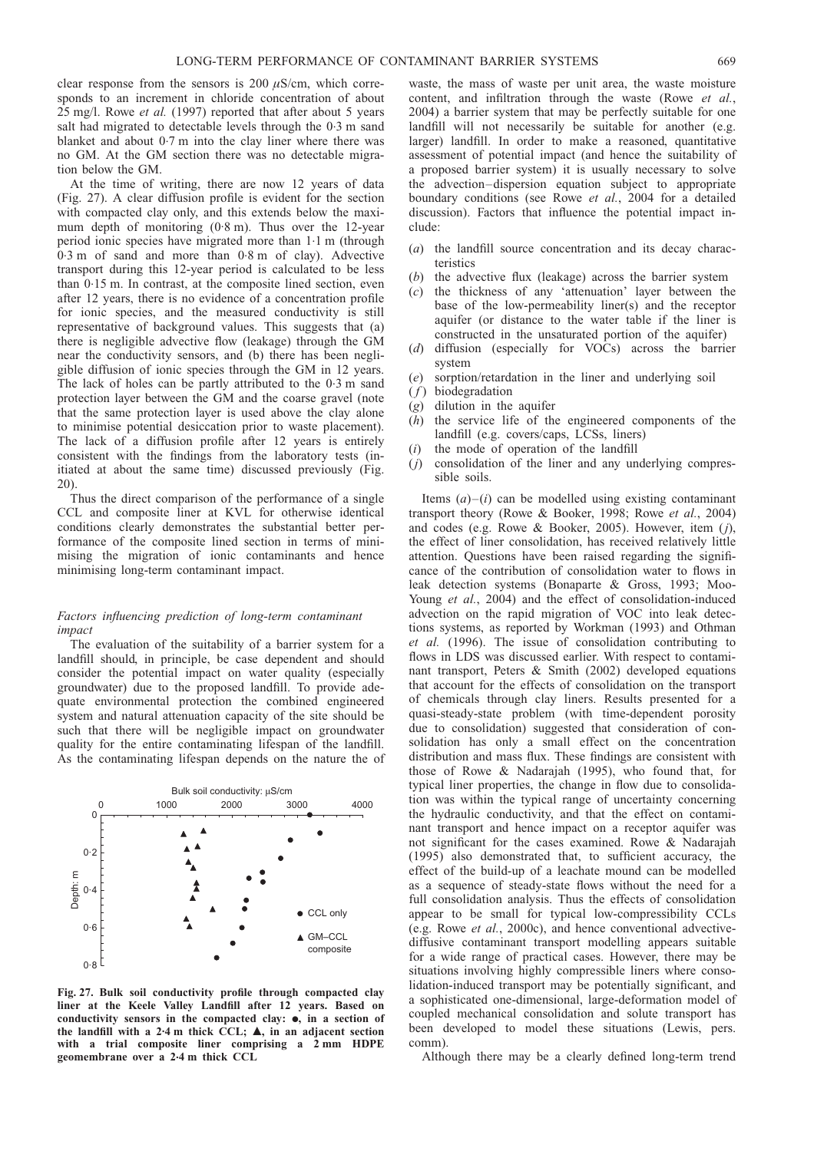<span id="page-38-0"></span>clear response from the sensors is 200  $\mu$ S/cm, which corresponds to an increment in chloride concentration of about 25 mg/l. Rowe et al. [\(1997\)](#page-45-0) reported that after about 5 years salt had migrated to detectable levels through the 0.3 m sand blanket and about 0. 7 m into the clay liner where there was no GM. At the GM section there was no detectable migration below the GM.

At the time of writing, there are now 12 years of data (Fig. 27). A clear diffusion profile is evident for the section with compacted clay only, and this extends below the maximum depth of monitoring  $(0.8 \text{ m})$ . Thus over the 12-year period ionic species have migrated more than 1. 1 m (through 0.3 m of sand and more than 0.8 m of clay). Advective transport during this 12-year period is calculated to be less than 0.15 m. In contrast, at the composite lined section, even after 12 years, there is no evidence of a concentration profile for ionic species, and the measured conductivity is still representative of background values. This suggests that (a) there is negligible advective flow (leakage) through the GM near the conductivity sensors, and (b) there has been negligible diffusion of ionic species through the GM in 12 years. The lack of holes can be partly attributed to the 0.3 m sand protection layer between the GM and the coarse gravel (note that the same protection layer is used above the clay alone to minimise potential desiccation prior to waste placement). The lack of a diffusion profile after 12 years is entirely consistent with the findings from the laboratory tests (initiated at about the same time) discussed previously (Fig. [20\).](#page-28-0)

Thus the direct comparison of the performance of a single CCL and composite liner at KVL for otherwise identical conditions clearly demonstrates the substantial better performance of the composite lined section in terms of minimising the migration of ionic contaminants and hence minimising long-term contaminant impact.

## Factors influencing prediction of long-term contaminant impact

The evaluation of the suitability of a barrier system for a landfill should, in principle, be case dependent and should consider the potential impact on water quality (especially groundwater) due to the proposed landfill. To provide adequate environmental protection the combined engineered system and natural attenuation capacity of the site should be such that there will be negligible impact on groundwater quality for the entire contaminating lifespan of the landfill. As the contaminating lifespan depends on the nature the of



Fig. 27. Bulk soil conductivity profile through compacted clay liner at the Keele Valley Landfill after 12 years. Based on conductivity sensors in the compacted clay:  $\bullet$ , in a section of the landfill with a 2.4 m thick CCL;  $\triangle$ , in an adjacent section with a trial composite liner comprising a 2 mm HDPE geomembrane over a 2.4 m thick CCL

waste, the mass of waste per unit area, the waste moisture content, and infiltration through the waste [\(Rowe](#page-46-0) et al., [2004\)](#page-46-0) a barrier system that may be perfectly suitable for one landfill will not necessarily be suitable for another (e.g. larger) landfill. In order to make a reasoned, quantitative assessment of potential impact (and hence the suitability of a proposed barrier system) it is usually necessary to solve the advection–dispersion equation subject to appropriate boundary conditions (see Rowe et al.[, 2004](#page-45-0) for a detailed discussion). Factors that influence the potential impact include:

- (a) the landfill source concentration and its decay characteristics
- (b) the advective flux (leakage) across the barrier system
- (c) the thickness of any 'attenuation' layer between the base of the low-permeability liner(s) and the receptor aquifer (or distance to the water table if the liner is constructed in the unsaturated portion of the aquifer)
- diffusion (especially for VOCs) across the barrier system
- (e) sorption/retardation in the liner and underlying soil
- $(f)$  biodegradation
- (g) dilution in the aquifer
- $(h)$  the service life of the engineered components of the landfill (e.g. covers/caps, LCSs, liners)
- (i) the mode of operation of the landfill
- $(i)$  consolidation of the liner and any underlying compressible soils.

Items  $(a)$ – $(i)$  can be modelled using existing contaminant transport theory [\(Rowe & Booker, 1998;](#page-45-0) Rowe et al.[, 2004\)](#page-45-0) and codes (e.g. [Rowe & Booker, 2005\)](#page-45-0). However, item  $(j)$ , the effect of liner consolidation, has received relatively little attention. Questions have been raised regarding the significance of the contribution of consolidation water to flows in leak detection systems [\(Bonaparte & Gross, 1993;](#page-43-0) [Moo-](#page-45-0)Young et al.[, 2004\)](#page-45-0) and the effect of consolidation-induced advection on the rapid migration of VOC into leak detections systems, as reported by [Workman \(1993\)](#page-46-0) and [Othman](#page-45-0) et al. [\(1996\).](#page-45-0) The issue of consolidation contributing to flows in LDS was discussed earlier. With respect to contaminant transport, [Peters & Smith \(2002\)](#page-45-0) developed equations that account for the effects of consolidation on the transport of chemicals through clay liners. Results presented for a quasi-steady-state problem (with time-dependent porosity due to consolidation) suggested that consideration of consolidation has only a small effect on the concentration distribution and mass flux. These findings are consistent with those of [Rowe & Nadarajah \(1995\)](#page-45-0), who found that, for typical liner properties, the change in flow due to consolidation was within the typical range of uncertainty concerning the hydraulic conductivity, and that the effect on contaminant transport and hence impact on a receptor aquifer was not significant for the cases examined. [Rowe & Nadarajah](#page-45-0) [\(1995\)](#page-45-0) also demonstrated that, to sufficient accuracy, the effect of the build-up of a leachate mound can be modelled as a sequence of steady-state flows without the need for a full consolidation analysis. Thus the effects of consolidation appear to be small for typical low-compressibility CCLs (e.g. Rowe et al.[, 2000c\)](#page-45-0), and hence conventional advectivediffusive contaminant transport modelling appears suitable for a wide range of practical cases. However, there may be situations involving highly compressible liners where consolidation-induced transport may be potentially significant, and a sophisticated one-dimensional, large-deformation model of coupled mechanical consolidation and solute transport has been developed to model these situations (Lewis, pers. comm).

Although there may be a clearly defined long-term trend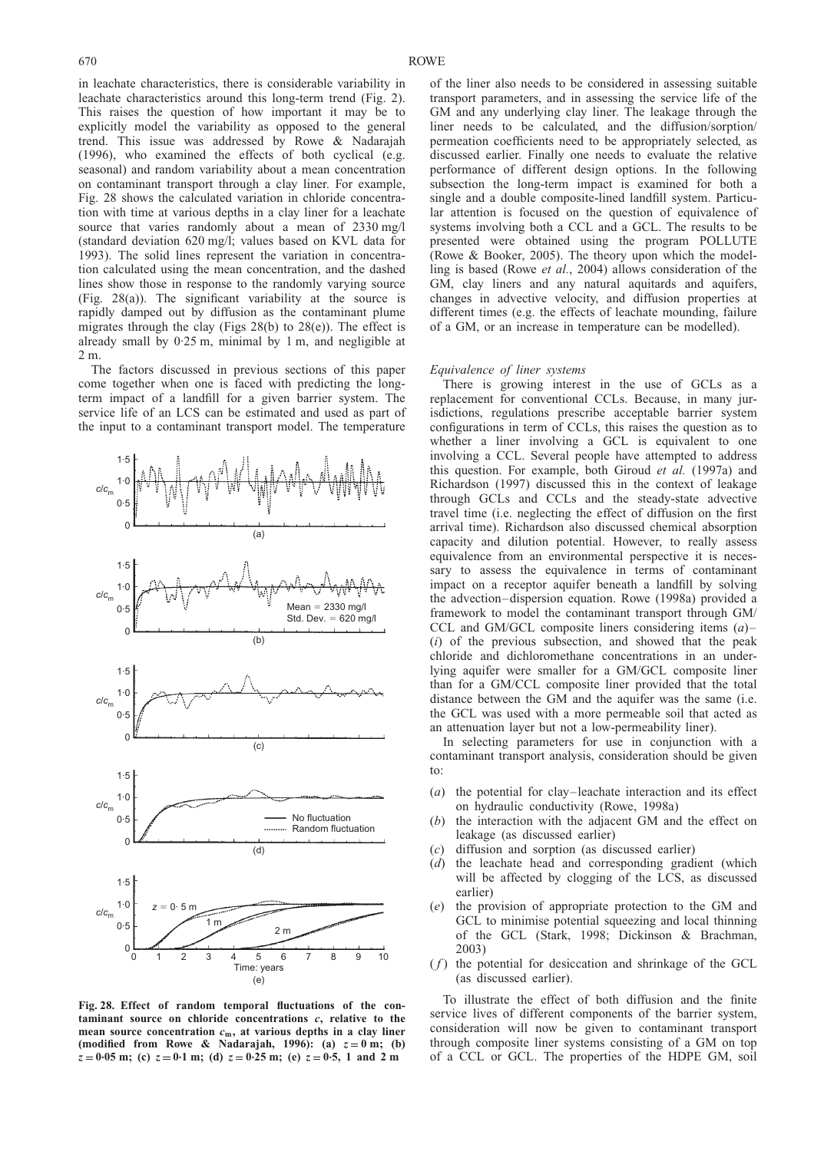<span id="page-39-0"></span>in leachate characteristics, there is considerable variability in leachate characteristics around this long-term trend (Fig. [2\)](#page-5-0). This raises the question of how important it may be to explicitly model the variability as opposed to the general trend. This issue was addressed by [Rowe & Nadarajah](#page-45-0) [\(1996\)](#page-45-0), who examined the effects of both cyclical (e.g. seasonal) and random variability about a mean concentration on contaminant transport through a clay liner. For example, Fig. 28 shows the calculated variation in chloride concentration with time at various depths in a clay liner for a leachate source that varies randomly about a mean of 2330 mg/l (standard deviation 620 mg/l; values based on KVL data for 1993). The solid lines represent the variation in concentration calculated using the mean concentration, and the dashed lines show those in response to the randomly varying source (Fig. 28(a)). The significant variability at the source is rapidly damped out by diffusion as the contaminant plume migrates through the clay (Figs 28(b) to 28(e)). The effect is already small by 0.25 m, minimal by 1 m, and negligible at 2 m.

The factors discussed in previous sections of this paper come together when one is faced with predicting the longterm impact of a landfill for a given barrier system. The service life of an LCS can be estimated and used as part of the input to a contaminant transport model. The temperature



Fig. 28. Effect of random temporal fluctuations of the contaminant source on chloride concentrations c, relative to the mean source concentration  $c_m$ , at various depths in a clay liner (modified from [Rowe & Nadarajah, 1996\):](#page-45-0) (a)  $z = 0$  m; (b)  $z = 0.05$  m; (c)  $z = 0.1$  m; (d)  $z = 0.25$  m; (e)  $z = 0.5$ , 1 and 2 m

of the liner also needs to be considered in assessing suitable transport parameters, and in assessing the service life of the GM and any underlying clay liner. The leakage through the liner needs to be calculated, and the diffusion/sorption/ permeation coefficients need to be appropriately selected, as discussed earlier. Finally one needs to evaluate the relative performance of different design options. In the following subsection the long-term impact is examined for both a single and a double composite-lined landfill system. Particular attention is focused on the question of equivalence of systems involving both a CCL and a GCL. The results to be presented were obtained using the program POLLUTE [\(Rowe & Booker, 2005\)](#page-45-0). The theory upon which the modelling is based (Rowe et al.[, 2004\)](#page-46-0) allows consideration of the GM, clay liners and any natural aquitards and aquifers, changes in advective velocity, and diffusion properties at different times (e.g. the effects of leachate mounding, failure of a GM, or an increase in temperature can be modelled).

## Equivalence of liner systems

There is growing interest in the use of GCLs as a replacement for conventional CCLs. Because, in many jurisdictions, regulations prescribe acceptable barrier system configurations in term of CCLs, this raises the question as to whether a liner involving a GCL is equivalent to one involving a CCL. Several people have attempted to address this question. For example, both [Giroud](#page-44-0) et al. (1997a) and [Richardson \(1997\)](#page-45-0) discussed this in the context of leakage through GCLs and CCLs and the steady-state advective travel time (i.e. neglecting the effect of diffusion on the first arrival time). Richardson also discussed chemical absorption capacity and dilution potential. However, to really assess equivalence from an environmental perspective it is necessary to assess the equivalence in terms of contaminant impact on a receptor aquifer beneath a landfill by solving the advection–dispersion equation. [Rowe \(1998a\)](#page-45-0) provided a framework to model the contaminant transport through GM/ CCL and GM/GCL composite liners considering items  $(a)$ – (i) of the previous subsection, and showed that the peak chloride and dichloromethane concentrations in an underlying aquifer were smaller for a GM/GCL composite liner than for a GM/CCL composite liner provided that the total distance between the GM and the aquifer was the same (i.e. the GCL was used with a more permeable soil that acted as an attenuation layer but not a low-permeability liner).

In selecting parameters for use in conjunction with a contaminant transport analysis, consideration should be given to:

- (a) the potential for clay–leachate interaction and its effect on hydraulic conductivity [\(Rowe, 1998a\)](#page-45-0)
- (b) the interaction with the adjacent GM and the effect on leakage (as discussed earlier)
- (c) diffusion and sorption (as discussed earlier)
- (d) the leachate head and corresponding gradient (which will be affected by clogging of the LCS, as discussed earlier)
- (e) the provision of appropriate protection to the GM and GCL to minimise potential squeezing and local thinning of the GCL [\(Stark, 1998;](#page-46-0) [Dickinson & Brachman,](#page-44-0) [2003\)](#page-44-0)
- $(f)$  the potential for desiccation and shrinkage of the GCL (as discussed earlier).

To illustrate the effect of both diffusion and the finite service lives of different components of the barrier system, consideration will now be given to contaminant transport through composite liner systems consisting of a GM on top of a CCL or GCL. The properties of the HDPE GM, soil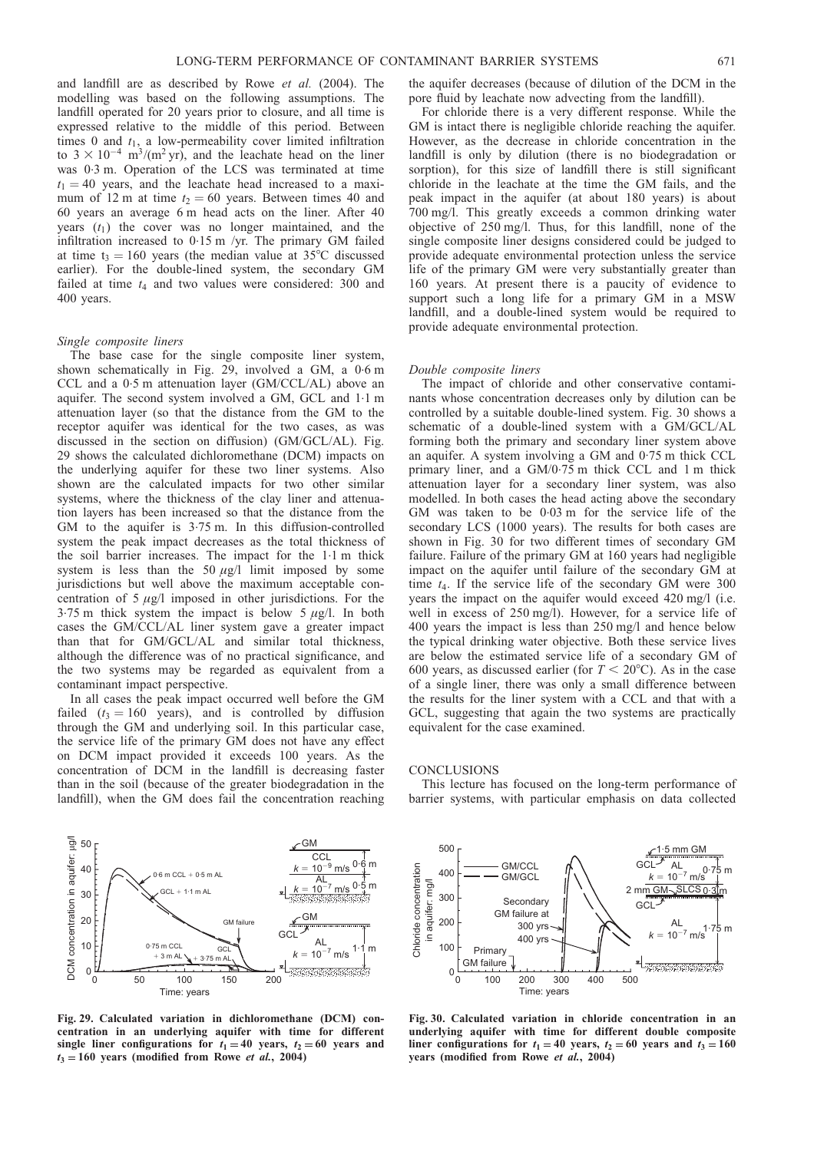<span id="page-40-0"></span>and landfill are as described by [Rowe](#page-46-0) et al. (2004). The modelling was based on the following assumptions. The landfill operated for 20 years prior to closure, and all time is expressed relative to the middle of this period. Between times 0 and  $t_1$ , a low-permeability cover limited infiltration to  $3 \times 10^{-4}$  m<sup>3</sup>/(m<sup>2</sup> yr), and the leachate head on the liner was 0. 3 m. Operation of the LCS was terminated at time  $t_1 = 40$  years, and the leachate head increased to a maximum of 12 m at time  $t_2 = 60$  years. Between times 40 and 60 years an average 6 m head acts on the liner. After 40 years  $(t_1)$  the cover was no longer maintained, and the infiltration increased to 0.15 m /yr. The primary GM failed at time t<sub>3</sub> = 160 years (the median value at 35<sup>o</sup>C discussed earlier). For the double-lined system, the secondary GM failed at time  $t_4$  and two values were considered: 300 and 400 years.

#### Single composite liners

The base case for the single composite liner system, shown schematically in Fig. 29, involved a GM, a 0.6 m CCL and a 0.5 m attenuation layer (GM/CCL/AL) above an aquifer. The second system involved a GM, GCL and 1.1 m attenuation layer (so that the distance from the GM to the receptor aquifer was identical for the two cases, as was discussed in the section on diffusion) (GM/GCL/AL). Fig. 29 shows the calculated dichloromethane (DCM) impacts on the underlying aquifer for these two liner systems. Also shown are the calculated impacts for two other similar systems, where the thickness of the clay liner and attenuation layers has been increased so that the distance from the GM to the aquifer is 3.75 m. In this diffusion-controlled system the peak impact decreases as the total thickness of the soil barrier increases. The impact for the 1. 1 m thick system is less than the 50  $\mu$ g/l limit imposed by some jurisdictions but well above the maximum acceptable concentration of  $5 \mu g/l$  imposed in other jurisdictions. For the 3.75 m thick system the impact is below 5  $\mu$ g/l. In both cases the GM/CCL/AL liner system gave a greater impact than that for GM/GCL/AL and similar total thickness, although the difference was of no practical significance, and the two systems may be regarded as equivalent from a contaminant impact perspective.

In all cases the peak impact occurred well before the GM failed ( $t_3 = 160$  years), and is controlled by diffusion through the GM and underlying soil. In this particular case, the service life of the primary GM does not have any effect on DCM impact provided it exceeds 100 years. As the concentration of DCM in the landfill is decreasing faster than in the soil (because of the greater biodegradation in the landfill), when the GM does fail the concentration reaching

Fig. 29. Calculated variation in dichloromethane (DCM) concentration in an underlying aquifer with time for different single liner configurations for  $t_1 = 40$  years,  $t_2 = 60$  years and  $t_3 = 160$  years (modified from Rowe *et al.*[, 2004\)](#page-46-0)

the aquifer decreases (because of dilution of the DCM in the pore fluid by leachate now advecting from the landfill).

For chloride there is a very different response. While the GM is intact there is negligible chloride reaching the aquifer. However, as the decrease in chloride concentration in the landfill is only by dilution (there is no biodegradation or sorption), for this size of landfill there is still significant chloride in the leachate at the time the GM fails, and the peak impact in the aquifer (at about 180 years) is about 700 mg/l. This greatly exceeds a common drinking water objective of 250 mg/l. Thus, for this landfill, none of the single composite liner designs considered could be judged to provide adequate environmental protection unless the service life of the primary GM were very substantially greater than 160 years. At present there is a paucity of evidence to support such a long life for a primary GM in a MSW landfill, and a double-lined system would be required to provide adequate environmental protection.

#### Double composite liners

The impact of chloride and other conservative contaminants whose concentration decreases only by dilution can be controlled by a suitable double-lined system. Fig. 30 shows a schematic of a double-lined system with a GM/GCL/AL forming both the primary and secondary liner system above an aquifer. A system involving a GM and 0.75 m thick CCL primary liner, and a GM/0.75 m thick CCL and 1 m thick attenuation layer for a secondary liner system, was also modelled. In both cases the head acting above the secondary GM was taken to be 0. 03 m for the service life of the secondary LCS (1000 years). The results for both cases are shown in Fig. 30 for two different times of secondary GM failure. Failure of the primary GM at 160 years had negligible impact on the aquifer until failure of the secondary GM at time  $t_4$ . If the service life of the secondary GM were 300 years the impact on the aquifer would exceed 420 mg/l (i.e. well in excess of 250 mg/l). However, for a service life of 400 years the impact is less than 250 mg/l and hence below the typical drinking water objective. Both these service lives are below the estimated service life of a secondary GM of 600 years, as discussed earlier (for  $T < 20^{\circ}$ C). As in the case of a single liner, there was only a small difference between the results for the liner system with a CCL and that with a GCL, suggesting that again the two systems are practically equivalent for the case examined.

#### **CONCLUSIONS**

This lecture has focused on the long-term performance of barrier systems, with particular emphasis on data collected



Fig. 30. Calculated variation in chloride concentration in an underlying aquifer with time for different double composite liner configurations for  $t_1 = 40$  years,  $t_2 = 60$  years and  $t_3 = 160$ years (modified from Rowe et al.[, 2004\)](#page-46-0)

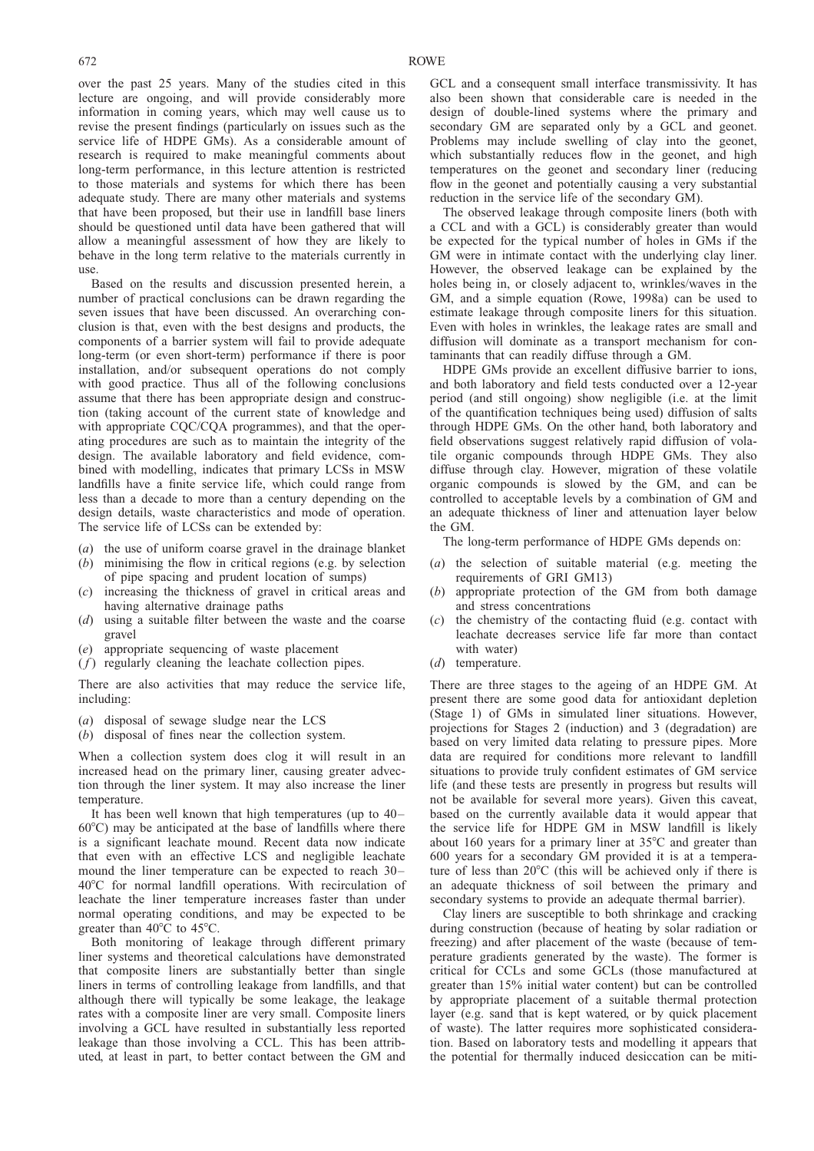over the past 25 years. Many of the studies cited in this lecture are ongoing, and will provide considerably more information in coming years, which may well cause us to revise the present findings (particularly on issues such as the service life of HDPE GMs). As a considerable amount of research is required to make meaningful comments about long-term performance, in this lecture attention is restricted to those materials and systems for which there has been adequate study. There are many other materials and systems that have been proposed, but their use in landfill base liners should be questioned until data have been gathered that will allow a meaningful assessment of how they are likely to behave in the long term relative to the materials currently in use.

Based on the results and discussion presented herein, a number of practical conclusions can be drawn regarding the seven issues that have been discussed. An overarching conclusion is that, even with the best designs and products, the components of a barrier system will fail to provide adequate long-term (or even short-term) performance if there is poor installation, and/or subsequent operations do not comply with good practice. Thus all of the following conclusions assume that there has been appropriate design and construction (taking account of the current state of knowledge and with appropriate CQC/CQA programmes), and that the operating procedures are such as to maintain the integrity of the design. The available laboratory and field evidence, combined with modelling, indicates that primary LCSs in MSW landfills have a finite service life, which could range from less than a decade to more than a century depending on the design details, waste characteristics and mode of operation. The service life of LCSs can be extended by:

- (a) the use of uniform coarse gravel in the drainage blanket
- (b) minimising the flow in critical regions (e.g. by selection of pipe spacing and prudent location of sumps)
- (c) increasing the thickness of gravel in critical areas and having alternative drainage paths
- (d) using a suitable filter between the waste and the coarse gravel
- (e) appropriate sequencing of waste placement
- $(f)$  regularly cleaning the leachate collection pipes.

There are also activities that may reduce the service life, including:

- (a) disposal of sewage sludge near the LCS
- (b) disposal of fines near the collection system.

When a collection system does clog it will result in an increased head on the primary liner, causing greater advection through the liner system. It may also increase the liner temperature.

It has been well known that high temperatures (up to 40–  $60^{\circ}$ C) may be anticipated at the base of landfills where there is a significant leachate mound. Recent data now indicate that even with an effective LCS and negligible leachate mound the liner temperature can be expected to reach 30– 40°C for normal landfill operations. With recirculation of leachate the liner temperature increases faster than under normal operating conditions, and may be expected to be greater than  $40^{\circ}$ C to  $45^{\circ}$ C.

Both monitoring of leakage through different primary liner systems and theoretical calculations have demonstrated that composite liners are substantially better than single liners in terms of controlling leakage from landfills, and that although there will typically be some leakage, the leakage rates with a composite liner are very small. Composite liners involving a GCL have resulted in substantially less reported leakage than those involving a CCL. This has been attributed, at least in part, to better contact between the GM and

GCL and a consequent small interface transmissivity. It has also been shown that considerable care is needed in the design of double-lined systems where the primary and secondary GM are separated only by a GCL and geonet. Problems may include swelling of clay into the geonet, which substantially reduces flow in the geonet, and high temperatures on the geonet and secondary liner (reducing flow in the geonet and potentially causing a very substantial reduction in the service life of the secondary GM).

The observed leakage through composite liners (both with a CCL and with a GCL) is considerably greater than would be expected for the typical number of holes in GMs if the GM were in intimate contact with the underlying clay liner. However, the observed leakage can be explained by the holes being in, or closely adjacent to, wrinkles/waves in the GM, and a simple equation [\(Rowe, 1998a\)](#page-45-0) can be used to estimate leakage through composite liners for this situation. Even with holes in wrinkles, the leakage rates are small and diffusion will dominate as a transport mechanism for contaminants that can readily diffuse through a GM.

HDPE GMs provide an excellent diffusive barrier to ions, and both laboratory and field tests conducted over a 12-year period (and still ongoing) show negligible (i.e. at the limit of the quantification techniques being used) diffusion of salts through HDPE GMs. On the other hand, both laboratory and field observations suggest relatively rapid diffusion of volatile organic compounds through HDPE GMs. They also diffuse through clay. However, migration of these volatile organic compounds is slowed by the GM, and can be controlled to acceptable levels by a combination of GM and an adequate thickness of liner and attenuation layer below the GM.

The long-term performance of HDPE GMs depends on:

- (a) the selection of suitable material (e.g. meeting the requirements of GRI GM13)
- (b) appropriate protection of the GM from both damage and stress concentrations
- (c) the chemistry of the contacting fluid (e.g. contact with leachate decreases service life far more than contact with water)
- (d) temperature.

There are three stages to the ageing of an HDPE GM. At present there are some good data for antioxidant depletion (Stage 1) of GMs in simulated liner situations. However, projections for Stages 2 (induction) and 3 (degradation) are based on very limited data relating to pressure pipes. More data are required for conditions more relevant to landfill situations to provide truly confident estimates of GM service life (and these tests are presently in progress but results will not be available for several more years). Given this caveat, based on the currently available data it would appear that the service life for HDPE GM in MSW landfill is likely about 160 years for a primary liner at  $35^{\circ}$ C and greater than 600 years for a secondary GM provided it is at a temperature of less than  $20^{\circ}$ C (this will be achieved only if there is an adequate thickness of soil between the primary and secondary systems to provide an adequate thermal barrier).

Clay liners are susceptible to both shrinkage and cracking during construction (because of heating by solar radiation or freezing) and after placement of the waste (because of temperature gradients generated by the waste). The former is critical for CCLs and some GCLs (those manufactured at greater than 15% initial water content) but can be controlled by appropriate placement of a suitable thermal protection layer (e.g. sand that is kept watered, or by quick placement of waste). The latter requires more sophisticated consideration. Based on laboratory tests and modelling it appears that the potential for thermally induced desiccation can be miti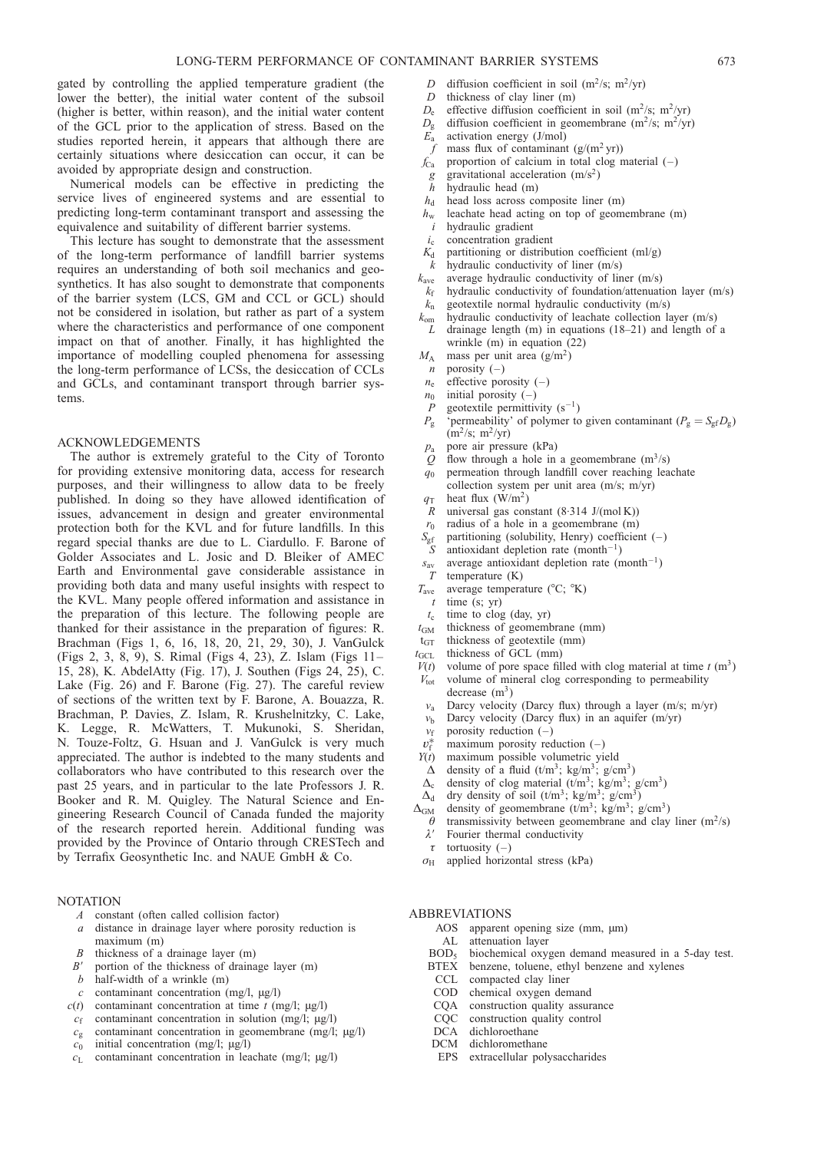gated by controlling the applied temperature gradient (the lower the better), the initial water content of the subsoil (higher is better, within reason), and the initial water content of the GCL prior to the application of stress. Based on the studies reported herein, it appears that although there are certainly situations where desiccation can occur, it can be avoided by appropriate design and construction.

Numerical models can be effective in predicting the service lives of engineered systems and are essential to predicting long-term contaminant transport and assessing the equivalence and suitability of different barrier systems.

This lecture has sought to demonstrate that the assessment of the long-term performance of landfill barrier systems requires an understanding of both soil mechanics and geosynthetics. It has also sought to demonstrate that components of the barrier system (LCS, GM and CCL or GCL) should not be considered in isolation, but rather as part of a system where the characteristics and performance of one component impact on that of another. Finally, it has highlighted the importance of modelling coupled phenomena for assessing the long-term performance of LCSs, the desiccation of CCLs and GCLs, and contaminant transport through barrier systems.

## ACKNOWLEDGEMENTS

The author is extremely grateful to the City of Toronto for providing extensive monitoring data, access for research purposes, and their willingness to allow data to be freely published. In doing so they have allowed identification of issues, advancement in design and greater environmental protection both for the KVL and for future landfills. In this regard special thanks are due to L. Ciardullo. F. Barone of Golder Associates and L. Josic and D. Bleiker of AMEC Earth and Environmental gave considerable assistance in providing both data and many useful insights with respect to the KVL. Many people offered information and assistance in the preparation of this lecture. The following people are thanked for their assistance in the preparation of figures: R. Brachman (Figs [1,](#page-1-0) [6,](#page-13-0) [16,](#page-23-0) [18,](#page-24-0) [20, 21,](#page-28-0) [29, 30\)](#page-40-0), J. VanGulck (Figs [2, 3,](#page-5-0) [8, 9\)](#page-15-0), S. Rimal (Figs [4,](#page-8-0) [23\),](#page-31-0) Z. Islam (Figs [11–](#page-18-0) [15,](#page-19-0) [28\),](#page-39-0) K. AbdelAtty (Fig. [17\)](#page-24-0), J. Southen (Figs [24, 25\),](#page-36-0) C. Lake (Fig. [26\)](#page-37-0) and F. Barone (Fig. [27\).](#page-38-0) The careful review of sections of the written text by F. Barone, A. Bouazza, R. Brachman, P. Davies, Z. Islam, R. Krushelnitzky, C. Lake, K. Legge, R. McWatters, T. Mukunoki, S. Sheridan, N. Touze-Foltz, G. Hsuan and J. VanGulck is very much appreciated. The author is indebted to the many students and collaborators who have contributed to this research over the past 25 years, and in particular to the late Professors J. R. Booker and R. M. Quigley. The Natural Science and Engineering Research Council of Canada funded the majority of the research reported herein. Additional funding was provided by the Province of Ontario through CRESTech and by Terrafix Geosynthetic Inc. and NAUE GmbH & Co.

#### NOTATION

- A constant (often called collision factor)
- a distance in drainage layer where porosity reduction is
- maximum (m)
- B thickness of a drainage layer (m)
- $B'$  portion of the thickness of drainage layer (m)
- $b$  half-width of a wrinkle  $(m)$
- $c$  contaminant concentration (mg/l,  $\mu$ g/l)
- $c(t)$  contaminant concentration at time t (mg/l;  $\mu$ g/l)
- $c_f$  contaminant concentration in solution (mg/l;  $\mu$ g/l)
- $c_g$  contaminant concentration in geomembrane (mg/l;  $\mu$ g/l)
- $c_0$  initial concentration (mg/l;  $\mu$ g/l)
- $c_L$  contaminant concentration in leachate (mg/l;  $\mu$ g/l)
- D diffusion coefficient in soil (m<sup>2</sup>/s; m<sup>2</sup>/yr)<br>D thickness of clay liner (m)
- $D$  thickness of clay liner (m)<br> $D_e$  effective diffusion coefficie
- $D_e$  effective diffusion coefficient in soil (m<sup>2</sup>/s; m<sup>2</sup>/yr)<br>  $D_e$  diffusion coefficient in geomembrane (m<sup>2</sup>/s; m<sup>2</sup>/yr)
- diffusion coefficient in geomembrane (m<sup>2</sup>/s; m<sup>2</sup>/yr)
- $\overline{E}_a$  activation energy (J/mol)
- f mass flux of contaminant  $(g/(m^2 yr))$
- $f_{\text{Ca}}$  proportion of calcium in total clog material (-)
- g gravitational acceleration  $(m/s^2)$
- $h$  hydraulic head (m)
- $h_d$  head loss across composite liner (m)
- $h_w$  leachate head acting on top of geomembrane (m)
- hydraulic gradient
- $i<sub>c</sub>$  concentration gradient
- $K_d$  partitioning or distribution coefficient (ml/g)
- $k$  hydraulic conductivity of liner  $(m/s)$
- $k_{\text{ave}}$  average hydraulic conductivity of liner (m/s)
- $k_f$  hydraulic conductivity of foundation/attenuation layer (m/s)  $k_n$  geotextile normal hydraulic conductivity (m/s)
- 
- $k_{\text{om}}$  hydraulic conductivity of leachate collection layer (m/s) drainage length  $(m)$  in equations  $(18–21)$  and length of a wrinkle (m) in equation [\(22](#page-24-0))
- $M_A$  mass per unit area (g/m<sup>2</sup>)
- $n$  porosity  $(-)$
- $n_e$  effective porosity (-)
- $n_0$  initial porosity (–)
- geotextile permittivity  $(s^{-1})$
- $P_g$  'permeability' of polymer to given contaminant  $(P_g = S_{gf}D_g)$  $(m^2/s; m^2/yr)$
- $p_a$  pore air pressure (kPa)
- Q flow through a hole in a geomembrane  $(m^3/s)$
- $q_0$  permeation through landfill cover reaching leachate collection system per unit area (m/s; m/yr)
- $q_T$  heat flux (W/m<sup>2</sup>)<br>R universal gas con
- universal gas constant  $(8.314 \text{ J/(mol K)})$
- $r_0$  radius of a hole in a geomembrane (m)<br> $S_{\text{gf}}$  partitioning (solubility, Henry) coefficier<br>S antioxidant depletion rate (month<sup>-1</sup>)
- partitioning (solubility, Henry) coefficient  $(-)$
- antioxidant depletion rate (month<sup>-1</sup>)
- $s_{av}$  average antioxidant depletion rate (month<sup>-1</sup>)
- $T_{\text{ave}}$  temperature (K)<br> $T_{\text{ave}}$  average tempera
- average temperature  $({}^{\circ}C; {}^{\circ}K)$
- $t$  time (s; yr)  $t_c$  time to clog (day, yr)
- $t_{GM}$  thickness of geomembrane (mm)
- $t<sub>GT</sub>$  thickness of geotextile (mm)
- $t_{GCL}$  thickness of  $GCL$  (mm)
- 
- $V(t)$  volume of pore space filled with clog material at time t (m<sup>3</sup>)  $V_{\text{tot}}$  volume of mineral clog corresponding to permeability
- decrease  $(m<sup>3</sup>)$
- $v_a$  Darcy velocity (Darcy flux) through a layer (m/s; m/yr)
- $v<sub>b</sub>$  Darcy velocity (Darcy flux) in an aquifer (m/yr)
- $v_f$  porosity reduction  $(-)$
- $v_{\rm f}^*$ <br> $Y(t)$ maximum porosity reduction  $(-)$
- maximum possible volumetric vield
- $\Delta$  density of a fluid (t/m<sup>3</sup>; kg/m<sup>3</sup>; g/cm<sup>3</sup>)<br> $\Delta_c$  density of clog material (t/m<sup>3</sup>; kg/m<sup>3</sup>;
- 
- $\Delta_c$  density of clog material (t/m<sup>3</sup>; kg/m<sup>3</sup>; g/cm<sup>3</sup>)<br> $\Delta_d$  dry density of soil (t/m<sup>3</sup>; kg/m<sup>3</sup>; g/cm<sup>3</sup>) dry density of soil  $(t/m^3; \text{ kg/m}^3; \text{ g/cm}^3)$
- 
- $\Delta_{GM}$  density of geomembrane (t/m<sup>3</sup>; kg/m<sup>3</sup>; g/cm<sup>3</sup>)<br>  $\theta$  transmissivity between geomembrane and clay  $\theta$  transmissivity between geomembrane and clay liner (m<sup>2</sup>/s)  $\lambda'$  Fourier thermal conductivity
	- Fourier thermal conductivity
	- $\tau$  tortuosity (–)
- $\sigma_H$  applied horizontal stress (kPa)

## ABBREVIATIONS

- AOS apparent opening size (mm,  $\mu$ m)
- AL attenuation layer<br>BOD<sub>5</sub> biochemical oxy
- $BOD<sub>5</sub>$  biochemical oxygen demand measured in a 5-day test.<br>BTEX benzene, toluene, ethyl benzene and xylenes
- benzene, toluene, ethyl benzene and xylenes
- CCL compacted clay liner<br>COD chemical oxygen den
- chemical oxygen demand
- CQA construction quality assurance<br>CQC construction quality control
- CQC construction quality control<br>DCA dichloroethane
- dichloroethane
- DCM dichloromethane
- EPS extracellular polysaccharides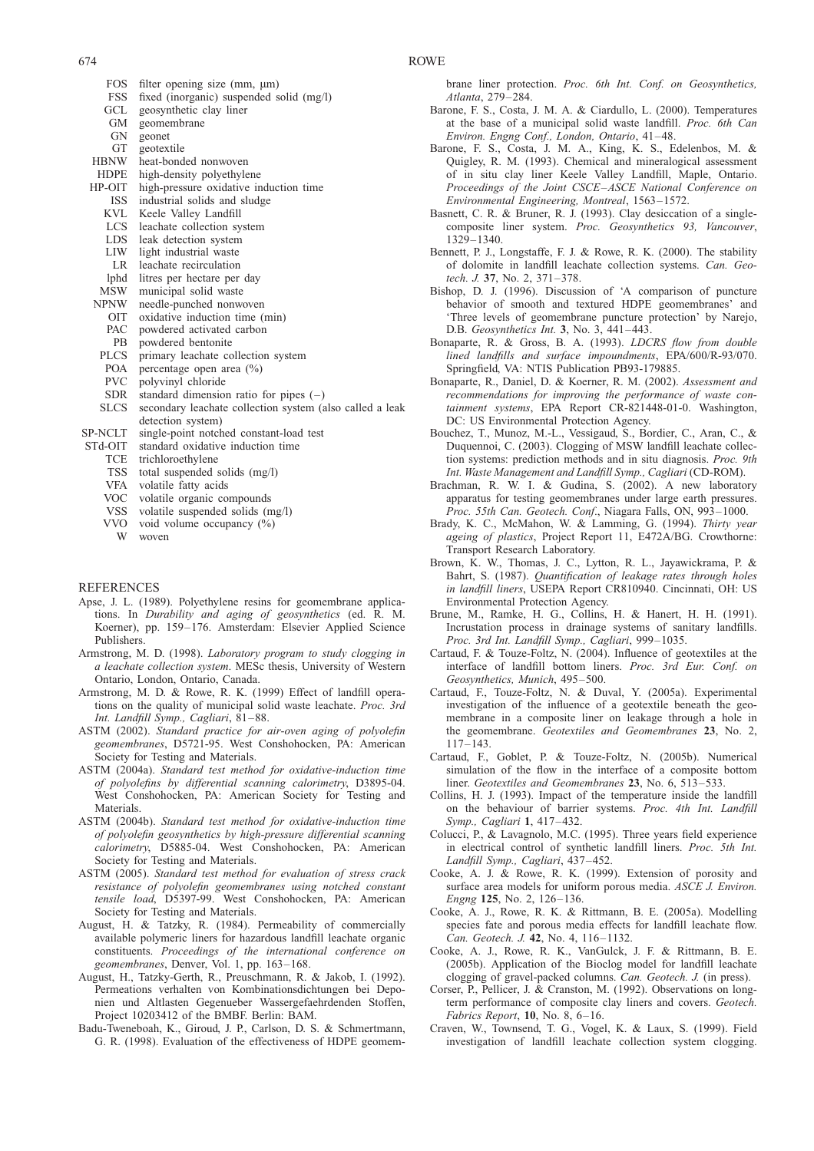- <span id="page-43-0"></span>FOS filter opening size (mm,  $\mu$ m)<br>FSS fixed (inorganic) suspended s FSS fixed (inorganic) suspended solid (mg/l)<br>GCL geosynthetic clay liner
- geosynthetic clay liner
- GM geomembrane
- GN geonet
- GT geotextile<br>HBNW heat-bond
- heat-bonded nonwoven
- HDPE high-density polyethylene
- HP-OIT high-pressure oxidative induction time ISS industrial solids and sludge
- KVL Keele Valley Landfill
- LCS leachate collection system
- 
- LDS leak detection system<br>LIW light industrial waste light industrial waste
- LR leachate recirculation
- lphd litres per hectare per day<br>MSW municipal solid waste
- MSW municipal solid waste<br>NPNW needle-punched nonwe
- needle-punched nonwoven
- OIT oxidative induction time (min)
- PAC powdered activated carbon
- PB powdered bentonite
- PLCS primary leachate collection system POA percentage open area (%)
- 
- PVC polyvinyl chloride<br>SDR standard dimension
- SDR standard dimension ratio for pipes  $(-)$ <br>SLCS secondary leachate collection system (a secondary leachate collection system (also called a leak detection system)
- 
- SP-NCLT single-point notched constant-load test<br>STd-OIT standard oxidative induction time standard oxidative induction time
	-
	- TCE trichloroethylene<br>TSS total suspended
	- TSS total suspended solids (mg/l)<br>VFA volatile fatty acids volatile fatty acids
	- VOC volatile organic compounds
	- VSS volatile suspended solids (mg/l)
	- VVO void volume occupancy (%)
		- W woven

## **REFERENCES**

- Apse, J. L. (1989). Polyethylene resins for geomembrane applications. In Durability and aging of geosynthetics (ed. R. M. Koerner), pp. 159–176. Amsterdam: Elsevier Applied Science Publishers.
- Armstrong, M. D. (1998). Laboratory program to study clogging in a leachate collection system. MESc thesis, University of Western Ontario, London, Ontario, Canada.
- Armstrong, M. D. & Rowe, R. K. (1999) Effect of landfill operations on the quality of municipal solid waste leachate. Proc. 3rd Int. Landfill Symp., Cagliari, 81–88.
- ASTM (2002). Standard practice for air-oven aging of polyolefin geomembranes, D5721-95. West Conshohocken, PA: American Society for Testing and Materials.
- ASTM (2004a). Standard test method for oxidative-induction time of polyolefins by differential scanning calorimetry, D3895-04. West Conshohocken, PA: American Society for Testing and Materials.
- ASTM (2004b). Standard test method for oxidative-induction time of polyolefin geosynthetics by high-pressure differential scanning calorimetry, D5885-04. West Conshohocken, PA: American Society for Testing and Materials.
- ASTM (2005). Standard test method for evaluation of stress crack resistance of polyolefin geomembranes using notched constant tensile load, D5397-99. West Conshohocken, PA: American Society for Testing and Materials.
- August, H. & Tatzky, R. (1984). Permeability of commercially available polymeric liners for hazardous landfill leachate organic constituents. Proceedings of the international conference on geomembranes, Denver, Vol. 1, pp. 163–168.
- August, H., Tatzky-Gerth, R., Preuschmann, R. & Jakob, I. (1992). Permeations verhalten von Kombinationsdichtungen bei Deponien und Altlasten Gegenueber Wassergefaehrdenden Stoffen, Project 10203412 of the BMBF. Berlin: BAM.
- Badu-Tweneboah, K., Giroud, J. P., Carlson, D. S. & Schmertmann, G. R. (1998). Evaluation of the effectiveness of HDPE geomem-

brane liner protection. Proc. 6th Int. Conf. on Geosynthetics, Atlanta, 279–284.

- Barone, F. S., Costa, J. M. A. & Ciardullo, L. (2000). Temperatures at the base of a municipal solid waste landfill. Proc. 6th Can Environ. Engng Conf., London, Ontario, 41–48.
- Barone, F. S., Costa, J. M. A., King, K. S., Edelenbos, M. & Quigley, R. M. (1993). Chemical and mineralogical assessment of in situ clay liner Keele Valley Landfill, Maple, Ontario. Proceedings of the Joint CSCE–ASCE National Conference on Environmental Engineering, Montreal, 1563–1572.
- Basnett, C. R. & Bruner, R. J. (1993). Clay desiccation of a singlecomposite liner system. Proc. Geosynthetics 93, Vancouver, 1329–1340.
- Bennett, P. J., Longstaffe, F. J. & Rowe, R. K. (2000). The stability of dolomite in landfill leachate collection systems. Can. Geotech. J. 37, No. 2, 371–378.
- Bishop, D. J. (1996). Discussion of 'A comparison of puncture behavior of smooth and textured HDPE geomembranes' and 'Three levels of geomembrane puncture protection' by Narejo, D.B. Geosynthetics Int. 3, No. 3, 441–443.
- Bonaparte, R. & Gross, B. A. (1993). LDCRS flow from double lined landfills and surface impoundments, EPA/600/R-93/070. Springfield, VA: NTIS Publication PB93-179885.
- Bonaparte, R., Daniel, D. & Koerner, R. M. (2002). Assessment and recommendations for improving the performance of waste containment systems, EPA Report CR-821448-01-0. Washington, DC: US Environmental Protection Agency.
- Bouchez, T., Munoz, M.-L., Vessigaud, S., Bordier, C., Aran, C., & Duquennoi, C. (2003). Clogging of MSW landfill leachate collection systems: prediction methods and in situ diagnosis. Proc. 9th Int. Waste Management and Landfill Symp., Cagliari (CD-ROM).
- Brachman, R. W. I. & Gudina, S. (2002). A new laboratory apparatus for testing geomembranes under large earth pressures. Proc. 55th Can. Geotech. Conf., Niagara Falls, ON, 993-1000.
- Brady, K. C., McMahon, W. & Lamming, G. (1994). Thirty year ageing of plastics, Project Report 11, E472A/BG. Crowthorne: Transport Research Laboratory.
- Brown, K. W., Thomas, J. C., Lytton, R. L., Jayawickrama, P. & Bahrt, S. (1987). Quantification of leakage rates through holes in landfill liners, USEPA Report CR810940. Cincinnati, OH: US Environmental Protection Agency.
- Brune, M., Ramke, H. G., Collins, H. & Hanert, H. H. (1991). Incrustation process in drainage systems of sanitary landfills. Proc. 3rd Int. Landfill Symp., Cagliari, 999–1035.
- Cartaud, F. & Touze-Foltz, N. (2004). Influence of geotextiles at the interface of landfill bottom liners. Proc. 3rd Eur. Conf. on Geosynthetics, Munich, 495–500.
- Cartaud, F., Touze-Foltz, N. & Duval, Y. (2005a). Experimental investigation of the influence of a geotextile beneath the geomembrane in a composite liner on leakage through a hole in the geomembrane. Geotextiles and Geomembranes 23, No. 2, 117–143.
- Cartaud, F., Goblet, P. & Touze-Foltz, N. (2005b). Numerical simulation of the flow in the interface of a composite bottom liner. Geotextiles and Geomembranes 23, No. 6, 513-533.
- Collins, H. J. (1993). Impact of the temperature inside the landfill on the behaviour of barrier systems. Proc. 4th Int. Landfill Symp., Cagliari 1, 417–432.
- Colucci, P., & Lavagnolo, M.C. (1995). Three years field experience in electrical control of synthetic landfill liners. Proc. 5th Int. Landfill Symp., Cagliari, 437–452.
- Cooke, A. J. & Rowe, R. K. (1999). Extension of porosity and surface area models for uniform porous media. ASCE J. Environ. Engng 125, No. 2, 126–136.
- Cooke, A. J., Rowe, R. K. & Rittmann, B. E. (2005a). Modelling species fate and porous media effects for landfill leachate flow. Can. Geotech. J. 42, No. 4, 116–1132.
- Cooke, A. J., Rowe, R. K., VanGulck, J. F. & Rittmann, B. E. (2005b). Application of the Bioclog model for landfill leachate clogging of gravel-packed columns. Can. Geotech. J. (in press).
- Corser, P., Pellicer, J. & Cranston, M. (1992). Observations on longterm performance of composite clay liners and covers. Geotech. Fabrics Report, 10, No. 8, 6–16.
- Craven, W., Townsend, T. G., Vogel, K. & Laux, S. (1999). Field investigation of landfill leachate collection system clogging.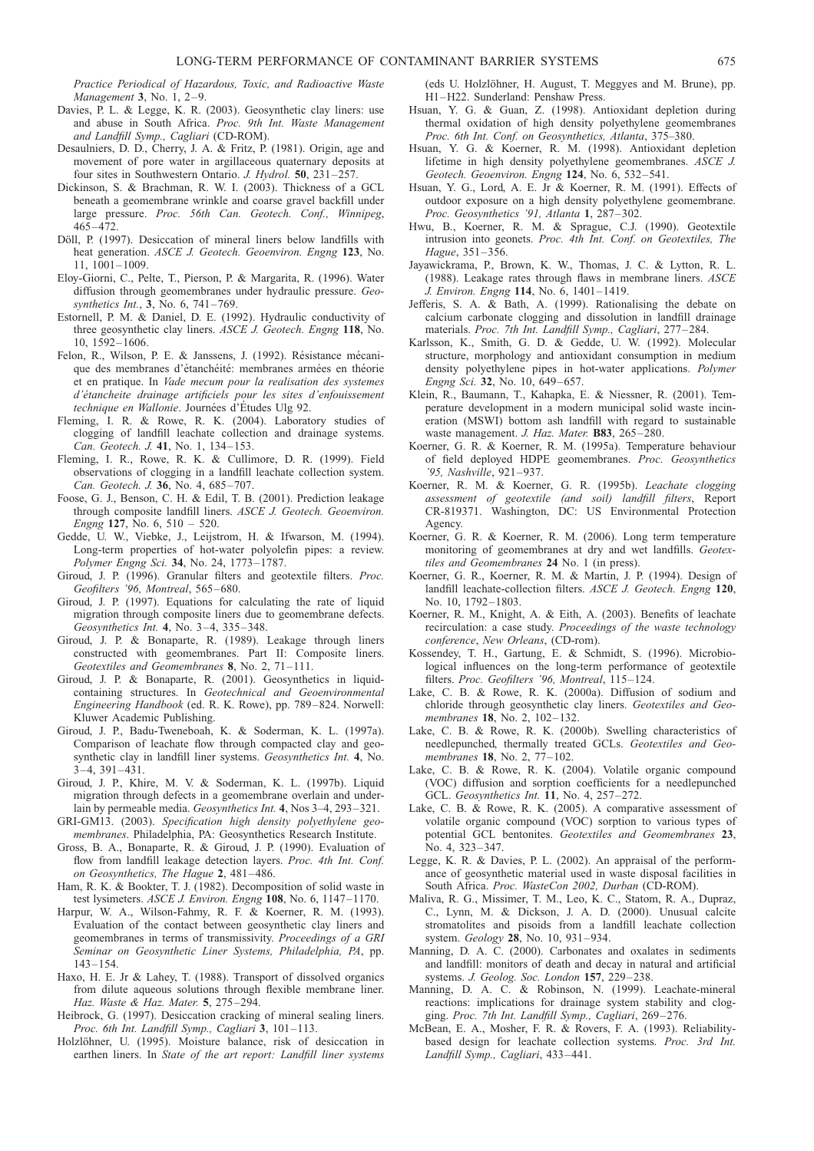<span id="page-44-0"></span>Practice Periodical of Hazardous, Toxic, and Radioactive Waste Management  $3.$  No. 1,  $2-9$ .

- Davies, P. L. & Legge, K. R. (2003). Geosynthetic clay liners: use and abuse in South Africa. Proc. 9th Int. Waste Management and Landfill Symp., Cagliari (CD-ROM).
- Desaulniers, D. D., Cherry, J. A. & Fritz, P. (1981). Origin, age and movement of pore water in argillaceous quaternary deposits at four sites in Southwestern Ontario. J. Hydrol. 50, 231–257.
- Dickinson, S. & Brachman, R. W. I. (2003). Thickness of a GCL beneath a geomembrane wrinkle and coarse gravel backfill under large pressure. Proc. 56th Can. Geotech. Conf., Winnipeg, 465–472.
- Döll, P. (1997). Desiccation of mineral liners below landfills with heat generation. ASCE J. Geotech. Geoenviron. Engng 123, No. 11, 1001–1009.
- Eloy-Giorni, C., Pelte, T., Pierson, P. & Margarita, R. (1996). Water diffusion through geomembranes under hydraulic pressure. Geosynthetics Int., 3, No. 6, 741–769.
- Estornell, P. M. & Daniel, D. E. (1992). Hydraulic conductivity of three geosynthetic clay liners. ASCE J. Geotech. Engng 118, No. 10, 1592–1606.
- Felon, R., Wilson, P. E. & Janssens, J. (1992). Résistance mécanique des membranes d'étanchéité: membranes armées en théorie et en pratique. In Vade mecum pour la realisation des systemes d'étancheite drainage artificiels pour les sites d'enfouissement technique en Wallonie. Journées d'Études Ulg 92.
- Fleming, I. R. & Rowe, R. K. (2004). Laboratory studies of clogging of landfill leachate collection and drainage systems. Can. Geotech. J. 41, No. 1, 134–153.
- Fleming, I. R., Rowe, R. K. & Cullimore, D. R. (1999). Field observations of clogging in a landfill leachate collection system. Can. Geotech. J. 36, No. 4, 685–707.
- Foose, G. J., Benson, C. H. & Edil, T. B. (2001). Prediction leakage through composite landfill liners. ASCE J. Geotech. Geoenviron. Engng 127, No. 6, 510 – 520.
- Gedde, U. W., Viebke, J., Leijstrom, H. & Ifwarson, M. (1994). Long-term properties of hot-water polyolefin pipes: a review. Polymer Engng Sci. 34, No. 24, 1773–1787.
- Giroud, J. P. (1996). Granular filters and geotextile filters. Proc. Geofilters '96, Montreal, 565–680.
- Giroud, J. P. (1997). Equations for calculating the rate of liquid migration through composite liners due to geomembrane defects. Geosynthetics Int. 4, No. 3–4, 335–348.
- Giroud, J. P. & Bonaparte, R. (1989). Leakage through liners constructed with geomembranes. Part II: Composite liners. Geotextiles and Geomembranes 8, No. 2, 71–111.
- Giroud, J. P. & Bonaparte, R. (2001). Geosynthetics in liquidcontaining structures. In Geotechnical and Geoenvironmental Engineering Handbook (ed. R. K. Rowe), pp. 789–824. Norwell: Kluwer Academic Publishing.
- Giroud, J. P., Badu-Tweneboah, K. & Soderman, K. L. (1997a). Comparison of leachate flow through compacted clay and geosynthetic clay in landfill liner systems. Geosynthetics Int. 4, No. 3–4, 391–431.
- Giroud, J. P., Khire, M. V. & Soderman, K. L. (1997b). Liquid migration through defects in a geomembrane overlain and underlain by permeable media. Geosynthetics Int. 4, Nos 3–4, 293–321.
- GRI-GM13. (2003). Specification high density polyethylene geomembranes. Philadelphia, PA: Geosynthetics Research Institute.
- Gross, B. A., Bonaparte, R. & Giroud, J. P. (1990). Evaluation of flow from landfill leakage detection layers. Proc. 4th Int. Conf. on Geosynthetics, The Hague 2, 481–486.
- Ham, R. K. & Bookter, T. J. (1982). Decomposition of solid waste in test lysimeters. ASCE J. Environ. Engng 108, No. 6, 1147–1170.
- Harpur, W. A., Wilson-Fahmy, R. F. & Koerner, R. M. (1993). Evaluation of the contact between geosynthetic clay liners and geomembranes in terms of transmissivity. Proceedings of a GRI Seminar on Geosynthetic Liner Systems, Philadelphia, PA, pp. 143–154.
- Haxo, H. E. Jr & Lahey, T. (1988). Transport of dissolved organics from dilute aqueous solutions through flexible membrane liner. Haz. Waste & Haz. Mater. 5, 275–294.
- Heibrock, G. (1997). Desiccation cracking of mineral sealing liners. Proc. 6th Int. Landfill Symp., Cagliari 3, 101–113.
- Holzlöhner, U. (1995). Moisture balance, risk of desiccation in earthen liners. In State of the art report: Landfill liner systems

(eds U. Holzlöhner, H. August, T. Meggyes and M. Brune), pp. H1–H22. Sunderland: Penshaw Press.

- Hsuan, Y. G. & Guan, Z. (1998). Antioxidant depletion during thermal oxidation of high density polyethylene geomembranes Proc. 6th Int. Conf. on Geosynthetics, Atlanta, 375–380.
- Hsuan, Y. G. & Koerner, R. M. (1998). Antioxidant depletion lifetime in high density polyethylene geomembranes. ASCE J. Geotech. Geoenviron. Engng 124, No. 6, 532–541.
- Hsuan, Y. G., Lord, A. E. Jr & Koerner, R. M. (1991). Effects of outdoor exposure on a high density polyethylene geomembrane. Proc. Geosynthetics '91, Atlanta 1, 287–302.
- Hwu, B., Koerner, R. M. & Sprague, C.J. (1990). Geotextile intrusion into geonets. Proc. 4th Int. Conf. on Geotextiles, The Hague, 351–356.
- Jayawickrama, P., Brown, K. W., Thomas, J. C. & Lytton, R. L. (1988). Leakage rates through flaws in membrane liners. ASCE J. Environ. Engng 114, No. 6, 1401–1419.
- Jefferis, S. A. & Bath, A. (1999). Rationalising the debate on calcium carbonate clogging and dissolution in landfill drainage materials. Proc. 7th Int. Landfill Symp., Cagliari, 277–284.
- Karlsson, K., Smith, G. D. & Gedde, U. W. (1992). Molecular structure, morphology and antioxidant consumption in medium density polyethylene pipes in hot-water applications. Polymer Engng Sci. 32, No. 10, 649–657.
- Klein, R., Baumann, T., Kahapka, E. & Niessner, R. (2001). Temperature development in a modern municipal solid waste incineration (MSWI) bottom ash landfill with regard to sustainable waste management. J. Haz. Mater. B83, 265–280.
- Koerner, G. R. & Koerner, R. M. (1995a). Temperature behaviour of field deployed HDPE geomembranes. Proc. Geosynthetics '95, Nashville, 921–937.
- Koerner, R. M. & Koerner, G. R. (1995b). Leachate clogging assessment of geotextile (and soil) landfill filters, Report CR-819371. Washington, DC: US Environmental Protection Agency.
- Koerner, G. R. & Koerner, R. M. (2006). Long term temperature monitoring of geomembranes at dry and wet landfills. Geotextiles and Geomembranes 24 No. 1 (in press).
- Koerner, G. R., Koerner, R. M. & Martin, J. P. (1994). Design of landfill leachate-collection filters. ASCE J. Geotech. Engng 120, No. 10, 1792–1803.
- Koerner, R. M., Knight, A. & Eith, A. (2003). Benefits of leachate recirculation: a case study. Proceedings of the waste technology conference, New Orleans, (CD-rom).
- Kossendey, T. H., Gartung, E. & Schmidt, S. (1996). Microbiological influences on the long-term performance of geotextile filters. Proc. Geofilters '96, Montreal, 115–124.
- Lake, C. B. & Rowe, R. K. (2000a). Diffusion of sodium and chloride through geosynthetic clay liners. Geotextiles and Geomembranes 18, No. 2, 102–132.
- Lake, C. B. & Rowe, R. K. (2000b). Swelling characteristics of needlepunched, thermally treated GCLs. Geotextiles and Geomembranes 18, No. 2, 77-102.
- Lake, C. B. & Rowe, R. K. (2004). Volatile organic compound (VOC) diffusion and sorption coefficients for a needlepunched GCL. Geosynthetics Int. 11, No. 4, 257–272.
- Lake, C. B. & Rowe, R. K. (2005). A comparative assessment of volatile organic compound (VOC) sorption to various types of potential GCL bentonites. Geotextiles and Geomembranes 23, No. 4, 323–347.
- Legge, K. R. & Davies, P. L. (2002). An appraisal of the performance of geosynthetic material used in waste disposal facilities in South Africa. Proc. WasteCon 2002, Durban (CD-ROM).
- Maliva, R. G., Missimer, T. M., Leo, K. C., Statom, R. A., Dupraz, C., Lynn, M. & Dickson, J. A. D. (2000). Unusual calcite stromatolites and pisoids from a landfill leachate collection system. Geology 28, No. 10, 931–934.
- Manning, D. A. C. (2000). Carbonates and oxalates in sediments and landfill: monitors of death and decay in natural and artificial systems. J. Geolog. Soc. London 157, 229–238.
- Manning, D. A. C. & Robinson, N. (1999). Leachate-mineral reactions: implications for drainage system stability and clogging. Proc. 7th Int. Landfill Symp., Cagliari, 269–276.
- McBean, E. A., Mosher, F. R. & Rovers, F. A. (1993). Reliabilitybased design for leachate collection systems. Proc. 3rd Int. Landfill Symp., Cagliari, 433–441.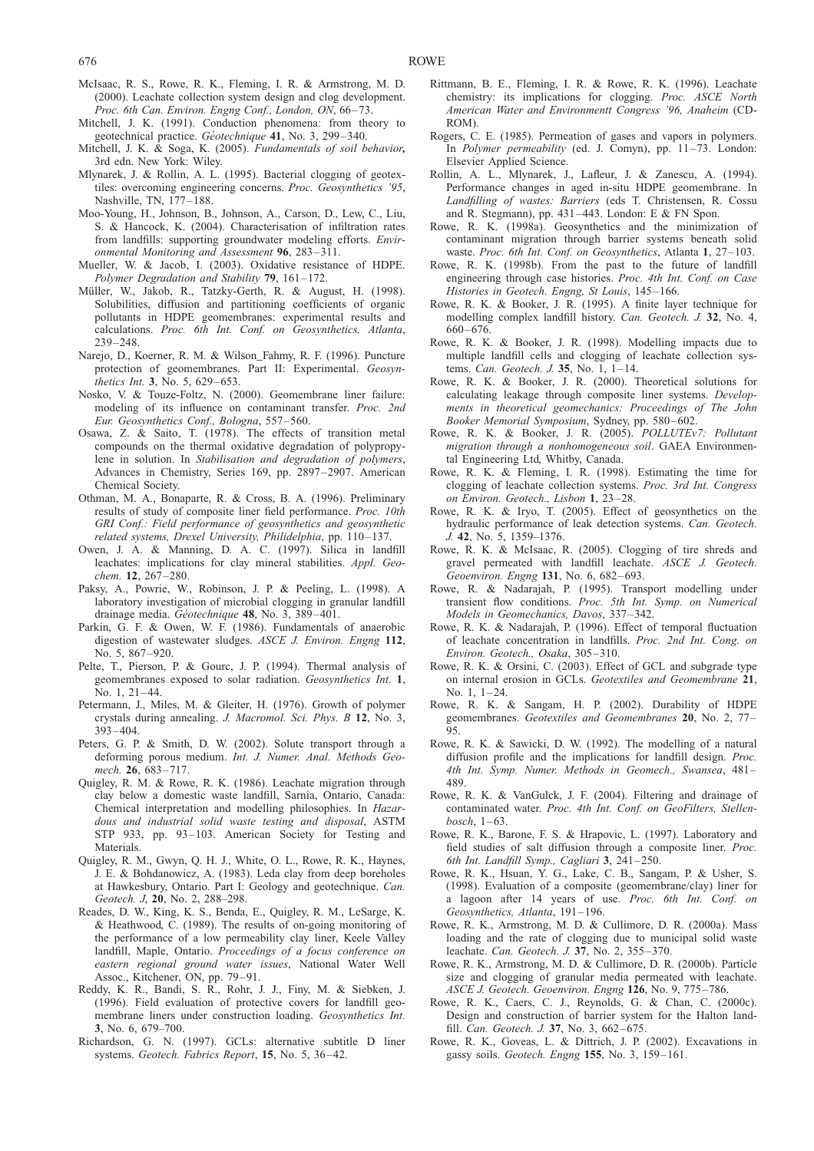- <span id="page-45-0"></span>McIsaac, R. S., Rowe, R. K., Fleming, I. R. & Armstrong, M. D. (2000). Leachate collection system design and clog development. Proc. 6th Can. Environ. Engng Conf., London, ON, 66–73.
- Mitchell, J. K. (1991). Conduction phenomena: from theory to geotechnical practice. Géotechnique 41, No. 3, 299-340.
- Mitchell, J. K. & Soga, K. (2005). Fundamentals of soil behavior, 3rd edn. New York: Wiley.
- Mlynarek, J. & Rollin, A. L. (1995). Bacterial clogging of geotextiles: overcoming engineering concerns. Proc. Geosynthetics '95, Nashville, TN, 177–188.
- Moo-Young, H., Johnson, B., Johnson, A., Carson, D., Lew, C., Liu, S. & Hancock, K. (2004). Characterisation of infiltration rates from landfills: supporting groundwater modeling efforts. Environmental Monitoring and Assessment 96, 283–311.
- Mueller, W. & Jacob, I. (2003). Oxidative resistance of HDPE. Polymer Degradation and Stability 79, 161–172.
- Müller, W., Jakob, R., Tatzky-Gerth, R. & August, H. (1998). Solubilities, diffusion and partitioning coefficients of organic pollutants in HDPE geomembranes: experimental results and calculations. Proc. 6th Int. Conf. on Geosynthetics, Atlanta, 239–248.
- Narejo, D., Koerner, R. M. & Wilson\_Fahmy, R. F. (1996). Puncture protection of geomembranes. Part II: Experimental. Geosynthetics Int. 3, No. 5, 629–653.
- Nosko, V. & Touze-Foltz, N. (2000). Geomembrane liner failure: modeling of its influence on contaminant transfer. Proc. 2nd Eur. Geosynthetics Conf., Bologna, 557–560.
- Osawa, Z. & Saito, T. (1978). The effects of transition metal compounds on the thermal oxidative degradation of polypropylene in solution. In Stabilisation and degradation of polymers, Advances in Chemistry, Series 169, pp. 2897–2907. American Chemical Society.
- Othman, M. A., Bonaparte, R. & Cross, B. A. (1996). Preliminary results of study of composite liner field performance. Proc. 10th GRI Conf.: Field performance of geosynthetics and geosynthetic related systems, Drexel University, Philidelphia, pp. 110–137.
- Owen, J. A. & Manning, D. A. C. (1997). Silica in landfill leachates: implications for clay mineral stabilities. Appl. Geochem. **12**, 267-280.
- Paksy, A., Powrie, W., Robinson, J. P. & Peeling, L. (1998). A laboratory investigation of microbial clogging in granular landfill drainage media. Géotechnique 48, No. 3, 389-401.
- Parkin, G. F. & Owen, W. F. (1986). Fundamentals of anaerobic digestion of wastewater sludges. ASCE J. Environ. Engng 112, No. 5, 867–920.
- Pelte, T., Pierson, P. & Gourc, J. P. (1994). Thermal analysis of geomembranes exposed to solar radiation. Geosynthetics Int. 1, No. 1, 21–44.
- Petermann, J., Miles, M. & Gleiter, H. (1976). Growth of polymer crystals during annealing. J. Macromol. Sci. Phys. B 12, No. 3, 393–404.
- Peters, G. P. & Smith, D. W. (2002). Solute transport through a deforming porous medium. Int. J. Numer. Anal. Methods Geomech. 26, 683–717.
- Quigley, R. M. & Rowe, R. K. (1986). Leachate migration through clay below a domestic waste landfill, Sarnia, Ontario, Canada: Chemical interpretation and modelling philosophies. In Hazardous and industrial solid waste testing and disposal, ASTM STP 933, pp. 93–103. American Society for Testing and Materials.
- Quigley, R. M., Gwyn, Q. H. J., White, O. L., Rowe, R. K., Haynes, J. E. & Bohdanowicz, A. (1983). Leda clay from deep boreholes at Hawkesbury, Ontario. Part I: Geology and geotechnique. Can. Geotech. J, 20, No. 2, 288-298.
- Reades, D. W., King, K. S., Benda, E., Quigley, R. M., LeSarge, K. & Heathwood, C. (1989). The results of on-going monitoring of the performance of a low permeability clay liner, Keele Valley landfill, Maple, Ontario. Proceedings of a focus conference on eastern regional ground water issues, National Water Well Assoc., Kitchener, ON, pp. 79–91.
- Reddy, K. R., Bandi, S. R., Rohr, J. J., Finy, M. & Siebken, J. (1996). Field evaluation of protective covers for landfill geomembrane liners under construction loading. Geosynthetics Int. 3, No. 6, 679–700.
- Richardson, G. N. (1997). GCLs: alternative subtitle D liner systems. Geotech. Fabrics Report, 15, No. 5, 36–42.
- Rittmann, B. E., Fleming, I. R. & Rowe, R. K. (1996). Leachate chemistry: its implications for clogging. Proc. ASCE North American Water and Environmentt Congress '96, Anaheim (CD-ROM).
- Rogers, C. E. (1985). Permeation of gases and vapors in polymers. In Polymer permeability (ed. J. Comyn), pp. 11–73. London: Elsevier Applied Science.
- Rollin, A. L., Mlynarek, J., Lafleur, J. & Zanescu, A. (1994). Performance changes in aged in-situ HDPE geomembrane. In Landfilling of wastes: Barriers (eds T. Christensen, R. Cossu and R. Stegmann), pp. 431–443. London: E & FN Spon.
- Rowe, R. K. (1998a). Geosynthetics and the minimization of contaminant migration through barrier systems beneath solid waste. Proc. 6th Int. Conf. on Geosynthetics, Atlanta 1, 27-103.
- Rowe, R. K. (1998b). From the past to the future of landfill engineering through case histories. Proc. 4th Int. Conf. on Case Histories in Geotech. Engng, St Louis, 145–166.
- Rowe, R. K. & Booker, J. R. (1995). A finite layer technique for modelling complex landfill history. Can. Geotech. J. 32, No. 4, 660–676.
- Rowe, R. K. & Booker, J. R. (1998). Modelling impacts due to multiple landfill cells and clogging of leachate collection systems. Can. Geotech. J. 35, No. 1, 1–14.
- Rowe, R. K. & Booker, J. R. (2000). Theoretical solutions for calculating leakage through composite liner systems. Developments in theoretical geomechanics: Proceedings of The John Booker Memorial Symposium, Sydney, pp. 580–602.
- Rowe, R. K. & Booker, J. R. (2005). POLLUTEv7: Pollutant migration through a nonhomogeneous soil. GAEA Environmental Engineering Ltd, Whitby, Canada.
- Rowe, R. K. & Fleming, I. R. (1998). Estimating the time for clogging of leachate collection systems. Proc. 3rd Int. Congress on Environ. Geotech., Lisbon 1, 23–28.
- Rowe, R. K. & Iryo, T. (2005). Effect of geosynthetics on the hydraulic performance of leak detection systems. Can. Geotech. J. 42, No. 5, 1359–1376.
- Rowe, R. K. & McIsaac, R. (2005). Clogging of tire shreds and gravel permeated with landfill leachate. ASCE J. Geotech. Geoenviron. Engng 131, No. 6, 682–693.
- Rowe, R. & Nadarajah, P. (1995). Transport modelling under transient flow conditions. Proc. 5th Int. Symp. on Numerical Models in Geomechanics, Davos, 337–342.
- Rowe, R. K. & Nadarajah, P. (1996). Effect of temporal fluctuation of leachate concentration in landfills. Proc. 2nd Int. Cong. on Environ. Geotech., Osaka, 305–310.
- Rowe, R. K. & Orsini, C. (2003). Effect of GCL and subgrade type on internal erosion in GCLs. Geotextiles and Geomembrane 21, No. 1, 1–24.
- Rowe, R. K. & Sangam, H. P. (2002). Durability of HDPE geomembranes. Geotextiles and Geomembranes 20, No. 2, 77– 95.
- Rowe, R. K. & Sawicki, D. W. (1992). The modelling of a natural diffusion profile and the implications for landfill design. Proc. 4th Int. Symp. Numer. Methods in Geomech., Swansea, 481– 489.
- Rowe, R. K. & VanGulck, J. F. (2004). Filtering and drainage of contaminated water. Proc. 4th Int. Conf. on GeoFilters, Stellenbosch, 1–63.
- Rowe, R. K., Barone, F. S. & Hrapovic, L. (1997). Laboratory and field studies of salt diffusion through a composite liner. Proc. 6th Int. Landfill Symp., Cagliari 3, 241–250.
- Rowe, R. K., Hsuan, Y. G., Lake, C. B., Sangam, P. & Usher, S. (1998). Evaluation of a composite (geomembrane/clay) liner for a lagoon after 14 years of use. Proc. 6th Int. Conf. on Geosynthetics, Atlanta, 191–196.
- Rowe, R. K., Armstrong, M. D. & Cullimore, D. R. (2000a). Mass loading and the rate of clogging due to municipal solid waste leachate. Can. Geotech. J. 37, No. 2, 355–370.
- Rowe, R. K., Armstrong, M. D. & Cullimore, D. R. (2000b). Particle size and clogging of granular media permeated with leachate. ASCE J. Geotech. Geoenviron. Engng 126, No. 9, 775–786.
- Rowe, R. K., Caers, C. J., Reynolds, G. & Chan, C. (2000c). Design and construction of barrier system for the Halton landfill. Can. Geotech. J. 37, No. 3, 662–675.
- Rowe, R. K., Goveas, L. & Dittrich, J. P. (2002). Excavations in gassy soils. Geotech. Engng 155, No. 3, 159–161.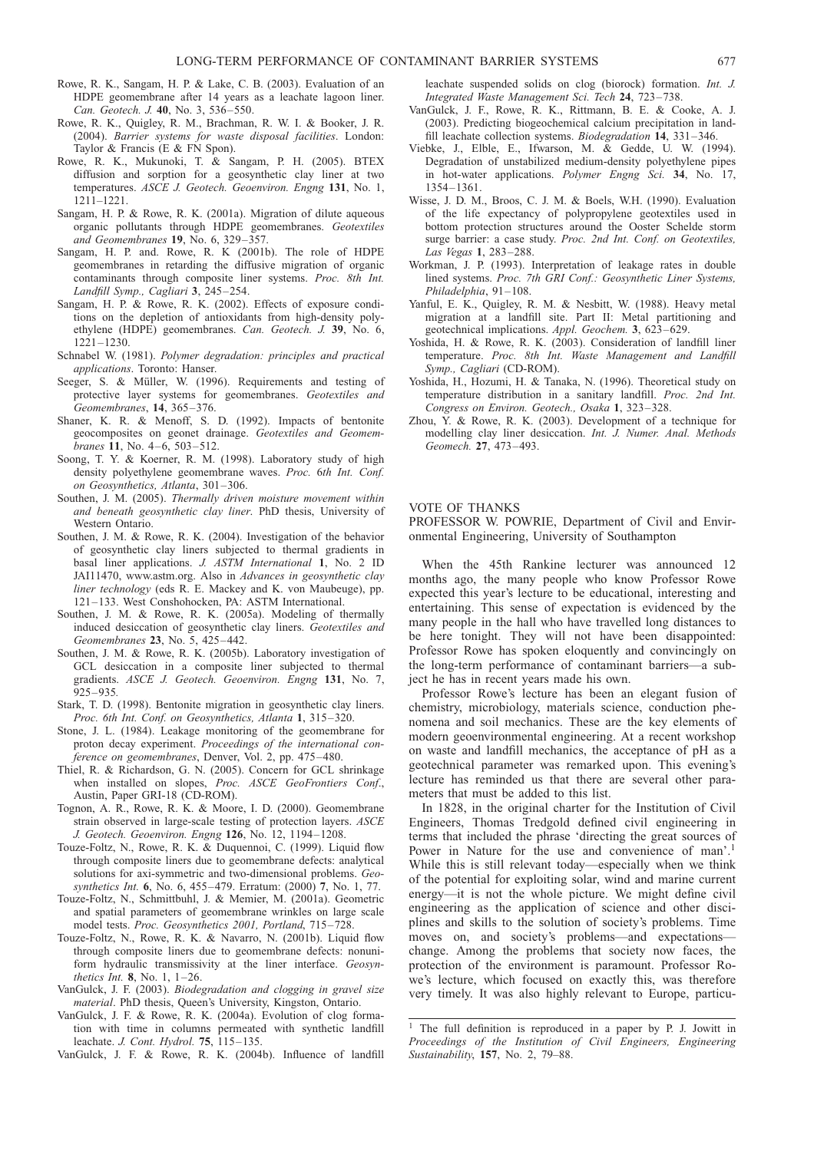- <span id="page-46-0"></span>Rowe, R. K., Sangam, H. P. & Lake, C. B. (2003). Evaluation of an HDPE geomembrane after 14 years as a leachate lagoon liner. Can. Geotech. J. 40, No. 3, 536–550.
- Rowe, R. K., Quigley, R. M., Brachman, R. W. I. & Booker, J. R. (2004). Barrier systems for waste disposal facilities. London: Taylor & Francis (E & FN Spon).
- Rowe, R. K., Mukunoki, T. & Sangam, P. H. (2005). BTEX diffusion and sorption for a geosynthetic clay liner at two temperatures. ASCE J. Geotech. Geoenviron. Engng 131, No. 1, 1211–1221.
- Sangam, H. P. & Rowe, R. K. (2001a). Migration of dilute aqueous organic pollutants through HDPE geomembranes. Geotextiles and Geomembranes 19, No. 6, 329–357.
- Sangam, H. P. and. Rowe, R. K (2001b). The role of HDPE geomembranes in retarding the diffusive migration of organic contaminants through composite liner systems. Proc. 8th Int. Landfill Symp., Cagliari 3, 245–254.
- Sangam, H. P. & Rowe, R. K. (2002). Effects of exposure conditions on the depletion of antioxidants from high-density polyethylene (HDPE) geomembranes. Can. Geotech. J. 39, No. 6, 1221–1230.
- Schnabel W. (1981). Polymer degradation: principles and practical applications. Toronto: Hanser.
- Seeger, S. & Müller, W. (1996). Requirements and testing of protective layer systems for geomembranes. Geotextiles and Geomembranes, 14, 365–376.
- Shaner, K. R. & Menoff, S. D. (1992). Impacts of bentonite geocomposites on geonet drainage. Geotextiles and Geomembranes 11, No. 4–6, 503–512.
- Soong, T. Y. & Koerner, R. M. (1998). Laboratory study of high density polyethylene geomembrane waves. Proc. 6th Int. Conf. on Geosynthetics, Atlanta, 301–306.
- Southen, J. M. (2005). Thermally driven moisture movement within and beneath geosynthetic clay liner. PhD thesis, University of Western Ontario.
- Southen, J. M. & Rowe, R. K. (2004). Investigation of the behavior of geosynthetic clay liners subjected to thermal gradients in basal liner applications. J. ASTM International 1, No. 2 ID JAI11470, www.astm.org. Also in Advances in geosynthetic clay liner technology (eds R. E. Mackey and K. von Maubeuge), pp. 121–133. West Conshohocken, PA: ASTM International.
- Southen, J. M. & Rowe, R. K. (2005a). Modeling of thermally induced desiccation of geosynthetic clay liners. Geotextiles and Geomembranes 23, No. 5, 425–442.
- Southen, J. M. & Rowe, R. K. (2005b). Laboratory investigation of GCL desiccation in a composite liner subjected to thermal gradients. ASCE J. Geotech. Geoenviron. Engng 131, No. 7,  $925 - 935$
- Stark, T. D. (1998). Bentonite migration in geosynthetic clay liners. Proc. 6th Int. Conf. on Geosynthetics, Atlanta 1, 315–320.
- Stone, J. L. (1984). Leakage monitoring of the geomembrane for proton decay experiment. Proceedings of the international conference on geomembranes, Denver, Vol. 2, pp. 475–480.
- Thiel, R. & Richardson, G. N. (2005). Concern for GCL shrinkage when installed on slopes, Proc. ASCE GeoFrontiers Conf., Austin, Paper GRI-18 (CD-ROM).
- Tognon, A. R., Rowe, R. K. & Moore, I. D. (2000). Geomembrane strain observed in large-scale testing of protection layers. ASCE J. Geotech. Geoenviron. Engng 126, No. 12, 1194–1208.
- Touze-Foltz, N., Rowe, R. K. & Duquennoi, C. (1999). Liquid flow through composite liners due to geomembrane defects: analytical solutions for axi-symmetric and two-dimensional problems. Geosynthetics Int. 6, No. 6, 455–479. Erratum: (2000) 7, No. 1, 77.
- Touze-Foltz, N., Schmittbuhl, J. & Memier, M. (2001a). Geometric and spatial parameters of geomembrane wrinkles on large scale model tests. Proc. Geosynthetics 2001, Portland, 715–728.
- Touze-Foltz, N., Rowe, R. K. & Navarro, N. (2001b). Liquid flow through composite liners due to geomembrane defects: nonuniform hydraulic transmissivity at the liner interface. Geosynthetics Int.  $8$ , No. 1, 1-26.
- VanGulck, J. F. (2003). Biodegradation and clogging in gravel size material. PhD thesis, Queen's University, Kingston, Ontario.
- VanGulck, J. F. & Rowe, R. K. (2004a). Evolution of clog formation with time in columns permeated with synthetic landfill leachate. J. Cont. Hydrol. 75, 115–135.
- VanGulck, J. F. & Rowe, R. K. (2004b). Influence of landfill

leachate suspended solids on clog (biorock) formation. Int. J. Integrated Waste Management Sci. Tech 24, 723–738.

- VanGulck, J. F., Rowe, R. K., Rittmann, B. E. & Cooke, A. J. (2003). Predicting biogeochemical calcium precipitation in landfill leachate collection systems. Biodegradation 14, 331–346.
- Viebke, J., Elble, E., Ifwarson, M. & Gedde, U. W. (1994). Degradation of unstabilized medium-density polyethylene pipes in hot-water applications. Polymer Engng Sci. 34, No. 17, 1354–1361.
- Wisse, J. D. M., Broos, C. J. M. & Boels, W.H. (1990). Evaluation of the life expectancy of polypropylene geotextiles used in bottom protection structures around the Ooster Schelde storm surge barrier: a case study. Proc. 2nd Int. Conf. on Geotextiles, Las Vegas 1, 283–288.
- Workman, J. P. (1993). Interpretation of leakage rates in double lined systems. Proc. 7th GRI Conf.: Geosynthetic Liner Systems, Philadelphia, 91–108.
- Yanful, E. K., Quigley, R. M. & Nesbitt, W. (1988). Heavy metal migration at a landfill site. Part II: Metal partitioning and geotechnical implications. Appl. Geochem. 3, 623–629.
- Yoshida, H. & Rowe, R. K. (2003). Consideration of landfill liner temperature. Proc. 8th Int. Waste Management and Landfill Symp., Cagliari (CD-ROM).
- Yoshida, H., Hozumi, H. & Tanaka, N. (1996). Theoretical study on temperature distribution in a sanitary landfill. Proc. 2nd Int. Congress on Environ. Geotech., Osaka 1, 323–328.
- Zhou, Y. & Rowe, R. K. (2003). Development of a technique for modelling clay liner desiccation. Int. J. Numer. Anal. Methods Geomech. 27, 473–493.

## VOTE OF THANKS

PROFESSOR W. POWRIE, Department of Civil and Environmental Engineering, University of Southampton

When the 45th Rankine lecturer was announced 12 months ago, the many people who know Professor Rowe expected this year's lecture to be educational, interesting and entertaining. This sense of expectation is evidenced by the many people in the hall who have travelled long distances to be here tonight. They will not have been disappointed: Professor Rowe has spoken eloquently and convincingly on the long-term performance of contaminant barriers—a subject he has in recent years made his own.

Professor Rowe's lecture has been an elegant fusion of chemistry, microbiology, materials science, conduction phenomena and soil mechanics. These are the key elements of modern geoenvironmental engineering. At a recent workshop on waste and landfill mechanics, the acceptance of pH as a geotechnical parameter was remarked upon. This evening's lecture has reminded us that there are several other parameters that must be added to this list.

In 1828, in the original charter for the Institution of Civil Engineers, Thomas Tredgold defined civil engineering in terms that included the phrase 'directing the great sources of Power in Nature for the use and convenience of man'.<sup>1</sup> While this is still relevant today—especially when we think of the potential for exploiting solar, wind and marine current energy—it is not the whole picture. We might define civil engineering as the application of science and other disciplines and skills to the solution of society's problems. Time moves on, and society's problems—and expectations change. Among the problems that society now faces, the protection of the environment is paramount. Professor Rowe's lecture, which focused on exactly this, was therefore very timely. It was also highly relevant to Europe, particu-

<sup>&</sup>lt;sup>1</sup> The full definition is reproduced in a paper by P. J. Jowitt in Proceedings of the Institution of Civil Engineers, Engineering Sustainability, 157, No. 2, 79–88.